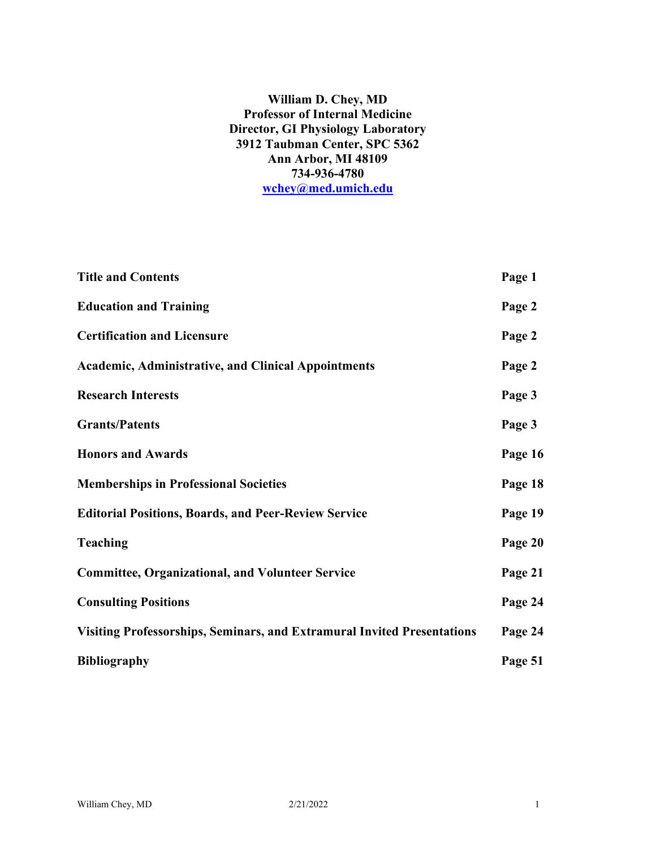### **William D. Chey, MD Professor of Internal Medicine Director, GI Physiology Laboratory 3912 Taubman Center, SPC 5362 Ann Arbor, MI 48109 734-936-4780 [wchey@med.umich.edu](mailto:wchey@med.umich.edu)**

| <b>Title and Contents</b>                                                      | Page 1  |
|--------------------------------------------------------------------------------|---------|
| <b>Education and Training</b>                                                  | Page 2  |
| <b>Certification and Licensure</b>                                             | Page 2  |
| <b>Academic, Administrative, and Clinical Appointments</b>                     | Page 2  |
| <b>Research Interests</b>                                                      | Page 3  |
| <b>Grants/Patents</b>                                                          | Page 3  |
| <b>Honors and Awards</b>                                                       | Page 16 |
| <b>Memberships in Professional Societies</b>                                   | Page 18 |
| <b>Editorial Positions, Boards, and Peer-Review Service</b>                    | Page 19 |
| <b>Teaching</b>                                                                | Page 20 |
| <b>Committee, Organizational, and Volunteer Service</b>                        | Page 21 |
| <b>Consulting Positions</b>                                                    | Page 24 |
| <b>Visiting Professorships, Seminars, and Extramural Invited Presentations</b> | Page 24 |
| <b>Bibliography</b>                                                            | Page 51 |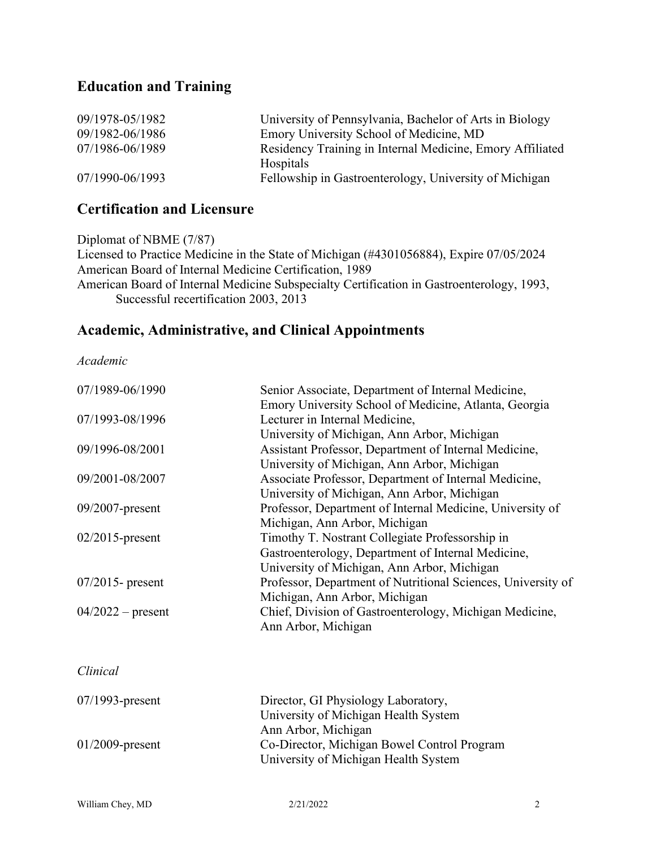# **Education and Training**

| 09/1978-05/1982 | University of Pennsylvania, Bachelor of Arts in Biology   |
|-----------------|-----------------------------------------------------------|
| 09/1982-06/1986 | Emory University School of Medicine, MD                   |
| 07/1986-06/1989 | Residency Training in Internal Medicine, Emory Affiliated |
|                 | Hospitals                                                 |
| 07/1990-06/1993 | Fellowship in Gastroenterology, University of Michigan    |

## **Certification and Licensure**

Diplomat of NBME (7/87) Licensed to Practice Medicine in the State of Michigan (#4301056884), Expire 07/05/2024 American Board of Internal Medicine Certification, 1989 American Board of Internal Medicine Subspecialty Certification in Gastroenterology, 1993, Successful recertification 2003, 2013

### **Academic, Administrative, and Clinical Appointments**

*Academic*

| 07/1989-06/1990     | Senior Associate, Department of Internal Medicine,<br>Emory University School of Medicine, Atlanta, Georgia                                          |
|---------------------|------------------------------------------------------------------------------------------------------------------------------------------------------|
| 07/1993-08/1996     | Lecturer in Internal Medicine,                                                                                                                       |
|                     | University of Michigan, Ann Arbor, Michigan                                                                                                          |
| 09/1996-08/2001     | Assistant Professor, Department of Internal Medicine,<br>University of Michigan, Ann Arbor, Michigan                                                 |
| 09/2001-08/2007     | Associate Professor, Department of Internal Medicine,<br>University of Michigan, Ann Arbor, Michigan                                                 |
| $09/2007$ -present  | Professor, Department of Internal Medicine, University of<br>Michigan, Ann Arbor, Michigan                                                           |
| $02/2015$ -present  | Timothy T. Nostrant Collegiate Professorship in<br>Gastroenterology, Department of Internal Medicine,<br>University of Michigan, Ann Arbor, Michigan |
| $07/2015$ - present | Professor, Department of Nutritional Sciences, University of<br>Michigan, Ann Arbor, Michigan                                                        |
| $04/2022$ – present | Chief, Division of Gastroenterology, Michigan Medicine,<br>Ann Arbor, Michigan                                                                       |
| Clinical            |                                                                                                                                                      |
| $07/1993$ -present  | Director, GI Physiology Laboratory,<br>University of Michigan Health System                                                                          |
| $01/2009$ -present  | Ann Arbor, Michigan<br>Co-Director, Michigan Bowel Control Program<br>University of Michigan Health System                                           |
|                     |                                                                                                                                                      |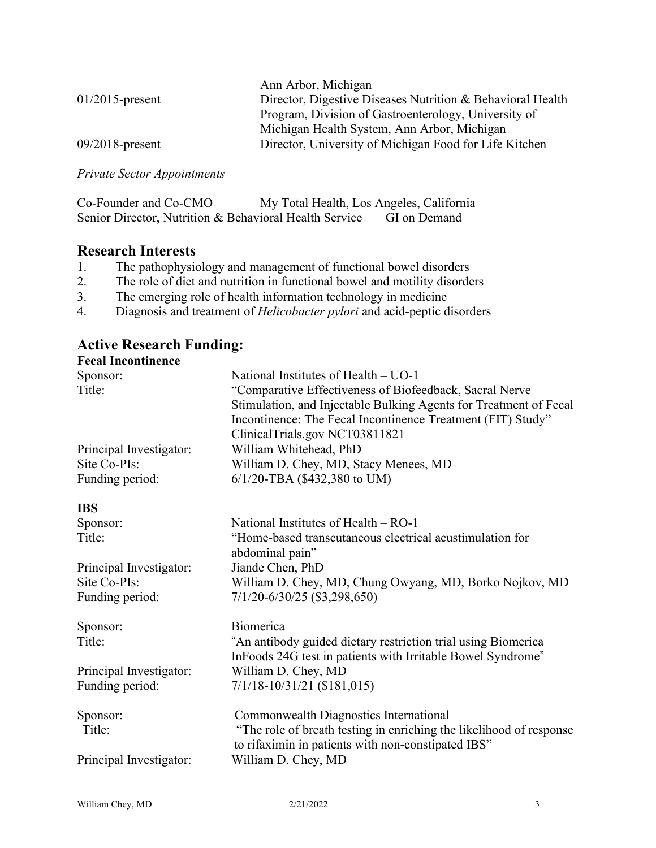|                    | Ann Arbor, Michigan                                        |
|--------------------|------------------------------------------------------------|
| $01/2015$ -present | Director, Digestive Diseases Nutrition & Behavioral Health |
|                    | Program, Division of Gastroenterology, University of       |
|                    | Michigan Health System, Ann Arbor, Michigan                |
| $09/2018$ -present | Director, University of Michigan Food for Life Kitchen     |

*Private Sector Appointments*

| Co-Founder and Co-CMO | My Total Health, Los Angeles, California               |              |
|-----------------------|--------------------------------------------------------|--------------|
|                       | Senior Director, Nutrition & Behavioral Health Service | GI on Demand |

### **Research Interests**

- 1. The pathophysiology and management of functional bowel disorders
- 2. The role of diet and nutrition in functional bowel and motility disorders
- 3. The emerging role of health information technology in medicine
- 4. Diagnosis and treatment of *Helicobacter pylori* and acid-peptic disorders

#### **Active Research Funding: Fecal Incontinence**

| <b>Fecal Incontinence</b> |                                                                     |
|---------------------------|---------------------------------------------------------------------|
| Sponsor:                  | National Institutes of Health – UO-1                                |
| Title:                    | "Comparative Effectiveness of Biofeedback, Sacral Nerve             |
|                           | Stimulation, and Injectable Bulking Agents for Treatment of Fecal   |
|                           | Incontinence: The Fecal Incontinence Treatment (FIT) Study"         |
|                           | ClinicalTrials.gov NCT03811821                                      |
| Principal Investigator:   | William Whitehead, PhD                                              |
| Site Co-PIs:              | William D. Chey, MD, Stacy Menees, MD                               |
| Funding period:           | 6/1/20-TBA (\$432,380 to UM)                                        |
| <b>IBS</b>                |                                                                     |
| Sponsor:                  | National Institutes of Health $-$ RO-1                              |
| Title:                    | "Home-based transcutaneous electrical acustimulation for            |
|                           | abdominal pain"                                                     |
| Principal Investigator:   | Jiande Chen, PhD                                                    |
| Site Co-PIs:              | William D. Chey, MD, Chung Owyang, MD, Borko Nojkov, MD             |
| Funding period:           | 7/1/20-6/30/25 (\$3,298,650)                                        |
| Sponsor:                  | Biomerica                                                           |
| Title:                    | "An antibody guided dietary restriction trial using Biomerica       |
|                           | InFoods 24G test in patients with Irritable Bowel Syndrome"         |
| Principal Investigator:   | William D. Chey, MD                                                 |
| Funding period:           | $7/1/18 - 10/31/21$ (\$181,015)                                     |
| Sponsor:                  | Commonwealth Diagnostics International                              |
| Title:                    | "The role of breath testing in enriching the likelihood of response |
|                           | to rifaximin in patients with non-constipated IBS"                  |
| Principal Investigator:   | William D. Chey, MD                                                 |
|                           |                                                                     |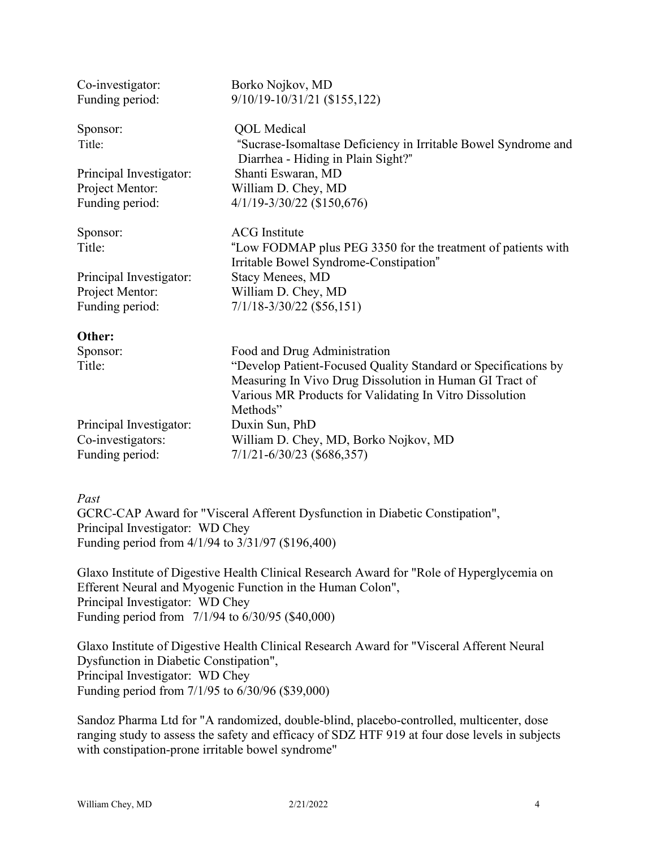| Co-investigator:        | Borko Nojkov, MD                                                                                     |
|-------------------------|------------------------------------------------------------------------------------------------------|
| Funding period:         | 9/10/19-10/31/21 (\$155,122)                                                                         |
| Sponsor:                | <b>QOL</b> Medical                                                                                   |
| Title:                  | "Sucrase-Isomaltase Deficiency in Irritable Bowel Syndrome and<br>Diarrhea - Hiding in Plain Sight?" |
| Principal Investigator: | Shanti Eswaran, MD                                                                                   |
| Project Mentor:         | William D. Chey, MD                                                                                  |
| Funding period:         | $4/1/19 - 3/30/22$ (\$150,676)                                                                       |
| Sponsor:                | <b>ACG</b> Institute                                                                                 |
| Title:                  | "Low FODMAP plus PEG 3350 for the treatment of patients with                                         |
| Principal Investigator: | Irritable Bowel Syndrome-Constipation"<br><b>Stacy Menees, MD</b>                                    |
| Project Mentor:         | William D. Chey, MD                                                                                  |
| Funding period:         | $7/1/18 - 3/30/22$ (\$56,151)                                                                        |
| Other:                  |                                                                                                      |
| Sponsor:                | Food and Drug Administration                                                                         |
| Title:                  | "Develop Patient-Focused Quality Standard or Specifications by                                       |
|                         | Measuring In Vivo Drug Dissolution in Human GI Tract of                                              |
|                         | Various MR Products for Validating In Vitro Dissolution<br>Methods"                                  |
| Principal Investigator: | Duxin Sun, PhD                                                                                       |
| Co-investigators:       | William D. Chey, MD, Borko Nojkov, MD                                                                |
| Funding period:         | $7/1/21 - 6/30/23$ (\$686,357)                                                                       |

### *Past*

GCRC-CAP Award for "Visceral Afferent Dysfunction in Diabetic Constipation", Principal Investigator: WD Chey Funding period from 4/1/94 to 3/31/97 (\$196,400)

Glaxo Institute of Digestive Health Clinical Research Award for "Role of Hyperglycemia on Efferent Neural and Myogenic Function in the Human Colon", Principal Investigator: WD Chey Funding period from 7/1/94 to 6/30/95 (\$40,000)

Glaxo Institute of Digestive Health Clinical Research Award for "Visceral Afferent Neural Dysfunction in Diabetic Constipation", Principal Investigator: WD Chey Funding period from 7/1/95 to 6/30/96 (\$39,000)

Sandoz Pharma Ltd for "A randomized, double-blind, placebo-controlled, multicenter, dose ranging study to assess the safety and efficacy of SDZ HTF 919 at four dose levels in subjects with constipation-prone irritable bowel syndrome"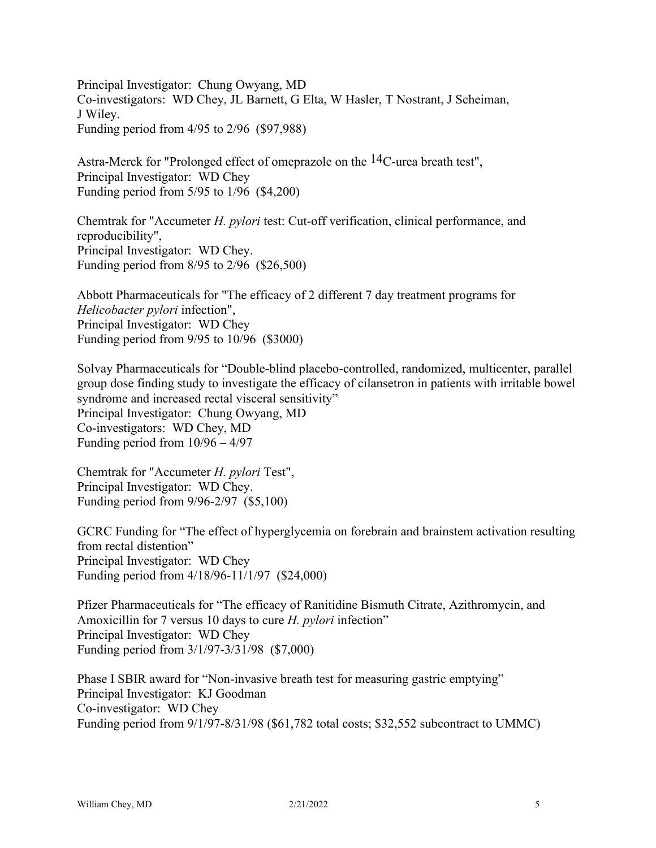Principal Investigator: Chung Owyang, MD Co-investigators: WD Chey, JL Barnett, G Elta, W Hasler, T Nostrant, J Scheiman, J Wiley. Funding period from 4/95 to 2/96 (\$97,988)

Astra-Merck for "Prolonged effect of omeprazole on the  $14$ C-urea breath test", Principal Investigator: WD Chey Funding period from 5/95 to 1/96 (\$4,200)

Chemtrak for "Accumeter *H. pylori* test: Cut-off verification, clinical performance, and reproducibility", Principal Investigator: WD Chey. Funding period from 8/95 to 2/96 (\$26,500)

Abbott Pharmaceuticals for "The efficacy of 2 different 7 day treatment programs for *Helicobacter pylori* infection", Principal Investigator: WD Chey Funding period from 9/95 to 10/96 (\$3000)

Solvay Pharmaceuticals for "Double-blind placebo-controlled, randomized, multicenter, parallel group dose finding study to investigate the efficacy of cilansetron in patients with irritable bowel syndrome and increased rectal visceral sensitivity" Principal Investigator: Chung Owyang, MD Co-investigators: WD Chey, MD Funding period from 10/96 – 4/97

Chemtrak for "Accumeter *H. pylori* Test", Principal Investigator: WD Chey. Funding period from 9/96-2/97 (\$5,100)

GCRC Funding for "The effect of hyperglycemia on forebrain and brainstem activation resulting from rectal distention" Principal Investigator: WD Chey Funding period from 4/18/96-11/1/97 (\$24,000)

Pfizer Pharmaceuticals for "The efficacy of Ranitidine Bismuth Citrate, Azithromycin, and Amoxicillin for 7 versus 10 days to cure *H. pylori* infection" Principal Investigator: WD Chey Funding period from 3/1/97-3/31/98 (\$7,000)

Phase I SBIR award for "Non-invasive breath test for measuring gastric emptying" Principal Investigator: KJ Goodman Co-investigator: WD Chey Funding period from 9/1/97-8/31/98 (\$61,782 total costs; \$32,552 subcontract to UMMC)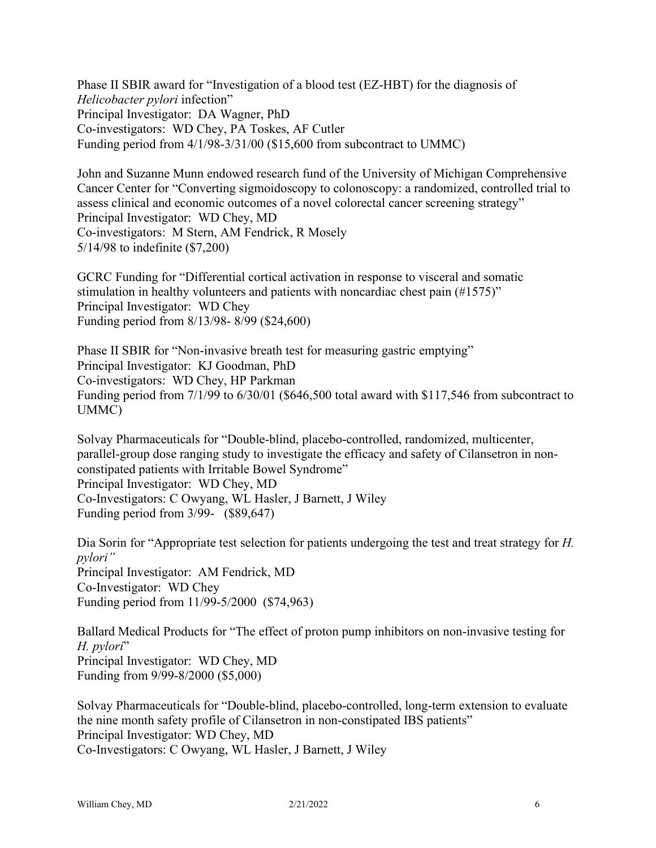Phase II SBIR award for "Investigation of a blood test (EZ-HBT) for the diagnosis of *Helicobacter pylori* infection" Principal Investigator: DA Wagner, PhD Co-investigators: WD Chey, PA Toskes, AF Cutler Funding period from 4/1/98-3/31/00 (\$15,600 from subcontract to UMMC)

John and Suzanne Munn endowed research fund of the University of Michigan Comprehensive Cancer Center for "Converting sigmoidoscopy to colonoscopy: a randomized, controlled trial to assess clinical and economic outcomes of a novel colorectal cancer screening strategy" Principal Investigator: WD Chey, MD Co-investigators: M Stern, AM Fendrick, R Mosely 5/14/98 to indefinite (\$7,200)

GCRC Funding for "Differential cortical activation in response to visceral and somatic stimulation in healthy volunteers and patients with noncardiac chest pain (#1575)" Principal Investigator: WD Chey Funding period from 8/13/98- 8/99 (\$24,600)

Phase II SBIR for "Non-invasive breath test for measuring gastric emptying" Principal Investigator: KJ Goodman, PhD Co-investigators: WD Chey, HP Parkman Funding period from 7/1/99 to 6/30/01 (\$646,500 total award with \$117,546 from subcontract to UMMC)

Solvay Pharmaceuticals for "Double-blind, placebo-controlled, randomized, multicenter, parallel-group dose ranging study to investigate the efficacy and safety of Cilansetron in nonconstipated patients with Irritable Bowel Syndrome" Principal Investigator: WD Chey, MD Co-Investigators: C Owyang, WL Hasler, J Barnett, J Wiley Funding period from 3/99- (\$89,647)

Dia Sorin for "Appropriate test selection for patients undergoing the test and treat strategy for *H. pylori"* Principal Investigator: AM Fendrick, MD Co-Investigator: WD Chey Funding period from 11/99-5/2000 (\$74,963)

Ballard Medical Products for "The effect of proton pump inhibitors on non-invasive testing for *H. pylori*" Principal Investigator: WD Chey, MD Funding from 9/99-8/2000 (\$5,000)

Solvay Pharmaceuticals for "Double-blind, placebo-controlled, long-term extension to evaluate the nine month safety profile of Cilansetron in non-constipated IBS patients" Principal Investigator: WD Chey, MD Co-Investigators: C Owyang, WL Hasler, J Barnett, J Wiley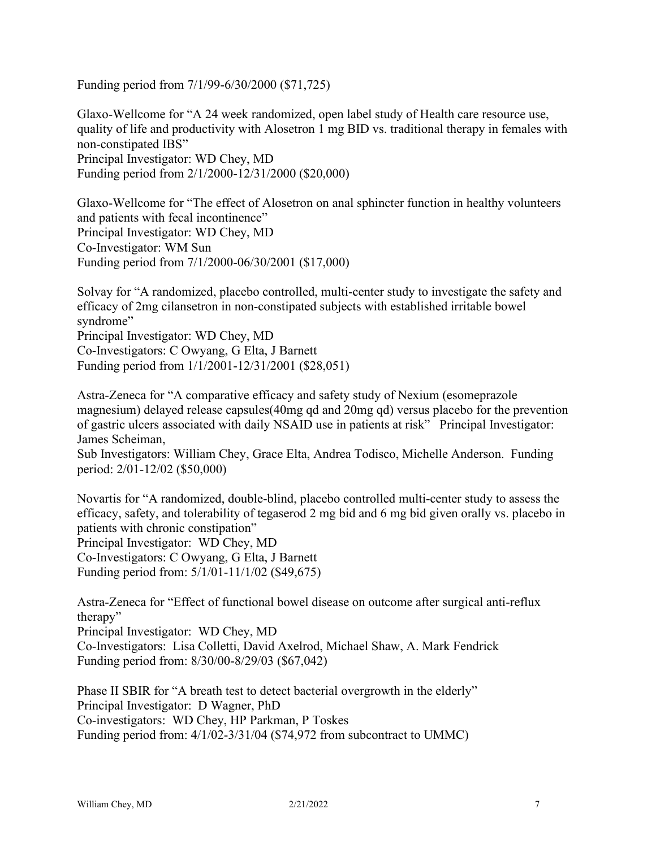Funding period from 7/1/99-6/30/2000 (\$71,725)

Glaxo-Wellcome for "A 24 week randomized, open label study of Health care resource use, quality of life and productivity with Alosetron 1 mg BID vs. traditional therapy in females with non-constipated IBS" Principal Investigator: WD Chey, MD Funding period from 2/1/2000-12/31/2000 (\$20,000)

Glaxo-Wellcome for "The effect of Alosetron on anal sphincter function in healthy volunteers and patients with fecal incontinence" Principal Investigator: WD Chey, MD Co-Investigator: WM Sun Funding period from 7/1/2000-06/30/2001 (\$17,000)

Solvay for "A randomized, placebo controlled, multi-center study to investigate the safety and efficacy of 2mg cilansetron in non-constipated subjects with established irritable bowel syndrome" Principal Investigator: WD Chey, MD Co-Investigators: C Owyang, G Elta, J Barnett

Funding period from 1/1/2001-12/31/2001 (\$28,051)

Astra-Zeneca for "A comparative efficacy and safety study of Nexium (esomeprazole magnesium) delayed release capsules(40mg qd and 20mg qd) versus placebo for the prevention of gastric ulcers associated with daily NSAID use in patients at risk" Principal Investigator: James Scheiman,

Sub Investigators: William Chey, Grace Elta, Andrea Todisco, Michelle Anderson. Funding period: 2/01-12/02 (\$50,000)

Novartis for "A randomized, double-blind, placebo controlled multi-center study to assess the efficacy, safety, and tolerability of tegaserod 2 mg bid and 6 mg bid given orally vs. placebo in patients with chronic constipation" Principal Investigator: WD Chey, MD

Co-Investigators: C Owyang, G Elta, J Barnett Funding period from: 5/1/01-11/1/02 (\$49,675)

Astra-Zeneca for "Effect of functional bowel disease on outcome after surgical anti-reflux therapy"

Principal Investigator: WD Chey, MD Co-Investigators: Lisa Colletti, David Axelrod, Michael Shaw, A. Mark Fendrick Funding period from: 8/30/00-8/29/03 (\$67,042)

Phase II SBIR for "A breath test to detect bacterial overgrowth in the elderly" Principal Investigator: D Wagner, PhD Co-investigators: WD Chey, HP Parkman, P Toskes Funding period from: 4/1/02-3/31/04 (\$74,972 from subcontract to UMMC)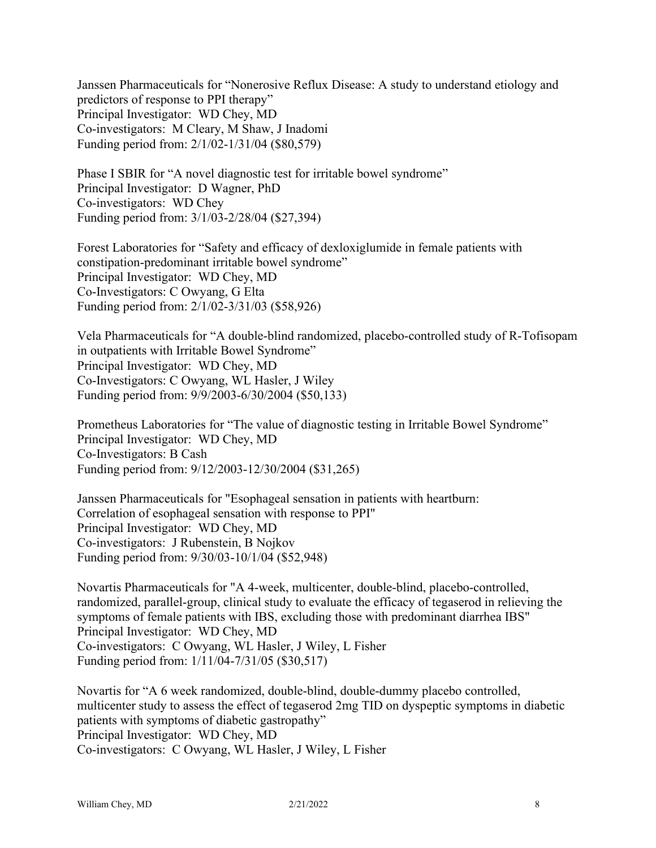Janssen Pharmaceuticals for "Nonerosive Reflux Disease: A study to understand etiology and predictors of response to PPI therapy" Principal Investigator: WD Chey, MD Co-investigators: M Cleary, M Shaw, J Inadomi Funding period from: 2/1/02-1/31/04 (\$80,579)

Phase I SBIR for "A novel diagnostic test for irritable bowel syndrome" Principal Investigator: D Wagner, PhD Co-investigators: WD Chey Funding period from: 3/1/03-2/28/04 (\$27,394)

Forest Laboratories for "Safety and efficacy of dexloxiglumide in female patients with constipation-predominant irritable bowel syndrome" Principal Investigator: WD Chey, MD Co-Investigators: C Owyang, G Elta Funding period from: 2/1/02-3/31/03 (\$58,926)

Vela Pharmaceuticals for "A double-blind randomized, placebo-controlled study of R-Tofisopam in outpatients with Irritable Bowel Syndrome" Principal Investigator: WD Chey, MD Co-Investigators: C Owyang, WL Hasler, J Wiley Funding period from: 9/9/2003-6/30/2004 (\$50,133)

Prometheus Laboratories for "The value of diagnostic testing in Irritable Bowel Syndrome" Principal Investigator: WD Chey, MD Co-Investigators: B Cash Funding period from: 9/12/2003-12/30/2004 (\$31,265)

Janssen Pharmaceuticals for "Esophageal sensation in patients with heartburn: Correlation of esophageal sensation with response to PPI" Principal Investigator: WD Chey, MD Co-investigators: J Rubenstein, B Nojkov Funding period from: 9/30/03-10/1/04 (\$52,948)

Novartis Pharmaceuticals for "A 4-week, multicenter, double-blind, placebo-controlled, randomized, parallel-group, clinical study to evaluate the efficacy of tegaserod in relieving the symptoms of female patients with IBS, excluding those with predominant diarrhea IBS" Principal Investigator: WD Chey, MD Co-investigators: C Owyang, WL Hasler, J Wiley, L Fisher Funding period from: 1/11/04-7/31/05 (\$30,517)

Novartis for "A 6 week randomized, double-blind, double-dummy placebo controlled, multicenter study to assess the effect of tegaserod 2mg TID on dyspeptic symptoms in diabetic patients with symptoms of diabetic gastropathy" Principal Investigator: WD Chey, MD Co-investigators: C Owyang, WL Hasler, J Wiley, L Fisher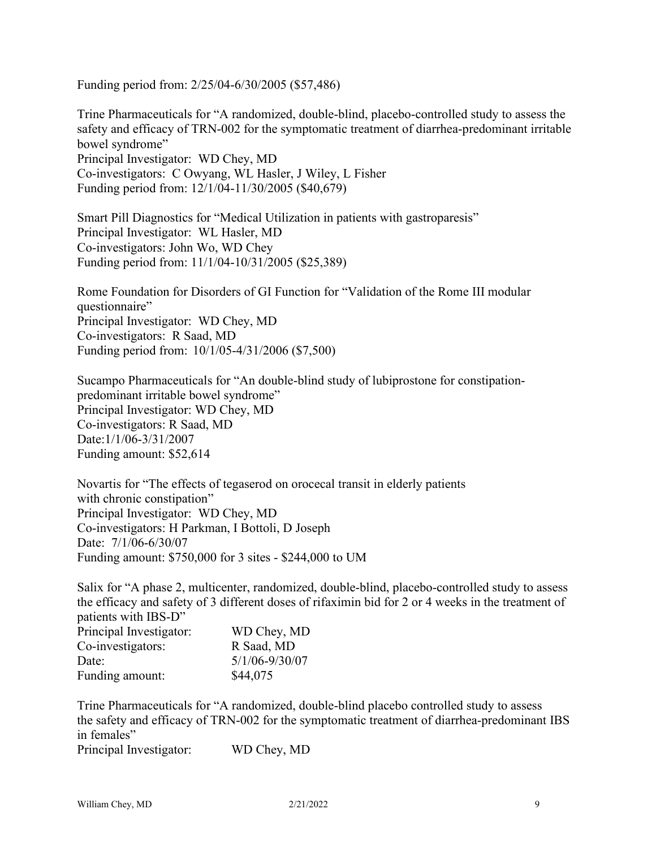Funding period from: 2/25/04-6/30/2005 (\$57,486)

Trine Pharmaceuticals for "A randomized, double-blind, placebo-controlled study to assess the safety and efficacy of TRN-002 for the symptomatic treatment of diarrhea-predominant irritable bowel syndrome" Principal Investigator: WD Chey, MD Co-investigators: C Owyang, WL Hasler, J Wiley, L Fisher Funding period from: 12/1/04-11/30/2005 (\$40,679)

Smart Pill Diagnostics for "Medical Utilization in patients with gastroparesis" Principal Investigator: WL Hasler, MD Co-investigators: John Wo, WD Chey Funding period from: 11/1/04-10/31/2005 (\$25,389)

Rome Foundation for Disorders of GI Function for "Validation of the Rome III modular questionnaire" Principal Investigator: WD Chey, MD Co-investigators: R Saad, MD Funding period from: 10/1/05-4/31/2006 (\$7,500)

Sucampo Pharmaceuticals for "An double-blind study of lubiprostone for constipationpredominant irritable bowel syndrome" Principal Investigator: WD Chey, MD Co-investigators: R Saad, MD Date:1/1/06-3/31/2007 Funding amount: \$52,614

Novartis for "The effects of tegaserod on orocecal transit in elderly patients with chronic constipation" Principal Investigator: WD Chey, MD Co-investigators: H Parkman, I Bottoli, D Joseph Date: 7/1/06-6/30/07 Funding amount: \$750,000 for 3 sites - \$244,000 to UM

Salix for "A phase 2, multicenter, randomized, double-blind, placebo-controlled study to assess the efficacy and safety of 3 different doses of rifaximin bid for 2 or 4 weeks in the treatment of patients with IBS-D"

| Principal Investigator: | WD Chey, MD        |
|-------------------------|--------------------|
| Co-investigators:       | R Saad, MD         |
| Date:                   | $5/1/06 - 9/30/07$ |
| Funding amount:         | \$44,075           |

Trine Pharmaceuticals for "A randomized, double-blind placebo controlled study to assess the safety and efficacy of TRN-002 for the symptomatic treatment of diarrhea-predominant IBS in females"

Principal Investigator: WD Chey, MD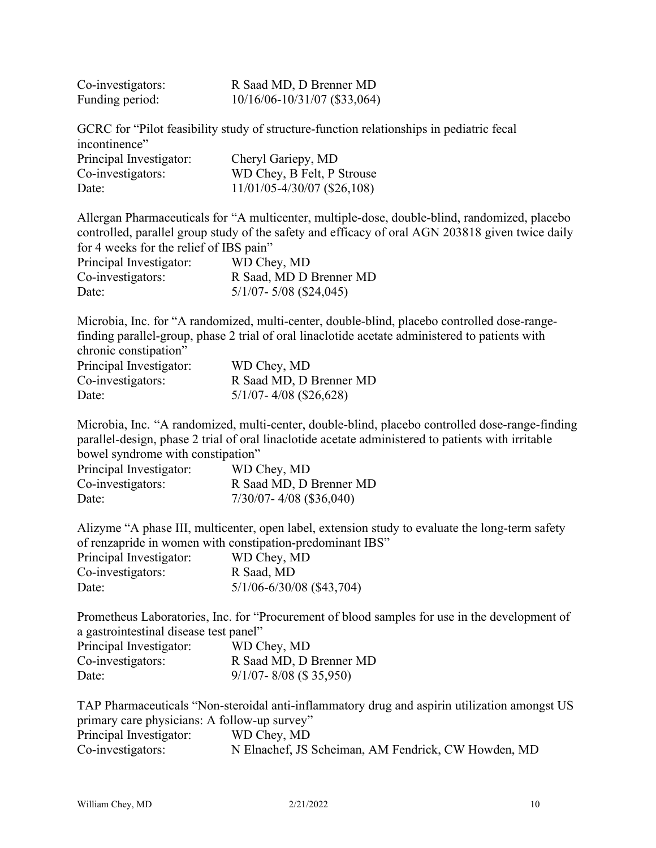| Co-investigators: | R Saad MD, D Brenner MD          |
|-------------------|----------------------------------|
| Funding period:   | $10/16/06 - 10/31/07$ (\$33,064) |

GCRC for "Pilot feasibility study of structure-function relationships in pediatric fecal incontinence" Principal Investigator: Cheryl Gariepy, MD<br>
Co-investigators: WD Chev R Felt P!  $WD$  Chev, B Felt, P Strouse

| CO-IIIvCSugators. | $W D$ CIICY, D Fell, E Subust   |
|-------------------|---------------------------------|
| Date:             | $11/01/05 - 4/30/07$ (\$26,108) |

Allergan Pharmaceuticals for "A multicenter, multiple-dose, double-blind, randomized, placebo controlled, parallel group study of the safety and efficacy of oral AGN 203818 given twice daily for 4 weeks for the relief of IBS pain"

| Principal Investigator: | WD Chey, MD                |
|-------------------------|----------------------------|
| Co-investigators:       | R Saad, MD D Brenner MD    |
| Date:                   | $5/1/07 - 5/08$ (\$24,045) |

Microbia, Inc. for "A randomized, multi-center, double-blind, placebo controlled dose-rangefinding parallel-group, phase 2 trial of oral linaclotide acetate administered to patients with chronic constipation"

| Principal Investigator: | WD Chey, MD                |
|-------------------------|----------------------------|
| Co-investigators:       | R Saad MD, D Brenner MD    |
| Date:                   | $5/1/07 - 4/08$ (\$26,628) |

Microbia, Inc. "A randomized, multi-center, double-blind, placebo controlled dose-range-finding parallel-design, phase 2 trial of oral linaclotide acetate administered to patients with irritable bowel syndrome with constipation"

| Principal Investigator: | WD Chey, MD                 |
|-------------------------|-----------------------------|
| Co-investigators:       | R Saad MD, D Brenner MD     |
| Date:                   | $7/30/07 - 4/08$ (\$36,040) |

Alizyme "A phase III, multicenter, open label, extension study to evaluate the long-term safety of renzapride in women with constipation-predominant IBS"

| Principal Investigator: | WD Chey, MD                   |
|-------------------------|-------------------------------|
| Co-investigators:       | R Saad, MD                    |
| Date:                   | $5/1/06 - 6/30/08$ (\$43,704) |

Prometheus Laboratories, Inc. for "Procurement of blood samples for use in the development of a gastrointestinal disease test panel"

| Principal Investigator: | WD Chey, MD                 |
|-------------------------|-----------------------------|
| Co-investigators:       | R Saad MD, D Brenner MD     |
| Date:                   | $9/1/07 - 8/08$ (\$ 35,950) |

TAP Pharmaceuticals "Non-steroidal anti-inflammatory drug and aspirin utilization amongst US primary care physicians: A follow-up survey" Principal Investigator: WD Chey, MD Co-investigators: N Elnachef, JS Scheiman, AM Fendrick, CW Howden, MD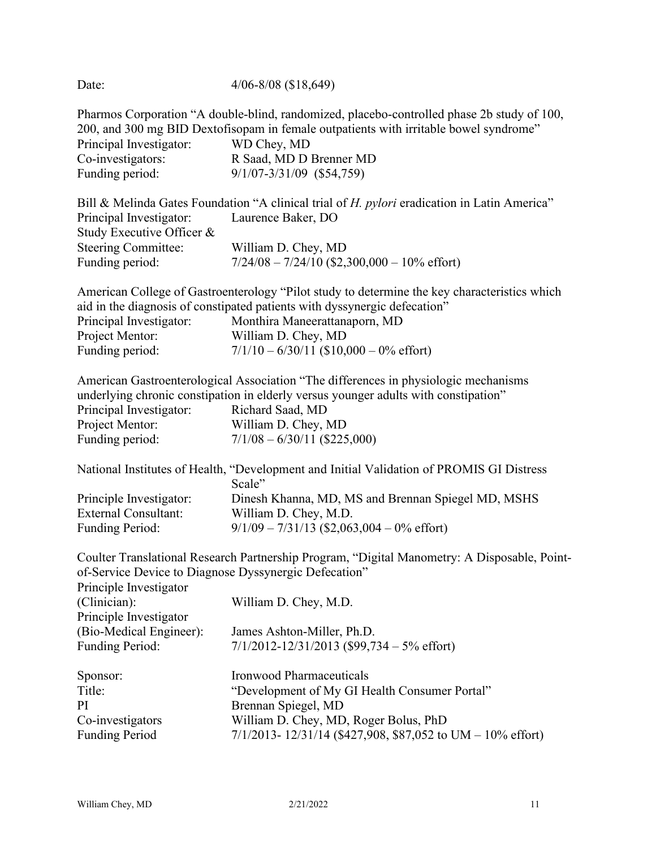Date: 4/06-8/08 (\$18,649) Pharmos Corporation "A double-blind, randomized, placebo-controlled phase 2b study of 100, 200, and 300 mg BID Dextofisopam in female outpatients with irritable bowel syndrome" Principal Investigator: WD Chey, MD Co-investigators: R Saad, MD D Brenner MD Funding period: 9/1/07-3/31/09 (\$54,759) Bill & Melinda Gates Foundation "A clinical trial of *H. pylori* eradication in Latin America" Principal Investigator: Laurence Baker, DO Study Executive Officer & Steering Committee: William D. Chey, MD Funding period: 7/24/08 – 7/24/10 (\$2,300,000 – 10% effort) American College of Gastroenterology "Pilot study to determine the key characteristics which aid in the diagnosis of constipated patients with dyssynergic defecation" Principal Investigator: Monthira Maneerattanaporn, MD Project Mentor: William D. Chey, MD Funding period:  $7/1/10 - 6/30/11$  (\$10,000 – 0% effort) American Gastroenterological Association "The differences in physiologic mechanisms underlying chronic constipation in elderly versus younger adults with constipation" Principal Investigator: Richard Saad, MD Project Mentor: William D. Chey, MD Funding period: 7/1/08 – 6/30/11 (\$225,000) National Institutes of Health, "Development and Initial Validation of PROMIS GI Distress Scale" Principle Investigator: Dinesh Khanna, MD, MS and Brennan Spiegel MD, MSHS External Consultant: William D. Chey, M.D. Funding Period: 9/1/09 – 7/31/13 (\$2,063,004 – 0% effort) Coulter Translational Research Partnership Program, "Digital Manometry: A Disposable, Pointof-Service Device to Diagnose Dyssynergic Defecation" Principle Investigator (Clinician): William D. Chey, M.D. Principle Investigator (Bio-Medical Engineer): James Ashton-Miller, Ph.D. Funding Period: 7/1/2012-12/31/2013 (\$99,734 – 5% effort) Sponsor: Ironwood Pharmaceuticals Title: "Development of My GI Health Consumer Portal" PI Brennan Spiegel, MD Co-investigators William D. Chey, MD, Roger Bolus, PhD Funding Period 7/1/2013- 12/31/14 (\$427,908, \$87,052 to UM – 10% effort)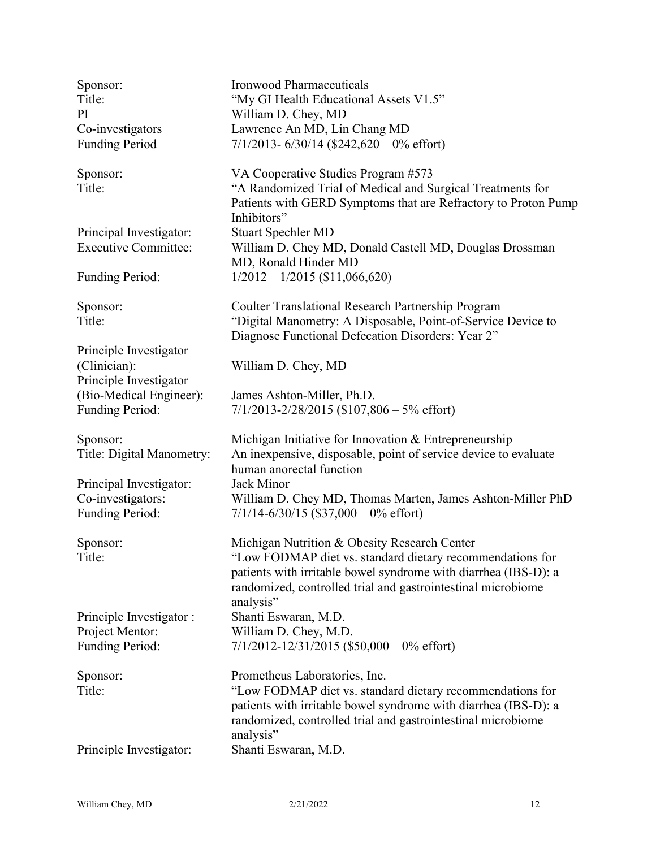Principal Investigator: Stuart Spechler MD

Principle Investigator (Clinician): William D. Chey, MD Principle Investigator

Principal Investigator: Jack Minor

Principle Investigator : Shanti Eswaran, M.D.

Sponsor: Ironwood Pharmaceuticals Title: "My GI Health Educational Assets V1.5" PI William D. Chey, MD Co-investigators Lawrence An MD, Lin Chang MD Funding Period 7/1/2013- 6/30/14 (\$242,620 – 0% effort)

Sponsor: VA Cooperative Studies Program #573 Title: "A Randomized Trial of Medical and Surgical Treatments for Patients with GERD Symptoms that are Refractory to Proton Pump Inhibitors" Executive Committee: William D. Chey MD, Donald Castell MD, Douglas Drossman MD, Ronald Hinder MD Funding Period: 1/2012 – 1/2015 (\$11,066,620)

Sponsor: Coulter Translational Research Partnership Program Title: "Digital Manometry: A Disposable, Point-of-Service Device to Diagnose Functional Defecation Disorders: Year 2"

(Bio-Medical Engineer): James Ashton-Miller, Ph.D. Funding Period: 7/1/2013-2/28/2015 (\$107,806 – 5% effort)

Sponsor: Michigan Initiative for Innovation & Entrepreneurship Title: Digital Manometry: An inexpensive, disposable, point of service device to evaluate human anorectal function Co-investigators: William D. Chey MD, Thomas Marten, James Ashton-Miller PhD Funding Period:  $7/1/14-6/30/15$  (\$37,000 – 0% effort)

Sponsor: Michigan Nutrition & Obesity Research Center Title: "Low FODMAP diet vs. standard dietary recommendations for patients with irritable bowel syndrome with diarrhea (IBS-D): a randomized, controlled trial and gastrointestinal microbiome analysis" Project Mentor: William D. Chey, M.D. Funding Period:  $7/1/2012 - 12/31/2015$  (\$50,000 – 0% effort)

Sponsor: Prometheus Laboratories, Inc. Title: "Low FODMAP diet vs. standard dietary recommendations for patients with irritable bowel syndrome with diarrhea (IBS-D): a randomized, controlled trial and gastrointestinal microbiome analysis" Principle Investigator: Shanti Eswaran, M.D.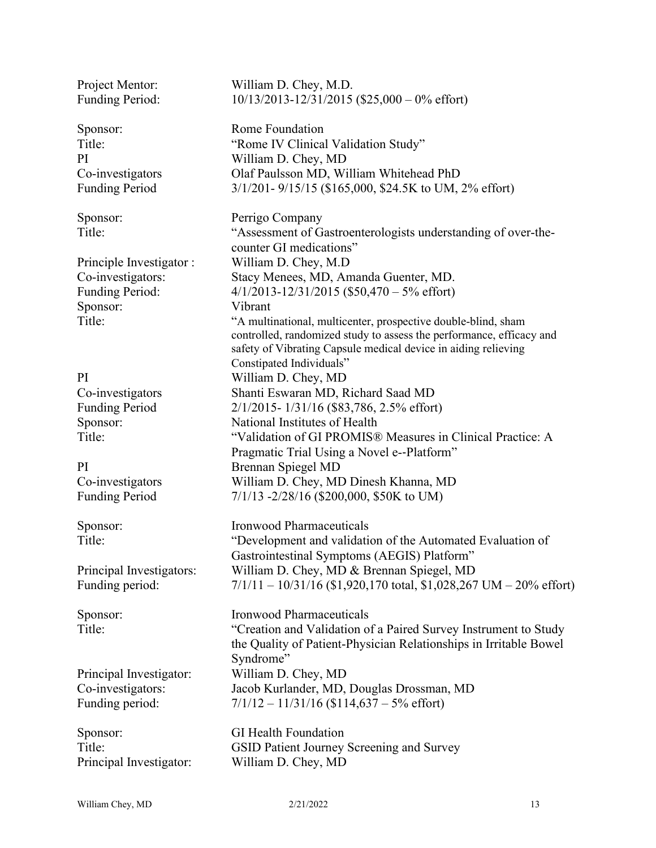Principle Investigator : William D. Chey, M.D<br>Co-investigators: Stacy Menees, MD, An Sponsor: Vibrant

Sponsor: GI Health Foundation Principal Investigator: William D. Chey, MD

Project Mentor: William D. Chey, M.D. Funding Period: 10/13/2013-12/31/2015 (\$25,000 – 0% effort)

Sponsor: Rome Foundation Title: "Rome IV Clinical Validation Study" PI William D. Chey, MD Co-investigators Olaf Paulsson MD, William Whitehead PhD Funding Period 3/1/201- 9/15/15 (\$165,000, \$24.5K to UM, 2% effort)

Sponsor: Perrigo Company Title: "Assessment of Gastroenterologists understanding of over-thecounter GI medications" Stacy Menees, MD, Amanda Guenter, MD. Funding Period: 4/1/2013-12/31/2015 (\$50,470 – 5% effort) Title: "A multinational, multicenter, prospective double-blind, sham controlled, randomized study to assess the performance, efficacy and safety of Vibrating Capsule medical device in aiding relieving Constipated Individuals" PI William D. Chey, MD Co-investigators Shanti Eswaran MD, Richard Saad MD Funding Period 2/1/2015- 1/31/16 (\$83,786, 2.5% effort) Sponsor: National Institutes of Health Title: "Validation of GI PROMIS® Measures in Clinical Practice: A Pragmatic Trial Using a Novel e-‐Platform" PI Brennan Spiegel MD Co-investigators William D. Chey, MD Dinesh Khanna, MD Funding Period  $7/1/13 - 2/28/16$  (\$200,000, \$50K to UM)

Sponsor: Ironwood Pharmaceuticals Title: "Development and validation of the Automated Evaluation of Gastrointestinal Symptoms (AEGIS) Platform" Principal Investigators: William D. Chey, MD & Brennan Spiegel, MD Funding period: 7/1/11 – 10/31/16 (\$1,920,170 total, \$1,028,267 UM – 20% effort)

Sponsor: Ironwood Pharmaceuticals Title: "Creation and Validation of a Paired Survey Instrument to Study the Quality of Patient-Physician Relationships in Irritable Bowel Syndrome" Principal Investigator: William D. Chey, MD Co-investigators: Jacob Kurlander, MD, Douglas Drossman, MD Funding period:  $7/1/12 - 11/31/16$  (\$114,637 – 5% effort)

Title: GSID Patient Journey Screening and Survey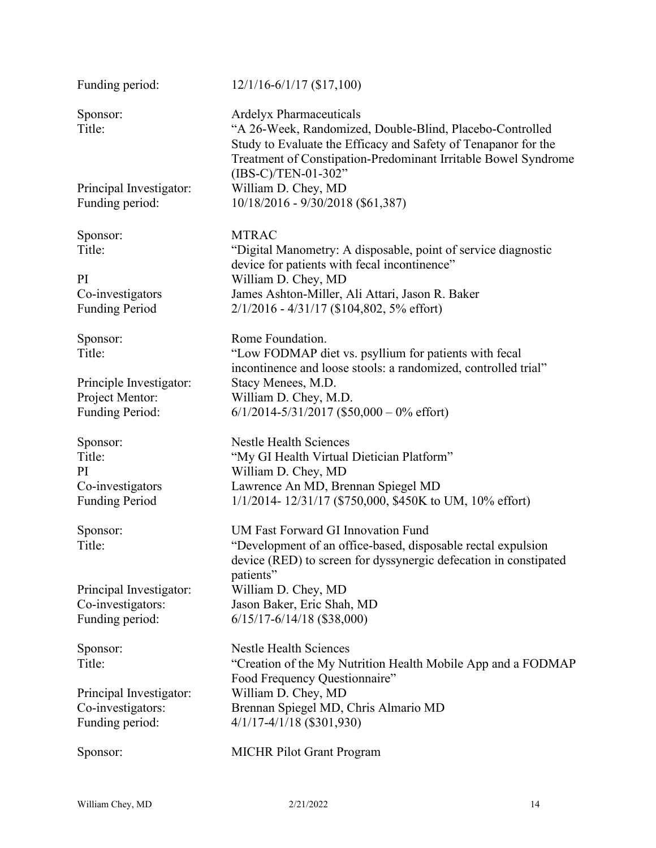Sponsor: MTRAC

Principle Investigator: Stacy Menees, M.D.

### Funding period: 12/1/16-6/1/17 (\$17,100)

Sponsor: Ardelyx Pharmaceuticals Title: "A 26-Week, Randomized, Double-Blind, Placebo-Controlled Study to Evaluate the Efficacy and Safety of Tenapanor for the Treatment of Constipation-Predominant Irritable Bowel Syndrome (IBS-C)/TEN-01-302" Principal Investigator: William D. Chey, MD Funding period: 10/18/2016 - 9/30/2018 (\$61,387)

Title: "Digital Manometry: A disposable, point of service diagnostic device for patients with fecal incontinence" PI William D. Chey, MD Co-investigators James Ashton-Miller, Ali Attari, Jason R. Baker Funding Period 2/1/2016 - 4/31/17 (\$104,802, 5% effort)

Sponsor: Rome Foundation. Title: "Low FODMAP diet vs. psyllium for patients with fecal incontinence and loose stools: a randomized, controlled trial" Project Mentor: William D. Chey, M.D. Funding Period: 6/1/2014-5/31/2017 (\$50,000 – 0% effort)

Sponsor: Nestle Health Sciences Title: "My GI Health Virtual Dietician Platform" PI William D. Chey, MD Co-investigators Lawrence An MD, Brennan Spiegel MD Funding Period 1/1/2014- 12/31/17 (\$750,000, \$450K to UM, 10% effort)

Sponsor: UM Fast Forward GI Innovation Fund Title: "Development of an office-based, disposable rectal expulsion device (RED) to screen for dyssynergic defecation in constipated patients" Principal Investigator: William D. Chey, MD Co-investigators: Jason Baker, Eric Shah, MD Funding period: 6/15/17-6/14/18 (\$38,000)

Sponsor: Nestle Health Sciences Title: "Creation of the My Nutrition Health Mobile App and a FODMAP Food Frequency Questionnaire" Principal Investigator: William D. Chey, MD Co-investigators: Brennan Spiegel MD, Chris Almario MD Funding period: 4/1/17-4/1/18 (\$301,930)

Sponsor: MICHR Pilot Grant Program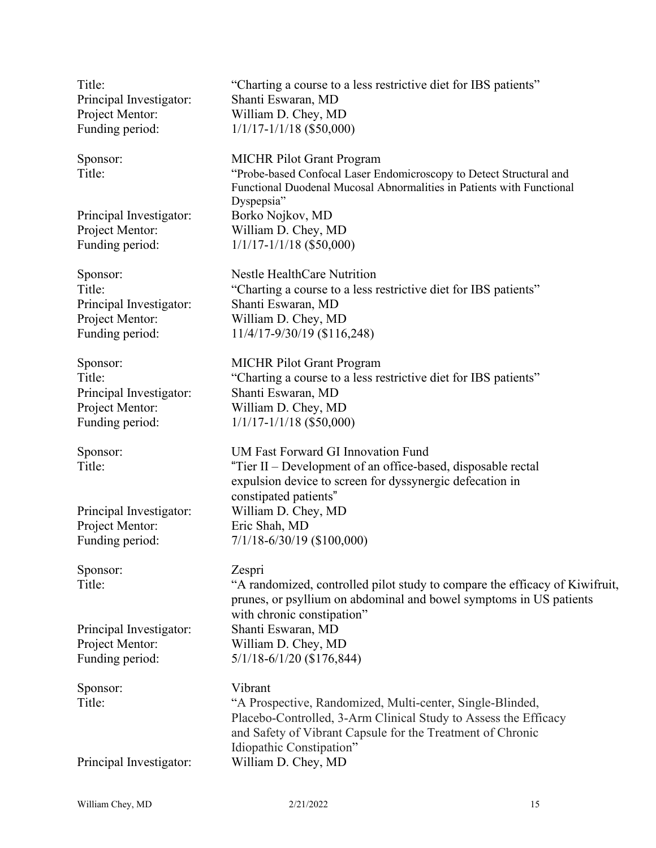Principal Investigator: Shanti Eswaran, MD Project Mentor: William D. Chey, MD

Principal Investigator: Borko Nojkov, MD

Principal Investigator: Shanti Eswaran, MD Project Mentor: William D. Chey, MD

Principal Investigator: Shanti Eswaran, MD

Project Mentor: Eric Shah, MD

Sponsor: Zespri

Sponsor: Vibrant

Title: "Charting a course to a less restrictive diet for IBS patients" Funding period:  $1/1/17-1/1/18$  (\$50,000)

Sponsor: MICHR Pilot Grant Program Title: "Probe-based Confocal Laser Endomicroscopy to Detect Structural and Functional Duodenal Mucosal Abnormalities in Patients with Functional Dyspepsia" Project Mentor: William D. Chey, MD Funding period:  $1/1/17-1/1/18$  (\$50,000)

Sponsor: Nestle HealthCare Nutrition Title: "Charting a course to a less restrictive diet for IBS patients" Funding period: 11/4/17-9/30/19 (\$116,248)

Sponsor: MICHR Pilot Grant Program Title: "Charting a course to a less restrictive diet for IBS patients" Project Mentor: William D. Chey, MD Funding period:  $1/1/17-1/1/18$  (\$50,000)

Sponsor: UM Fast Forward GI Innovation Fund Title: "Tier II – Development of an office-based, disposable rectal expulsion device to screen for dyssynergic defecation in constipated patients" Principal Investigator: William D. Chey, MD Funding period: 7/1/18-6/30/19 (\$100,000)

Title: "A randomized, controlled pilot study to compare the efficacy of Kiwifruit, prunes, or psyllium on abdominal and bowel symptoms in US patients with chronic constipation" Principal Investigator: Shanti Eswaran, MD Project Mentor: William D. Chey, MD Funding period: 5/1/18-6/1/20 (\$176,844)

Title: "A Prospective, Randomized, Multi-center, Single-Blinded, Placebo-Controlled, 3-Arm Clinical Study to Assess the Efficacy and Safety of Vibrant Capsule for the Treatment of Chronic Idiopathic Constipation" Principal Investigator: William D. Chey, MD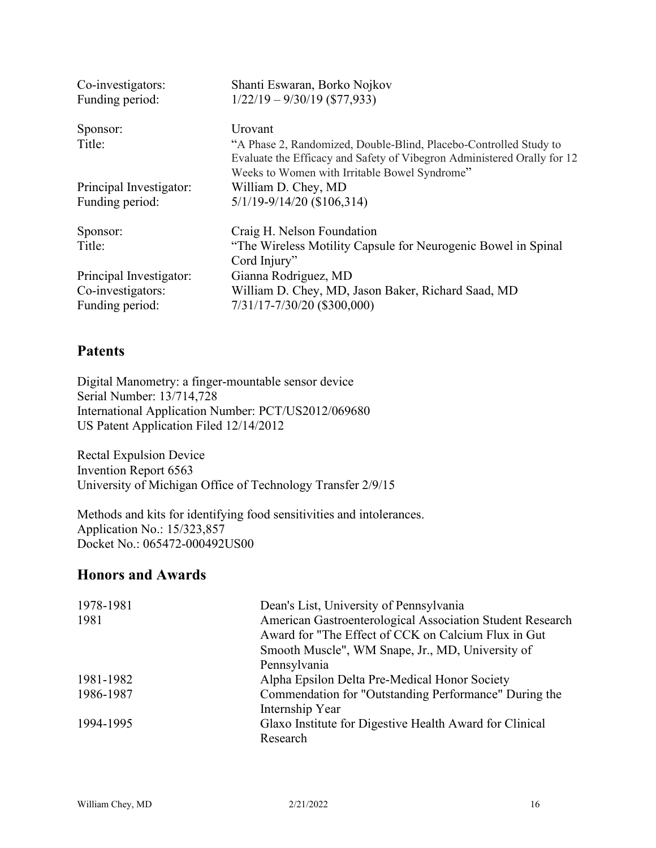| Co-investigators:<br>Funding period: | Shanti Eswaran, Borko Nojkov<br>$1/22/19 - 9/30/19$ (\$77,933)                                                                                                                                |
|--------------------------------------|-----------------------------------------------------------------------------------------------------------------------------------------------------------------------------------------------|
| Sponsor:                             | Urovant                                                                                                                                                                                       |
| Title:                               | "A Phase 2, Randomized, Double-Blind, Placebo-Controlled Study to<br>Evaluate the Efficacy and Safety of Vibegron Administered Orally for 12<br>Weeks to Women with Irritable Bowel Syndrome" |
| Principal Investigator:              | William D. Chey, MD                                                                                                                                                                           |
| Funding period:                      | $5/1/19 - 9/14/20$ (\$106,314)                                                                                                                                                                |
| Sponsor:                             | Craig H. Nelson Foundation                                                                                                                                                                    |
| Title:                               | "The Wireless Motility Capsule for Neurogenic Bowel in Spinal                                                                                                                                 |
|                                      | Cord Injury"                                                                                                                                                                                  |
| Principal Investigator:              | Gianna Rodriguez, MD                                                                                                                                                                          |
| Co-investigators:                    | William D. Chey, MD, Jason Baker, Richard Saad, MD                                                                                                                                            |
| Funding period:                      | 7/31/17-7/30/20 (\$300,000)                                                                                                                                                                   |

### **Patents**

Digital Manometry: a finger-mountable sensor device Serial Number: 13/714,728 International Application Number: PCT/US2012/069680 US Patent Application Filed 12/14/2012

Rectal Expulsion Device Invention Report 6563 University of Michigan Office of Technology Transfer 2/9/15

Methods and kits for identifying food sensitivities and intolerances. Application No.: 15/323,857 Docket No.: 065472-000492US00

### **Honors and Awards**

| 1978-1981 | Dean's List, University of Pennsylvania                   |
|-----------|-----------------------------------------------------------|
| 1981      | American Gastroenterological Association Student Research |
|           | Award for "The Effect of CCK on Calcium Flux in Gut       |
|           | Smooth Muscle", WM Snape, Jr., MD, University of          |
|           | Pennsylvania                                              |
| 1981-1982 | Alpha Epsilon Delta Pre-Medical Honor Society             |
| 1986-1987 | Commendation for "Outstanding Performance" During the     |
|           | Internship Year                                           |
| 1994-1995 | Glaxo Institute for Digestive Health Award for Clinical   |
|           | Research                                                  |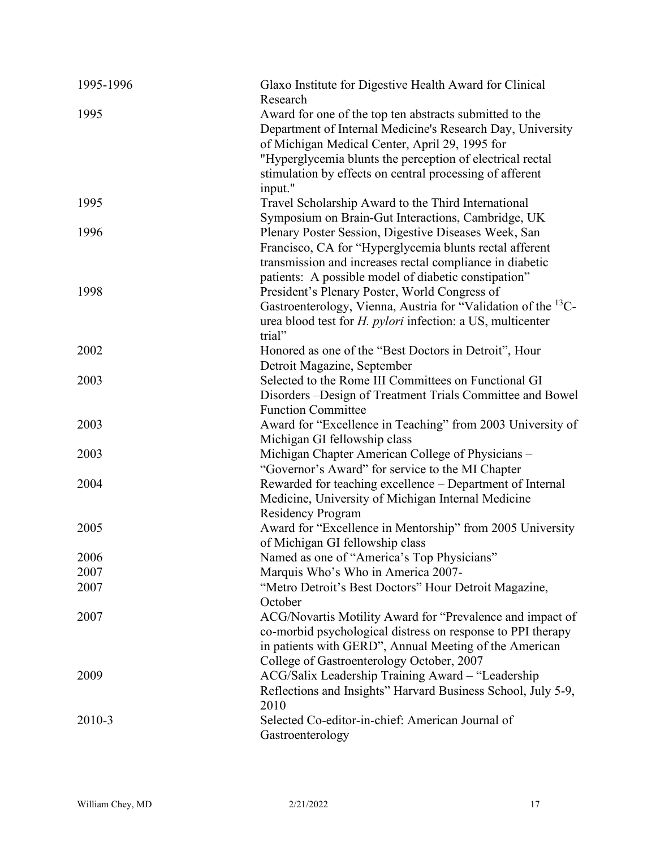| 1995-1996 | Glaxo Institute for Digestive Health Award for Clinical<br>Research                                                                                                                                                                                               |
|-----------|-------------------------------------------------------------------------------------------------------------------------------------------------------------------------------------------------------------------------------------------------------------------|
| 1995      | Award for one of the top ten abstracts submitted to the<br>Department of Internal Medicine's Research Day, University<br>of Michigan Medical Center, April 29, 1995 for                                                                                           |
|           | "Hyperglycemia blunts the perception of electrical rectal<br>stimulation by effects on central processing of afferent<br>input."                                                                                                                                  |
| 1995      | Travel Scholarship Award to the Third International<br>Symposium on Brain-Gut Interactions, Cambridge, UK                                                                                                                                                         |
| 1996      | Plenary Poster Session, Digestive Diseases Week, San<br>Francisco, CA for "Hyperglycemia blunts rectal afferent<br>transmission and increases rectal compliance in diabetic                                                                                       |
| 1998      | patients: A possible model of diabetic constipation"<br>President's Plenary Poster, World Congress of<br>Gastroenterology, Vienna, Austria for "Validation of the <sup>13</sup> C-<br>urea blood test for <i>H. pylori</i> infection: a US, multicenter<br>trial" |
| 2002      | Honored as one of the "Best Doctors in Detroit", Hour<br>Detroit Magazine, September                                                                                                                                                                              |
| 2003      | Selected to the Rome III Committees on Functional GI<br>Disorders - Design of Treatment Trials Committee and Bowel<br><b>Function Committee</b>                                                                                                                   |
| 2003      | Award for "Excellence in Teaching" from 2003 University of<br>Michigan GI fellowship class                                                                                                                                                                        |
| 2003      | Michigan Chapter American College of Physicians -<br>"Governor's Award" for service to the MI Chapter                                                                                                                                                             |
| 2004      | Rewarded for teaching excellence – Department of Internal<br>Medicine, University of Michigan Internal Medicine<br><b>Residency Program</b>                                                                                                                       |
| 2005      | Award for "Excellence in Mentorship" from 2005 University<br>of Michigan GI fellowship class                                                                                                                                                                      |
| 2006      | Named as one of "America's Top Physicians"                                                                                                                                                                                                                        |
| 2007      | Marquis Who's Who in America 2007-                                                                                                                                                                                                                                |
| 2007      | "Metro Detroit's Best Doctors" Hour Detroit Magazine,<br>October                                                                                                                                                                                                  |
| 2007      | ACG/Novartis Motility Award for "Prevalence and impact of<br>co-morbid psychological distress on response to PPI therapy<br>in patients with GERD", Annual Meeting of the American<br>College of Gastroenterology October, 2007                                   |
| 2009      | ACG/Salix Leadership Training Award - "Leadership<br>Reflections and Insights" Harvard Business School, July 5-9,<br>2010                                                                                                                                         |
| 2010-3    | Selected Co-editor-in-chief: American Journal of<br>Gastroenterology                                                                                                                                                                                              |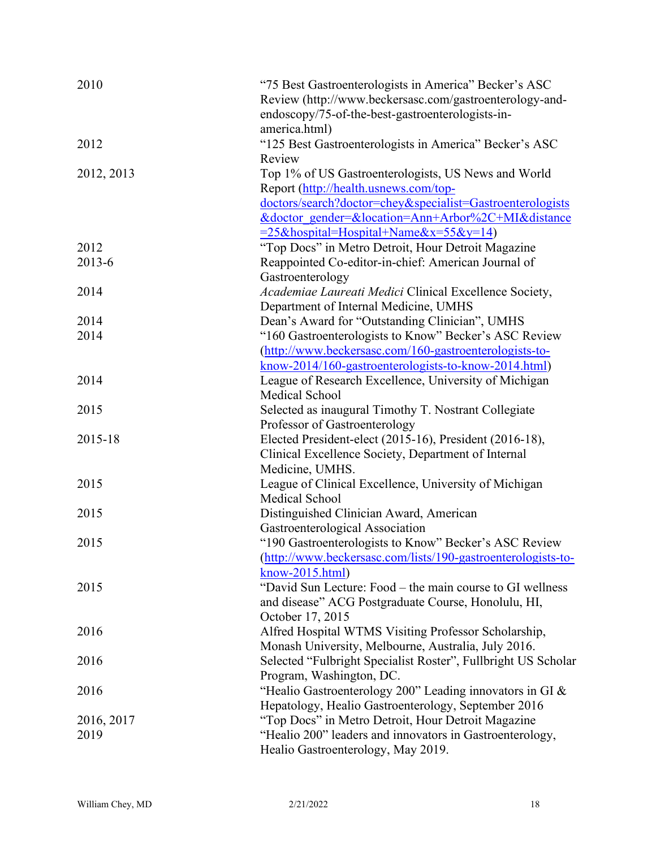| 2010       | "75 Best Gastroenterologists in America" Becker's ASC         |
|------------|---------------------------------------------------------------|
|            | Review (http://www.beckersasc.com/gastroenterology-and-       |
|            | endoscopy/75-of-the-best-gastroenterologists-in-              |
|            | america.html)                                                 |
| 2012       | "125 Best Gastroenterologists in America" Becker's ASC        |
|            | Review                                                        |
| 2012, 2013 | Top 1% of US Gastroenterologists, US News and World           |
|            | Report (http://health.usnews.com/top-                         |
|            | doctors/search?doctor=chey&specialist=Gastroenterologists     |
|            | &doctor gender=&location=Ann+Arbor%2C+MI&distance             |
|            | $= 25$ &hospital=Hospital+Name&x=55&y=14)                     |
| 2012       | "Top Docs" in Metro Detroit, Hour Detroit Magazine            |
| 2013-6     | Reappointed Co-editor-in-chief: American Journal of           |
|            | Gastroenterology                                              |
| 2014       | Academiae Laureati Medici Clinical Excellence Society,        |
|            | Department of Internal Medicine, UMHS                         |
| 2014       | Dean's Award for "Outstanding Clinician", UMHS                |
| 2014       | "160 Gastroenterologists to Know" Becker's ASC Review         |
|            | (http://www.beckersasc.com/160-gastroenterologists-to-        |
|            | know-2014/160-gastroenterologists-to-know-2014.html)          |
| 2014       | League of Research Excellence, University of Michigan         |
|            | Medical School                                                |
| 2015       | Selected as inaugural Timothy T. Nostrant Collegiate          |
|            | Professor of Gastroenterology                                 |
| 2015-18    | Elected President-elect (2015-16), President (2016-18),       |
|            | Clinical Excellence Society, Department of Internal           |
|            | Medicine, UMHS.                                               |
| 2015       | League of Clinical Excellence, University of Michigan         |
|            | Medical School                                                |
| 2015       | Distinguished Clinician Award, American                       |
|            | Gastroenterological Association                               |
| 2015       | "190 Gastroenterologists to Know" Becker's ASC Review         |
|            | (http://www.beckersasc.com/lists/190-gastroenterologists-to-  |
|            | $know-2015.html)$                                             |
| 2015       | "David Sun Lecture: Food – the main course to GI wellness     |
|            | and disease" ACG Postgraduate Course, Honolulu, HI,           |
|            | October 17, 2015                                              |
| 2016       | Alfred Hospital WTMS Visiting Professor Scholarship,          |
|            | Monash University, Melbourne, Australia, July 2016.           |
| 2016       | Selected "Fulbright Specialist Roster", Fullbright US Scholar |
|            | Program, Washington, DC.                                      |
| 2016       | "Healio Gastroenterology 200" Leading innovators in GI &      |
|            | Hepatology, Healio Gastroenterology, September 2016           |
| 2016, 2017 | "Top Docs" in Metro Detroit, Hour Detroit Magazine            |
| 2019       | "Healio 200" leaders and innovators in Gastroenterology,      |
|            | Healio Gastroenterology, May 2019.                            |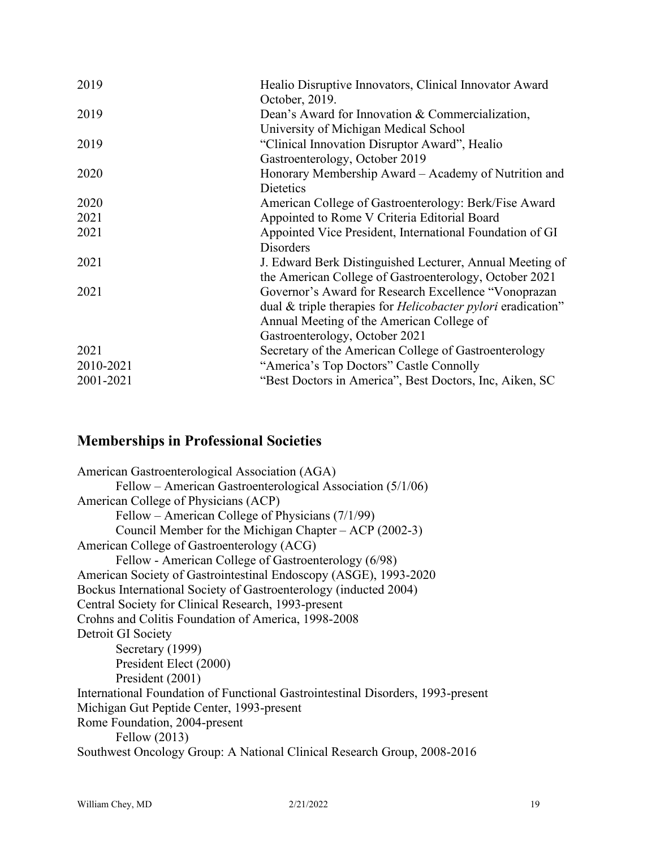| 2019      | Healio Disruptive Innovators, Clinical Innovator Award<br>October, 2019.               |
|-----------|----------------------------------------------------------------------------------------|
| 2019      | Dean's Award for Innovation & Commercialization,                                       |
| 2019      | University of Michigan Medical School<br>"Clinical Innovation Disruptor Award", Healio |
|           | Gastroenterology, October 2019                                                         |
| 2020      | Honorary Membership Award – Academy of Nutrition and<br>Dietetics                      |
| 2020      | American College of Gastroenterology: Berk/Fise Award                                  |
| 2021      | Appointed to Rome V Criteria Editorial Board                                           |
| 2021      | Appointed Vice President, International Foundation of GI                               |
|           | Disorders                                                                              |
| 2021      | J. Edward Berk Distinguished Lecturer, Annual Meeting of                               |
|           | the American College of Gastroenterology, October 2021                                 |
| 2021      | Governor's Award for Research Excellence "Vonoprazan                                   |
|           | dual & triple therapies for <i>Helicobacter pylori</i> eradication"                    |
|           | Annual Meeting of the American College of                                              |
|           | Gastroenterology, October 2021                                                         |
| 2021      | Secretary of the American College of Gastroenterology                                  |
| 2010-2021 | "America's Top Doctors" Castle Connolly                                                |
| 2001-2021 | "Best Doctors in America", Best Doctors, Inc, Aiken, SC                                |

### **Memberships in Professional Societies**

American Gastroenterological Association (AGA) Fellow – American Gastroenterological Association (5/1/06) American College of Physicians (ACP) Fellow – American College of Physicians (7/1/99) Council Member for the Michigan Chapter – ACP (2002-3) American College of Gastroenterology (ACG) Fellow - American College of Gastroenterology (6/98) American Society of Gastrointestinal Endoscopy (ASGE), 1993-2020 Bockus International Society of Gastroenterology (inducted 2004) Central Society for Clinical Research, 1993-present Crohns and Colitis Foundation of America, 1998-2008 Detroit GI Society Secretary (1999) President Elect (2000) President (2001) International Foundation of Functional Gastrointestinal Disorders, 1993-present Michigan Gut Peptide Center, 1993-present Rome Foundation, 2004-present Fellow (2013) Southwest Oncology Group: A National Clinical Research Group, 2008-2016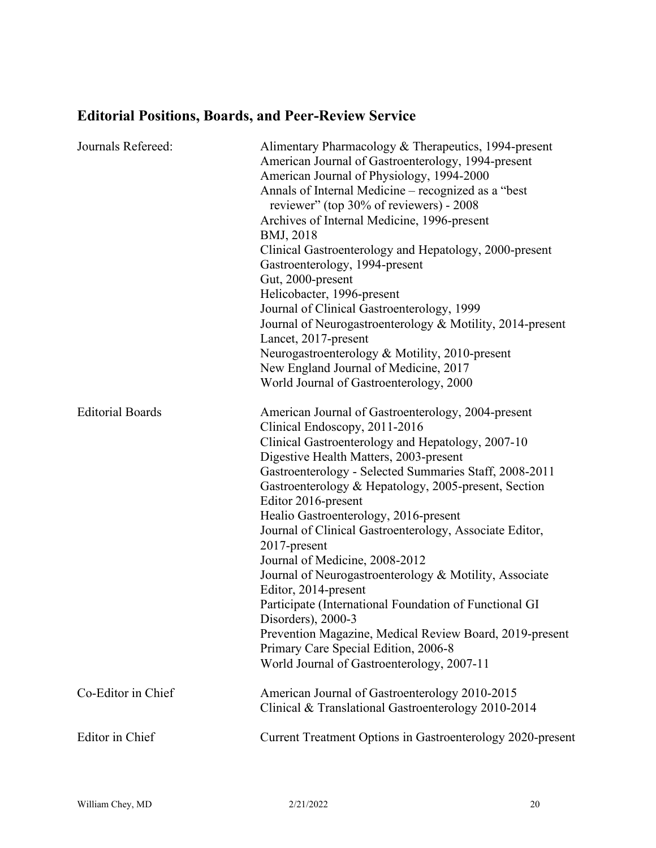# **Editorial Positions, Boards, and Peer-Review Service**

| Journals Refereed:      | Alimentary Pharmacology & Therapeutics, 1994-present<br>American Journal of Gastroenterology, 1994-present<br>American Journal of Physiology, 1994-2000<br>Annals of Internal Medicine - recognized as a "best<br>reviewer" (top 30% of reviewers) - 2008<br>Archives of Internal Medicine, 1996-present<br>BMJ, 2018<br>Clinical Gastroenterology and Hepatology, 2000-present<br>Gastroenterology, 1994-present<br>Gut, 2000-present<br>Helicobacter, 1996-present<br>Journal of Clinical Gastroenterology, 1999<br>Journal of Neurogastroenterology & Motility, 2014-present<br>Lancet, 2017-present<br>Neurogastroenterology & Motility, 2010-present<br>New England Journal of Medicine, 2017<br>World Journal of Gastroenterology, 2000                                                        |
|-------------------------|------------------------------------------------------------------------------------------------------------------------------------------------------------------------------------------------------------------------------------------------------------------------------------------------------------------------------------------------------------------------------------------------------------------------------------------------------------------------------------------------------------------------------------------------------------------------------------------------------------------------------------------------------------------------------------------------------------------------------------------------------------------------------------------------------|
| <b>Editorial Boards</b> | American Journal of Gastroenterology, 2004-present<br>Clinical Endoscopy, 2011-2016<br>Clinical Gastroenterology and Hepatology, 2007-10<br>Digestive Health Matters, 2003-present<br>Gastroenterology - Selected Summaries Staff, 2008-2011<br>Gastroenterology & Hepatology, 2005-present, Section<br>Editor 2016-present<br>Healio Gastroenterology, 2016-present<br>Journal of Clinical Gastroenterology, Associate Editor,<br>2017-present<br>Journal of Medicine, 2008-2012<br>Journal of Neurogastroenterology & Motility, Associate<br>Editor, 2014-present<br>Participate (International Foundation of Functional GI<br>Disorders), 2000-3<br>Prevention Magazine, Medical Review Board, 2019-present<br>Primary Care Special Edition, 2006-8<br>World Journal of Gastroenterology, 2007-11 |
| Co-Editor in Chief      | American Journal of Gastroenterology 2010-2015<br>Clinical & Translational Gastroenterology 2010-2014                                                                                                                                                                                                                                                                                                                                                                                                                                                                                                                                                                                                                                                                                                |
| Editor in Chief         | Current Treatment Options in Gastroenterology 2020-present                                                                                                                                                                                                                                                                                                                                                                                                                                                                                                                                                                                                                                                                                                                                           |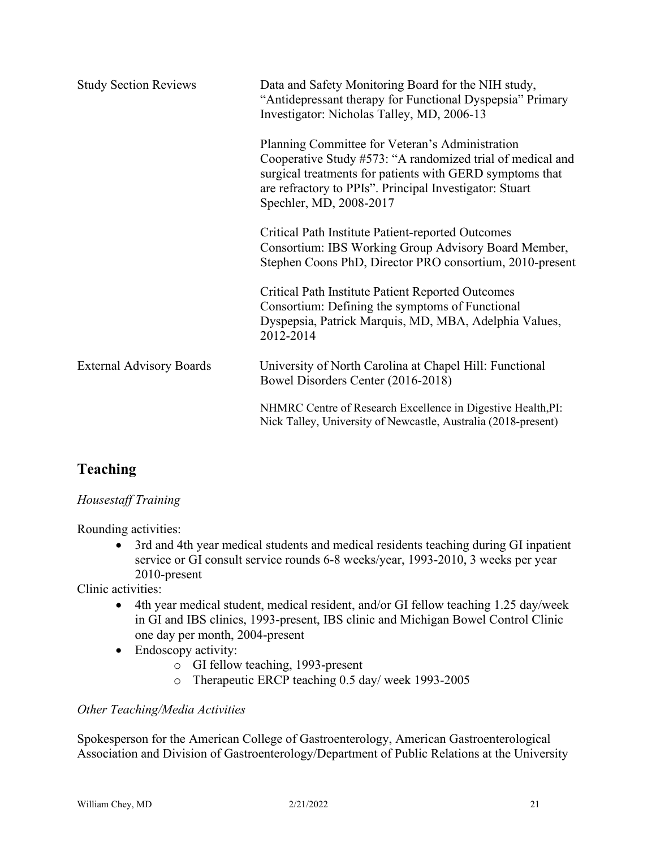| <b>Study Section Reviews</b>    | Data and Safety Monitoring Board for the NIH study,<br>"Antidepressant therapy for Functional Dyspepsia" Primary<br>Investigator: Nicholas Talley, MD, 2006-13                                                                                                  |
|---------------------------------|-----------------------------------------------------------------------------------------------------------------------------------------------------------------------------------------------------------------------------------------------------------------|
|                                 | Planning Committee for Veteran's Administration<br>Cooperative Study #573: "A randomized trial of medical and<br>surgical treatments for patients with GERD symptoms that<br>are refractory to PPIs". Principal Investigator: Stuart<br>Spechler, MD, 2008-2017 |
|                                 | <b>Critical Path Institute Patient-reported Outcomes</b><br>Consortium: IBS Working Group Advisory Board Member,<br>Stephen Coons PhD, Director PRO consortium, 2010-present                                                                                    |
|                                 | <b>Critical Path Institute Patient Reported Outcomes</b><br>Consortium: Defining the symptoms of Functional<br>Dyspepsia, Patrick Marquis, MD, MBA, Adelphia Values,<br>2012-2014                                                                               |
| <b>External Advisory Boards</b> | University of North Carolina at Chapel Hill: Functional<br>Bowel Disorders Center (2016-2018)                                                                                                                                                                   |
|                                 | NHMRC Centre of Research Excellence in Digestive Health, PI:<br>Nick Talley, University of Newcastle, Australia (2018-present)                                                                                                                                  |

# **Teaching**

### *Housestaff Training*

Rounding activities:

• 3rd and 4th year medical students and medical residents teaching during GI inpatient service or GI consult service rounds 6-8 weeks/year, 1993-2010, 3 weeks per year 2010-present

Clinic activities:

- 4th year medical student, medical resident, and/or GI fellow teaching 1.25 day/week in GI and IBS clinics, 1993-present, IBS clinic and Michigan Bowel Control Clinic one day per month, 2004-present
- Endoscopy activity:
	- o GI fellow teaching, 1993-present
	- o Therapeutic ERCP teaching 0.5 day/ week 1993-2005

### *Other Teaching/Media Activities*

Spokesperson for the American College of Gastroenterology, American Gastroenterological Association and Division of Gastroenterology/Department of Public Relations at the University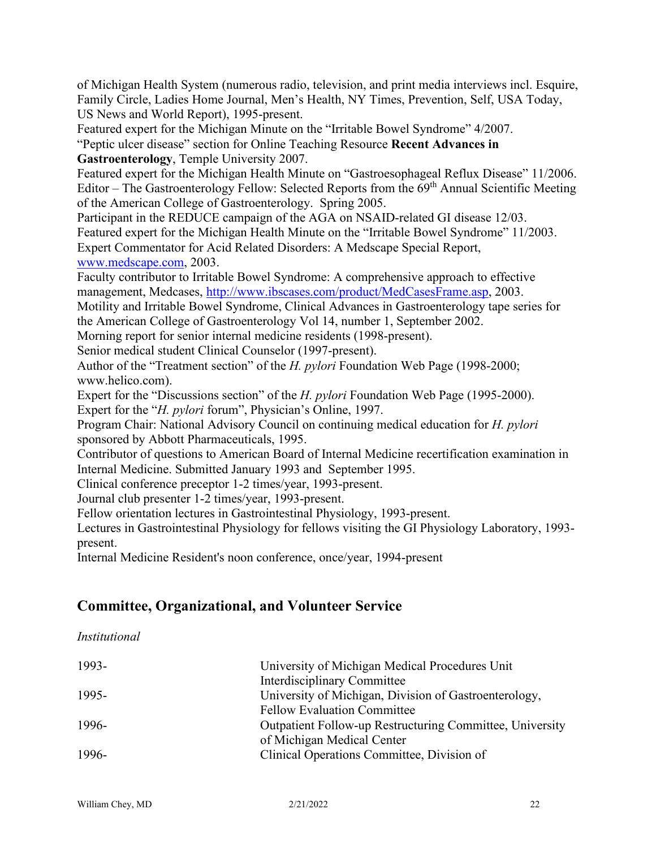of Michigan Health System (numerous radio, television, and print media interviews incl. Esquire, Family Circle, Ladies Home Journal, Men's Health, NY Times, Prevention, Self, USA Today, US News and World Report), 1995-present.

Featured expert for the Michigan Minute on the "Irritable Bowel Syndrome" 4/2007.

"Peptic ulcer disease" section for Online Teaching Resource **Recent Advances in Gastroenterology**, Temple University 2007.

Featured expert for the Michigan Health Minute on "Gastroesophageal Reflux Disease" 11/2006. Editor – The Gastroenterology Fellow: Selected Reports from the  $69<sup>th</sup>$  Annual Scientific Meeting of the American College of Gastroenterology. Spring 2005.

Participant in the REDUCE campaign of the AGA on NSAID-related GI disease 12/03. Featured expert for the Michigan Health Minute on the "Irritable Bowel Syndrome" 11/2003. Expert Commentator for Acid Related Disorders: A Medscape Special Report, [www.medscape.com,](http://www.medscape.com/) 2003.

Faculty contributor to Irritable Bowel Syndrome: A comprehensive approach to effective management, Medcases, [http://www.ibscases.com/product/MedCasesFrame.asp,](http://www.ibscases.com/product/MedCasesFrame.asp) 2003.

Motility and Irritable Bowel Syndrome, Clinical Advances in Gastroenterology tape series for the American College of Gastroenterology Vol 14, number 1, September 2002.

Morning report for senior internal medicine residents (1998-present).

Senior medical student Clinical Counselor (1997-present).

Author of the "Treatment section" of the *H. pylori* Foundation Web Page (1998-2000; www.helico.com).

Expert for the "Discussions section" of the *H. pylori* Foundation Web Page (1995-2000). Expert for the "*H. pylori* forum", Physician's Online, 1997.

Program Chair: National Advisory Council on continuing medical education for *H. pylori* sponsored by Abbott Pharmaceuticals, 1995.

Contributor of questions to American Board of Internal Medicine recertification examination in Internal Medicine. Submitted January 1993 and September 1995.

Clinical conference preceptor 1-2 times/year, 1993-present.

Journal club presenter 1-2 times/year, 1993-present.

Fellow orientation lectures in Gastrointestinal Physiology, 1993-present.

Lectures in Gastrointestinal Physiology for fellows visiting the GI Physiology Laboratory, 1993 present.

Internal Medicine Resident's noon conference, once/year, 1994-present

### **Committee, Organizational, and Volunteer Service**

*Institutional*

| 1993- | University of Michigan Medical Procedures Unit           |
|-------|----------------------------------------------------------|
|       | <b>Interdisciplinary Committee</b>                       |
| 1995- | University of Michigan, Division of Gastroenterology,    |
|       | <b>Fellow Evaluation Committee</b>                       |
| 1996- | Outpatient Follow-up Restructuring Committee, University |
|       | of Michigan Medical Center                               |
| 1996- | Clinical Operations Committee, Division of               |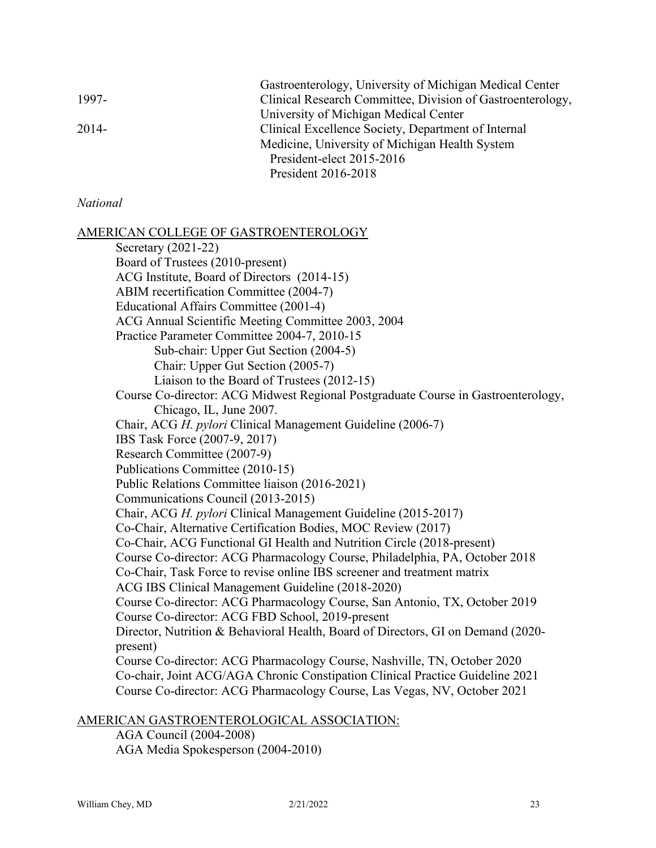|         | Gastroenterology, University of Michigan Medical Center    |
|---------|------------------------------------------------------------|
| 1997-   | Clinical Research Committee, Division of Gastroenterology, |
|         | University of Michigan Medical Center                      |
| $2014-$ | Clinical Excellence Society, Department of Internal        |
|         | Medicine, University of Michigan Health System             |
|         | President-elect 2015-2016                                  |
|         | President 2016-2018                                        |
|         |                                                            |

### *National*

AMERICAN COLLEGE OF GASTROENTEROLOGY

Secretary (2021-22) Board of Trustees (2010-present) ACG Institute, Board of Directors (2014-15) ABIM recertification Committee (2004-7) Educational Affairs Committee (2001-4) ACG Annual Scientific Meeting Committee 2003, 2004 Practice Parameter Committee 2004-7, 2010-15 Sub-chair: Upper Gut Section (2004-5) Chair: Upper Gut Section (2005-7) Liaison to the Board of Trustees (2012-15) Course Co-director: ACG Midwest Regional Postgraduate Course in Gastroenterology, Chicago, IL, June 2007. Chair, ACG *H. pylori* Clinical Management Guideline (2006-7) IBS Task Force (2007-9, 2017) Research Committee (2007-9) Publications Committee (2010-15) Public Relations Committee liaison (2016-2021) Communications Council (2013-2015) Chair, ACG *H. pylori* Clinical Management Guideline (2015-2017) Co-Chair, Alternative Certification Bodies, MOC Review (2017) Co-Chair, ACG Functional GI Health and Nutrition Circle (2018-present) Course Co-director: ACG Pharmacology Course, Philadelphia, PA, October 2018 Co-Chair, Task Force to revise online IBS screener and treatment matrix ACG IBS Clinical Management Guideline (2018-2020) Course Co-director: ACG Pharmacology Course, San Antonio, TX, October 2019 Course Co-director: ACG FBD School, 2019-present Director, Nutrition & Behavioral Health, Board of Directors, GI on Demand (2020 present) Course Co-director: ACG Pharmacology Course, Nashville, TN, October 2020 Co-chair, Joint ACG/AGA Chronic Constipation Clinical Practice Guideline 2021 Course Co-director: ACG Pharmacology Course, Las Vegas, NV, October 2021

### AMERICAN GASTROENTEROLOGICAL ASSOCIATION:

AGA Council (2004-2008) AGA Media Spokesperson (2004-2010)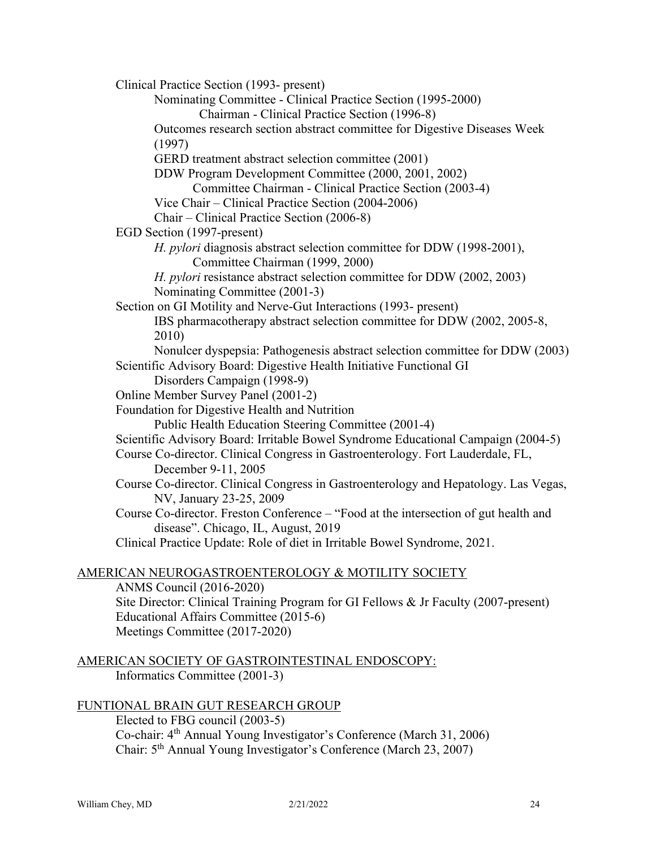Clinical Practice Section (1993- present) Nominating Committee - Clinical Practice Section (1995-2000) Chairman - Clinical Practice Section (1996-8) Outcomes research section abstract committee for Digestive Diseases Week (1997) GERD treatment abstract selection committee (2001) DDW Program Development Committee (2000, 2001, 2002) Committee Chairman - Clinical Practice Section (2003-4) Vice Chair – Clinical Practice Section (2004-2006) Chair – Clinical Practice Section (2006-8) EGD Section (1997-present) *H. pylori* diagnosis abstract selection committee for DDW (1998-2001), Committee Chairman (1999, 2000) *H. pylori* resistance abstract selection committee for DDW (2002, 2003) Nominating Committee (2001-3) Section on GI Motility and Nerve-Gut Interactions (1993- present) IBS pharmacotherapy abstract selection committee for DDW (2002, 2005-8, 2010) Nonulcer dyspepsia: Pathogenesis abstract selection committee for DDW (2003) Scientific Advisory Board: Digestive Health Initiative Functional GI Disorders Campaign (1998-9) Online Member Survey Panel (2001-2) Foundation for Digestive Health and Nutrition Public Health Education Steering Committee (2001-4) Scientific Advisory Board: Irritable Bowel Syndrome Educational Campaign (2004-5) Course Co-director. Clinical Congress in Gastroenterology. Fort Lauderdale, FL, December 9-11, 2005 Course Co-director. Clinical Congress in Gastroenterology and Hepatology. Las Vegas, NV, January 23-25, 2009 Course Co-director. Freston Conference – "Food at the intersection of gut health and disease". Chicago, IL, August, 2019 Clinical Practice Update: Role of diet in Irritable Bowel Syndrome, 2021. AMERICAN NEUROGASTROENTEROLOGY & MOTILITY SOCIETY ANMS Council (2016-2020)

Site Director: Clinical Training Program for GI Fellows & Jr Faculty (2007-present) Educational Affairs Committee (2015-6) Meetings Committee (2017-2020)

```
AMERICAN SOCIETY OF GASTROINTESTINAL ENDOSCOPY:
     Informatics Committee (2001-3)
```
FUNTIONAL BRAIN GUT RESEARCH GROUP

Elected to FBG council (2003-5) Co-chair: 4th Annual Young Investigator's Conference (March 31, 2006) Chair: 5th Annual Young Investigator's Conference (March 23, 2007)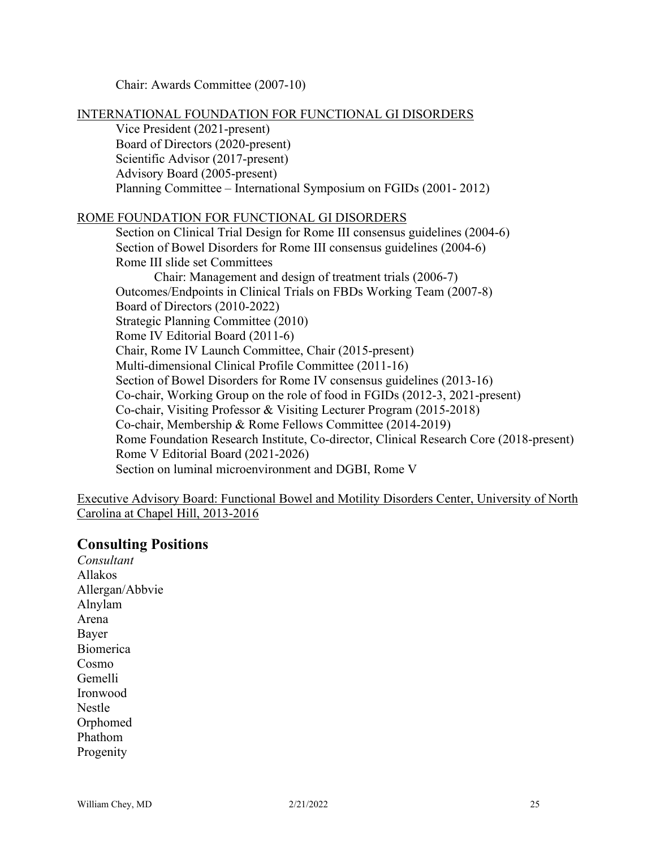Chair: Awards Committee (2007-10)

INTERNATIONAL FOUNDATION FOR FUNCTIONAL GI DISORDERS

Vice President (2021-present) Board of Directors (2020-present) Scientific Advisor (2017-present) Advisory Board (2005-present) Planning Committee – International Symposium on FGIDs (2001- 2012)

### ROME FOUNDATION FOR FUNCTIONAL GI DISORDERS

Section on Clinical Trial Design for Rome III consensus guidelines (2004-6) Section of Bowel Disorders for Rome III consensus guidelines (2004-6) Rome III slide set Committees Chair: Management and design of treatment trials (2006-7) Outcomes/Endpoints in Clinical Trials on FBDs Working Team (2007-8) Board of Directors (2010-2022) Strategic Planning Committee (2010) Rome IV Editorial Board (2011-6) Chair, Rome IV Launch Committee, Chair (2015-present) Multi-dimensional Clinical Profile Committee (2011-16) Section of Bowel Disorders for Rome IV consensus guidelines (2013-16) Co-chair, Working Group on the role of food in FGIDs (2012-3, 2021-present) Co-chair, Visiting Professor & Visiting Lecturer Program (2015-2018) Co-chair, Membership & Rome Fellows Committee (2014-2019) Rome Foundation Research Institute, Co-director, Clinical Research Core (2018-present) Rome V Editorial Board (2021-2026) Section on luminal microenvironment and DGBI, Rome V

Executive Advisory Board: Functional Bowel and Motility Disorders Center, University of North Carolina at Chapel Hill, 2013-2016

### **Consulting Positions**

*Consultant* Allakos Allergan/Abbvie Alnylam Arena Bayer Biomerica Cosmo Gemelli Ironwood Nestle Orphomed Phathom Progenity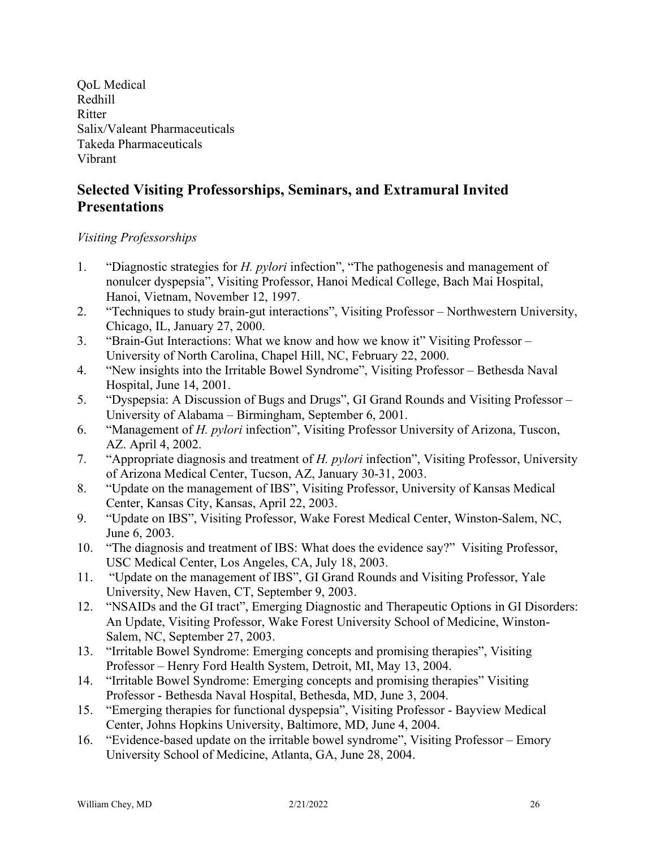OoL Medical Redhill Ritter Salix/Valeant Pharmaceuticals Takeda Pharmaceuticals Vibrant

# **Selected Visiting Professorships, Seminars, and Extramural Invited Presentations**

### *Visiting Professorships*

- 1. "Diagnostic strategies for *H. pylori* infection", "The pathogenesis and management of nonulcer dyspepsia", Visiting Professor, Hanoi Medical College, Bach Mai Hospital, Hanoi, Vietnam, November 12, 1997.
- 2. "Techniques to study brain-gut interactions", Visiting Professor Northwestern University, Chicago, IL, January 27, 2000.
- 3. "Brain-Gut Interactions: What we know and how we know it" Visiting Professor University of North Carolina, Chapel Hill, NC, February 22, 2000.
- 4. "New insights into the Irritable Bowel Syndrome", Visiting Professor Bethesda Naval Hospital, June 14, 2001.
- 5. "Dyspepsia: A Discussion of Bugs and Drugs", GI Grand Rounds and Visiting Professor University of Alabama – Birmingham, September 6, 2001.
- 6. "Management of *H. pylori* infection", Visiting Professor University of Arizona, Tuscon, AZ. April 4, 2002.
- 7. "Appropriate diagnosis and treatment of *H. pylori* infection", Visiting Professor, University of Arizona Medical Center, Tucson, AZ, January 30-31, 2003.
- 8. "Update on the management of IBS", Visiting Professor, University of Kansas Medical Center, Kansas City, Kansas, April 22, 2003.
- 9. "Update on IBS", Visiting Professor, Wake Forest Medical Center, Winston-Salem, NC, June 6, 2003.
- 10. "The diagnosis and treatment of IBS: What does the evidence say?" Visiting Professor, USC Medical Center, Los Angeles, CA, July 18, 2003.
- 11. "Update on the management of IBS", GI Grand Rounds and Visiting Professor, Yale University, New Haven, CT, September 9, 2003.
- 12. "NSAIDs and the GI tract", Emerging Diagnostic and Therapeutic Options in GI Disorders: An Update, Visiting Professor, Wake Forest University School of Medicine, Winston-Salem, NC, September 27, 2003.
- 13. "Irritable Bowel Syndrome: Emerging concepts and promising therapies", Visiting Professor – Henry Ford Health System, Detroit, MI, May 13, 2004.
- 14. "Irritable Bowel Syndrome: Emerging concepts and promising therapies" Visiting Professor - Bethesda Naval Hospital, Bethesda, MD, June 3, 2004.
- 15. "Emerging therapies for functional dyspepsia", Visiting Professor Bayview Medical Center, Johns Hopkins University, Baltimore, MD, June 4, 2004.
- 16. "Evidence-based update on the irritable bowel syndrome", Visiting Professor Emory University School of Medicine, Atlanta, GA, June 28, 2004.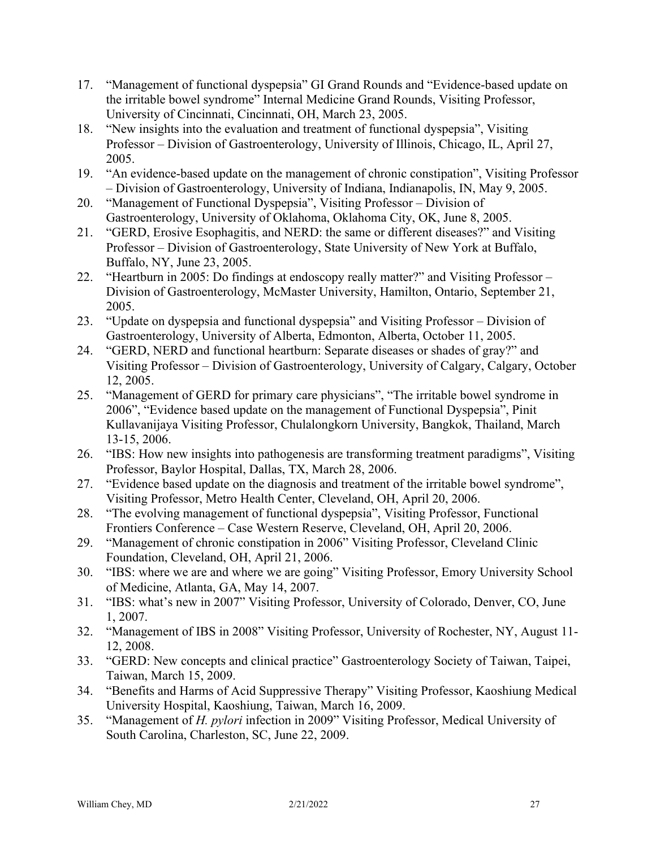- 17. "Management of functional dyspepsia" GI Grand Rounds and "Evidence-based update on the irritable bowel syndrome" Internal Medicine Grand Rounds, Visiting Professor, University of Cincinnati, Cincinnati, OH, March 23, 2005.
- 18. "New insights into the evaluation and treatment of functional dyspepsia", Visiting Professor – Division of Gastroenterology, University of Illinois, Chicago, IL, April 27, 2005.
- 19. "An evidence-based update on the management of chronic constipation", Visiting Professor – Division of Gastroenterology, University of Indiana, Indianapolis, IN, May 9, 2005.
- 20. "Management of Functional Dyspepsia", Visiting Professor Division of Gastroenterology, University of Oklahoma, Oklahoma City, OK, June 8, 2005.
- 21. "GERD, Erosive Esophagitis, and NERD: the same or different diseases?" and Visiting Professor – Division of Gastroenterology, State University of New York at Buffalo, Buffalo, NY, June 23, 2005.
- 22. "Heartburn in 2005: Do findings at endoscopy really matter?" and Visiting Professor Division of Gastroenterology, McMaster University, Hamilton, Ontario, September 21, 2005.
- 23. "Update on dyspepsia and functional dyspepsia" and Visiting Professor Division of Gastroenterology, University of Alberta, Edmonton, Alberta, October 11, 2005.
- 24. "GERD, NERD and functional heartburn: Separate diseases or shades of gray?" and Visiting Professor – Division of Gastroenterology, University of Calgary, Calgary, October 12, 2005.
- 25. "Management of GERD for primary care physicians", "The irritable bowel syndrome in 2006", "Evidence based update on the management of Functional Dyspepsia", Pinit Kullavanijaya Visiting Professor, Chulalongkorn University, Bangkok, Thailand, March 13-15, 2006.
- 26. "IBS: How new insights into pathogenesis are transforming treatment paradigms", Visiting Professor, Baylor Hospital, Dallas, TX, March 28, 2006.
- 27. "Evidence based update on the diagnosis and treatment of the irritable bowel syndrome", Visiting Professor, Metro Health Center, Cleveland, OH, April 20, 2006.
- 28. "The evolving management of functional dyspepsia", Visiting Professor, Functional Frontiers Conference – Case Western Reserve, Cleveland, OH, April 20, 2006.
- 29. "Management of chronic constipation in 2006" Visiting Professor, Cleveland Clinic Foundation, Cleveland, OH, April 21, 2006.
- 30. "IBS: where we are and where we are going" Visiting Professor, Emory University School of Medicine, Atlanta, GA, May 14, 2007.
- 31. "IBS: what's new in 2007" Visiting Professor, University of Colorado, Denver, CO, June 1, 2007.
- 32. "Management of IBS in 2008" Visiting Professor, University of Rochester, NY, August 11- 12, 2008.
- 33. "GERD: New concepts and clinical practice" Gastroenterology Society of Taiwan, Taipei, Taiwan, March 15, 2009.
- 34. "Benefits and Harms of Acid Suppressive Therapy" Visiting Professor, Kaoshiung Medical University Hospital, Kaoshiung, Taiwan, March 16, 2009.
- 35. "Management of *H. pylori* infection in 2009" Visiting Professor, Medical University of South Carolina, Charleston, SC, June 22, 2009.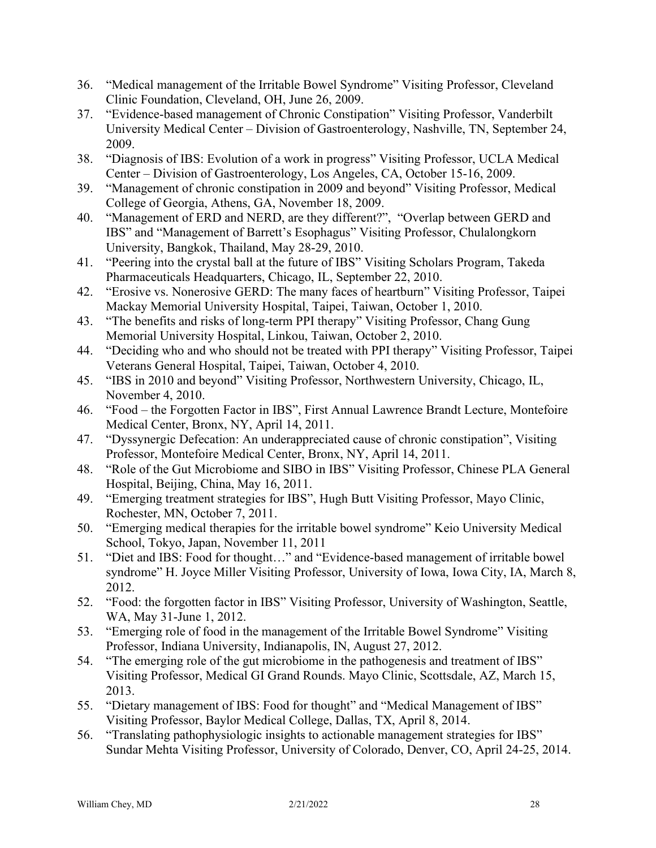- 36. "Medical management of the Irritable Bowel Syndrome" Visiting Professor, Cleveland Clinic Foundation, Cleveland, OH, June 26, 2009.
- 37. "Evidence-based management of Chronic Constipation" Visiting Professor, Vanderbilt University Medical Center – Division of Gastroenterology, Nashville, TN, September 24, 2009.
- 38. "Diagnosis of IBS: Evolution of a work in progress" Visiting Professor, UCLA Medical Center – Division of Gastroenterology, Los Angeles, CA, October 15-16, 2009.
- 39. "Management of chronic constipation in 2009 and beyond" Visiting Professor, Medical College of Georgia, Athens, GA, November 18, 2009.
- 40. "Management of ERD and NERD, are they different?", "Overlap between GERD and IBS" and "Management of Barrett's Esophagus" Visiting Professor, Chulalongkorn University, Bangkok, Thailand, May 28-29, 2010.
- 41. "Peering into the crystal ball at the future of IBS" Visiting Scholars Program, Takeda Pharmaceuticals Headquarters, Chicago, IL, September 22, 2010.
- 42. "Erosive vs. Nonerosive GERD: The many faces of heartburn" Visiting Professor, Taipei Mackay Memorial University Hospital, Taipei, Taiwan, October 1, 2010.
- 43. "The benefits and risks of long-term PPI therapy" Visiting Professor, Chang Gung Memorial University Hospital, Linkou, Taiwan, October 2, 2010.
- 44. "Deciding who and who should not be treated with PPI therapy" Visiting Professor, Taipei Veterans General Hospital, Taipei, Taiwan, October 4, 2010.
- 45. "IBS in 2010 and beyond" Visiting Professor, Northwestern University, Chicago, IL, November 4, 2010.
- 46. "Food the Forgotten Factor in IBS", First Annual Lawrence Brandt Lecture, Montefoire Medical Center, Bronx, NY, April 14, 2011.
- 47. "Dyssynergic Defecation: An underappreciated cause of chronic constipation", Visiting Professor, Montefoire Medical Center, Bronx, NY, April 14, 2011.
- 48. "Role of the Gut Microbiome and SIBO in IBS" Visiting Professor, Chinese PLA General Hospital, Beijing, China, May 16, 2011.
- 49. "Emerging treatment strategies for IBS", Hugh Butt Visiting Professor, Mayo Clinic, Rochester, MN, October 7, 2011.
- 50. "Emerging medical therapies for the irritable bowel syndrome" Keio University Medical School, Tokyo, Japan, November 11, 2011
- 51. "Diet and IBS: Food for thought…" and "Evidence-based management of irritable bowel syndrome" H. Joyce Miller Visiting Professor, University of Iowa, Iowa City, IA, March 8, 2012.
- 52. "Food: the forgotten factor in IBS" Visiting Professor, University of Washington, Seattle, WA, May 31-June 1, 2012.
- 53. "Emerging role of food in the management of the Irritable Bowel Syndrome" Visiting Professor, Indiana University, Indianapolis, IN, August 27, 2012.
- 54. "The emerging role of the gut microbiome in the pathogenesis and treatment of IBS" Visiting Professor, Medical GI Grand Rounds. Mayo Clinic, Scottsdale, AZ, March 15, 2013.
- 55. "Dietary management of IBS: Food for thought" and "Medical Management of IBS" Visiting Professor, Baylor Medical College, Dallas, TX, April 8, 2014.
- 56. "Translating pathophysiologic insights to actionable management strategies for IBS" Sundar Mehta Visiting Professor, University of Colorado, Denver, CO, April 24-25, 2014.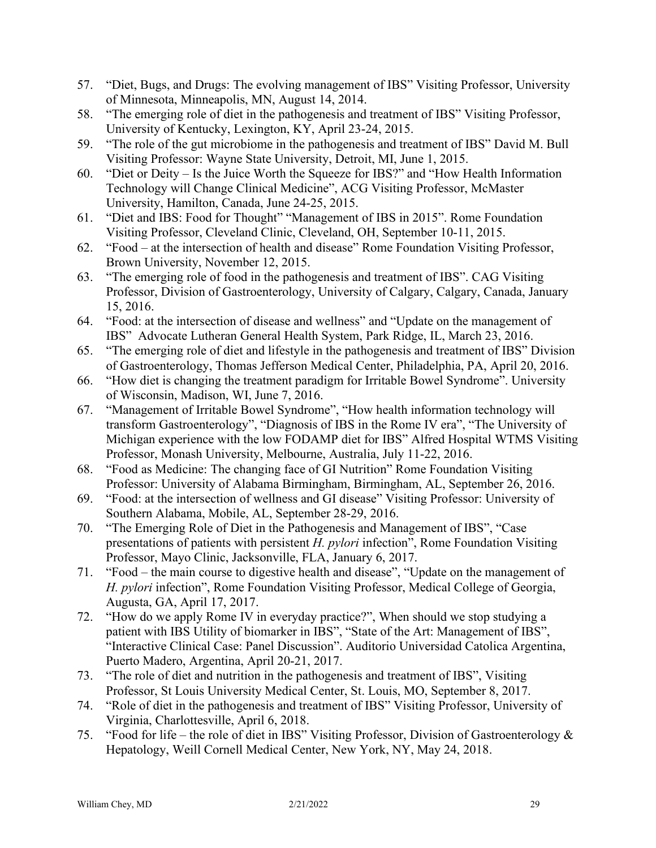- 57. "Diet, Bugs, and Drugs: The evolving management of IBS" Visiting Professor, University of Minnesota, Minneapolis, MN, August 14, 2014.
- 58. "The emerging role of diet in the pathogenesis and treatment of IBS" Visiting Professor, University of Kentucky, Lexington, KY, April 23-24, 2015.
- 59. "The role of the gut microbiome in the pathogenesis and treatment of IBS" David M. Bull Visiting Professor: Wayne State University, Detroit, MI, June 1, 2015.
- 60. "Diet or Deity Is the Juice Worth the Squeeze for IBS?" and "How Health Information Technology will Change Clinical Medicine", ACG Visiting Professor, McMaster University, Hamilton, Canada, June 24-25, 2015.
- 61. "Diet and IBS: Food for Thought" "Management of IBS in 2015". Rome Foundation Visiting Professor, Cleveland Clinic, Cleveland, OH, September 10-11, 2015.
- 62. "Food at the intersection of health and disease" Rome Foundation Visiting Professor, Brown University, November 12, 2015.
- 63. "The emerging role of food in the pathogenesis and treatment of IBS". CAG Visiting Professor, Division of Gastroenterology, University of Calgary, Calgary, Canada, January 15, 2016.
- 64. "Food: at the intersection of disease and wellness" and "Update on the management of IBS" Advocate Lutheran General Health System, Park Ridge, IL, March 23, 2016.
- 65. "The emerging role of diet and lifestyle in the pathogenesis and treatment of IBS" Division of Gastroenterology, Thomas Jefferson Medical Center, Philadelphia, PA, April 20, 2016.
- 66. "How diet is changing the treatment paradigm for Irritable Bowel Syndrome". University of Wisconsin, Madison, WI, June 7, 2016.
- 67. "Management of Irritable Bowel Syndrome", "How health information technology will transform Gastroenterology", "Diagnosis of IBS in the Rome IV era", "The University of Michigan experience with the low FODAMP diet for IBS" Alfred Hospital WTMS Visiting Professor, Monash University, Melbourne, Australia, July 11-22, 2016.
- 68. "Food as Medicine: The changing face of GI Nutrition" Rome Foundation Visiting Professor: University of Alabama Birmingham, Birmingham, AL, September 26, 2016.
- 69. "Food: at the intersection of wellness and GI disease" Visiting Professor: University of Southern Alabama, Mobile, AL, September 28-29, 2016.
- 70. "The Emerging Role of Diet in the Pathogenesis and Management of IBS", "Case presentations of patients with persistent *H. pylori* infection", Rome Foundation Visiting Professor, Mayo Clinic, Jacksonville, FLA, January 6, 2017.
- 71. "Food the main course to digestive health and disease", "Update on the management of *H. pylori* infection", Rome Foundation Visiting Professor, Medical College of Georgia, Augusta, GA, April 17, 2017.
- 72. "How do we apply Rome IV in everyday practice?", When should we stop studying a patient with IBS Utility of biomarker in IBS", "State of the Art: Management of IBS", "Interactive Clinical Case: Panel Discussion". Auditorio Universidad Catolica Argentina, Puerto Madero, Argentina, April 20-21, 2017.
- 73. "The role of diet and nutrition in the pathogenesis and treatment of IBS", Visiting Professor, St Louis University Medical Center, St. Louis, MO, September 8, 2017.
- 74. "Role of diet in the pathogenesis and treatment of IBS" Visiting Professor, University of Virginia, Charlottesville, April 6, 2018.
- 75. "Food for life the role of diet in IBS" Visiting Professor, Division of Gastroenterology & Hepatology, Weill Cornell Medical Center, New York, NY, May 24, 2018.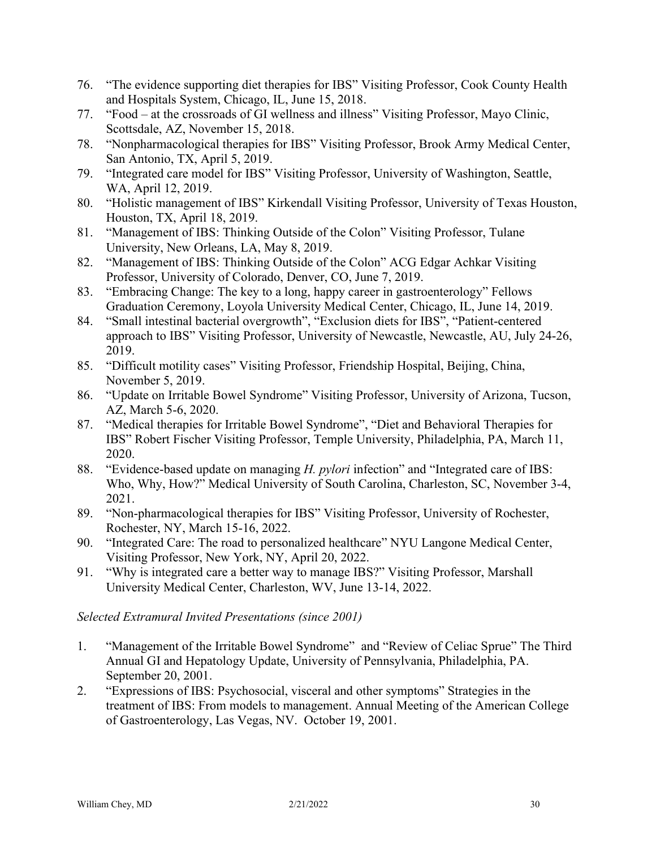- 76. "The evidence supporting diet therapies for IBS" Visiting Professor, Cook County Health and Hospitals System, Chicago, IL, June 15, 2018.
- 77. "Food at the crossroads of GI wellness and illness" Visiting Professor, Mayo Clinic, Scottsdale, AZ, November 15, 2018.
- 78. "Nonpharmacological therapies for IBS" Visiting Professor, Brook Army Medical Center, San Antonio, TX, April 5, 2019.
- 79. "Integrated care model for IBS" Visiting Professor, University of Washington, Seattle, WA, April 12, 2019.
- 80. "Holistic management of IBS" Kirkendall Visiting Professor, University of Texas Houston, Houston, TX, April 18, 2019.
- 81. "Management of IBS: Thinking Outside of the Colon" Visiting Professor, Tulane University, New Orleans, LA, May 8, 2019.
- 82. "Management of IBS: Thinking Outside of the Colon" ACG Edgar Achkar Visiting Professor, University of Colorado, Denver, CO, June 7, 2019.
- 83. "Embracing Change: The key to a long, happy career in gastroenterology" Fellows Graduation Ceremony, Loyola University Medical Center, Chicago, IL, June 14, 2019.
- 84. "Small intestinal bacterial overgrowth", "Exclusion diets for IBS", "Patient-centered approach to IBS" Visiting Professor, University of Newcastle, Newcastle, AU, July 24-26, 2019.
- 85. "Difficult motility cases" Visiting Professor, Friendship Hospital, Beijing, China, November 5, 2019.
- 86. "Update on Irritable Bowel Syndrome" Visiting Professor, University of Arizona, Tucson, AZ, March 5-6, 2020.
- 87. "Medical therapies for Irritable Bowel Syndrome", "Diet and Behavioral Therapies for IBS" Robert Fischer Visiting Professor, Temple University, Philadelphia, PA, March 11, 2020.
- 88. "Evidence-based update on managing *H. pylori* infection" and "Integrated care of IBS: Who, Why, How?" Medical University of South Carolina, Charleston, SC, November 3-4, 2021.
- 89. "Non-pharmacological therapies for IBS" Visiting Professor, University of Rochester, Rochester, NY, March 15-16, 2022.
- 90. "Integrated Care: The road to personalized healthcare" NYU Langone Medical Center, Visiting Professor, New York, NY, April 20, 2022.
- 91. "Why is integrated care a better way to manage IBS?" Visiting Professor, Marshall University Medical Center, Charleston, WV, June 13-14, 2022.

*Selected Extramural Invited Presentations (since 2001)*

- 1. "Management of the Irritable Bowel Syndrome" and "Review of Celiac Sprue" The Third Annual GI and Hepatology Update, University of Pennsylvania, Philadelphia, PA. September 20, 2001.
- 2. "Expressions of IBS: Psychosocial, visceral and other symptoms" Strategies in the treatment of IBS: From models to management. Annual Meeting of the American College of Gastroenterology, Las Vegas, NV. October 19, 2001.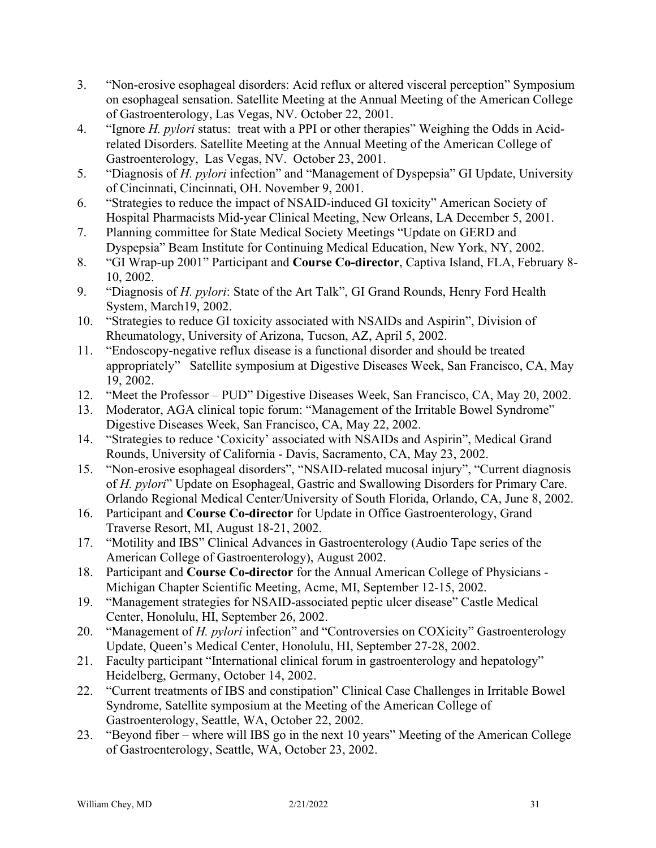- 3. "Non-erosive esophageal disorders: Acid reflux or altered visceral perception" Symposium on esophageal sensation. Satellite Meeting at the Annual Meeting of the American College of Gastroenterology, Las Vegas, NV. October 22, 2001.
- 4. "Ignore *H. pylori* status: treat with a PPI or other therapies" Weighing the Odds in Acidrelated Disorders. Satellite Meeting at the Annual Meeting of the American College of Gastroenterology, Las Vegas, NV. October 23, 2001.
- 5. "Diagnosis of *H. pylori* infection" and "Management of Dyspepsia" GI Update, University of Cincinnati, Cincinnati, OH. November 9, 2001.
- 6. "Strategies to reduce the impact of NSAID-induced GI toxicity" American Society of Hospital Pharmacists Mid-year Clinical Meeting, New Orleans, LA December 5, 2001.
- 7. Planning committee for State Medical Society Meetings "Update on GERD and Dyspepsia" Beam Institute for Continuing Medical Education, New York, NY, 2002.
- 8. "GI Wrap-up 2001" Participant and **Course Co-director**, Captiva Island, FLA, February 8- 10, 2002.
- 9. "Diagnosis of *H. pylori*: State of the Art Talk", GI Grand Rounds, Henry Ford Health System, March19, 2002.
- 10. "Strategies to reduce GI toxicity associated with NSAIDs and Aspirin", Division of Rheumatology, University of Arizona, Tucson, AZ, April 5, 2002.
- 11. "Endoscopy-negative reflux disease is a functional disorder and should be treated appropriately" Satellite symposium at Digestive Diseases Week, San Francisco, CA, May 19, 2002.
- 12. "Meet the Professor PUD" Digestive Diseases Week, San Francisco, CA, May 20, 2002.
- 13. Moderator, AGA clinical topic forum: "Management of the Irritable Bowel Syndrome" Digestive Diseases Week, San Francisco, CA, May 22, 2002.
- 14. "Strategies to reduce 'Coxicity' associated with NSAIDs and Aspirin", Medical Grand Rounds, University of California - Davis, Sacramento, CA, May 23, 2002.
- 15. "Non-erosive esophageal disorders", "NSAID-related mucosal injury", "Current diagnosis of *H. pylori*" Update on Esophageal, Gastric and Swallowing Disorders for Primary Care. Orlando Regional Medical Center/University of South Florida, Orlando, CA, June 8, 2002.
- 16. Participant and **Course Co-director** for Update in Office Gastroenterology, Grand Traverse Resort, MI, August 18-21, 2002.
- 17. "Motility and IBS" Clinical Advances in Gastroenterology (Audio Tape series of the American College of Gastroenterology), August 2002.
- 18. Participant and **Course Co-director** for the Annual American College of Physicians Michigan Chapter Scientific Meeting, Acme, MI, September 12-15, 2002.
- 19. "Management strategies for NSAID-associated peptic ulcer disease" Castle Medical Center, Honolulu, HI, September 26, 2002.
- 20. "Management of *H. pylori* infection" and "Controversies on COXicity" Gastroenterology Update, Queen's Medical Center, Honolulu, HI, September 27-28, 2002.
- 21. Faculty participant "International clinical forum in gastroenterology and hepatology" Heidelberg, Germany, October 14, 2002.
- 22. "Current treatments of IBS and constipation" Clinical Case Challenges in Irritable Bowel Syndrome, Satellite symposium at the Meeting of the American College of Gastroenterology, Seattle, WA, October 22, 2002.
- 23. "Beyond fiber where will IBS go in the next 10 years" Meeting of the American College of Gastroenterology, Seattle, WA, October 23, 2002.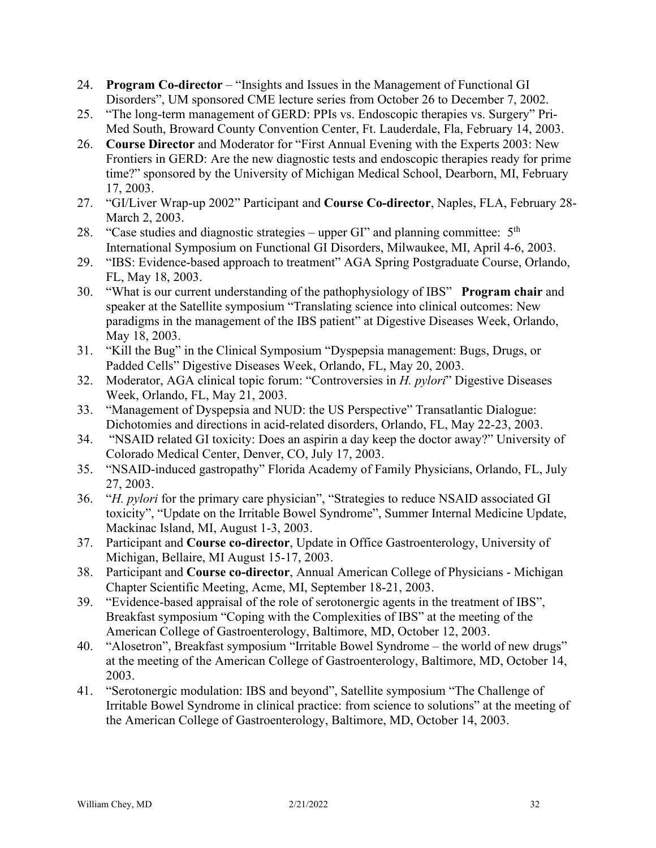- 24. **Program Co-director** "Insights and Issues in the Management of Functional GI Disorders", UM sponsored CME lecture series from October 26 to December 7, 2002.
- 25. "The long-term management of GERD: PPIs vs. Endoscopic therapies vs. Surgery" Pri-Med South, Broward County Convention Center, Ft. Lauderdale, Fla, February 14, 2003.
- 26. **Course Director** and Moderator for "First Annual Evening with the Experts 2003: New Frontiers in GERD: Are the new diagnostic tests and endoscopic therapies ready for prime time?" sponsored by the University of Michigan Medical School, Dearborn, MI, February 17, 2003.
- 27. "GI/Liver Wrap-up 2002" Participant and **Course Co-director**, Naples, FLA, February 28- March 2, 2003.
- 28. "Case studies and diagnostic strategies upper GI" and planning committee:  $5<sup>th</sup>$ International Symposium on Functional GI Disorders, Milwaukee, MI, April 4-6, 2003.
- 29. "IBS: Evidence-based approach to treatment" AGA Spring Postgraduate Course, Orlando, FL, May 18, 2003.
- 30. "What is our current understanding of the pathophysiology of IBS" **Program chair** and speaker at the Satellite symposium "Translating science into clinical outcomes: New paradigms in the management of the IBS patient" at Digestive Diseases Week, Orlando, May 18, 2003.
- 31. "Kill the Bug" in the Clinical Symposium "Dyspepsia management: Bugs, Drugs, or Padded Cells" Digestive Diseases Week, Orlando, FL, May 20, 2003.
- 32. Moderator, AGA clinical topic forum: "Controversies in *H. pylori*" Digestive Diseases Week, Orlando, FL, May 21, 2003.
- 33. "Management of Dyspepsia and NUD: the US Perspective" Transatlantic Dialogue: Dichotomies and directions in acid-related disorders, Orlando, FL, May 22-23, 2003.
- 34. "NSAID related GI toxicity: Does an aspirin a day keep the doctor away?" University of Colorado Medical Center, Denver, CO, July 17, 2003.
- 35. "NSAID-induced gastropathy" Florida Academy of Family Physicians, Orlando, FL, July 27, 2003.
- 36. "*H. pylori* for the primary care physician", "Strategies to reduce NSAID associated GI toxicity", "Update on the Irritable Bowel Syndrome", Summer Internal Medicine Update, Mackinac Island, MI, August 1-3, 2003.
- 37. Participant and **Course co-director**, Update in Office Gastroenterology, University of Michigan, Bellaire, MI August 15-17, 2003.
- 38. Participant and **Course co-director**, Annual American College of Physicians Michigan Chapter Scientific Meeting, Acme, MI, September 18-21, 2003.
- 39. "Evidence-based appraisal of the role of serotonergic agents in the treatment of IBS", Breakfast symposium "Coping with the Complexities of IBS" at the meeting of the American College of Gastroenterology, Baltimore, MD, October 12, 2003.
- 40. "Alosetron", Breakfast symposium "Irritable Bowel Syndrome the world of new drugs" at the meeting of the American College of Gastroenterology, Baltimore, MD, October 14, 2003.
- 41. "Serotonergic modulation: IBS and beyond", Satellite symposium "The Challenge of Irritable Bowel Syndrome in clinical practice: from science to solutions" at the meeting of the American College of Gastroenterology, Baltimore, MD, October 14, 2003.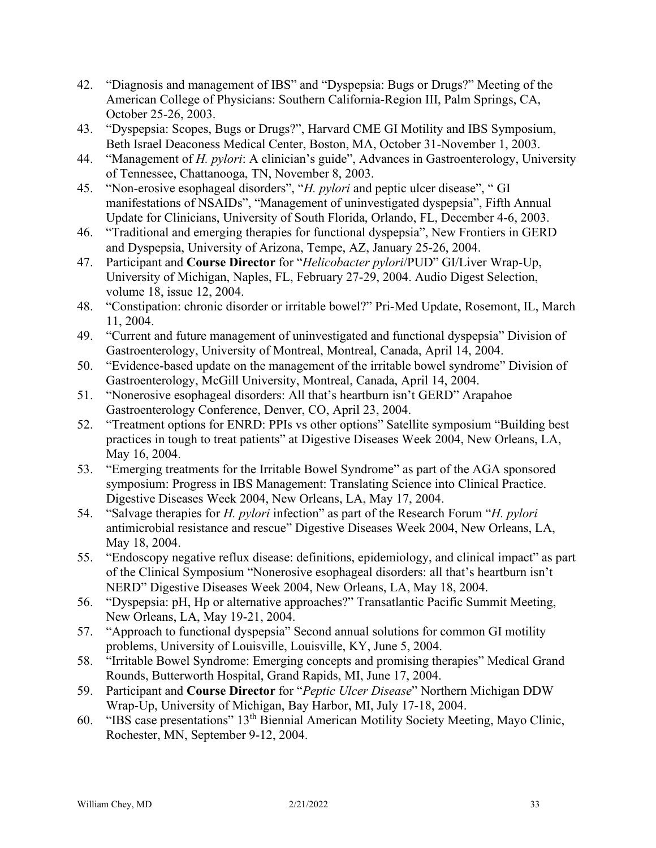- 42. "Diagnosis and management of IBS" and "Dyspepsia: Bugs or Drugs?" Meeting of the American College of Physicians: Southern California-Region III, Palm Springs, CA, October 25-26, 2003.
- 43. "Dyspepsia: Scopes, Bugs or Drugs?", Harvard CME GI Motility and IBS Symposium, Beth Israel Deaconess Medical Center, Boston, MA, October 31-November 1, 2003.
- 44. "Management of *H. pylori*: A clinician's guide", Advances in Gastroenterology, University of Tennessee, Chattanooga, TN, November 8, 2003.
- 45. "Non-erosive esophageal disorders", "*H. pylori* and peptic ulcer disease", " GI manifestations of NSAIDs", "Management of uninvestigated dyspepsia", Fifth Annual Update for Clinicians, University of South Florida, Orlando, FL, December 4-6, 2003.
- 46. "Traditional and emerging therapies for functional dyspepsia", New Frontiers in GERD and Dyspepsia, University of Arizona, Tempe, AZ, January 25-26, 2004.
- 47. Participant and **Course Director** for "*Helicobacter pylori*/PUD" GI/Liver Wrap-Up, University of Michigan, Naples, FL, February 27-29, 2004. Audio Digest Selection, volume 18, issue 12, 2004.
- 48. "Constipation: chronic disorder or irritable bowel?" Pri-Med Update, Rosemont, IL, March 11, 2004.
- 49. "Current and future management of uninvestigated and functional dyspepsia" Division of Gastroenterology, University of Montreal, Montreal, Canada, April 14, 2004.
- 50. "Evidence-based update on the management of the irritable bowel syndrome" Division of Gastroenterology, McGill University, Montreal, Canada, April 14, 2004.
- 51. "Nonerosive esophageal disorders: All that's heartburn isn't GERD" Arapahoe Gastroenterology Conference, Denver, CO, April 23, 2004.
- 52. "Treatment options for ENRD: PPIs vs other options" Satellite symposium "Building best practices in tough to treat patients" at Digestive Diseases Week 2004, New Orleans, LA, May 16, 2004.
- 53. "Emerging treatments for the Irritable Bowel Syndrome" as part of the AGA sponsored symposium: Progress in IBS Management: Translating Science into Clinical Practice. Digestive Diseases Week 2004, New Orleans, LA, May 17, 2004.
- 54. "Salvage therapies for *H. pylori* infection" as part of the Research Forum "*H. pylori* antimicrobial resistance and rescue" Digestive Diseases Week 2004, New Orleans, LA, May 18, 2004.
- 55. "Endoscopy negative reflux disease: definitions, epidemiology, and clinical impact" as part of the Clinical Symposium "Nonerosive esophageal disorders: all that's heartburn isn't NERD" Digestive Diseases Week 2004, New Orleans, LA, May 18, 2004.
- 56. "Dyspepsia: pH, Hp or alternative approaches?" Transatlantic Pacific Summit Meeting, New Orleans, LA, May 19-21, 2004.
- 57. "Approach to functional dyspepsia" Second annual solutions for common GI motility problems, University of Louisville, Louisville, KY, June 5, 2004.
- 58. "Irritable Bowel Syndrome: Emerging concepts and promising therapies" Medical Grand Rounds, Butterworth Hospital, Grand Rapids, MI, June 17, 2004.
- 59. Participant and **Course Director** for "*Peptic Ulcer Disease*" Northern Michigan DDW Wrap-Up, University of Michigan, Bay Harbor, MI, July 17-18, 2004.
- 60. "IBS case presentations" 13th Biennial American Motility Society Meeting, Mayo Clinic, Rochester, MN, September 9-12, 2004.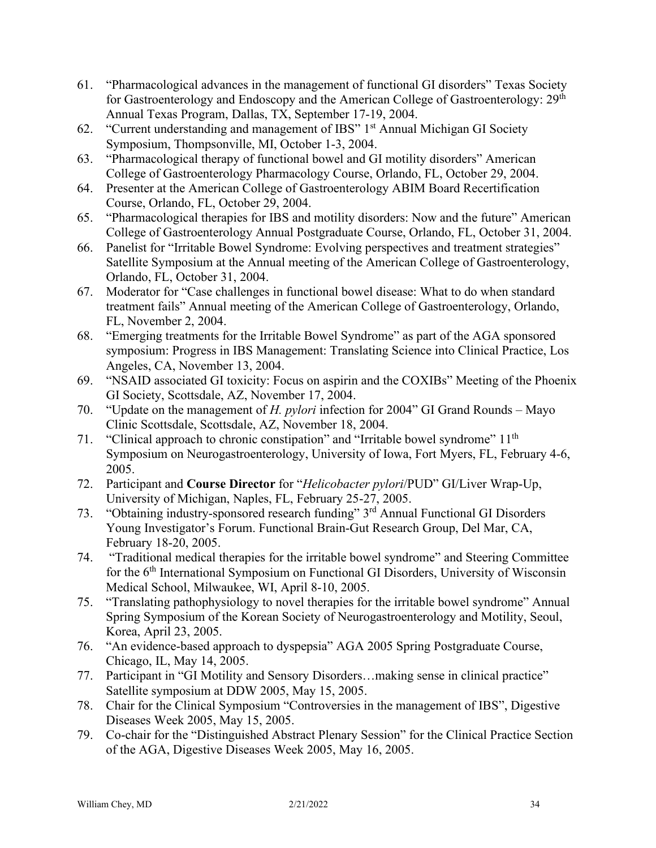- 61. "Pharmacological advances in the management of functional GI disorders" Texas Society for Gastroenterology and Endoscopy and the American College of Gastroenterology: 29th Annual Texas Program, Dallas, TX, September 17-19, 2004.
- 62. "Current understanding and management of IBS" 1<sup>st</sup> Annual Michigan GI Society Symposium, Thompsonville, MI, October 1-3, 2004.
- 63. "Pharmacological therapy of functional bowel and GI motility disorders" American College of Gastroenterology Pharmacology Course, Orlando, FL, October 29, 2004.
- 64. Presenter at the American College of Gastroenterology ABIM Board Recertification Course, Orlando, FL, October 29, 2004.
- 65. "Pharmacological therapies for IBS and motility disorders: Now and the future" American College of Gastroenterology Annual Postgraduate Course, Orlando, FL, October 31, 2004.
- 66. Panelist for "Irritable Bowel Syndrome: Evolving perspectives and treatment strategies" Satellite Symposium at the Annual meeting of the American College of Gastroenterology, Orlando, FL, October 31, 2004.
- 67. Moderator for "Case challenges in functional bowel disease: What to do when standard treatment fails" Annual meeting of the American College of Gastroenterology, Orlando, FL, November 2, 2004.
- 68. "Emerging treatments for the Irritable Bowel Syndrome" as part of the AGA sponsored symposium: Progress in IBS Management: Translating Science into Clinical Practice, Los Angeles, CA, November 13, 2004.
- 69. "NSAID associated GI toxicity: Focus on aspirin and the COXIBs" Meeting of the Phoenix GI Society, Scottsdale, AZ, November 17, 2004.
- 70. "Update on the management of *H. pylori* infection for 2004" GI Grand Rounds Mayo Clinic Scottsdale, Scottsdale, AZ, November 18, 2004.
- 71. "Clinical approach to chronic constipation" and "Irritable bowel syndrome" 11<sup>th</sup> Symposium on Neurogastroenterology, University of Iowa, Fort Myers, FL, February 4-6, 2005.
- 72. Participant and **Course Director** for "*Helicobacter pylori*/PUD" GI/Liver Wrap-Up, University of Michigan, Naples, FL, February 25-27, 2005.
- 73. "Obtaining industry-sponsored research funding" 3rd Annual Functional GI Disorders Young Investigator's Forum. Functional Brain-Gut Research Group, Del Mar, CA, February 18-20, 2005.
- 74. "Traditional medical therapies for the irritable bowel syndrome" and Steering Committee for the 6<sup>th</sup> International Symposium on Functional GI Disorders, University of Wisconsin Medical School, Milwaukee, WI, April 8-10, 2005.
- 75. "Translating pathophysiology to novel therapies for the irritable bowel syndrome" Annual Spring Symposium of the Korean Society of Neurogastroenterology and Motility, Seoul, Korea, April 23, 2005.
- 76. "An evidence-based approach to dyspepsia" AGA 2005 Spring Postgraduate Course, Chicago, IL, May 14, 2005.
- 77. Participant in "GI Motility and Sensory Disorders…making sense in clinical practice" Satellite symposium at DDW 2005, May 15, 2005.
- 78. Chair for the Clinical Symposium "Controversies in the management of IBS", Digestive Diseases Week 2005, May 15, 2005.
- 79. Co-chair for the "Distinguished Abstract Plenary Session" for the Clinical Practice Section of the AGA, Digestive Diseases Week 2005, May 16, 2005.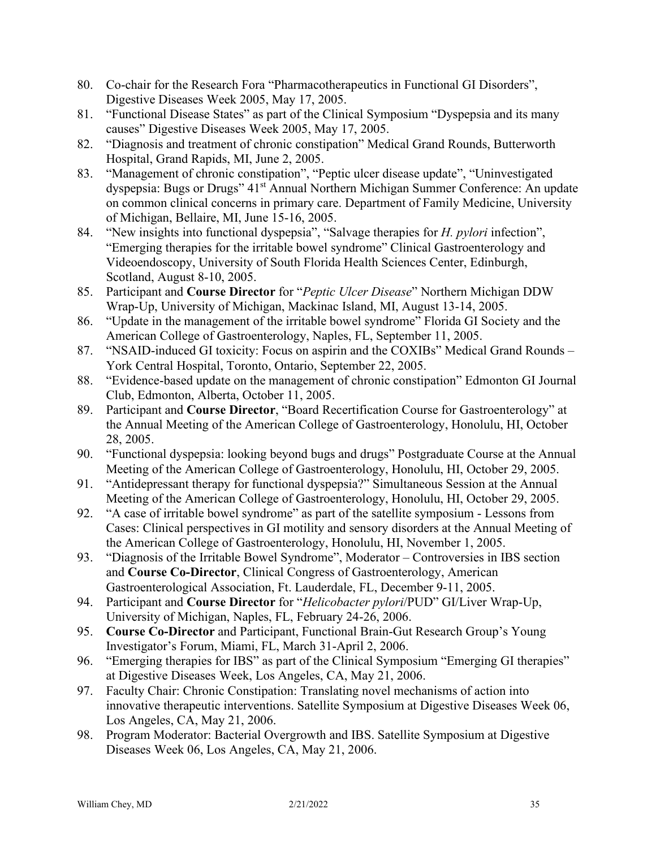- 80. Co-chair for the Research Fora "Pharmacotherapeutics in Functional GI Disorders", Digestive Diseases Week 2005, May 17, 2005.
- 81. "Functional Disease States" as part of the Clinical Symposium "Dyspepsia and its many causes" Digestive Diseases Week 2005, May 17, 2005.
- 82. "Diagnosis and treatment of chronic constipation" Medical Grand Rounds, Butterworth Hospital, Grand Rapids, MI, June 2, 2005.
- 83. "Management of chronic constipation", "Peptic ulcer disease update", "Uninvestigated dyspepsia: Bugs or Drugs" 41<sup>st</sup> Annual Northern Michigan Summer Conference: An update on common clinical concerns in primary care. Department of Family Medicine, University of Michigan, Bellaire, MI, June 15-16, 2005.
- 84. "New insights into functional dyspepsia", "Salvage therapies for *H. pylori* infection", "Emerging therapies for the irritable bowel syndrome" Clinical Gastroenterology and Videoendoscopy, University of South Florida Health Sciences Center, Edinburgh, Scotland, August 8-10, 2005.
- 85. Participant and **Course Director** for "*Peptic Ulcer Disease*" Northern Michigan DDW Wrap-Up, University of Michigan, Mackinac Island, MI, August 13-14, 2005.
- 86. "Update in the management of the irritable bowel syndrome" Florida GI Society and the American College of Gastroenterology, Naples, FL, September 11, 2005.
- 87. "NSAID-induced GI toxicity: Focus on aspirin and the COXIBs" Medical Grand Rounds York Central Hospital, Toronto, Ontario, September 22, 2005.
- 88. "Evidence-based update on the management of chronic constipation" Edmonton GI Journal Club, Edmonton, Alberta, October 11, 2005.
- 89. Participant and **Course Director**, "Board Recertification Course for Gastroenterology" at the Annual Meeting of the American College of Gastroenterology, Honolulu, HI, October 28, 2005.
- 90. "Functional dyspepsia: looking beyond bugs and drugs" Postgraduate Course at the Annual Meeting of the American College of Gastroenterology, Honolulu, HI, October 29, 2005.
- 91. "Antidepressant therapy for functional dyspepsia?" Simultaneous Session at the Annual Meeting of the American College of Gastroenterology, Honolulu, HI, October 29, 2005.
- 92. "A case of irritable bowel syndrome" as part of the satellite symposium Lessons from Cases: Clinical perspectives in GI motility and sensory disorders at the Annual Meeting of the American College of Gastroenterology, Honolulu, HI, November 1, 2005.
- 93. "Diagnosis of the Irritable Bowel Syndrome", Moderator Controversies in IBS section and **Course Co-Director**, Clinical Congress of Gastroenterology, American Gastroenterological Association, Ft. Lauderdale, FL, December 9-11, 2005.
- 94. Participant and **Course Director** for "*Helicobacter pylori*/PUD" GI/Liver Wrap-Up, University of Michigan, Naples, FL, February 24-26, 2006.
- 95. **Course Co-Director** and Participant, Functional Brain-Gut Research Group's Young Investigator's Forum, Miami, FL, March 31-April 2, 2006.
- 96. "Emerging therapies for IBS" as part of the Clinical Symposium "Emerging GI therapies" at Digestive Diseases Week, Los Angeles, CA, May 21, 2006.
- 97. Faculty Chair: Chronic Constipation: Translating novel mechanisms of action into innovative therapeutic interventions. Satellite Symposium at Digestive Diseases Week 06, Los Angeles, CA, May 21, 2006.
- 98. Program Moderator: Bacterial Overgrowth and IBS. Satellite Symposium at Digestive Diseases Week 06, Los Angeles, CA, May 21, 2006.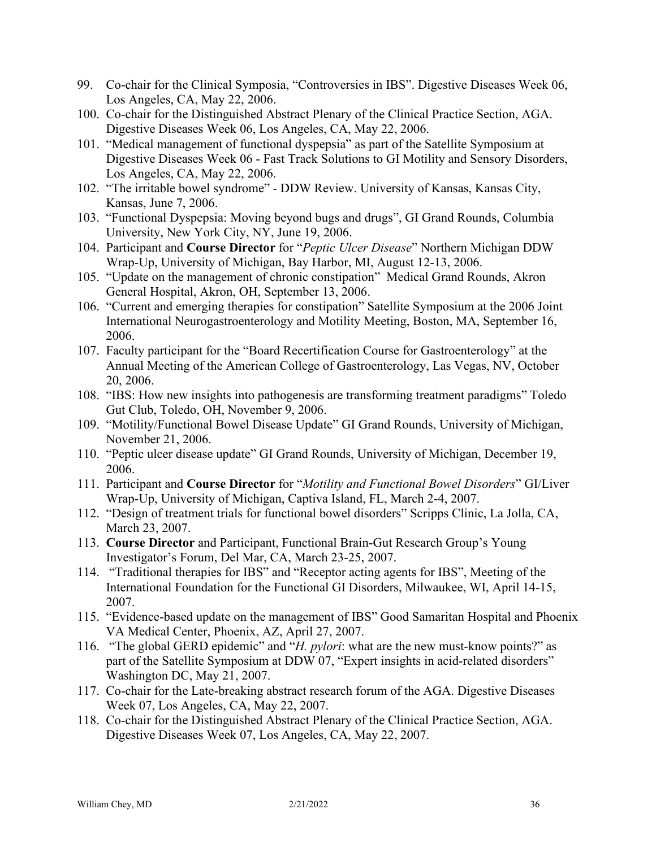- 99. Co-chair for the Clinical Symposia, "Controversies in IBS". Digestive Diseases Week 06, Los Angeles, CA, May 22, 2006.
- 100. Co-chair for the Distinguished Abstract Plenary of the Clinical Practice Section, AGA. Digestive Diseases Week 06, Los Angeles, CA, May 22, 2006.
- 101. "Medical management of functional dyspepsia" as part of the Satellite Symposium at Digestive Diseases Week 06 - Fast Track Solutions to GI Motility and Sensory Disorders, Los Angeles, CA, May 22, 2006.
- 102. "The irritable bowel syndrome" DDW Review. University of Kansas, Kansas City, Kansas, June 7, 2006.
- 103. "Functional Dyspepsia: Moving beyond bugs and drugs", GI Grand Rounds, Columbia University, New York City, NY, June 19, 2006.
- 104. Participant and **Course Director** for "*Peptic Ulcer Disease*" Northern Michigan DDW Wrap-Up, University of Michigan, Bay Harbor, MI, August 12-13, 2006.
- 105. "Update on the management of chronic constipation" Medical Grand Rounds, Akron General Hospital, Akron, OH, September 13, 2006.
- 106. "Current and emerging therapies for constipation" Satellite Symposium at the 2006 Joint International Neurogastroenterology and Motility Meeting, Boston, MA, September 16, 2006.
- 107. Faculty participant for the "Board Recertification Course for Gastroenterology" at the Annual Meeting of the American College of Gastroenterology, Las Vegas, NV, October 20, 2006.
- 108. "IBS: How new insights into pathogenesis are transforming treatment paradigms" Toledo Gut Club, Toledo, OH, November 9, 2006.
- 109. "Motility/Functional Bowel Disease Update" GI Grand Rounds, University of Michigan, November 21, 2006.
- 110. "Peptic ulcer disease update" GI Grand Rounds, University of Michigan, December 19, 2006.
- 111. Participant and **Course Director** for "*Motility and Functional Bowel Disorders*" GI/Liver Wrap-Up, University of Michigan, Captiva Island, FL, March 2-4, 2007.
- 112. "Design of treatment trials for functional bowel disorders" Scripps Clinic, La Jolla, CA, March 23, 2007.
- 113. **Course Director** and Participant, Functional Brain-Gut Research Group's Young Investigator's Forum, Del Mar, CA, March 23-25, 2007.
- 114. "Traditional therapies for IBS" and "Receptor acting agents for IBS", Meeting of the International Foundation for the Functional GI Disorders, Milwaukee, WI, April 14-15, 2007.
- 115. "Evidence-based update on the management of IBS" Good Samaritan Hospital and Phoenix VA Medical Center, Phoenix, AZ, April 27, 2007.
- 116. "The global GERD epidemic" and "*H. pylori*: what are the new must-know points?" as part of the Satellite Symposium at DDW 07, "Expert insights in acid-related disorders" Washington DC, May 21, 2007.
- 117. Co-chair for the Late-breaking abstract research forum of the AGA. Digestive Diseases Week 07, Los Angeles, CA, May 22, 2007.
- 118. Co-chair for the Distinguished Abstract Plenary of the Clinical Practice Section, AGA. Digestive Diseases Week 07, Los Angeles, CA, May 22, 2007.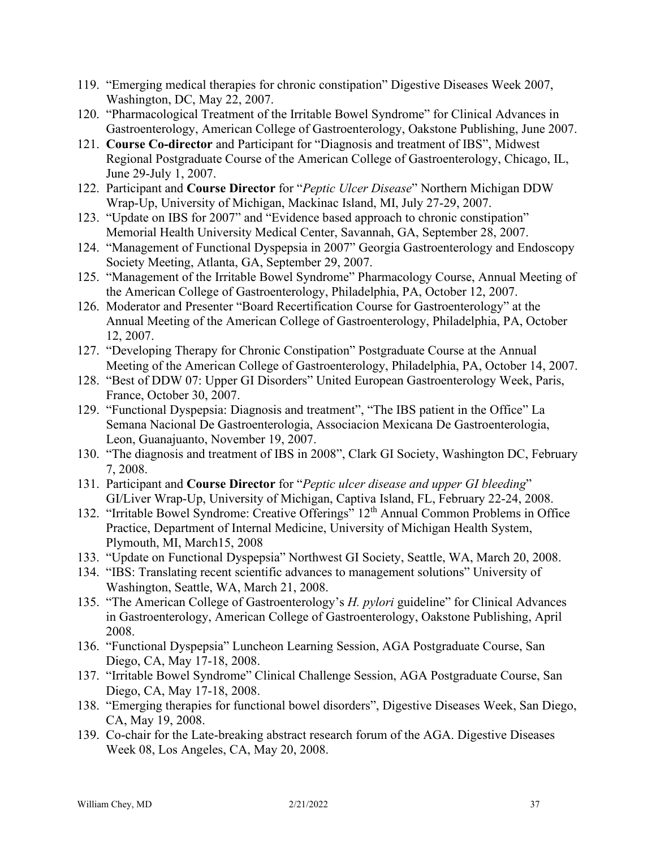- 119. "Emerging medical therapies for chronic constipation" Digestive Diseases Week 2007, Washington, DC, May 22, 2007.
- 120. "Pharmacological Treatment of the Irritable Bowel Syndrome" for Clinical Advances in Gastroenterology, American College of Gastroenterology, Oakstone Publishing, June 2007.
- 121. **Course Co-director** and Participant for "Diagnosis and treatment of IBS", Midwest Regional Postgraduate Course of the American College of Gastroenterology, Chicago, IL, June 29-July 1, 2007.
- 122. Participant and **Course Director** for "*Peptic Ulcer Disease*" Northern Michigan DDW Wrap-Up, University of Michigan, Mackinac Island, MI, July 27-29, 2007.
- 123. "Update on IBS for 2007" and "Evidence based approach to chronic constipation" Memorial Health University Medical Center, Savannah, GA, September 28, 2007.
- 124. "Management of Functional Dyspepsia in 2007" Georgia Gastroenterology and Endoscopy Society Meeting, Atlanta, GA, September 29, 2007.
- 125. "Management of the Irritable Bowel Syndrome" Pharmacology Course, Annual Meeting of the American College of Gastroenterology, Philadelphia, PA, October 12, 2007.
- 126. Moderator and Presenter "Board Recertification Course for Gastroenterology" at the Annual Meeting of the American College of Gastroenterology, Philadelphia, PA, October 12, 2007.
- 127. "Developing Therapy for Chronic Constipation" Postgraduate Course at the Annual Meeting of the American College of Gastroenterology, Philadelphia, PA, October 14, 2007.
- 128. "Best of DDW 07: Upper GI Disorders" United European Gastroenterology Week, Paris, France, October 30, 2007.
- 129. "Functional Dyspepsia: Diagnosis and treatment", "The IBS patient in the Office" La Semana Nacional De Gastroenterologia, Associacion Mexicana De Gastroenterologia, Leon, Guanajuanto, November 19, 2007.
- 130. "The diagnosis and treatment of IBS in 2008", Clark GI Society, Washington DC, February 7, 2008.
- 131. Participant and **Course Director** for "*Peptic ulcer disease and upper GI bleeding*" GI/Liver Wrap-Up, University of Michigan, Captiva Island, FL, February 22-24, 2008.
- 132. "Irritable Bowel Syndrome: Creative Offerings" 12th Annual Common Problems in Office Practice, Department of Internal Medicine, University of Michigan Health System, Plymouth, MI, March15, 2008
- 133. "Update on Functional Dyspepsia" Northwest GI Society, Seattle, WA, March 20, 2008.
- 134. "IBS: Translating recent scientific advances to management solutions" University of Washington, Seattle, WA, March 21, 2008.
- 135. "The American College of Gastroenterology's *H. pylori* guideline" for Clinical Advances in Gastroenterology, American College of Gastroenterology, Oakstone Publishing, April 2008.
- 136. "Functional Dyspepsia" Luncheon Learning Session, AGA Postgraduate Course, San Diego, CA, May 17-18, 2008.
- 137. "Irritable Bowel Syndrome" Clinical Challenge Session, AGA Postgraduate Course, San Diego, CA, May 17-18, 2008.
- 138. "Emerging therapies for functional bowel disorders", Digestive Diseases Week, San Diego, CA, May 19, 2008.
- 139. Co-chair for the Late-breaking abstract research forum of the AGA. Digestive Diseases Week 08, Los Angeles, CA, May 20, 2008.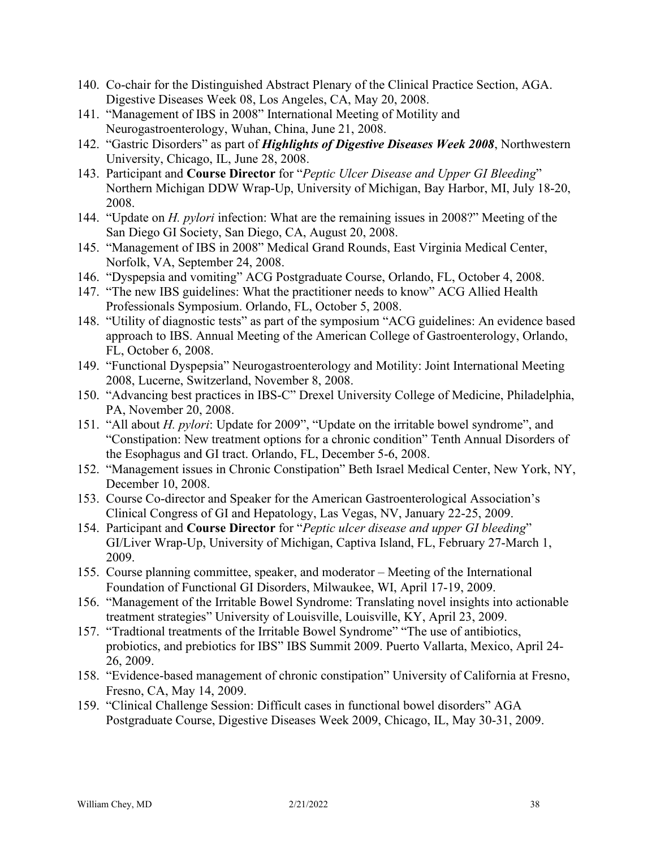- 140. Co-chair for the Distinguished Abstract Plenary of the Clinical Practice Section, AGA. Digestive Diseases Week 08, Los Angeles, CA, May 20, 2008.
- 141. "Management of IBS in 2008" International Meeting of Motility and Neurogastroenterology, Wuhan, China, June 21, 2008.
- 142. "Gastric Disorders" as part of *Highlights of Digestive Diseases Week 2008*, Northwestern University, Chicago, IL, June 28, 2008.
- 143. Participant and **Course Director** for "*Peptic Ulcer Disease and Upper GI Bleeding*" Northern Michigan DDW Wrap-Up, University of Michigan, Bay Harbor, MI, July 18-20, 2008.
- 144. "Update on *H. pylori* infection: What are the remaining issues in 2008?" Meeting of the San Diego GI Society, San Diego, CA, August 20, 2008.
- 145. "Management of IBS in 2008" Medical Grand Rounds, East Virginia Medical Center, Norfolk, VA, September 24, 2008.
- 146. "Dyspepsia and vomiting" ACG Postgraduate Course, Orlando, FL, October 4, 2008.
- 147. "The new IBS guidelines: What the practitioner needs to know" ACG Allied Health Professionals Symposium. Orlando, FL, October 5, 2008.
- 148. "Utility of diagnostic tests" as part of the symposium "ACG guidelines: An evidence based approach to IBS. Annual Meeting of the American College of Gastroenterology, Orlando, FL, October 6, 2008.
- 149. "Functional Dyspepsia" Neurogastroenterology and Motility: Joint International Meeting 2008, Lucerne, Switzerland, November 8, 2008.
- 150. "Advancing best practices in IBS-C" Drexel University College of Medicine, Philadelphia, PA, November 20, 2008.
- 151. "All about *H. pylori*: Update for 2009", "Update on the irritable bowel syndrome", and "Constipation: New treatment options for a chronic condition" Tenth Annual Disorders of the Esophagus and GI tract. Orlando, FL, December 5-6, 2008.
- 152. "Management issues in Chronic Constipation" Beth Israel Medical Center, New York, NY, December 10, 2008.
- 153. Course Co-director and Speaker for the American Gastroenterological Association's Clinical Congress of GI and Hepatology, Las Vegas, NV, January 22-25, 2009.
- 154. Participant and **Course Director** for "*Peptic ulcer disease and upper GI bleeding*" GI/Liver Wrap-Up, University of Michigan, Captiva Island, FL, February 27-March 1, 2009.
- 155. Course planning committee, speaker, and moderator Meeting of the International Foundation of Functional GI Disorders, Milwaukee, WI, April 17-19, 2009.
- 156. "Management of the Irritable Bowel Syndrome: Translating novel insights into actionable treatment strategies" University of Louisville, Louisville, KY, April 23, 2009.
- 157. "Tradtional treatments of the Irritable Bowel Syndrome" "The use of antibiotics, probiotics, and prebiotics for IBS" IBS Summit 2009. Puerto Vallarta, Mexico, April 24- 26, 2009.
- 158. "Evidence-based management of chronic constipation" University of California at Fresno, Fresno, CA, May 14, 2009.
- 159. "Clinical Challenge Session: Difficult cases in functional bowel disorders" AGA Postgraduate Course, Digestive Diseases Week 2009, Chicago, IL, May 30-31, 2009.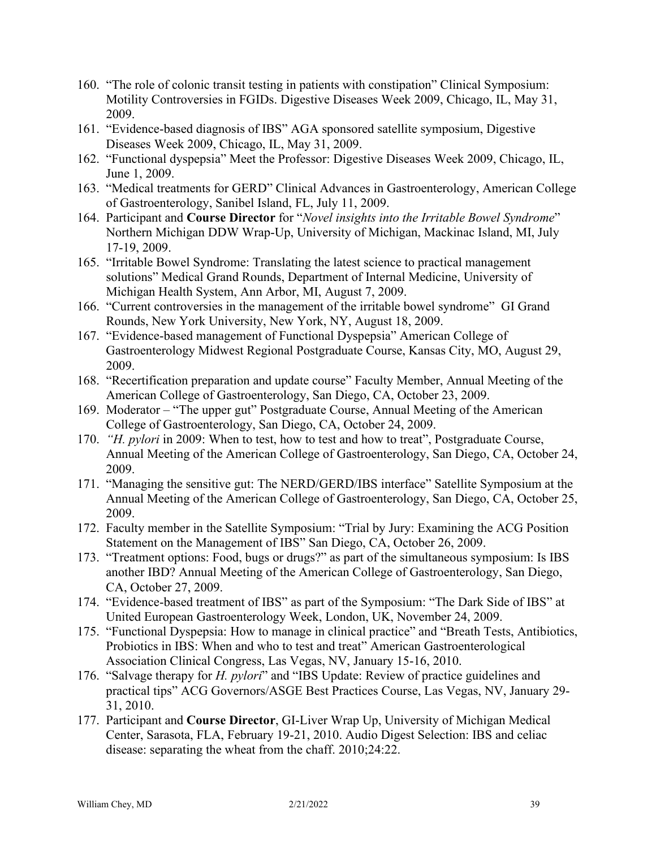- 160. "The role of colonic transit testing in patients with constipation" Clinical Symposium: Motility Controversies in FGIDs. Digestive Diseases Week 2009, Chicago, IL, May 31, 2009.
- 161. "Evidence-based diagnosis of IBS" AGA sponsored satellite symposium, Digestive Diseases Week 2009, Chicago, IL, May 31, 2009.
- 162. "Functional dyspepsia" Meet the Professor: Digestive Diseases Week 2009, Chicago, IL, June 1, 2009.
- 163. "Medical treatments for GERD" Clinical Advances in Gastroenterology, American College of Gastroenterology, Sanibel Island, FL, July 11, 2009.
- 164. Participant and **Course Director** for "*Novel insights into the Irritable Bowel Syndrome*" Northern Michigan DDW Wrap-Up, University of Michigan, Mackinac Island, MI, July 17-19, 2009.
- 165. "Irritable Bowel Syndrome: Translating the latest science to practical management solutions" Medical Grand Rounds, Department of Internal Medicine, University of Michigan Health System, Ann Arbor, MI, August 7, 2009.
- 166. "Current controversies in the management of the irritable bowel syndrome" GI Grand Rounds, New York University, New York, NY, August 18, 2009.
- 167. "Evidence-based management of Functional Dyspepsia" American College of Gastroenterology Midwest Regional Postgraduate Course, Kansas City, MO, August 29, 2009.
- 168. "Recertification preparation and update course" Faculty Member, Annual Meeting of the American College of Gastroenterology, San Diego, CA, October 23, 2009.
- 169. Moderator "The upper gut" Postgraduate Course, Annual Meeting of the American College of Gastroenterology, San Diego, CA, October 24, 2009.
- 170. *"H. pylori* in 2009: When to test, how to test and how to treat", Postgraduate Course, Annual Meeting of the American College of Gastroenterology, San Diego, CA, October 24, 2009.
- 171. "Managing the sensitive gut: The NERD/GERD/IBS interface" Satellite Symposium at the Annual Meeting of the American College of Gastroenterology, San Diego, CA, October 25, 2009.
- 172. Faculty member in the Satellite Symposium: "Trial by Jury: Examining the ACG Position Statement on the Management of IBS" San Diego, CA, October 26, 2009.
- 173. "Treatment options: Food, bugs or drugs?" as part of the simultaneous symposium: Is IBS another IBD? Annual Meeting of the American College of Gastroenterology, San Diego, CA, October 27, 2009.
- 174. "Evidence-based treatment of IBS" as part of the Symposium: "The Dark Side of IBS" at United European Gastroenterology Week, London, UK, November 24, 2009.
- 175. "Functional Dyspepsia: How to manage in clinical practice" and "Breath Tests, Antibiotics, Probiotics in IBS: When and who to test and treat" American Gastroenterological Association Clinical Congress, Las Vegas, NV, January 15-16, 2010.
- 176. "Salvage therapy for *H. pylori*" and "IBS Update: Review of practice guidelines and practical tips" ACG Governors/ASGE Best Practices Course, Las Vegas, NV, January 29- 31, 2010.
- 177. Participant and **Course Director**, GI-Liver Wrap Up, University of Michigan Medical Center, Sarasota, FLA, February 19-21, 2010. Audio Digest Selection: IBS and celiac disease: separating the wheat from the chaff. 2010;24:22.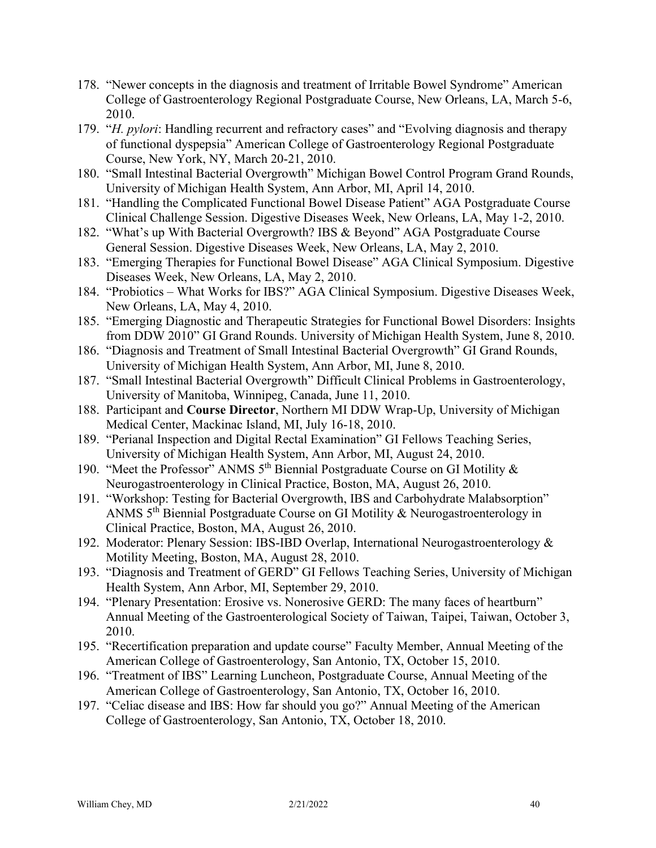- 178. "Newer concepts in the diagnosis and treatment of Irritable Bowel Syndrome" American College of Gastroenterology Regional Postgraduate Course, New Orleans, LA, March 5-6, 2010.
- 179. "*H. pylori*: Handling recurrent and refractory cases" and "Evolving diagnosis and therapy of functional dyspepsia" American College of Gastroenterology Regional Postgraduate Course, New York, NY, March 20-21, 2010.
- 180. "Small Intestinal Bacterial Overgrowth" Michigan Bowel Control Program Grand Rounds, University of Michigan Health System, Ann Arbor, MI, April 14, 2010.
- 181. "Handling the Complicated Functional Bowel Disease Patient" AGA Postgraduate Course Clinical Challenge Session. Digestive Diseases Week, New Orleans, LA, May 1-2, 2010.
- 182. "What's up With Bacterial Overgrowth? IBS & Beyond" AGA Postgraduate Course General Session. Digestive Diseases Week, New Orleans, LA, May 2, 2010.
- 183. "Emerging Therapies for Functional Bowel Disease" AGA Clinical Symposium. Digestive Diseases Week, New Orleans, LA, May 2, 2010.
- 184. "Probiotics What Works for IBS?" AGA Clinical Symposium. Digestive Diseases Week, New Orleans, LA, May 4, 2010.
- 185. "Emerging Diagnostic and Therapeutic Strategies for Functional Bowel Disorders: Insights from DDW 2010" GI Grand Rounds. University of Michigan Health System, June 8, 2010.
- 186. "Diagnosis and Treatment of Small Intestinal Bacterial Overgrowth" GI Grand Rounds, University of Michigan Health System, Ann Arbor, MI, June 8, 2010.
- 187. "Small Intestinal Bacterial Overgrowth" Difficult Clinical Problems in Gastroenterology, University of Manitoba, Winnipeg, Canada, June 11, 2010.
- 188. Participant and **Course Director**, Northern MI DDW Wrap-Up, University of Michigan Medical Center, Mackinac Island, MI, July 16-18, 2010.
- 189. "Perianal Inspection and Digital Rectal Examination" GI Fellows Teaching Series, University of Michigan Health System, Ann Arbor, MI, August 24, 2010.
- 190. "Meet the Professor" ANMS  $5<sup>th</sup>$  Biennial Postgraduate Course on GI Motility & Neurogastroenterology in Clinical Practice, Boston, MA, August 26, 2010.
- 191. "Workshop: Testing for Bacterial Overgrowth, IBS and Carbohydrate Malabsorption" ANMS 5th Biennial Postgraduate Course on GI Motility & Neurogastroenterology in Clinical Practice, Boston, MA, August 26, 2010.
- 192. Moderator: Plenary Session: IBS-IBD Overlap, International Neurogastroenterology & Motility Meeting, Boston, MA, August 28, 2010.
- 193. "Diagnosis and Treatment of GERD" GI Fellows Teaching Series, University of Michigan Health System, Ann Arbor, MI, September 29, 2010.
- 194. "Plenary Presentation: Erosive vs. Nonerosive GERD: The many faces of heartburn" Annual Meeting of the Gastroenterological Society of Taiwan, Taipei, Taiwan, October 3, 2010.
- 195. "Recertification preparation and update course" Faculty Member, Annual Meeting of the American College of Gastroenterology, San Antonio, TX, October 15, 2010.
- 196. "Treatment of IBS" Learning Luncheon, Postgraduate Course, Annual Meeting of the American College of Gastroenterology, San Antonio, TX, October 16, 2010.
- 197. "Celiac disease and IBS: How far should you go?" Annual Meeting of the American College of Gastroenterology, San Antonio, TX, October 18, 2010.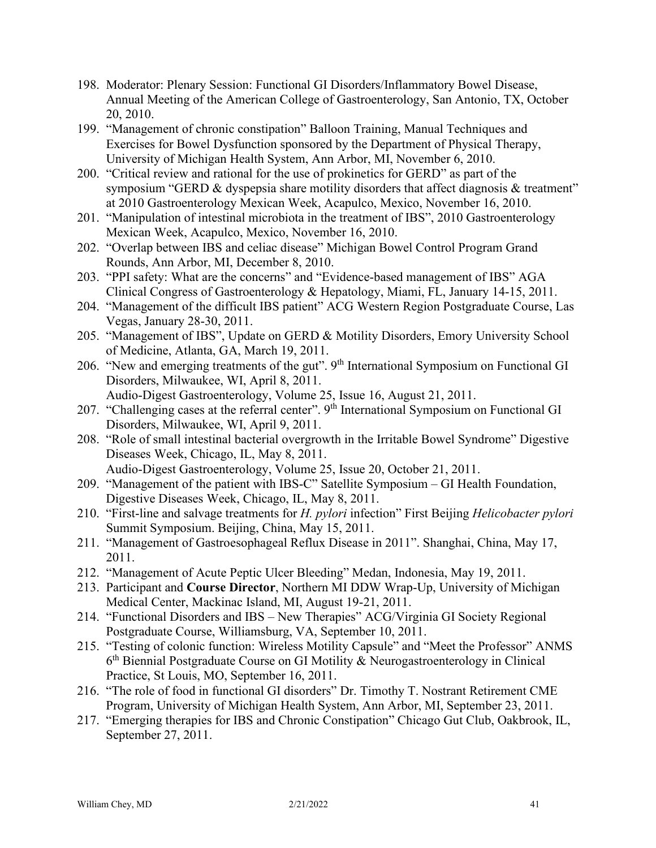- 198. Moderator: Plenary Session: Functional GI Disorders/Inflammatory Bowel Disease, Annual Meeting of the American College of Gastroenterology, San Antonio, TX, October 20, 2010.
- 199. "Management of chronic constipation" Balloon Training, Manual Techniques and Exercises for Bowel Dysfunction sponsored by the Department of Physical Therapy, University of Michigan Health System, Ann Arbor, MI, November 6, 2010.
- 200. "Critical review and rational for the use of prokinetics for GERD" as part of the symposium "GERD & dyspepsia share motility disorders that affect diagnosis & treatment" at 2010 Gastroenterology Mexican Week, Acapulco, Mexico, November 16, 2010.
- 201. "Manipulation of intestinal microbiota in the treatment of IBS", 2010 Gastroenterology Mexican Week, Acapulco, Mexico, November 16, 2010.
- 202. "Overlap between IBS and celiac disease" Michigan Bowel Control Program Grand Rounds, Ann Arbor, MI, December 8, 2010.
- 203. "PPI safety: What are the concerns" and "Evidence-based management of IBS" AGA Clinical Congress of Gastroenterology & Hepatology, Miami, FL, January 14-15, 2011.
- 204. "Management of the difficult IBS patient" ACG Western Region Postgraduate Course, Las Vegas, January 28-30, 2011.
- 205. "Management of IBS", Update on GERD & Motility Disorders, Emory University School of Medicine, Atlanta, GA, March 19, 2011.
- 206. "New and emerging treatments of the gut".  $9<sup>th</sup>$  International Symposium on Functional GI Disorders, Milwaukee, WI, April 8, 2011. Audio-Digest Gastroenterology, Volume 25, Issue 16, August 21, 2011.
- 207. "Challenging cases at the referral center". 9<sup>th</sup> International Symposium on Functional GI Disorders, Milwaukee, WI, April 9, 2011.
- 208. "Role of small intestinal bacterial overgrowth in the Irritable Bowel Syndrome" Digestive Diseases Week, Chicago, IL, May 8, 2011. Audio-Digest Gastroenterology, Volume 25, Issue 20, October 21, 2011.
- 209. "Management of the patient with IBS-C" Satellite Symposium GI Health Foundation, Digestive Diseases Week, Chicago, IL, May 8, 2011.
- 210. "First-line and salvage treatments for *H. pylori* infection" First Beijing *Helicobacter pylori* Summit Symposium. Beijing, China, May 15, 2011.
- 211. "Management of Gastroesophageal Reflux Disease in 2011". Shanghai, China, May 17, 2011.
- 212. "Management of Acute Peptic Ulcer Bleeding" Medan, Indonesia, May 19, 2011.
- 213. Participant and **Course Director**, Northern MI DDW Wrap-Up, University of Michigan Medical Center, Mackinac Island, MI, August 19-21, 2011.
- 214. "Functional Disorders and IBS New Therapies" ACG/Virginia GI Society Regional Postgraduate Course, Williamsburg, VA, September 10, 2011.
- 215. "Testing of colonic function: Wireless Motility Capsule" and "Meet the Professor" ANMS 6th Biennial Postgraduate Course on GI Motility & Neurogastroenterology in Clinical Practice, St Louis, MO, September 16, 2011.
- 216. "The role of food in functional GI disorders" Dr. Timothy T. Nostrant Retirement CME Program, University of Michigan Health System, Ann Arbor, MI, September 23, 2011.
- 217. "Emerging therapies for IBS and Chronic Constipation" Chicago Gut Club, Oakbrook, IL, September 27, 2011.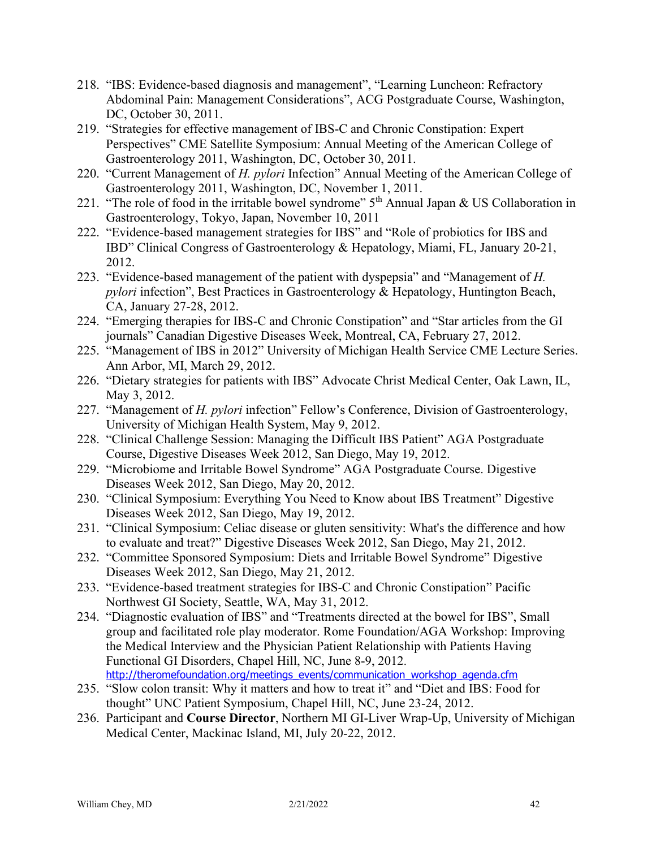- 218. "IBS: Evidence-based diagnosis and management", "Learning Luncheon: Refractory Abdominal Pain: Management Considerations", ACG Postgraduate Course, Washington, DC, October 30, 2011.
- 219. "Strategies for effective management of IBS-C and Chronic Constipation: Expert Perspectives" CME Satellite Symposium: Annual Meeting of the American College of Gastroenterology 2011, Washington, DC, October 30, 2011.
- 220. "Current Management of *H. pylori* Infection" Annual Meeting of the American College of Gastroenterology 2011, Washington, DC, November 1, 2011.
- 221. "The role of food in the irritable bowel syndrome"  $5<sup>th</sup>$  Annual Japan & US Collaboration in Gastroenterology, Tokyo, Japan, November 10, 2011
- 222. "Evidence-based management strategies for IBS" and "Role of probiotics for IBS and IBD" Clinical Congress of Gastroenterology & Hepatology, Miami, FL, January 20-21, 2012.
- 223. "Evidence-based management of the patient with dyspepsia" and "Management of *H. pylori* infection", Best Practices in Gastroenterology & Hepatology, Huntington Beach, CA, January 27-28, 2012.
- 224. "Emerging therapies for IBS-C and Chronic Constipation" and "Star articles from the GI journals" Canadian Digestive Diseases Week, Montreal, CA, February 27, 2012.
- 225. "Management of IBS in 2012" University of Michigan Health Service CME Lecture Series. Ann Arbor, MI, March 29, 2012.
- 226. "Dietary strategies for patients with IBS" Advocate Christ Medical Center, Oak Lawn, IL, May 3, 2012.
- 227. "Management of *H. pylori* infection" Fellow's Conference, Division of Gastroenterology, University of Michigan Health System, May 9, 2012.
- 228. "Clinical Challenge Session: Managing the Difficult IBS Patient" AGA Postgraduate Course, Digestive Diseases Week 2012, San Diego, May 19, 2012.
- 229. "Microbiome and Irritable Bowel Syndrome" AGA Postgraduate Course. Digestive Diseases Week 2012, San Diego, May 20, 2012.
- 230. "Clinical Symposium: Everything You Need to Know about IBS Treatment" Digestive Diseases Week 2012, San Diego, May 19, 2012.
- 231. "Clinical Symposium: Celiac disease or gluten sensitivity: What's the difference and how to evaluate and treat?" Digestive Diseases Week 2012, San Diego, May 21, 2012.
- 232. "Committee Sponsored Symposium: Diets and Irritable Bowel Syndrome" Digestive Diseases Week 2012, San Diego, May 21, 2012.
- 233. "Evidence-based treatment strategies for IBS-C and Chronic Constipation" Pacific Northwest GI Society, Seattle, WA, May 31, 2012.
- 234. "Diagnostic evaluation of IBS" and "Treatments directed at the bowel for IBS", Small group and facilitated role play moderator. Rome Foundation/AGA Workshop: Improving the Medical Interview and the Physician Patient Relationship with Patients Having Functional GI Disorders, Chapel Hill, NC, June 8-9, 2012. [http://theromefoundation.org/meetings\\_events/communication\\_workshop\\_agenda.cfm](http://theromefoundation.org/meetings_events/communication_workshop_agenda.cfm)
- 235. "Slow colon transit: Why it matters and how to treat it" and "Diet and IBS: Food for thought" UNC Patient Symposium, Chapel Hill, NC, June 23-24, 2012.
- 236. Participant and **Course Director**, Northern MI GI-Liver Wrap-Up, University of Michigan Medical Center, Mackinac Island, MI, July 20-22, 2012.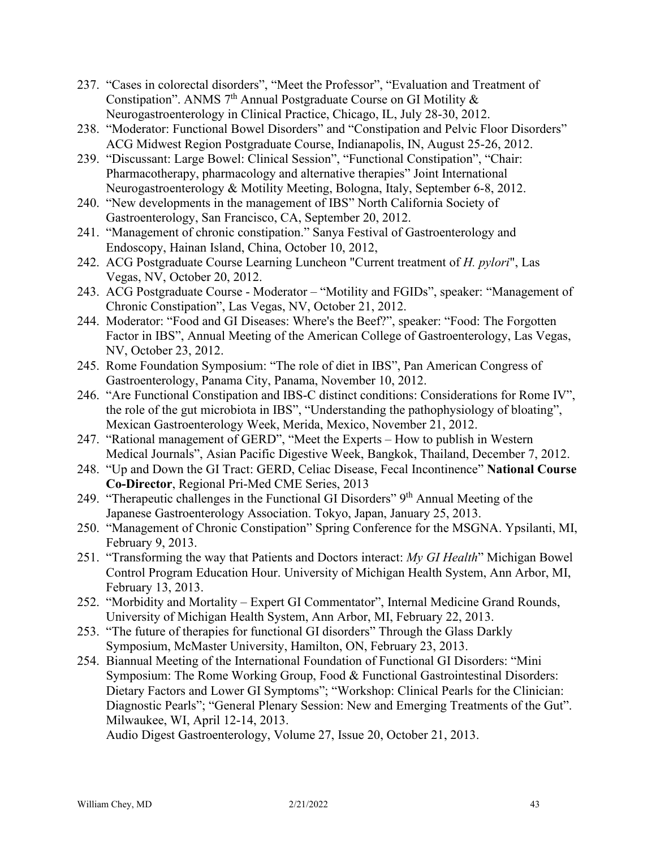- 237. "Cases in colorectal disorders", "Meet the Professor", "Evaluation and Treatment of Constipation". ANMS  $7<sup>th</sup>$  Annual Postgraduate Course on GI Motility & Neurogastroenterology in Clinical Practice, Chicago, IL, July 28-30, 2012.
- 238. "Moderator: Functional Bowel Disorders" and "Constipation and Pelvic Floor Disorders" ACG Midwest Region Postgraduate Course, Indianapolis, IN, August 25-26, 2012.
- 239. "Discussant: Large Bowel: Clinical Session", "Functional Constipation", "Chair: Pharmacotherapy, pharmacology and alternative therapies" Joint International Neurogastroenterology & Motility Meeting, Bologna, Italy, September 6-8, 2012.
- 240. "New developments in the management of IBS" North California Society of Gastroenterology, San Francisco, CA, September 20, 2012.
- 241. "Management of chronic constipation." Sanya Festival of Gastroenterology and Endoscopy, Hainan Island, China, October 10, 2012,
- 242. ACG Postgraduate Course Learning Luncheon "Current treatment of *H. pylori*", Las Vegas, NV, October 20, 2012.
- 243. ACG Postgraduate Course Moderator "Motility and FGIDs", speaker: "Management of Chronic Constipation", Las Vegas, NV, October 21, 2012.
- 244. Moderator: "Food and GI Diseases: Where's the Beef?", speaker: "Food: The Forgotten Factor in IBS", Annual Meeting of the American College of Gastroenterology, Las Vegas, NV, October 23, 2012.
- 245. Rome Foundation Symposium: "The role of diet in IBS", Pan American Congress of Gastroenterology, Panama City, Panama, November 10, 2012.
- 246. "Are Functional Constipation and IBS-C distinct conditions: Considerations for Rome IV", the role of the gut microbiota in IBS", "Understanding the pathophysiology of bloating", Mexican Gastroenterology Week, Merida, Mexico, November 21, 2012.
- 247. "Rational management of GERD", "Meet the Experts How to publish in Western Medical Journals", Asian Pacific Digestive Week, Bangkok, Thailand, December 7, 2012.
- 248. "Up and Down the GI Tract: GERD, Celiac Disease, Fecal Incontinence" **National Course Co-Director**, Regional Pri-Med CME Series, 2013
- 249. "Therapeutic challenges in the Functional GI Disorders" 9<sup>th</sup> Annual Meeting of the Japanese Gastroenterology Association. Tokyo, Japan, January 25, 2013.
- 250. "Management of Chronic Constipation" Spring Conference for the MSGNA. Ypsilanti, MI, February 9, 2013.
- 251. "Transforming the way that Patients and Doctors interact: *My GI Health*" Michigan Bowel Control Program Education Hour. University of Michigan Health System, Ann Arbor, MI, February 13, 2013.
- 252. "Morbidity and Mortality Expert GI Commentator", Internal Medicine Grand Rounds, University of Michigan Health System, Ann Arbor, MI, February 22, 2013.
- 253. "The future of therapies for functional GI disorders" Through the Glass Darkly Symposium, McMaster University, Hamilton, ON, February 23, 2013.
- 254. Biannual Meeting of the International Foundation of Functional GI Disorders: "Mini Symposium: The Rome Working Group, Food & Functional Gastrointestinal Disorders: Dietary Factors and Lower GI Symptoms"; "Workshop: Clinical Pearls for the Clinician: Diagnostic Pearls"; "General Plenary Session: New and Emerging Treatments of the Gut". Milwaukee, WI, April 12-14, 2013.

Audio Digest Gastroenterology, Volume 27, Issue 20, October 21, 2013.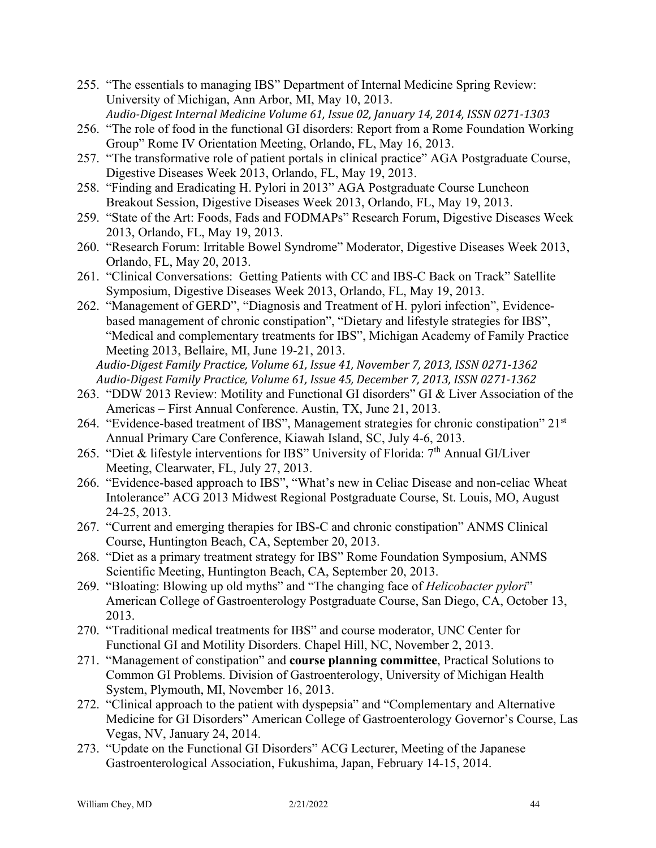- 255. "The essentials to managing IBS" Department of Internal Medicine Spring Review: University of Michigan, Ann Arbor, MI, May 10, 2013. *Audio-Digest Internal Medicine Volume 61, Issue 02, January 14, 2014, ISSN 0271-1303*
- 256. "The role of food in the functional GI disorders: Report from a Rome Foundation Working Group" Rome IV Orientation Meeting, Orlando, FL, May 16, 2013.
- 257. "The transformative role of patient portals in clinical practice" AGA Postgraduate Course, Digestive Diseases Week 2013, Orlando, FL, May 19, 2013.
- 258. "Finding and Eradicating H. Pylori in 2013" AGA Postgraduate Course Luncheon Breakout Session, Digestive Diseases Week 2013, Orlando, FL, May 19, 2013.
- 259. "State of the Art: Foods, Fads and FODMAPs" Research Forum, Digestive Diseases Week 2013, Orlando, FL, May 19, 2013.
- 260. "Research Forum: Irritable Bowel Syndrome" Moderator, Digestive Diseases Week 2013, Orlando, FL, May 20, 2013.
- 261. "Clinical Conversations: Getting Patients with CC and IBS-C Back on Track" Satellite Symposium, Digestive Diseases Week 2013, Orlando, FL, May 19, 2013.
- 262. "Management of GERD", "Diagnosis and Treatment of H. pylori infection", Evidencebased management of chronic constipation", "Dietary and lifestyle strategies for IBS", "Medical and complementary treatments for IBS", Michigan Academy of Family Practice Meeting 2013, Bellaire, MI, June 19-21, 2013. *Audio-Digest Family Practice, Volume 61, Issue 41, November 7, 2013, ISSN 0271-1362*
- *Audio-Digest Family Practice, Volume 61, Issue 45, December 7, 2013, ISSN 0271-1362* 263. "DDW 2013 Review: Motility and Functional GI disorders" GI & Liver Association of the Americas – First Annual Conference. Austin, TX, June 21, 2013.
- 264. "Evidence-based treatment of IBS", Management strategies for chronic constipation" 21<sup>st</sup> Annual Primary Care Conference, Kiawah Island, SC, July 4-6, 2013.
- 265. "Diet & lifestyle interventions for IBS" University of Florida: 7<sup>th</sup> Annual GI/Liver Meeting, Clearwater, FL, July 27, 2013.
- 266. "Evidence-based approach to IBS", "What's new in Celiac Disease and non-celiac Wheat Intolerance" ACG 2013 Midwest Regional Postgraduate Course, St. Louis, MO, August 24-25, 2013.
- 267. "Current and emerging therapies for IBS-C and chronic constipation" ANMS Clinical Course, Huntington Beach, CA, September 20, 2013.
- 268. "Diet as a primary treatment strategy for IBS" Rome Foundation Symposium, ANMS Scientific Meeting, Huntington Beach, CA, September 20, 2013.
- 269. "Bloating: Blowing up old myths" and "The changing face of *Helicobacter pylori*" American College of Gastroenterology Postgraduate Course, San Diego, CA, October 13, 2013.
- 270. "Traditional medical treatments for IBS" and course moderator, UNC Center for Functional GI and Motility Disorders. Chapel Hill, NC, November 2, 2013.
- 271. "Management of constipation" and **course planning committee**, Practical Solutions to Common GI Problems. Division of Gastroenterology, University of Michigan Health System, Plymouth, MI, November 16, 2013.
- 272. "Clinical approach to the patient with dyspepsia" and "Complementary and Alternative Medicine for GI Disorders" American College of Gastroenterology Governor's Course, Las Vegas, NV, January 24, 2014.
- 273. "Update on the Functional GI Disorders" ACG Lecturer, Meeting of the Japanese Gastroenterological Association, Fukushima, Japan, February 14-15, 2014.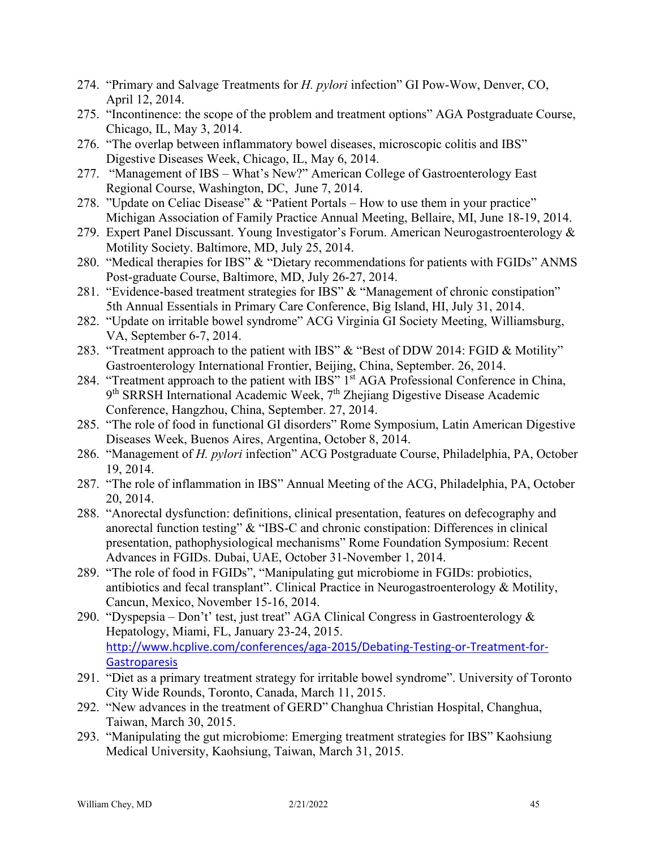- 274. "Primary and Salvage Treatments for *H. pylori* infection" GI Pow-Wow, Denver, CO, April 12, 2014.
- 275. "Incontinence: the scope of the problem and treatment options" AGA Postgraduate Course, Chicago, IL, May 3, 2014.
- 276. "The overlap between inflammatory bowel diseases, microscopic colitis and IBS" Digestive Diseases Week, Chicago, IL, May 6, 2014.
- 277. "Management of IBS What's New?" American College of Gastroenterology East Regional Course, Washington, DC, June 7, 2014.
- 278. "Update on Celiac Disease" & "Patient Portals How to use them in your practice" Michigan Association of Family Practice Annual Meeting, Bellaire, MI, June 18-19, 2014.
- 279. Expert Panel Discussant. Young Investigator's Forum. American Neurogastroenterology & Motility Society. Baltimore, MD, July 25, 2014.
- 280. "Medical therapies for IBS" & "Dietary recommendations for patients with FGIDs" ANMS Post-graduate Course, Baltimore, MD, July 26-27, 2014.
- 281. "Evidence-based treatment strategies for IBS" & "Management of chronic constipation" 5th Annual Essentials in Primary Care Conference, Big Island, HI, July 31, 2014.
- 282. "Update on irritable bowel syndrome" ACG Virginia GI Society Meeting, Williamsburg, VA, September 6-7, 2014.
- 283. "Treatment approach to the patient with IBS" & "Best of DDW 2014: FGID & Motility" Gastroenterology International Frontier, Beijing, China, September. 26, 2014.
- 284. "Treatment approach to the patient with IBS" 1<sup>st</sup> AGA Professional Conference in China, 9<sup>th</sup> SRRSH International Academic Week, 7<sup>th</sup> Zhejiang Digestive Disease Academic Conference, Hangzhou, China, September. 27, 2014.
- 285. "The role of food in functional GI disorders" Rome Symposium, Latin American Digestive Diseases Week, Buenos Aires, Argentina, October 8, 2014.
- 286. "Management of *H. pylori* infection" ACG Postgraduate Course, Philadelphia, PA, October 19, 2014.
- 287. "The role of inflammation in IBS" Annual Meeting of the ACG, Philadelphia, PA, October 20, 2014.
- 288. "Anorectal dysfunction: definitions, clinical presentation, features on defecography and anorectal function testing" & "IBS-C and chronic constipation: Differences in clinical presentation, pathophysiological mechanisms" Rome Foundation Symposium: Recent Advances in FGIDs. Dubai, UAE, October 31-November 1, 2014.
- 289. "The role of food in FGIDs", "Manipulating gut microbiome in FGIDs: probiotics, antibiotics and fecal transplant". Clinical Practice in Neurogastroenterology & Motility, Cancun, Mexico, November 15-16, 2014.
- 290. "Dyspepsia Don't' test, just treat" AGA Clinical Congress in Gastroenterology  $\&$ Hepatology, Miami, FL, January 23-24, 2015. [http://www.hcplive.com/conferences/aga-2015/Debating-Testing-or-Treatment-for-](http://www.hcplive.com/conferences/aga-2015/Debating-Testing-or-Treatment-for-Gastroparesis)**[Gastroparesis](http://www.hcplive.com/conferences/aga-2015/Debating-Testing-or-Treatment-for-Gastroparesis)**
- 291. "Diet as a primary treatment strategy for irritable bowel syndrome". University of Toronto City Wide Rounds, Toronto, Canada, March 11, 2015.
- 292. "New advances in the treatment of GERD" Changhua Christian Hospital, Changhua, Taiwan, March 30, 2015.
- 293. "Manipulating the gut microbiome: Emerging treatment strategies for IBS" Kaohsiung Medical University, Kaohsiung, Taiwan, March 31, 2015.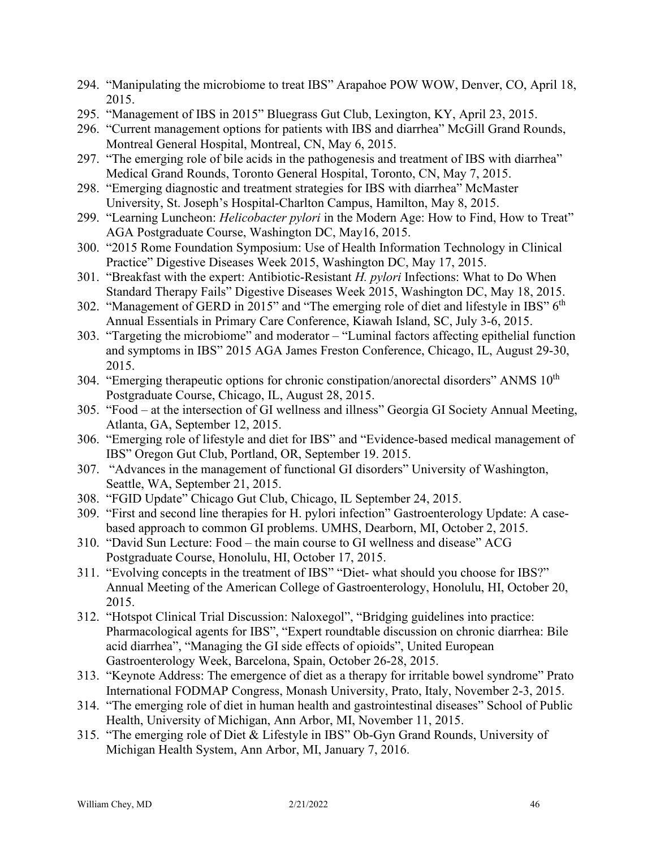- 294. "Manipulating the microbiome to treat IBS" Arapahoe POW WOW, Denver, CO, April 18, 2015.
- 295. "Management of IBS in 2015" Bluegrass Gut Club, Lexington, KY, April 23, 2015.
- 296. "Current management options for patients with IBS and diarrhea" McGill Grand Rounds, Montreal General Hospital, Montreal, CN, May 6, 2015.
- 297. "The emerging role of bile acids in the pathogenesis and treatment of IBS with diarrhea" Medical Grand Rounds, Toronto General Hospital, Toronto, CN, May 7, 2015.
- 298. "Emerging diagnostic and treatment strategies for IBS with diarrhea" McMaster University, St. Joseph's Hospital-Charlton Campus, Hamilton, May 8, 2015.
- 299. "Learning Luncheon: *Helicobacter pylori* in the Modern Age: How to Find, How to Treat" AGA Postgraduate Course, Washington DC, May16, 2015.
- 300. "2015 Rome Foundation Symposium: Use of Health Information Technology in Clinical Practice" Digestive Diseases Week 2015, Washington DC, May 17, 2015.
- 301. "Breakfast with the expert: Antibiotic-Resistant *H. pylori* Infections: What to Do When Standard Therapy Fails" Digestive Diseases Week 2015, Washington DC, May 18, 2015.
- 302. "Management of GERD in 2015" and "The emerging role of diet and lifestyle in IBS" 6<sup>th</sup> Annual Essentials in Primary Care Conference, Kiawah Island, SC, July 3-6, 2015.
- 303. "Targeting the microbiome" and moderator "Luminal factors affecting epithelial function and symptoms in IBS" 2015 AGA James Freston Conference, Chicago, IL, August 29-30, 2015.
- 304. "Emerging therapeutic options for chronic constipation/anorectal disorders" ANMS 10<sup>th</sup> Postgraduate Course, Chicago, IL, August 28, 2015.
- 305. "Food at the intersection of GI wellness and illness" Georgia GI Society Annual Meeting, Atlanta, GA, September 12, 2015.
- 306. "Emerging role of lifestyle and diet for IBS" and "Evidence-based medical management of IBS" Oregon Gut Club, Portland, OR, September 19. 2015.
- 307. "Advances in the management of functional GI disorders" University of Washington, Seattle, WA, September 21, 2015.
- 308. "FGID Update" Chicago Gut Club, Chicago, IL September 24, 2015.
- 309. "First and second line therapies for H. pylori infection" Gastroenterology Update: A casebased approach to common GI problems. UMHS, Dearborn, MI, October 2, 2015.
- 310. "David Sun Lecture: Food the main course to GI wellness and disease" ACG Postgraduate Course, Honolulu, HI, October 17, 2015.
- 311. "Evolving concepts in the treatment of IBS" "Diet- what should you choose for IBS?" Annual Meeting of the American College of Gastroenterology, Honolulu, HI, October 20, 2015.
- 312. "Hotspot Clinical Trial Discussion: Naloxegol", "Bridging guidelines into practice: Pharmacological agents for IBS", "Expert roundtable discussion on chronic diarrhea: Bile acid diarrhea", "Managing the GI side effects of opioids", United European Gastroenterology Week, Barcelona, Spain, October 26-28, 2015.
- 313. "Keynote Address: The emergence of diet as a therapy for irritable bowel syndrome" Prato International FODMAP Congress, Monash University, Prato, Italy, November 2-3, 2015.
- 314. "The emerging role of diet in human health and gastrointestinal diseases" School of Public Health, University of Michigan, Ann Arbor, MI, November 11, 2015.
- 315. "The emerging role of Diet & Lifestyle in IBS" Ob-Gyn Grand Rounds, University of Michigan Health System, Ann Arbor, MI, January 7, 2016.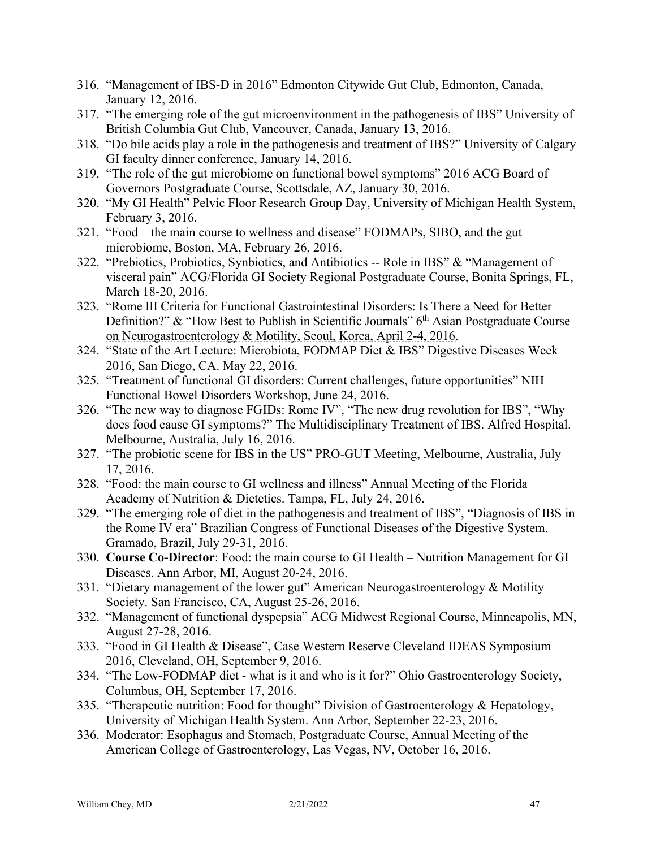- 316. "Management of IBS-D in 2016" Edmonton Citywide Gut Club, Edmonton, Canada, January 12, 2016.
- 317. "The emerging role of the gut microenvironment in the pathogenesis of IBS" University of British Columbia Gut Club, Vancouver, Canada, January 13, 2016.
- 318. "Do bile acids play a role in the pathogenesis and treatment of IBS?" University of Calgary GI faculty dinner conference, January 14, 2016.
- 319. "The role of the gut microbiome on functional bowel symptoms" 2016 ACG Board of Governors Postgraduate Course, Scottsdale, AZ, January 30, 2016.
- 320. "My GI Health" Pelvic Floor Research Group Day, University of Michigan Health System, February 3, 2016.
- 321. "Food the main course to wellness and disease" FODMAPs, SIBO, and the gut microbiome, Boston, MA, February 26, 2016.
- 322. ["Prebiotics, Probiotics, Synbiotics, and Antibiotics --](https://www.conferenceharvester.com/harvester2/Tasks/DisclosureForm.asp?PresentationID=250466) Role in IBS" & "Management of visceral pain" ACG/Florida GI Society Regional Postgraduate Course, Bonita Springs, FL, March 18-20, 2016.
- 323. "Rome III Criteria for Functional Gastrointestinal Disorders: Is There a Need for Better Definition?" & "How Best to Publish in Scientific Journals" 6<sup>th</sup> Asian Postgraduate Course on Neurogastroenterology & Motility, Seoul, Korea, April 2-4, 2016.
- 324. "State of the Art Lecture: Microbiota, FODMAP Diet & IBS" Digestive Diseases Week 2016, San Diego, CA. May 22, 2016.
- 325. "Treatment of functional GI disorders: Current challenges, future opportunities" NIH Functional Bowel Disorders Workshop, June 24, 2016.
- 326. "The new way to diagnose FGIDs: Rome IV", "The new drug revolution for IBS", "Why does food cause GI symptoms?" The Multidisciplinary Treatment of IBS. Alfred Hospital. Melbourne, Australia, July 16, 2016.
- 327. "The probiotic scene for IBS in the US" PRO-GUT Meeting, Melbourne, Australia, July 17, 2016.
- 328. "Food: the main course to GI wellness and illness" Annual Meeting of the Florida Academy of Nutrition & Dietetics. Tampa, FL, July 24, 2016.
- 329. "The emerging role of diet in the pathogenesis and treatment of IBS", "Diagnosis of IBS in the Rome IV era" Brazilian Congress of Functional Diseases of the Digestive System. Gramado, Brazil, July 29-31, 2016.
- 330. **Course Co-Director**: Food: the main course to GI Health Nutrition Management for GI Diseases. Ann Arbor, MI, August 20-24, 2016.
- 331. "Dietary management of the lower gut" American Neurogastroenterology & Motility Society. San Francisco, CA, August 25-26, 2016.
- 332. "Management of functional dyspepsia" ACG Midwest Regional Course, Minneapolis, MN, August 27-28, 2016.
- 333. "Food in GI Health & Disease", Case Western Reserve Cleveland IDEAS Symposium 2016, Cleveland, OH, September 9, 2016.
- 334. "The Low-FODMAP diet what is it and who is it for?" Ohio Gastroenterology Society, Columbus, OH, September 17, 2016.
- 335. "Therapeutic nutrition: Food for thought" Division of Gastroenterology & Hepatology, University of Michigan Health System. Ann Arbor, September 22-23, 2016.
- 336. Moderator: Esophagus and Stomach, Postgraduate Course, Annual Meeting of the American College of Gastroenterology, Las Vegas, NV, October 16, 2016.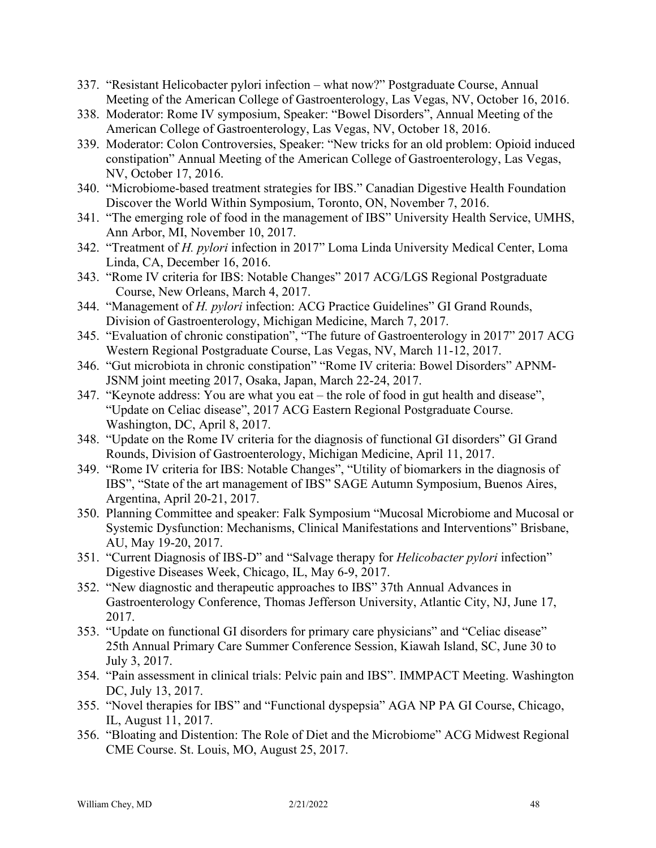- 337. "Resistant Helicobacter pylori infection what now?" Postgraduate Course, Annual Meeting of the American College of Gastroenterology, Las Vegas, NV, October 16, 2016.
- 338. Moderator: Rome IV symposium, Speaker: "Bowel Disorders", Annual Meeting of the American College of Gastroenterology, Las Vegas, NV, October 18, 2016.
- 339. Moderator: Colon Controversies, Speaker: "New tricks for an old problem: Opioid induced constipation" Annual Meeting of the American College of Gastroenterology, Las Vegas, NV, October 17, 2016.
- 340. "Microbiome-based treatment strategies for IBS." Canadian Digestive Health Foundation Discover the World Within Symposium, Toronto, ON, November 7, 2016.
- 341. "The emerging role of food in the management of IBS" University Health Service, UMHS, Ann Arbor, MI, November 10, 2017.
- 342. "Treatment of *H. pylori* infection in 2017" Loma Linda University Medical Center, Loma Linda, CA, December 16, 2016.
- 343. "Rome IV criteria for IBS: Notable Changes" 2017 ACG/LGS Regional Postgraduate Course, New Orleans, March 4, 2017.
- 344. "Management of *H. pylori* infection: ACG Practice Guidelines" GI Grand Rounds, Division of Gastroenterology, Michigan Medicine, March 7, 2017.
- 345. "Evaluation of chronic constipation", "The future of Gastroenterology in 2017" 2017 ACG Western Regional Postgraduate Course, Las Vegas, NV, March 11-12, 2017.
- 346. "Gut microbiota in chronic constipation" "Rome IV criteria: Bowel Disorders" APNM-JSNM joint meeting 2017, Osaka, Japan, March 22-24, 2017.
- 347. "Keynote address: You are what you eat the role of food in gut health and disease", "Update on Celiac disease", 2017 ACG Eastern Regional Postgraduate Course. Washington, DC, April 8, 2017.
- 348. "Update on the Rome IV criteria for the diagnosis of functional GI disorders" GI Grand Rounds, Division of Gastroenterology, Michigan Medicine, April 11, 2017.
- 349. "Rome IV criteria for IBS: Notable Changes", "Utility of biomarkers in the diagnosis of IBS", "State of the art management of IBS" SAGE Autumn Symposium, Buenos Aires, Argentina, April 20-21, 2017.
- 350. Planning Committee and speaker: Falk Symposium "Mucosal Microbiome and Mucosal or Systemic Dysfunction: Mechanisms, Clinical Manifestations and Interventions" Brisbane, AU, May 19-20, 2017.
- 351. "Current Diagnosis of IBS-D" and "Salvage therapy for *Helicobacter pylori* infection" Digestive Diseases Week, Chicago, IL, May 6-9, 2017.
- 352. "New diagnostic and therapeutic approaches to IBS" 37th Annual Advances in Gastroenterology Conference, Thomas Jefferson University, Atlantic City, NJ, June 17, 2017.
- 353. "Update on functional GI disorders for primary care physicians" and "Celiac disease" 25th Annual Primary Care Summer Conference Session, Kiawah Island, SC, June 30 to July 3, 2017.
- 354. "Pain assessment in clinical trials: Pelvic pain and IBS". IMMPACT Meeting. Washington DC, July 13, 2017.
- 355. "Novel therapies for IBS" and "Functional dyspepsia" AGA NP PA GI Course, Chicago, IL, August 11, 2017.
- 356. "Bloating and Distention: The Role of Diet and the Microbiome" ACG Midwest Regional CME Course. St. Louis, MO, August 25, 2017.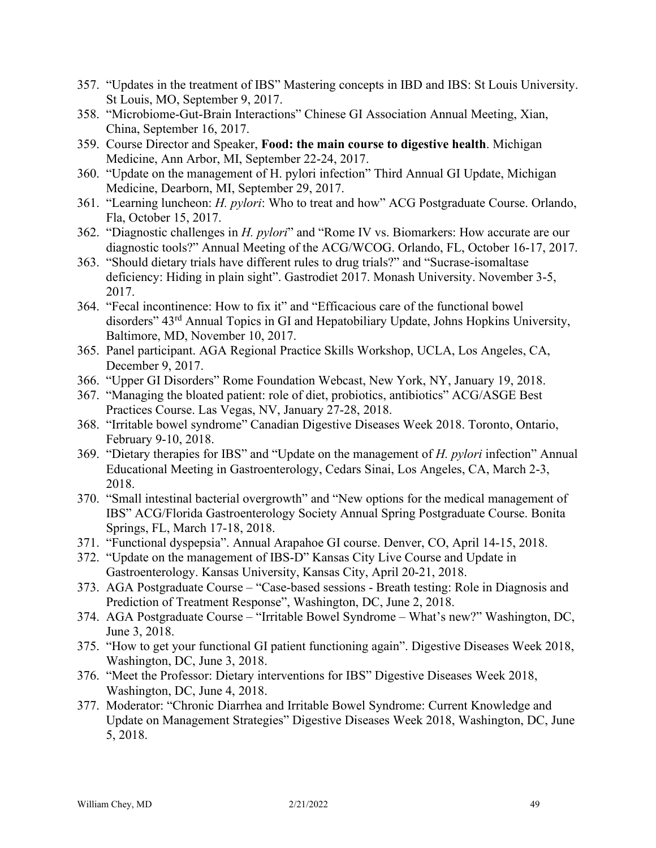- 357. "Updates in the treatment of IBS" Mastering concepts in IBD and IBS: St Louis University. St Louis, MO, September 9, 2017.
- 358. "Microbiome-Gut-Brain Interactions" Chinese GI Association Annual Meeting, Xian, China, September 16, 2017.
- 359. Course Director and Speaker, **Food: the main course to digestive health**. Michigan Medicine, Ann Arbor, MI, September 22-24, 2017.
- 360. "Update on the management of H. pylori infection" Third Annual GI Update, Michigan Medicine, Dearborn, MI, September 29, 2017.
- 361. "Learning luncheon: *H. pylori*: Who to treat and how" ACG Postgraduate Course. Orlando, Fla, October 15, 2017.
- 362. "Diagnostic challenges in *H. pylori*" and "Rome IV vs. Biomarkers: How accurate are our diagnostic tools?" Annual Meeting of the ACG/WCOG. Orlando, FL, October 16-17, 2017.
- 363. "Should dietary trials have different rules to drug trials?" and "Sucrase-isomaltase deficiency: Hiding in plain sight". Gastrodiet 2017. Monash University. November 3-5, 2017.
- 364. "Fecal incontinence: How to fix it" and "Efficacious care of the functional bowel disorders" 43rd Annual Topics in GI and Hepatobiliary Update, Johns Hopkins University, Baltimore, MD, November 10, 2017.
- 365. Panel participant. AGA Regional Practice Skills Workshop, UCLA, Los Angeles, CA, December 9, 2017.
- 366. "Upper GI Disorders" Rome Foundation Webcast, New York, NY, January 19, 2018.
- 367. "Managing the bloated patient: role of diet, probiotics, antibiotics" ACG/ASGE Best Practices Course. Las Vegas, NV, January 27-28, 2018.
- 368. "Irritable bowel syndrome" Canadian Digestive Diseases Week 2018. Toronto, Ontario, February 9-10, 2018.
- 369. "Dietary therapies for IBS" and "Update on the management of *H. pylori* infection" Annual Educational Meeting in Gastroenterology, Cedars Sinai, Los Angeles, CA, March 2-3, 2018.
- 370. "Small intestinal bacterial overgrowth" and "New options for the medical management of IBS" ACG/Florida Gastroenterology Society Annual Spring Postgraduate Course. Bonita Springs, FL, March 17-18, 2018.
- 371. "Functional dyspepsia". Annual Arapahoe GI course. Denver, CO, April 14-15, 2018.
- 372. "Update on the management of IBS-D" Kansas City Live Course and Update in Gastroenterology. Kansas University, Kansas City, April 20-21, 2018.
- 373. AGA Postgraduate Course "Case-based sessions Breath testing: Role in Diagnosis and Prediction of Treatment Response", Washington, DC, June 2, 2018.
- 374. AGA Postgraduate Course "Irritable Bowel Syndrome What's new?" Washington, DC, June 3, 2018.
- 375. "How to get your functional GI patient functioning again". Digestive Diseases Week 2018, Washington, DC, June 3, 2018.
- 376. "Meet the Professor: Dietary interventions for IBS" Digestive Diseases Week 2018, Washington, DC, June 4, 2018.
- 377. Moderator: "Chronic Diarrhea and Irritable Bowel Syndrome: Current Knowledge and Update on Management Strategies" Digestive Diseases Week 2018, Washington, DC, June 5, 2018.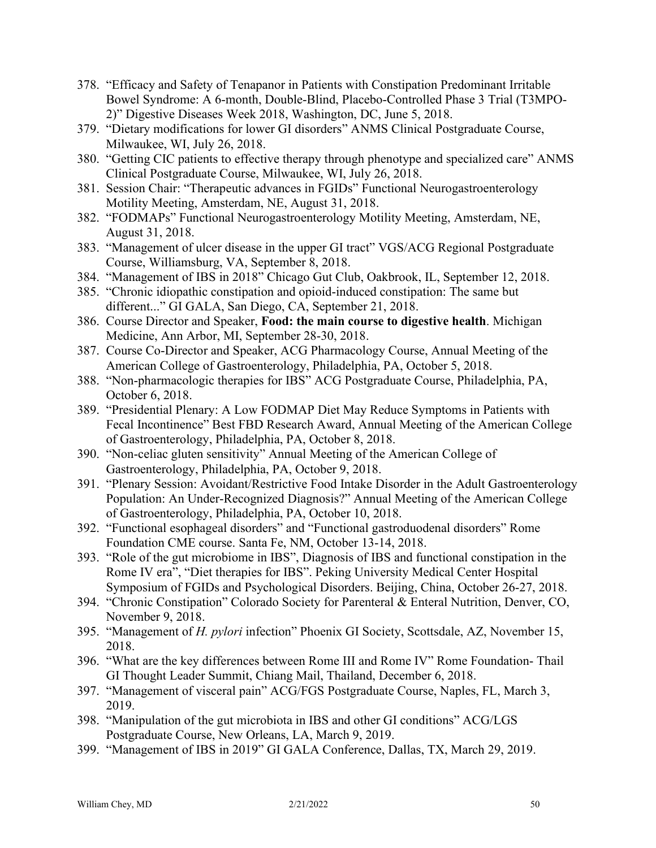- 378. "Efficacy and Safety of Tenapanor in Patients with Constipation Predominant Irritable Bowel Syndrome: A 6-month, Double-Blind, Placebo-Controlled Phase 3 Trial (T3MPO-2)" Digestive Diseases Week 2018, Washington, DC, June 5, 2018.
- 379. "Dietary modifications for lower GI disorders" ANMS Clinical Postgraduate Course, Milwaukee, WI, July 26, 2018.
- 380. "Getting CIC patients to effective therapy through phenotype and specialized care" ANMS Clinical Postgraduate Course, Milwaukee, WI, July 26, 2018.
- 381. Session Chair: "Therapeutic advances in FGIDs" Functional Neurogastroenterology Motility Meeting, Amsterdam, NE, August 31, 2018.
- 382. "FODMAPs" Functional Neurogastroenterology Motility Meeting, Amsterdam, NE, August 31, 2018.
- 383. "Management of ulcer disease in the upper GI tract" VGS/ACG Regional Postgraduate Course, Williamsburg, VA, September 8, 2018.
- 384. "Management of IBS in 2018" Chicago Gut Club, Oakbrook, IL, September 12, 2018.
- 385. "Chronic idiopathic constipation and opioid-induced constipation: The same but different..." GI GALA, San Diego, CA, September 21, 2018.
- 386. Course Director and Speaker, **Food: the main course to digestive health**. Michigan Medicine, Ann Arbor, MI, September 28-30, 2018.
- 387. Course Co-Director and Speaker, ACG Pharmacology Course, Annual Meeting of the American College of Gastroenterology, Philadelphia, PA, October 5, 2018.
- 388. "Non-pharmacologic therapies for IBS" ACG Postgraduate Course, Philadelphia, PA, October 6, 2018.
- 389. "Presidential Plenary: A Low FODMAP Diet May Reduce Symptoms in Patients with Fecal Incontinence" Best FBD Research Award, Annual Meeting of the American College of Gastroenterology, Philadelphia, PA, October 8, 2018.
- 390. "Non-celiac gluten sensitivity" Annual Meeting of the American College of Gastroenterology, Philadelphia, PA, October 9, 2018.
- 391. "Plenary Session: Avoidant/Restrictive Food Intake Disorder in the Adult Gastroenterology Population: An Under-Recognized Diagnosis?" Annual Meeting of the American College of Gastroenterology, Philadelphia, PA, October 10, 2018.
- 392. "Functional esophageal disorders" and "Functional gastroduodenal disorders" Rome Foundation CME course. Santa Fe, NM, October 13-14, 2018.
- 393. "Role of the gut microbiome in IBS", Diagnosis of IBS and functional constipation in the Rome IV era", "Diet therapies for IBS". Peking University Medical Center Hospital Symposium of FGIDs and Psychological Disorders. Beijing, China, October 26-27, 2018.
- 394. "Chronic Constipation" Colorado Society for Parenteral & Enteral Nutrition, Denver, CO, November 9, 2018.
- 395. "Management of *H. pylori* infection" Phoenix GI Society, Scottsdale, AZ, November 15, 2018.
- 396. "What are the key differences between Rome III and Rome IV" Rome Foundation- Thail GI Thought Leader Summit, Chiang Mail, Thailand, December 6, 2018.
- 397. "Management of visceral pain" ACG/FGS Postgraduate Course, Naples, FL, March 3, 2019.
- 398. "Manipulation of the gut microbiota in IBS and other GI conditions" ACG/LGS Postgraduate Course, New Orleans, LA, March 9, 2019.
- 399. "Management of IBS in 2019" GI GALA Conference, Dallas, TX, March 29, 2019.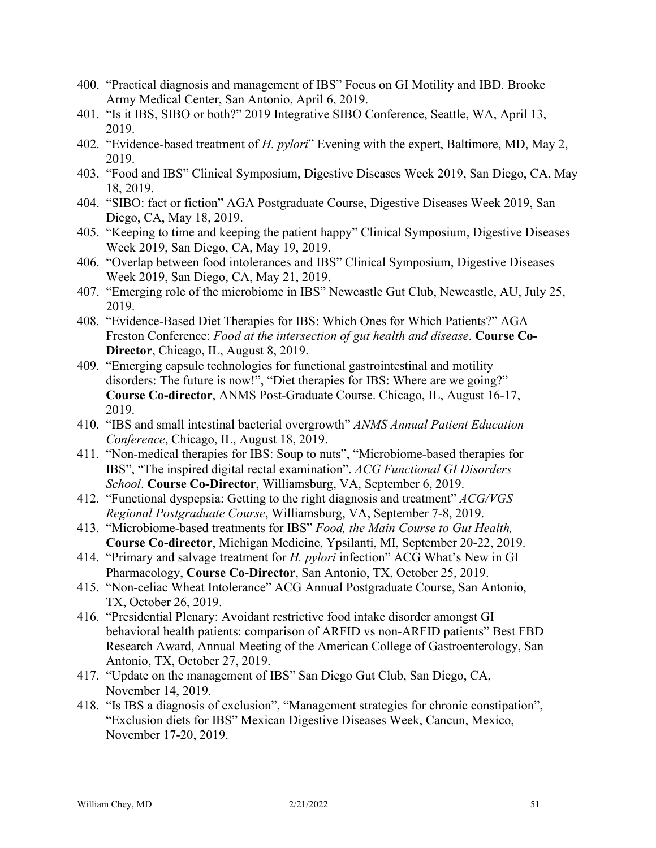- 400. "Practical diagnosis and management of IBS" Focus on GI Motility and IBD. Brooke Army Medical Center, San Antonio, April 6, 2019.
- 401. "Is it IBS, SIBO or both?" 2019 Integrative SIBO Conference, Seattle, WA, April 13, 2019.
- 402. "Evidence-based treatment of *H. pylori*" Evening with the expert, Baltimore, MD, May 2, 2019.
- 403. "Food and IBS" Clinical Symposium, Digestive Diseases Week 2019, San Diego, CA, May 18, 2019.
- 404. "SIBO: fact or fiction" AGA Postgraduate Course, Digestive Diseases Week 2019, San Diego, CA, May 18, 2019.
- 405. "Keeping to time and keeping the patient happy" Clinical Symposium, Digestive Diseases Week 2019, San Diego, CA, May 19, 2019.
- 406. "Overlap between food intolerances and IBS" Clinical Symposium, Digestive Diseases Week 2019, San Diego, CA, May 21, 2019.
- 407. "Emerging role of the microbiome in IBS" Newcastle Gut Club, Newcastle, AU, July 25, 2019.
- 408. "Evidence-Based Diet Therapies for IBS: Which Ones for Which Patients?" AGA Freston Conference: *Food at the intersection of gut health and disease*. **Course Co-Director**, Chicago, IL, August 8, 2019.
- 409. "Emerging capsule technologies for functional gastrointestinal and motility disorders: The future is now!", "Diet therapies for IBS: Where are we going?" **Course Co-director**, ANMS Post-Graduate Course. Chicago, IL, August 16-17, 2019.
- 410. "IBS and small intestinal bacterial overgrowth" *ANMS Annual Patient Education Conference*, Chicago, IL, August 18, 2019.
- 411. "Non-medical therapies for IBS: Soup to nuts", "Microbiome-based therapies for IBS", "The inspired digital rectal examination". *ACG Functional GI Disorders School*. **Course Co-Director**, Williamsburg, VA, September 6, 2019.
- 412. "Functional dyspepsia: Getting to the right diagnosis and treatment" *ACG/VGS Regional Postgraduate Course*, Williamsburg, VA, September 7-8, 2019.
- 413. "Microbiome-based treatments for IBS" *Food, the Main Course to Gut Health,*  **Course Co-director**, Michigan Medicine, Ypsilanti, MI, September 20-22, 2019.
- 414. "Primary and salvage treatment for *H. pylori* infection" ACG What's New in GI Pharmacology, **Course Co-Director**, San Antonio, TX, October 25, 2019.
- 415. "Non-celiac Wheat Intolerance" ACG Annual Postgraduate Course, San Antonio, TX, October 26, 2019.
- 416. "Presidential Plenary: Avoidant restrictive food intake disorder amongst GI behavioral health patients: comparison of ARFID vs non-ARFID patients" Best FBD Research Award, Annual Meeting of the American College of Gastroenterology, San Antonio, TX, October 27, 2019.
- 417. "Update on the management of IBS" San Diego Gut Club, San Diego, CA, November 14, 2019.
- 418. "Is IBS a diagnosis of exclusion", "Management strategies for chronic constipation", "Exclusion diets for IBS" Mexican Digestive Diseases Week, Cancun, Mexico, November 17-20, 2019.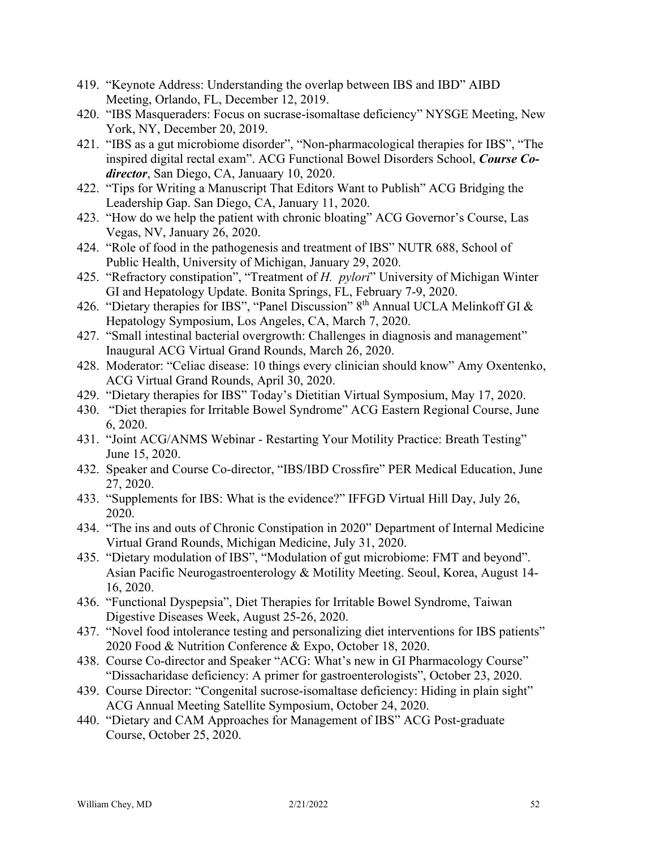- 419. "Keynote Address: Understanding the overlap between IBS and IBD" AIBD Meeting, Orlando, FL, December 12, 2019.
- 420. "IBS Masqueraders: Focus on sucrase-isomaltase deficiency" NYSGE Meeting, New York, NY, December 20, 2019.
- 421. "IBS as a gut microbiome disorder", "Non-pharmacological therapies for IBS", "The inspired digital rectal exam". ACG Functional Bowel Disorders School, *Course Codirector*, San Diego, CA, Januaary 10, 2020.
- 422. "Tips for Writing a Manuscript That Editors Want to Publish" ACG Bridging the Leadership Gap. San Diego, CA, January 11, 2020.
- 423. "How do we help the patient with chronic bloating" ACG Governor's Course, Las Vegas, NV, January 26, 2020.
- 424. "Role of food in the pathogenesis and treatment of IBS" NUTR 688, School of Public Health, University of Michigan, January 29, 2020.
- 425. "Refractory constipation", "Treatment of *H. pylori*" University of Michigan Winter GI and Hepatology Update. Bonita Springs, FL, February 7-9, 2020.
- 426. "Dietary therapies for IBS", "Panel Discussion" 8<sup>th</sup> Annual UCLA Melinkoff GI & Hepatology Symposium, Los Angeles, CA, March 7, 2020.
- 427. "Small intestinal bacterial overgrowth: Challenges in diagnosis and management" Inaugural ACG Virtual Grand Rounds, March 26, 2020.
- 428. Moderator: "Celiac disease: 10 things every clinician should know" Amy Oxentenko, ACG Virtual Grand Rounds, April 30, 2020.
- 429. "Dietary therapies for IBS" Today's Dietitian Virtual Symposium, May 17, 2020.
- 430. "Diet therapies for Irritable Bowel Syndrome" ACG Eastern Regional Course, June 6, 2020.
- 431. "Joint ACG/ANMS Webinar Restarting Your Motility Practice: Breath Testing" June 15, 2020.
- 432. Speaker and Course Co-director, "IBS/IBD Crossfire" PER Medical Education, June 27, 2020.
- 433. "Supplements for IBS: What is the evidence?" IFFGD Virtual Hill Day, July 26, 2020.
- 434. "The ins and outs of Chronic Constipation in 2020" Department of Internal Medicine Virtual Grand Rounds, Michigan Medicine, July 31, 2020.
- 435. "Dietary modulation of IBS", "Modulation of gut microbiome: FMT and beyond". Asian Pacific Neurogastroenterology & Motility Meeting. Seoul, Korea, August 14- 16, 2020.
- 436. "Functional Dyspepsia", Diet Therapies for Irritable Bowel Syndrome, Taiwan Digestive Diseases Week, August 25-26, 2020.
- 437. "Novel food intolerance testing and personalizing diet interventions for IBS patients" 2020 Food & Nutrition Conference & Expo, October 18, 2020.
- 438. Course Co-director and Speaker "ACG: What's new in GI Pharmacology Course" "Dissacharidase deficiency: A primer for gastroenterologists", October 23, 2020.
- 439. Course Director: "Congenital sucrose-isomaltase deficiency: Hiding in plain sight" ACG Annual Meeting Satellite Symposium, October 24, 2020.
- 440. "Dietary and CAM Approaches for Management of IBS" ACG Post-graduate Course, October 25, 2020.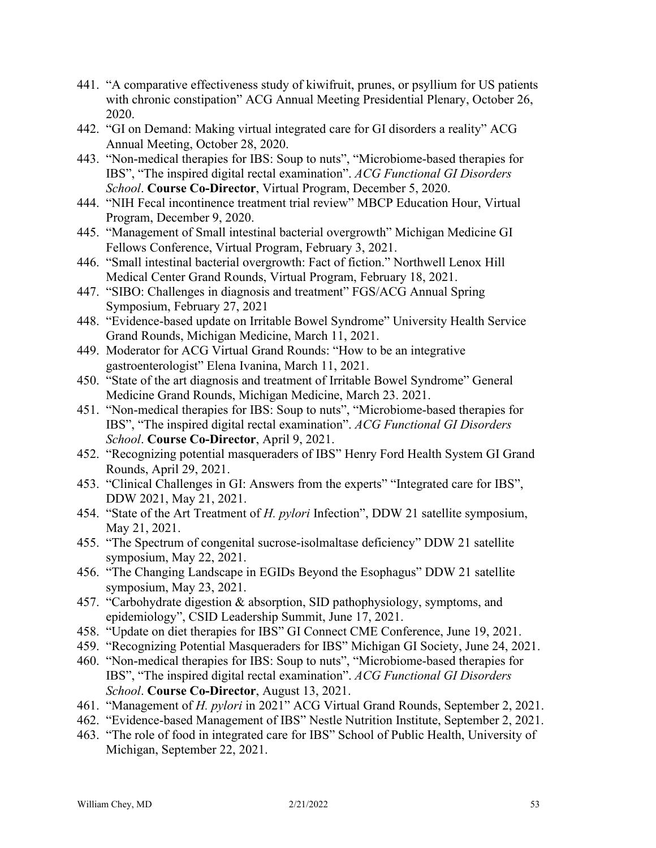- 441. "A comparative effectiveness study of kiwifruit, prunes, or psyllium for US patients with chronic constipation" ACG Annual Meeting Presidential Plenary, October 26, 2020.
- 442. "GI on Demand: Making virtual integrated care for GI disorders a reality" ACG Annual Meeting, October 28, 2020.
- 443. "Non-medical therapies for IBS: Soup to nuts", "Microbiome-based therapies for IBS", "The inspired digital rectal examination". *ACG Functional GI Disorders School*. **Course Co-Director**, Virtual Program, December 5, 2020.
- 444. "NIH Fecal incontinence treatment trial review" MBCP Education Hour, Virtual Program, December 9, 2020.
- 445. "Management of Small intestinal bacterial overgrowth" Michigan Medicine GI Fellows Conference, Virtual Program, February 3, 2021.
- 446. "Small intestinal bacterial overgrowth: Fact of fiction." Northwell Lenox Hill Medical Center Grand Rounds, Virtual Program, February 18, 2021.
- 447. "SIBO: Challenges in diagnosis and treatment" FGS/ACG Annual Spring Symposium, February 27, 2021
- 448. "Evidence-based update on Irritable Bowel Syndrome" University Health Service Grand Rounds, Michigan Medicine, March 11, 2021.
- 449. Moderator for ACG Virtual Grand Rounds: "How to be an integrative gastroenterologist" Elena Ivanina, March 11, 2021.
- 450. "State of the art diagnosis and treatment of Irritable Bowel Syndrome" General Medicine Grand Rounds, Michigan Medicine, March 23. 2021.
- 451. "Non-medical therapies for IBS: Soup to nuts", "Microbiome-based therapies for IBS", "The inspired digital rectal examination". *ACG Functional GI Disorders School*. **Course Co-Director**, April 9, 2021.
- 452. "Recognizing potential masqueraders of IBS" Henry Ford Health System GI Grand Rounds, April 29, 2021.
- 453. "Clinical Challenges in GI: Answers from the experts" "Integrated care for IBS", DDW 2021, May 21, 2021.
- 454. "State of the Art Treatment of *H. pylori* Infection", DDW 21 satellite symposium, May 21, 2021.
- 455. "The Spectrum of congenital sucrose-isolmaltase deficiency" DDW 21 satellite symposium, May 22, 2021.
- 456. "The Changing Landscape in EGIDs Beyond the Esophagus" DDW 21 satellite symposium, May 23, 2021.
- 457. "Carbohydrate digestion & absorption, SID pathophysiology, symptoms, and epidemiology", CSID Leadership Summit, June 17, 2021.
- 458. "Update on diet therapies for IBS" GI Connect CME Conference, June 19, 2021.
- 459. "Recognizing Potential Masqueraders for IBS" Michigan GI Society, June 24, 2021.
- 460. "Non-medical therapies for IBS: Soup to nuts", "Microbiome-based therapies for IBS", "The inspired digital rectal examination". *ACG Functional GI Disorders School*. **Course Co-Director**, August 13, 2021.
- 461. "Management of *H. pylori* in 2021" ACG Virtual Grand Rounds, September 2, 2021.
- 462. "Evidence-based Management of IBS" Nestle Nutrition Institute, September 2, 2021.
- 463. "The role of food in integrated care for IBS" School of Public Health, University of Michigan, September 22, 2021.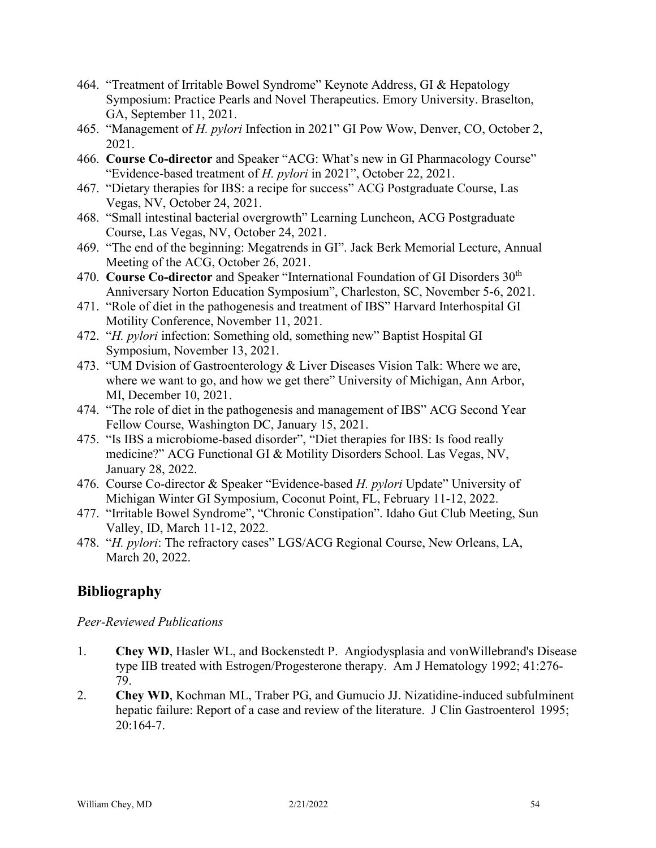- 464. "Treatment of Irritable Bowel Syndrome" Keynote Address, GI & Hepatology Symposium: Practice Pearls and Novel Therapeutics. Emory University. Braselton, GA, September 11, 2021.
- 465. "Management of *H. pylori* Infection in 2021" GI Pow Wow, Denver, CO, October 2, 2021.
- 466. **Course Co-director** and Speaker "ACG: What's new in GI Pharmacology Course" "Evidence-based treatment of *H. pylori* in 2021", October 22, 2021.
- 467. "Dietary therapies for IBS: a recipe for success" ACG Postgraduate Course, Las Vegas, NV, October 24, 2021.
- 468. "Small intestinal bacterial overgrowth" Learning Luncheon, ACG Postgraduate Course, Las Vegas, NV, October 24, 2021.
- 469. "The end of the beginning: Megatrends in GI". Jack Berk Memorial Lecture, Annual Meeting of the ACG, October 26, 2021.
- 470. **Course Co-director** and Speaker "International Foundation of GI Disorders 30<sup>th</sup> Anniversary Norton Education Symposium", Charleston, SC, November 5-6, 2021.
- 471. "Role of diet in the pathogenesis and treatment of IBS" Harvard Interhospital GI Motility Conference, November 11, 2021.
- 472. "*H. pylori* infection: Something old, something new" Baptist Hospital GI Symposium, November 13, 2021.
- 473. "UM Dvision of Gastroenterology & Liver Diseases Vision Talk: Where we are, where we want to go, and how we get there" University of Michigan, Ann Arbor, MI, December 10, 2021.
- 474. "The role of diet in the pathogenesis and management of IBS" ACG Second Year Fellow Course, Washington DC, January 15, 2021.
- 475. "Is IBS a microbiome-based disorder", "Diet therapies for IBS: Is food really medicine?" ACG Functional GI & Motility Disorders School. Las Vegas, NV, January 28, 2022.
- 476. Course Co-director & Speaker "Evidence-based *H. pylori* Update" University of Michigan Winter GI Symposium, Coconut Point, FL, February 11-12, 2022.
- 477. "Irritable Bowel Syndrome", "Chronic Constipation". Idaho Gut Club Meeting, Sun Valley, ID, March 11-12, 2022.
- 478. "*H. pylori*: The refractory cases" LGS/ACG Regional Course, New Orleans, LA, March 20, 2022.

## **Bibliography**

*Peer-Reviewed Publications*

- 1. **Chey WD**, Hasler WL, and Bockenstedt P. Angiodysplasia and vonWillebrand's Disease type IIB treated with Estrogen/Progesterone therapy. Am J Hematology 1992; 41:276- 79.
- 2. **Chey WD**, Kochman ML, Traber PG, and Gumucio JJ. Nizatidine-induced subfulminent hepatic failure: Report of a case and review of the literature. J Clin Gastroenterol 1995; 20:164-7.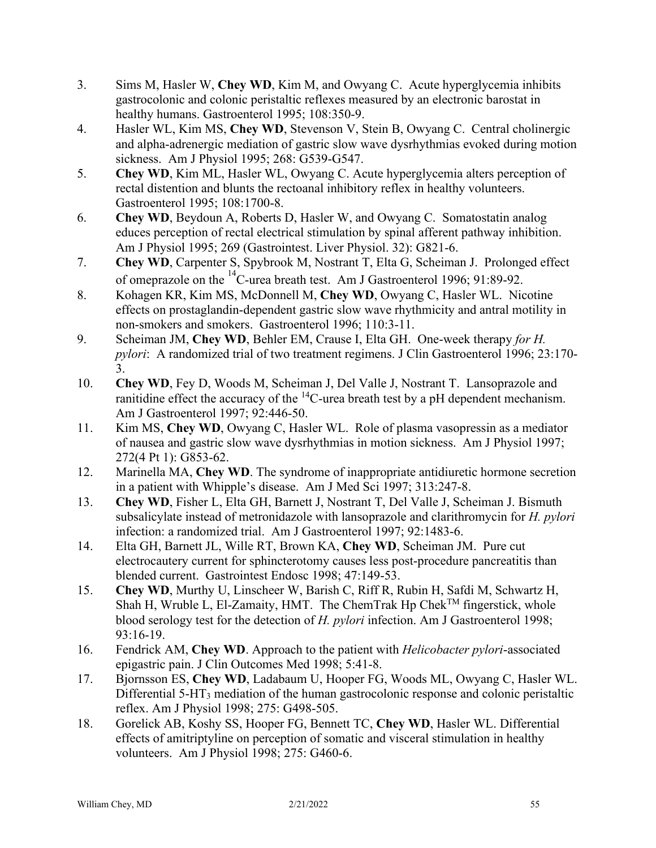- 3. Sims M, Hasler W, **Chey WD**, Kim M, and Owyang C. Acute hyperglycemia inhibits gastrocolonic and colonic peristaltic reflexes measured by an electronic barostat in healthy humans. Gastroenterol 1995; 108:350-9.
- 4. Hasler WL, Kim MS, **Chey WD**, Stevenson V, Stein B, Owyang C. Central cholinergic and alpha-adrenergic mediation of gastric slow wave dysrhythmias evoked during motion sickness. Am J Physiol 1995; 268: G539-G547.
- 5. **Chey WD**, Kim ML, Hasler WL, Owyang C. Acute hyperglycemia alters perception of rectal distention and blunts the rectoanal inhibitory reflex in healthy volunteers. Gastroenterol 1995; 108:1700-8.
- 6. **Chey WD**, Beydoun A, Roberts D, Hasler W, and Owyang C. Somatostatin analog educes perception of rectal electrical stimulation by spinal afferent pathway inhibition. Am J Physiol 1995; 269 (Gastrointest. Liver Physiol. 32): G821-6.
- 7. **Chey WD**, Carpenter S, Spybrook M, Nostrant T, Elta G, Scheiman J. Prolonged effect of omeprazole on the 14C-urea breath test. Am J Gastroenterol 1996; 91:89-92.
- 8. Kohagen KR, Kim MS, McDonnell M, **Chey WD**, Owyang C, Hasler WL. Nicotine effects on prostaglandin-dependent gastric slow wave rhythmicity and antral motility in non-smokers and smokers. Gastroenterol 1996; 110:3-11.
- 9. Scheiman JM, **Chey WD**, Behler EM, Crause I, Elta GH. One-week therapy *for H. pylori*: A randomized trial of two treatment regimens. J Clin Gastroenterol 1996; 23:170- 3.
- 10. **Chey WD**, Fey D, Woods M, Scheiman J, Del Valle J, Nostrant T. Lansoprazole and ranitidine effect the accuracy of the <sup>14</sup>C-urea breath test by a pH dependent mechanism. Am J Gastroenterol 1997; 92:446-50.
- 11. Kim MS, **Chey WD**, Owyang C, Hasler WL. Role of plasma vasopressin as a mediator of nausea and gastric slow wave dysrhythmias in motion sickness. Am J Physiol 1997; 272(4 Pt 1): G853-62.
- 12. Marinella MA, **Chey WD**. The syndrome of inappropriate antidiuretic hormone secretion in a patient with Whipple's disease. Am J Med Sci 1997; 313:247-8.
- 13. **Chey WD**, Fisher L, Elta GH, Barnett J, Nostrant T, Del Valle J, Scheiman J. Bismuth subsalicylate instead of metronidazole with lansoprazole and clarithromycin for *H. pylori* infection: a randomized trial. Am J Gastroenterol 1997; 92:1483-6.
- 14. Elta GH, Barnett JL, Wille RT, Brown KA, **Chey WD**, Scheiman JM. Pure cut electrocautery current for sphincterotomy causes less post-procedure pancreatitis than blended current. Gastrointest Endosc 1998; 47:149-53.
- 15. **Chey WD**, Murthy U, Linscheer W, Barish C, Riff R, Rubin H, Safdi M, Schwartz H, Shah H, Wruble L, El-Zamaity, HMT. The ChemTrak Hp Chek<sup>TM</sup> fingerstick, whole blood serology test for the detection of *H. pylori* infection. Am J Gastroenterol 1998; 93:16-19.
- 16. Fendrick AM, **Chey WD**. Approach to the patient with *Helicobacter pylori*-associated epigastric pain. J Clin Outcomes Med 1998; 5:41-8.
- 17. Bjornsson ES, **Chey WD**, Ladabaum U, Hooper FG, Woods ML, Owyang C, Hasler WL. Differential 5-HT<sub>3</sub> mediation of the human gastrocolonic response and colonic peristaltic reflex. Am J Physiol 1998; 275: G498-505.
- 18. Gorelick AB, Koshy SS, Hooper FG, Bennett TC, **Chey WD**, Hasler WL. Differential effects of amitriptyline on perception of somatic and visceral stimulation in healthy volunteers. Am J Physiol 1998; 275: G460-6.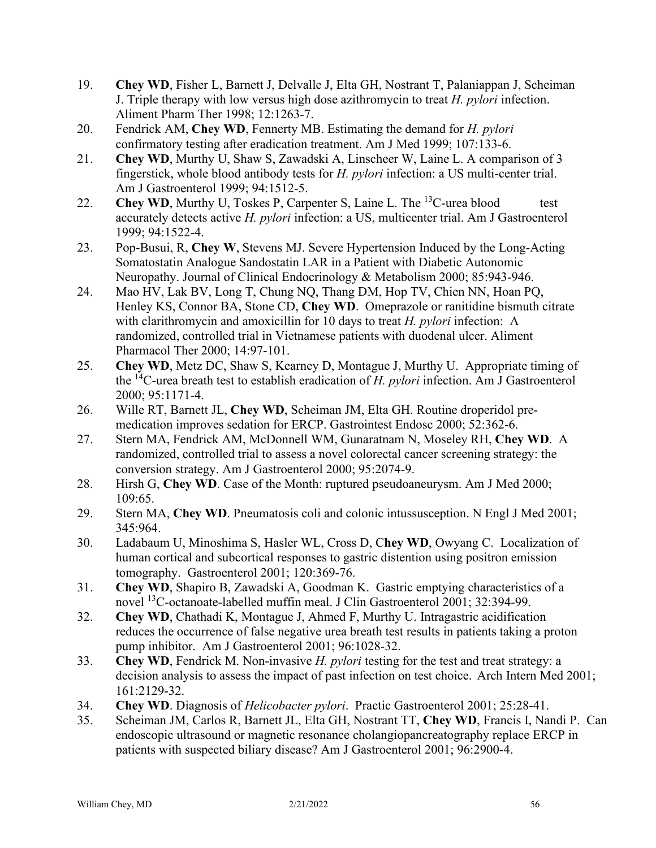- 19. **Chey WD**, Fisher L, Barnett J, Delvalle J, Elta GH, Nostrant T, Palaniappan J, Scheiman J. Triple therapy with low versus high dose azithromycin to treat *H. pylori* infection. Aliment Pharm Ther 1998; 12:1263-7.
- 20. Fendrick AM, **Chey WD**, Fennerty MB. Estimating the demand for *H. pylori* confirmatory testing after eradication treatment. Am J Med 1999; 107:133-6.
- 21. **Chey WD**, Murthy U, Shaw S, Zawadski A, Linscheer W, Laine L. A comparison of 3 fingerstick, whole blood antibody tests for *H. pylori* infection: a US multi-center trial. Am J Gastroenterol 1999; 94:1512-5.
- 22. **Chey WD**, Murthy U, Toskes P, Carpenter S, Laine L. The <sup>13</sup>C-urea blood test accurately detects active *H. pylori* infection: a US, multicenter trial. Am J Gastroenterol 1999; 94:1522-4.
- 23. Pop-Busui, R, **Chey W**, Stevens MJ. Severe Hypertension Induced by the Long-Acting Somatostatin Analogue Sandostatin LAR in a Patient with Diabetic Autonomic Neuropathy. Journal of Clinical Endocrinology & Metabolism 2000; 85:943-946.
- 24. Mao HV, Lak BV, Long T, Chung NQ, Thang DM, Hop TV, Chien NN, Hoan PQ, Henley KS, Connor BA, Stone CD, **Chey WD**. Omeprazole or ranitidine bismuth citrate with clarithromycin and amoxicillin for 10 days to treat *H. pylori* infection: A randomized, controlled trial in Vietnamese patients with duodenal ulcer. Aliment Pharmacol Ther 2000; 14:97-101.
- 25. **Chey WD**, Metz DC, Shaw S, Kearney D, Montague J, Murthy U. Appropriate timing of the 14C-urea breath test to establish eradication of *H. pylori* infection. Am J Gastroenterol 2000; 95:1171-4.
- 26. Wille RT, Barnett JL, **Chey WD**, Scheiman JM, Elta GH. Routine droperidol premedication improves sedation for ERCP. Gastrointest Endosc 2000; 52:362-6.
- 27. Stern MA, Fendrick AM, McDonnell WM, Gunaratnam N, Moseley RH, **Chey WD**. A randomized, controlled trial to assess a novel colorectal cancer screening strategy: the conversion strategy. Am J Gastroenterol 2000; 95:2074-9.
- 28. Hirsh G, **Chey WD**. Case of the Month: ruptured pseudoaneurysm. Am J Med 2000; 109:65.
- 29. Stern MA, **Chey WD**. Pneumatosis coli and colonic intussusception. N Engl J Med 2001; 345:964.
- 30. Ladabaum U, Minoshima S, Hasler WL, Cross D, C**hey WD**, Owyang C. Localization of human cortical and subcortical responses to gastric distention using positron emission tomography. Gastroenterol 2001; 120:369-76.
- 31. **Chey WD**, Shapiro B, Zawadski A, Goodman K. Gastric emptying characteristics of a novel 13C-octanoate-labelled muffin meal. J Clin Gastroenterol 2001; 32:394-99.
- 32. **Chey WD**, Chathadi K, Montague J, Ahmed F, Murthy U. Intragastric acidification reduces the occurrence of false negative urea breath test results in patients taking a proton pump inhibitor. Am J Gastroenterol 2001; 96:1028-32.
- 33. **Chey WD**, Fendrick M. Non-invasive *H. pylori* testing for the test and treat strategy: a decision analysis to assess the impact of past infection on test choice.Arch Intern Med 2001; 161:2129-32.
- 34. **Chey WD**. Diagnosis of *Helicobacter pylori*. Practic Gastroenterol 2001; 25:28-41.
- 35. Scheiman JM, Carlos R, Barnett JL, Elta GH, Nostrant TT, **Chey WD**, Francis I, Nandi P. Can endoscopic ultrasound or magnetic resonance cholangiopancreatography replace ERCP in patients with suspected biliary disease? Am J Gastroenterol 2001; 96:2900-4.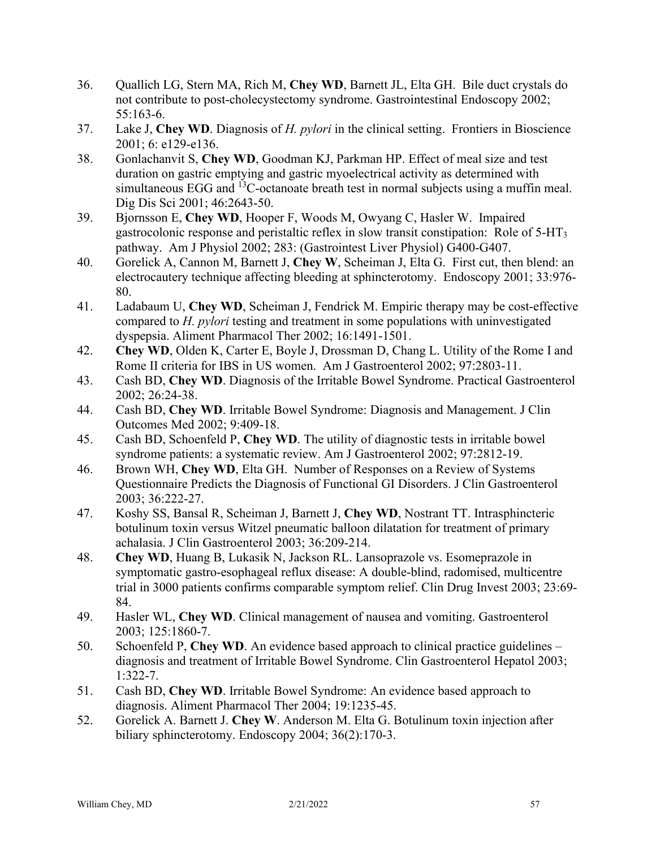- 36. Quallich LG, Stern MA, Rich M, **Chey WD**, Barnett JL, Elta GH. Bile duct crystals do not contribute to post-cholecystectomy syndrome. Gastrointestinal Endoscopy 2002; 55:163-6.
- 37. Lake J, **Chey WD**. Diagnosis of *H. pylori* in the clinical setting. Frontiers in Bioscience 2001; 6: e129-e136.
- 38. Gonlachanvit S, **Chey WD**, Goodman KJ, Parkman HP. Effect of meal size and test duration on gastric emptying and gastric myoelectrical activity as determined with simultaneous EGG and  $^{13}$ C-octanoate breath test in normal subjects using a muffin meal. Dig Dis Sci 2001; 46:2643-50.
- 39. Bjornsson E, **Chey WD**, Hooper F, Woods M, Owyang C, Hasler W. Impaired gastrocolonic response and peristaltic reflex in slow transit constipation: Role of 5-HT3 pathway. Am J Physiol 2002; 283: (Gastrointest Liver Physiol) G400-G407.
- 40. Gorelick A, Cannon M, Barnett J, **Chey W**, Scheiman J, Elta G. First cut, then blend: an electrocautery technique affecting bleeding at sphincterotomy. Endoscopy 2001; 33:976- 80.
- 41. Ladabaum U, **Chey WD**, Scheiman J, Fendrick M. Empiric therapy may be cost-effective compared to *H. pylori* testing and treatment in some populations with uninvestigated dyspepsia. Aliment Pharmacol Ther 2002; 16:1491-1501.
- 42. **Chey WD**, Olden K, Carter E, Boyle J, Drossman D, Chang L. Utility of the Rome I and Rome II criteria for IBS in US women. Am J Gastroenterol 2002; 97:2803-11.
- 43. Cash BD, **Chey WD**. Diagnosis of the Irritable Bowel Syndrome. Practical Gastroenterol 2002; 26:24-38.
- 44. Cash BD, **Chey WD**. Irritable Bowel Syndrome: Diagnosis and Management. J Clin Outcomes Med 2002; 9:409-18.
- 45. Cash BD, Schoenfeld P, **Chey WD**. The utility of diagnostic tests in irritable bowel syndrome patients: a systematic review. Am J Gastroenterol 2002; 97:2812-19.
- 46. Brown WH, **Chey WD**, Elta GH. Number of Responses on a Review of Systems Questionnaire Predicts the Diagnosis of Functional GI Disorders. J Clin Gastroenterol 2003; 36:222-27.
- 47. Koshy SS, Bansal R, Scheiman J, Barnett J, **Chey WD**, Nostrant TT. Intrasphincteric botulinum toxin versus Witzel pneumatic balloon dilatation for treatment of primary achalasia. J Clin Gastroenterol 2003; 36:209-214.
- 48. **Chey WD**, Huang B, Lukasik N, Jackson RL. Lansoprazole vs. Esomeprazole in symptomatic gastro-esophageal reflux disease: A double-blind, radomised, multicentre trial in 3000 patients confirms comparable symptom relief. Clin Drug Invest 2003; 23:69- 84.
- 49. Hasler WL, **Chey WD**. Clinical management of nausea and vomiting. Gastroenterol 2003; 125:1860-7.
- 50. Schoenfeld P, **Chey WD**. An evidence based approach to clinical practice guidelines diagnosis and treatment of Irritable Bowel Syndrome. Clin Gastroenterol Hepatol 2003; 1:322-7.
- 51. Cash BD, **Chey WD**. Irritable Bowel Syndrome: An evidence based approach to diagnosis. Aliment Pharmacol Ther 2004; 19:1235-45.
- 52. Gorelick A. Barnett J. **Chey W**. Anderson M. Elta G. Botulinum toxin injection after biliary sphincterotomy. Endoscopy 2004; 36(2):170-3.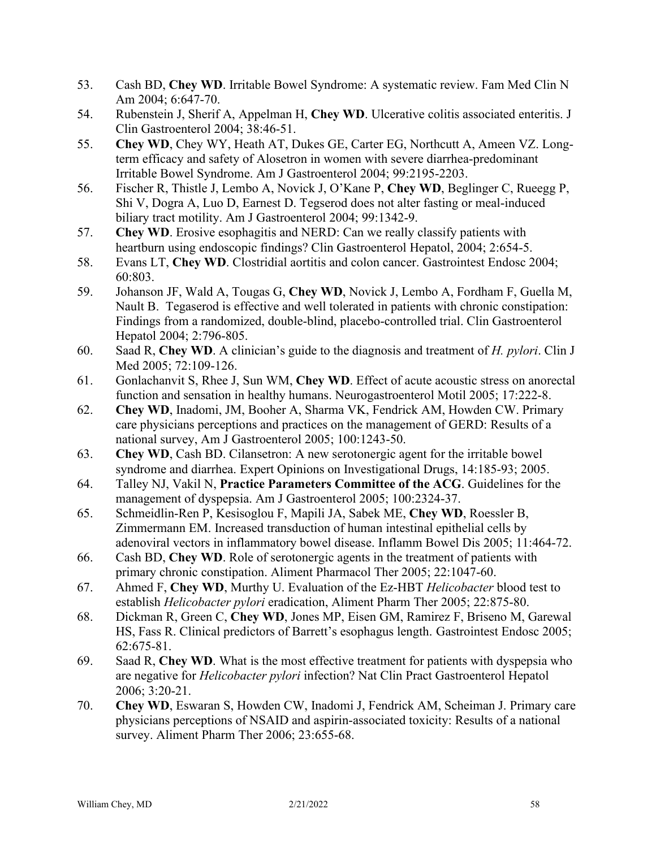- 53. Cash BD, **Chey WD**. Irritable Bowel Syndrome: A systematic review. Fam Med Clin N Am 2004; 6:647-70.
- 54. Rubenstein J, Sherif A, Appelman H, **Chey WD**. Ulcerative colitis associated enteritis. J Clin Gastroenterol 2004; 38:46-51.
- 55. **Chey WD**, Chey WY, Heath AT, Dukes GE, Carter EG, Northcutt A, Ameen VZ. Longterm efficacy and safety of Alosetron in women with severe diarrhea-predominant Irritable Bowel Syndrome. Am J Gastroenterol 2004; 99:2195-2203.
- 56. Fischer R, Thistle J, Lembo A, Novick J, O'Kane P, **Chey WD**, Beglinger C, Rueegg P, Shi V, Dogra A, Luo D, Earnest D. Tegserod does not alter fasting or meal-induced biliary tract motility. Am J Gastroenterol 2004; 99:1342-9.
- 57. **Chey WD**. Erosive esophagitis and NERD: Can we really classify patients with heartburn using endoscopic findings? Clin Gastroenterol Hepatol, 2004; 2:654-5.
- 58. Evans LT, **Chey WD**. Clostridial aortitis and colon cancer. Gastrointest Endosc 2004; 60:803.
- 59. Johanson JF, Wald A, Tougas G, **Chey WD**, Novick J, Lembo A, Fordham F, Guella M, Nault B. Tegaserod is effective and well tolerated in patients with chronic constipation: Findings from a randomized, double-blind, placebo-controlled trial. Clin Gastroenterol Hepatol 2004; 2:796-805.
- 60. Saad R, **Chey WD**. A clinician's guide to the diagnosis and treatment of *H. pylori*. Clin J Med 2005; 72:109-126.
- 61. Gonlachanvit S, Rhee J, Sun WM, **Chey WD**. Effect of acute acoustic stress on anorectal function and sensation in healthy humans. Neurogastroenterol Motil 2005; 17:222-8.
- 62. **Chey WD**, Inadomi, JM, Booher A, Sharma VK, Fendrick AM, Howden CW. Primary care physicians perceptions and practices on the management of GERD: Results of a national survey, Am J Gastroenterol 2005; 100:1243-50.
- 63. **Chey WD**, Cash BD. Cilansetron: A new serotonergic agent for the irritable bowel syndrome and diarrhea. Expert Opinions on Investigational Drugs, 14:185-93; 2005.
- 64. Talley NJ, Vakil N, **Practice Parameters Committee of the ACG**. Guidelines for the management of dyspepsia. Am J Gastroenterol 2005; 100:2324-37.
- 65. Schmeidlin-Ren P, Kesisoglou F, Mapili JA, Sabek ME, **Chey WD**, Roessler B, Zimmermann EM. Increased transduction of human intestinal epithelial cells by adenoviral vectors in inflammatory bowel disease. Inflamm Bowel Dis 2005; 11:464-72.
- 66. Cash BD, **Chey WD**. Role of serotonergic agents in the treatment of patients with primary chronic constipation. Aliment Pharmacol Ther 2005; 22:1047-60.
- 67. Ahmed F, **Chey WD**, Murthy U. Evaluation of the Ez-HBT *Helicobacter* blood test to establish *Helicobacter pylori* eradication, Aliment Pharm Ther 2005; 22:875-80.
- 68. Dickman R, Green C, **Chey WD**, Jones MP, Eisen GM, Ramirez F, Briseno M, Garewal HS, Fass R. Clinical predictors of Barrett's esophagus length. Gastrointest Endosc 2005; 62:675-81.
- 69. Saad R, **Chey WD**. What is the most effective treatment for patients with dyspepsia who are negative for *Helicobacter pylori* infection? Nat Clin Pract Gastroenterol Hepatol 2006; 3:20-21.
- 70. **Chey WD**, Eswaran S, Howden CW, Inadomi J, Fendrick AM, Scheiman J. Primary care physicians perceptions of NSAID and aspirin-associated toxicity: Results of a national survey. Aliment Pharm Ther 2006; 23:655-68.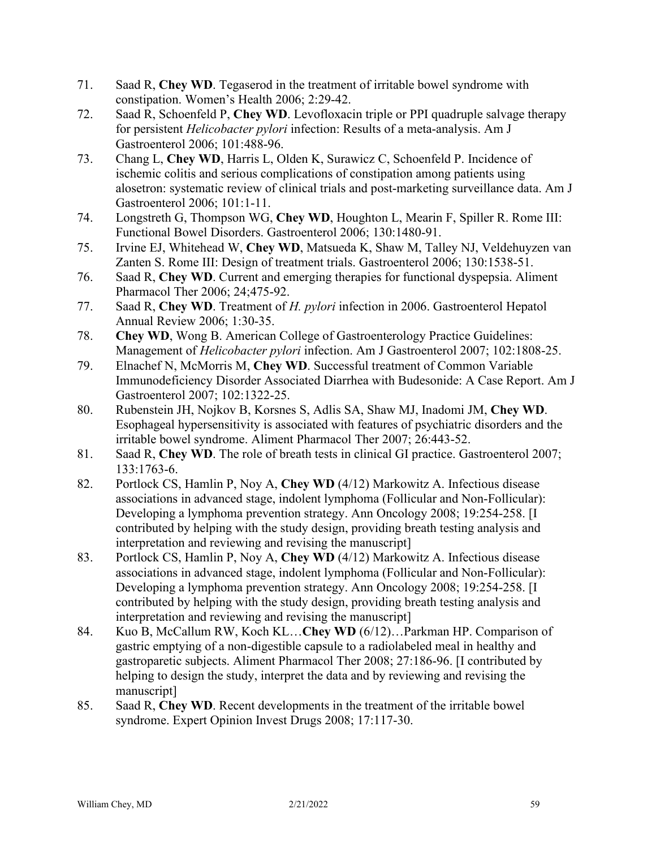- 71. Saad R, **Chey WD**. Tegaserod in the treatment of irritable bowel syndrome with constipation. Women's Health 2006; 2:29-42.
- 72. Saad R, Schoenfeld P, **Chey WD**. Levofloxacin triple or PPI quadruple salvage therapy for persistent *Helicobacter pylori* infection: Results of a meta-analysis. Am J Gastroenterol 2006; 101:488-96.
- 73. Chang L, **Chey WD**, Harris L, Olden K, Surawicz C, Schoenfeld P. Incidence of ischemic colitis and serious complications of constipation among patients using alosetron: systematic review of clinical trials and post-marketing surveillance data. Am J Gastroenterol 2006; 101:1-11.
- 74. Longstreth G, Thompson WG, **Chey WD**, Houghton L, Mearin F, Spiller R. Rome III: Functional Bowel Disorders. Gastroenterol 2006; 130:1480-91.
- 75. Irvine EJ, Whitehead W, **Chey WD**, Matsueda K, Shaw M, Talley NJ, Veldehuyzen van Zanten S. Rome III: Design of treatment trials. Gastroenterol 2006; 130:1538-51.
- 76. Saad R, **Chey WD**. Current and emerging therapies for functional dyspepsia. Aliment Pharmacol Ther 2006; 24;475-92.
- 77. Saad R, **Chey WD**. Treatment of *H. pylori* infection in 2006. Gastroenterol Hepatol Annual Review 2006; 1:30-35.
- 78. **Chey WD**, Wong B. American College of Gastroenterology Practice Guidelines: Management of *Helicobacter pylori* infection. Am J Gastroenterol 2007; 102:1808-25.
- 79. Elnachef N, McMorris M, **Chey WD**. Successful treatment of Common Variable Immunodeficiency Disorder Associated Diarrhea with Budesonide: A Case Report. Am J Gastroenterol 2007; 102:1322-25.
- 80. Rubenstein JH, Nojkov B, Korsnes S, Adlis SA, Shaw MJ, Inadomi JM, **Chey WD**. Esophageal hypersensitivity is associated with features of psychiatric disorders and the irritable bowel syndrome. Aliment Pharmacol Ther 2007; 26:443-52.
- 81. Saad R, **Chey WD**. The role of breath tests in clinical GI practice. Gastroenterol 2007; 133:1763-6.
- 82. Portlock CS, Hamlin P, Noy A, **Chey WD** (4/12) Markowitz A. Infectious disease associations in advanced stage, indolent lymphoma (Follicular and Non-Follicular): Developing a lymphoma prevention strategy. Ann Oncology 2008; 19:254-258. [I contributed by helping with the study design, providing breath testing analysis and interpretation and reviewing and revising the manuscript]
- 83. Portlock CS, Hamlin P, Noy A, **Chey WD** (4/12) Markowitz A. Infectious disease associations in advanced stage, indolent lymphoma (Follicular and Non-Follicular): Developing a lymphoma prevention strategy. Ann Oncology 2008; 19:254-258. [I contributed by helping with the study design, providing breath testing analysis and interpretation and reviewing and revising the manuscript]
- 84. Kuo B, McCallum RW, Koch KL…**Chey WD** (6/12)…Parkman HP. Comparison of gastric emptying of a non-digestible capsule to a radiolabeled meal in healthy and gastroparetic subjects. Aliment Pharmacol Ther 2008; 27:186-96. [I contributed by helping to design the study, interpret the data and by reviewing and revising the manuscript]
- 85. Saad R, **Chey WD**. Recent developments in the treatment of the irritable bowel syndrome. Expert Opinion Invest Drugs 2008; 17:117-30.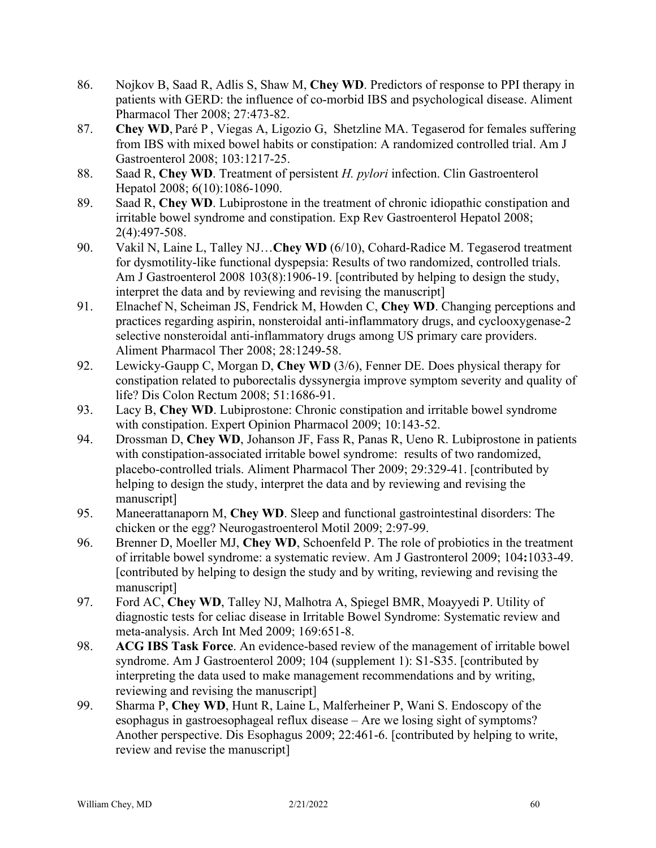- 86. Nojkov B, Saad R, Adlis S, Shaw M, **Chey WD**. Predictors of response to PPI therapy in patients with GERD: the influence of co-morbid IBS and psychological disease. Aliment Pharmacol Ther 2008; 27:473-82.
- 87. **Chey WD**, Paré P , Viegas A, Ligozio G, Shetzline MA. Tegaserod for females suffering from IBS with mixed bowel habits or constipation: A randomized controlled trial. Am J Gastroenterol 2008; 103:1217-25.
- 88. Saad R, **Chey WD**. Treatment of persistent *H. pylori* infection. Clin Gastroenterol Hepatol 2008; 6(10):1086-1090.
- 89. Saad R, **Chey WD**. Lubiprostone in the treatment of chronic idiopathic constipation and irritable bowel syndrome and constipation. Exp Rev Gastroenterol Hepatol 2008; 2(4):497-508.
- 90. Vakil N, Laine L, Talley NJ…**Chey WD** (6/10), Cohard-Radice M. Tegaserod treatment for dysmotility-like functional dyspepsia: Results of two randomized, controlled trials. Am J Gastroenterol 2008 103(8):1906-19. [contributed by helping to design the study, interpret the data and by reviewing and revising the manuscript]
- 91. Elnachef N, Scheiman JS, Fendrick M, Howden C, **Chey WD**. Changing perceptions and practices regarding aspirin, nonsteroidal anti-inflammatory drugs, and cyclooxygenase-2 selective nonsteroidal anti-inflammatory drugs among US primary care providers. Aliment Pharmacol Ther 2008; 28:1249-58.
- 92. Lewicky-Gaupp C, Morgan D, **Chey WD** (3/6), Fenner DE. Does physical therapy for constipation related to puborectalis dyssynergia improve symptom severity and quality of life? Dis Colon Rectum 2008; 51:1686-91.
- 93. Lacy B, **Chey WD**. Lubiprostone: Chronic constipation and irritable bowel syndrome with constipation. Expert Opinion Pharmacol 2009; 10:143-52.
- 94. Drossman D, **Chey WD**, Johanson JF, Fass R, Panas R, Ueno R. Lubiprostone in patients with constipation-associated irritable bowel syndrome: results of two randomized, placebo-controlled trials. Aliment Pharmacol Ther 2009; 29:329-41. [contributed by helping to design the study, interpret the data and by reviewing and revising the manuscript]
- 95. Maneerattanaporn M, **Chey WD**. Sleep and functional gastrointestinal disorders: The chicken or the egg? Neurogastroenterol Motil 2009; 2:97-99.
- 96. Brenner D, Moeller MJ, **Chey WD**, Schoenfeld P. The role of probiotics in the treatment of irritable bowel syndrome: a systematic review. Am J Gastronterol 2009; 104**:**1033-49. [contributed by helping to design the study and by writing, reviewing and revising the manuscript]
- 97. Ford AC, **Chey WD**, Talley NJ, Malhotra A, Spiegel BMR, Moayyedi P. Utility of diagnostic tests for celiac disease in Irritable Bowel Syndrome: Systematic review and meta-analysis. Arch Int Med 2009; 169:651-8.
- 98. **ACG IBS Task Force**. An evidence-based review of the management of irritable bowel syndrome. Am J Gastroenterol 2009; 104 (supplement 1): S1-S35. [contributed by interpreting the data used to make management recommendations and by writing, reviewing and revising the manuscript]
- 99. Sharma P, **Chey WD**, Hunt R, Laine L, Malferheiner P, Wani S. Endoscopy of the esophagus in gastroesophageal reflux disease – Are we losing sight of symptoms? Another perspective. Dis Esophagus 2009; 22:461-6. [contributed by helping to write, review and revise the manuscript]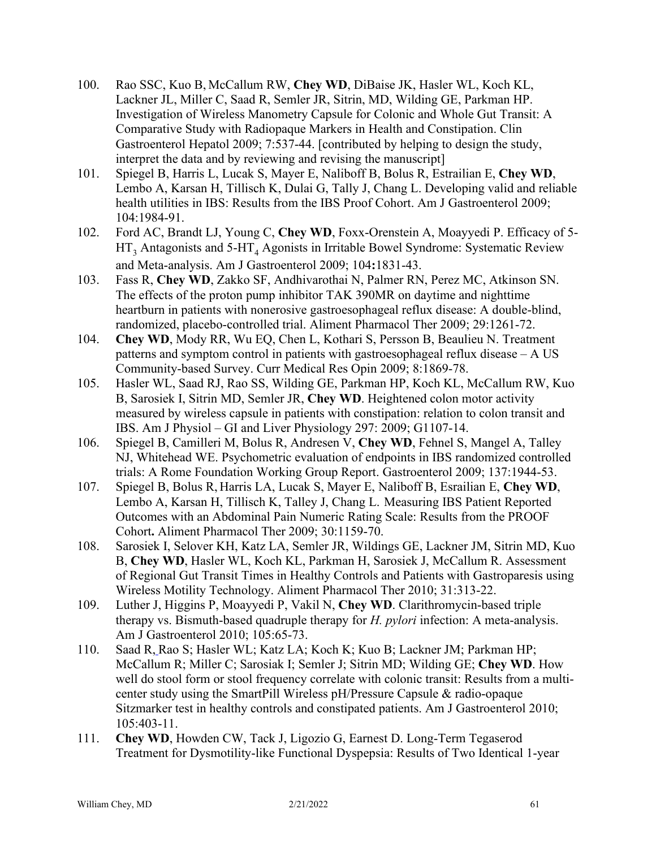- 100. Rao SSC, Kuo B, McCallum RW, **Chey WD**, DiBaise JK, Hasler WL, Koch KL, Lackner JL, Miller C, Saad R, Semler JR, Sitrin, MD, Wilding GE, Parkman HP. Investigation of Wireless Manometry Capsule for Colonic and Whole Gut Transit: A Comparative Study with Radiopaque Markers in Health and Constipation. Clin Gastroenterol Hepatol 2009; 7:537-44. [contributed by helping to design the study, interpret the data and by reviewing and revising the manuscript]
- 101. Spiegel B, Harris L, Lucak S, Mayer E, Naliboff B, Bolus R, Estrailian E, **Chey WD**, Lembo A, Karsan H, Tillisch K, Dulai G, Tally J, Chang L. Developing valid and reliable health utilities in IBS: Results from the IBS Proof Cohort. Am J Gastroenterol 2009; 104:1984-91.
- 102. Ford AC, Brandt LJ, Young C, **Chey WD**, Foxx-Orenstein A, Moayyedi P. Efficacy of 5-  $HT_3$  Antagonists and 5-HT<sub>4</sub> Agonists in Irritable Bowel Syndrome: Systematic Review and Meta-analysis. Am J Gastroenterol 2009; 104**:**1831-43.
- 103. Fass R, **Chey WD**, Zakko SF, Andhivarothai N, Palmer RN, Perez MC, Atkinson SN. The effects of the proton pump inhibitor TAK 390MR on daytime and nighttime heartburn in patients with nonerosive gastroesophageal reflux disease: A double-blind, randomized, placebo-controlled trial. Aliment Pharmacol Ther 2009; 29:1261-72.
- 104. **Chey WD**, Mody RR, Wu EQ, Chen L, Kothari S, Persson B, Beaulieu N. Treatment patterns and symptom control in patients with gastroesophageal reflux disease – A US Community-based Survey. Curr Medical Res Opin 2009; 8:1869-78.
- 105. Hasler WL, Saad RJ, Rao SS, Wilding GE, Parkman HP, Koch KL, McCallum RW, Kuo B, Sarosiek I, Sitrin MD, Semler JR, **Chey WD**. Heightened colon motor activity measured by wireless capsule in patients with constipation: relation to colon transit and IBS. Am J Physiol – GI and Liver Physiology 297: 2009; G1107-14.
- 106. Spiegel B, Camilleri M, Bolus R, Andresen V, **Chey WD**, Fehnel S, Mangel A, Talley NJ, Whitehead WE. Psychometric evaluation of endpoints in IBS randomized controlled trials: A Rome Foundation Working Group Report. Gastroenterol 2009; 137:1944-53.
- 107. Spiegel B, Bolus R, Harris LA, Lucak S, Mayer E, Naliboff B, Esrailian E, **Chey WD**, Lembo A, Karsan H, Tillisch K, Talley J, Chang L. Measuring IBS Patient Reported Outcomes with an Abdominal Pain Numeric Rating Scale: Results from the PROOF Cohort**.** Aliment Pharmacol Ther 2009; 30:1159-70.
- 108. Sarosiek I, Selover KH, Katz LA, Semler JR, Wildings GE, Lackner JM, Sitrin MD, Kuo B, **Chey WD**, Hasler WL, Koch KL, Parkman H, Sarosiek J, McCallum R. Assessment of Regional Gut Transit Times in Healthy Controls and Patients with Gastroparesis using Wireless Motility Technology. Aliment Pharmacol Ther 2010; 31:313-22.
- 109. Luther J, Higgins P, Moayyedi P, Vakil N, **Chey WD**. Clarithromycin-based triple therapy vs. Bismuth-based quadruple therapy for *H. pylori* infection: A meta-analysis. Am J Gastroenterol 2010; 105:65-73.
- 110. Saad R, Rao S; Hasler WL; Katz LA; Koch K; Kuo B; Lackner JM; Parkman HP; McCallum R; Miller C; Sarosiak I; Semler J; Sitrin MD; Wilding GE; **Chey WD**. How well do stool form or stool frequency correlate with colonic transit: Results from a multicenter study using the SmartPill Wireless pH/Pressure Capsule & radio-opaque Sitzmarker test in healthy controls and constipated patients. Am J Gastroenterol 2010; 105:403-11.
- 111. **Chey WD**, Howden CW, Tack J, Ligozio G, Earnest D. Long-Term Tegaserod Treatment for Dysmotility-like Functional Dyspepsia: Results of Two Identical 1-year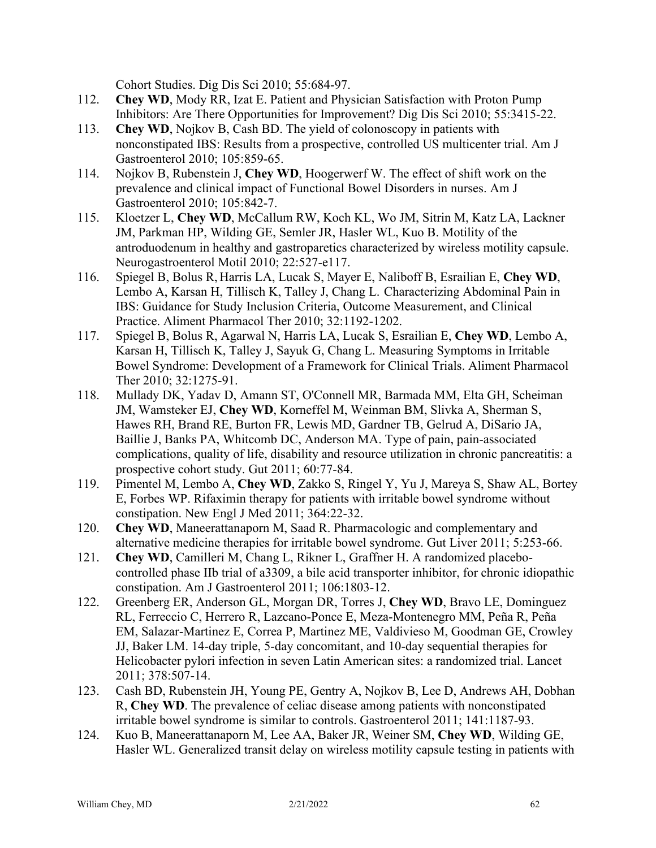Cohort Studies. Dig Dis Sci 2010; 55:684-97.

- 112. **Chey WD**, Mody RR, Izat E. Patient and Physician Satisfaction with Proton Pump Inhibitors: Are There Opportunities for Improvement? Dig Dis Sci 2010; 55:3415-22.
- 113. **Chey WD**, Nojkov B, Cash BD. The yield of colonoscopy in patients with nonconstipated IBS: Results from a prospective, controlled US multicenter trial. Am J Gastroenterol 2010; 105:859-65.
- 114. Nojkov B, Rubenstein J, **Chey WD**, Hoogerwerf W. The effect of shift work on the prevalence and clinical impact of Functional Bowel Disorders in nurses. Am J Gastroenterol 2010; 105:842-7.
- 115. Kloetzer L, **Chey WD**, McCallum RW, Koch KL, Wo JM, Sitrin M, Katz LA, Lackner JM, Parkman HP, Wilding GE, Semler JR, Hasler WL, Kuo B. Motility of the antroduodenum in healthy and gastroparetics characterized by wireless motility capsule. Neurogastroenterol Motil 2010; 22:527-e117.
- 116. Spiegel B, Bolus R, Harris LA, Lucak S, Mayer E, Naliboff B, Esrailian E, **Chey WD**, Lembo A, Karsan H, Tillisch K, Talley J, Chang L. Characterizing Abdominal Pain in IBS: Guidance for Study Inclusion Criteria, Outcome Measurement, and Clinical Practice. Aliment Pharmacol Ther 2010; 32:1192-1202.
- 117. Spiegel B, Bolus R, Agarwal N, Harris LA, Lucak S, Esrailian E, **Chey WD**, Lembo A, Karsan H, Tillisch K, Talley J, Sayuk G, Chang L. Measuring Symptoms in Irritable Bowel Syndrome: Development of a Framework for Clinical Trials. Aliment Pharmacol Ther 2010; 32:1275-91.
- 118. Mullady DK, Yadav D, Amann ST, O'Connell MR, Barmada MM, Elta GH, Scheiman JM, Wamsteker EJ, **Chey WD**, Korneffel M, Weinman BM, Slivka A, Sherman S, Hawes RH, Brand RE, Burton FR, Lewis MD, Gardner TB, Gelrud A, DiSario JA, Baillie J, Banks PA, Whitcomb DC, Anderson MA. Type of pain, pain-associated complications, quality of life, disability and resource utilization in chronic pancreatitis: a prospective cohort study. Gut 2011; 60:77-84.
- 119. Pimentel M, Lembo A, **Chey WD**, Zakko S, Ringel Y, Yu J, Mareya S, Shaw AL, Bortey E, Forbes WP. Rifaximin therapy for patients with irritable bowel syndrome without constipation. New Engl J Med 2011; 364:22-32.
- 120. **Chey WD**, Maneerattanaporn M, Saad R. Pharmacologic and complementary and alternative medicine therapies for irritable bowel syndrome. Gut Liver 2011; 5:253-66.
- 121. **Chey WD**, Camilleri M, Chang L, Rikner L, Graffner H. A randomized placebocontrolled phase IIb trial of a3309, a bile acid transporter inhibitor, for chronic idiopathic constipation. Am J Gastroenterol 2011; 106:1803-12.
- 122. Greenberg ER, Anderson GL, Morgan DR, Torres J, **Chey WD**, Bravo LE, Dominguez RL, Ferreccio C, Herrero R, Lazcano-Ponce E, Meza-Montenegro MM, Peña R, Peña EM, Salazar-Martinez E, Correa P, Martinez ME, Valdivieso M, Goodman GE, Crowley JJ, Baker LM. 14-day triple, 5-day concomitant, and 10-day sequential therapies for Helicobacter pylori infection in seven Latin American sites: a randomized trial. Lancet 2011; 378:507-14.
- 123. Cash BD, Rubenstein JH, Young PE, Gentry A, Nojkov B, Lee D, Andrews AH, Dobhan R, **Chey WD**. The prevalence of celiac disease among patients with nonconstipated irritable bowel syndrome is similar to controls. Gastroenterol 2011; 141:1187-93.
- 124. Kuo B, Maneerattanaporn M, Lee AA, Baker JR, Weiner SM, **Chey WD**, Wilding GE, Hasler WL. Generalized transit delay on wireless motility capsule testing in patients with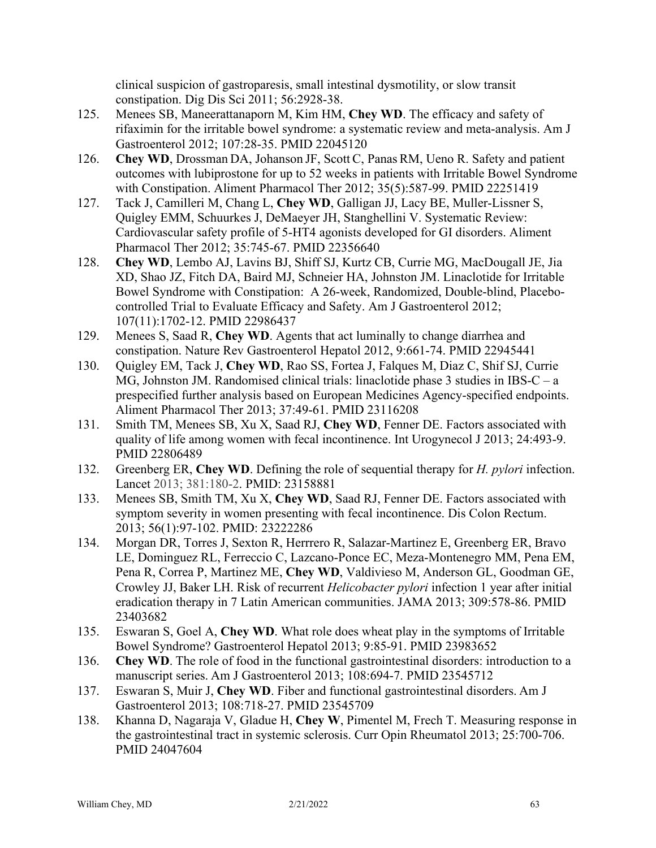clinical suspicion of gastroparesis, small intestinal dysmotility, or slow transit constipation. Dig Dis Sci 2011; 56:2928-38.

- 125. Menees SB, Maneerattanaporn M, Kim HM, **Chey WD**. The efficacy and safety of rifaximin for the irritable bowel syndrome: a systematic review and meta-analysis. Am J Gastroenterol 2012; 107:28-35. PMID 22045120
- 126. **Chey WD**, Drossman DA, Johanson JF, Scott C, Panas RM, Ueno R. Safety and patient outcomes with lubiprostone for up to 52 weeks in patients with Irritable Bowel Syndrome with Constipation. Aliment Pharmacol Ther 2012; 35(5):587-99. PMID 22251419
- 127. Tack J, Camilleri M, Chang L, **Chey WD**, Galligan JJ, Lacy BE, Muller-Lissner S, Quigley EMM, Schuurkes J, DeMaeyer JH, Stanghellini V. Systematic Review: Cardiovascular safety profile of 5-HT4 agonists developed for GI disorders. Aliment Pharmacol Ther 2012; 35:745-67. PMID 22356640
- 128. **Chey WD**, Lembo AJ, Lavins BJ, Shiff SJ, Kurtz CB, Currie MG, MacDougall JE, Jia XD, Shao JZ, Fitch DA, Baird MJ, Schneier HA, Johnston JM. Linaclotide for Irritable Bowel Syndrome with Constipation: A 26-week, Randomized, Double-blind, Placebocontrolled Trial to Evaluate Efficacy and Safety. Am J Gastroenterol 2012; 107(11):1702-12. PMID 22986437
- 129. Menees S, Saad R, **Chey WD**. Agents that act luminally to change diarrhea and constipation. Nature Rev Gastroenterol Hepatol 2012, 9:661-74. PMID 22945441
- 130. Quigley EM, Tack J, **Chey WD**, Rao SS, Fortea J, Falques M, Diaz C, Shif SJ, Currie MG, Johnston JM. Randomised clinical trials: linaclotide phase 3 studies in IBS-C – a prespecified further analysis based on European Medicines Agency-specified endpoints. Aliment Pharmacol Ther 2013; 37:49-61. PMID 23116208
- 131. Smith TM, Menees SB, Xu X, Saad RJ, **Chey WD**, Fenner DE. Factors associated with quality of life among women with fecal incontinence. Int Urogynecol J 2013; 24:493-9. PMID 22806489
- 132. Greenberg ER, **Chey WD**. Defining the role of sequential therapy for *H. pylori* infection. Lancet 2013; 381:180-2. PMID: 23158881
- 133. Menees SB, Smith TM, Xu X, **Chey WD**, Saad RJ, Fenner DE. [Factors associated with](http://www.ncbi.nlm.nih.gov/pubmed/23222286)  [symptom severity in women presenting with fecal incontinence.](http://www.ncbi.nlm.nih.gov/pubmed/23222286) Dis Colon Rectum. 2013; 56(1):97-102. PMID: 23222286
- 134. Morgan DR, Torres J, Sexton R, Herrrero R, Salazar-Martinez E, Greenberg ER, Bravo LE, Dominguez RL, Ferreccio C, Lazcano-Ponce EC, Meza-Montenegro MM, Pena EM, Pena R, Correa P, Martinez ME, **Chey WD**, Valdivieso M, Anderson GL, Goodman GE, Crowley JJ, Baker LH. Risk of recurrent *Helicobacter pylori* infection 1 year after initial eradication therapy in 7 Latin American communities. JAMA 2013; 309:578-86. PMID 23403682
- 135. Eswaran S, Goel A, **Chey WD**. What role does wheat play in the symptoms of Irritable Bowel Syndrome? Gastroenterol Hepatol 2013; 9:85-91. PMID 23983652
- 136. **Chey WD**. The role of food in the functional gastrointestinal disorders: introduction to a manuscript series. Am J Gastroenterol 2013; 108:694-7. PMID 23545712
- 137. Eswaran S, Muir J, **Chey WD**. Fiber and functional gastrointestinal disorders. Am J Gastroenterol 2013; 108:718-27. PMID 23545709
- 138. Khanna D, Nagaraja V, Gladue H, **Chey W**, Pimentel M, Frech T. Measuring response in the gastrointestinal tract in systemic sclerosis. Curr Opin Rheumatol 2013; 25:700-706. PMID 24047604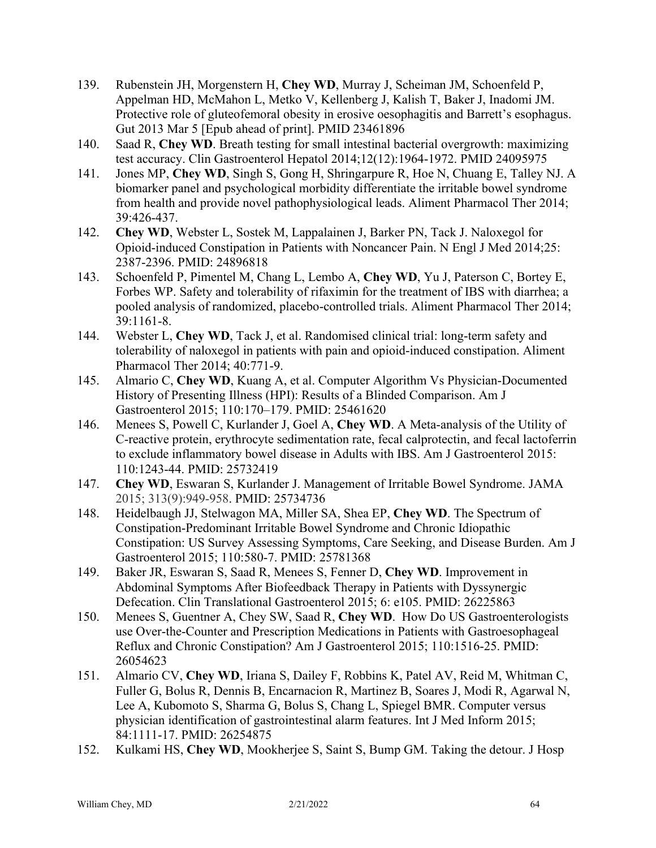- 139. Rubenstein JH, Morgenstern H, **Chey WD**, Murray J, Scheiman JM, Schoenfeld P, Appelman HD, McMahon L, Metko V, Kellenberg J, Kalish T, Baker J, Inadomi JM. Protective role of gluteofemoral obesity in erosive oesophagitis and Barrett's esophagus. Gut 2013 Mar 5 [Epub ahead of print]. PMID 23461896
- 140. Saad R, **Chey WD**. Breath testing for small intestinal bacterial overgrowth: maximizing test accuracy. Clin Gastroenterol Hepatol 2014;12(12):1964-1972. PMID 24095975
- 141. Jones MP, **Chey WD**, Singh S, Gong H, Shringarpure R, Hoe N, Chuang E, Talley NJ. A biomarker panel and psychological morbidity differentiate the irritable bowel syndrome from health and provide novel pathophysiological leads. Aliment Pharmacol Ther 2014; 39:426-437.
- 142. **Chey WD**, Webster L, Sostek M, Lappalainen J, Barker PN, Tack J. Naloxegol for Opioid-induced Constipation in Patients with Noncancer Pain. N Engl J Med 2014;25: 2387-2396. PMID: 24896818
- 143. Schoenfeld P, Pimentel M, Chang L, Lembo A, **Chey WD**, Yu J, Paterson C, Bortey E, Forbes WP. Safety and tolerability of rifaximin for the treatment of IBS with diarrhea; a pooled analysis of randomized, placebo-controlled trials. Aliment Pharmacol Ther 2014; 39:1161-8.
- 144. Webster L, **Chey WD**, Tack J, et al. Randomised clinical trial: long-term safety and tolerability of naloxegol in patients with pain and opioid-induced constipation. Aliment Pharmacol Ther 2014; 40:771-9.
- 145. Almario C, **Chey WD**, Kuang A, et al. Computer Algorithm Vs Physician-Documented History of Presenting Illness (HPI): Results of a Blinded Comparison. Am J Gastroenterol 2015; 110:170–179. PMID: 25461620
- 146. Menees S, Powell C, Kurlander J, Goel A, **Chey WD**. A Meta-analysis of the Utility of C-reactive protein, erythrocyte sedimentation rate, fecal calprotectin, and fecal lactoferrin to exclude inflammatory bowel disease in Adults with IBS. Am J Gastroenterol 2015: 110:1243-44. PMID: 25732419
- 147. **Chey WD**, Eswaran S, Kurlander J. Management of Irritable Bowel Syndrome. JAMA 2015; 313(9):949-958. PMID: 25734736
- 148. Heidelbaugh JJ, Stelwagon MA, Miller SA, Shea EP, **Chey WD**. The Spectrum of Constipation-Predominant Irritable Bowel Syndrome and Chronic Idiopathic Constipation: US Survey Assessing Symptoms, Care Seeking, and Disease Burden. Am J Gastroenterol 2015; 110:580-7. PMID: 25781368
- 149. Baker JR, Eswaran S, Saad R, Menees S, Fenner D, **Chey WD**. Improvement in Abdominal Symptoms After Biofeedback Therapy in Patients with Dyssynergic Defecation. Clin Translational Gastroenterol 2015; 6: e105. PMID: 26225863
- 150. Menees S, Guentner A, Chey SW, Saad R, **Chey WD**. How Do US Gastroenterologists use Over-the-Counter and Prescription Medications in Patients with Gastroesophageal Reflux and Chronic Constipation? Am J Gastroenterol 2015; 110:1516-25. PMID: 26054623
- 151. Almario CV, **Chey WD**, Iriana S, Dailey F, Robbins K, Patel AV, Reid M, Whitman C, Fuller G, Bolus R, Dennis B, Encarnacion R, Martinez B, Soares J, Modi R, Agarwal N, Lee A, Kubomoto S, Sharma G, Bolus S, Chang L, Spiegel BMR. Computer versus physician identification of gastrointestinal alarm features. Int J Med Inform 2015; 84:1111-17. PMID: 26254875
- 152. Kulkami HS, **Chey WD**, Mookherjee S, Saint S, Bump GM. Taking the detour. J Hosp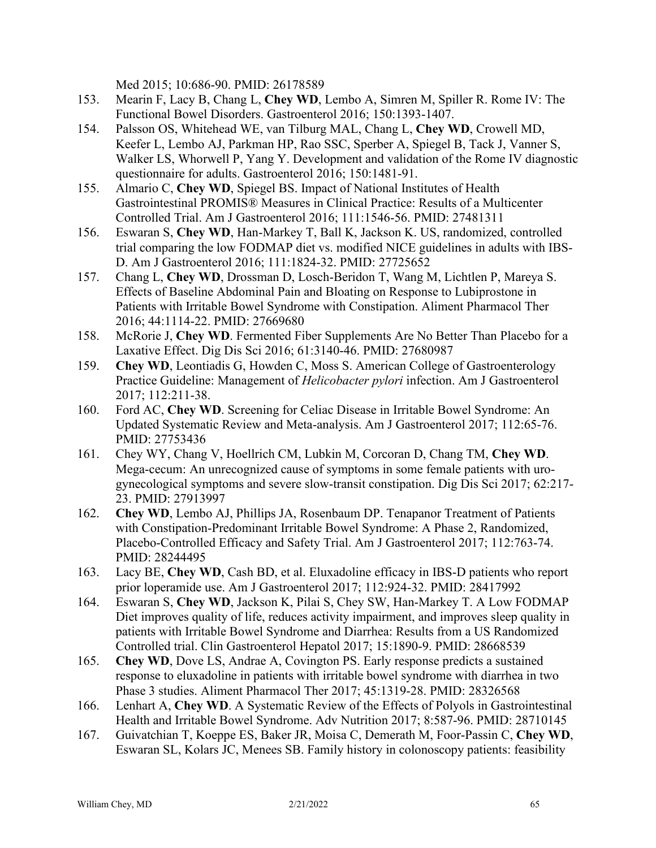Med 2015; 10:686-90. PMID: 26178589

- 153. Mearin F, Lacy B, Chang L, **Chey WD**, Lembo A, Simren M, Spiller R. Rome IV: The Functional Bowel Disorders. Gastroenterol 2016; 150:1393-1407.
- 154. Palsson OS, Whitehead WE, van Tilburg MAL, Chang L, **Chey WD**, Crowell MD, Keefer L, Lembo AJ, Parkman HP, Rao SSC, Sperber A, Spiegel B, Tack J, Vanner S, Walker LS, Whorwell P, Yang Y. Development and validation of the Rome IV diagnostic questionnaire for adults. Gastroenterol 2016; 150:1481-91.
- 155. Almario C, **Chey WD**, Spiegel BS. Impact of National Institutes of Health Gastrointestinal PROMIS® Measures in Clinical Practice: Results of a Multicenter Controlled Trial. Am J Gastroenterol 2016; 111:1546-56. PMID: 27481311
- 156. Eswaran S, **Chey WD**, Han-Markey T, Ball K, Jackson K. US, randomized, controlled trial comparing the low FODMAP diet vs. modified NICE guidelines in adults with IBS-D. Am J Gastroenterol 2016; 111:1824-32. PMID: 27725652
- 157. Chang L, **Chey WD**, Drossman D, Losch-Beridon T, Wang M, Lichtlen P, Mareya S. Effects of Baseline Abdominal Pain and Bloating on Response to Lubiprostone in Patients with Irritable Bowel Syndrome with Constipation. Aliment Pharmacol Ther 2016; 44:1114-22. PMID: 27669680
- 158. McRorie J, **Chey WD**. Fermented Fiber Supplements Are No Better Than Placebo for a Laxative Effect. Dig Dis Sci 2016; 61:3140-46. PMID: 27680987
- 159. **Chey WD**, Leontiadis G, Howden C, Moss S. American College of Gastroenterology Practice Guideline: Management of *Helicobacter pylori* infection. Am J Gastroenterol 2017; 112:211-38.
- 160. Ford AC, **Chey WD**. Screening for Celiac Disease in Irritable Bowel Syndrome: An Updated Systematic Review and Meta-analysis. Am J Gastroenterol 2017; 112:65-76. PMID: 27753436
- 161. Chey WY, Chang V, Hoellrich CM, Lubkin M, Corcoran D, Chang TM, **Chey WD**. Mega-cecum: An unrecognized cause of symptoms in some female patients with urogynecological symptoms and severe slow-transit constipation. Dig Dis Sci 2017; 62:217- 23. PMID: 27913997
- 162. **Chey WD**, Lembo AJ, Phillips JA, Rosenbaum DP. Tenapanor Treatment of Patients with Constipation-Predominant Irritable Bowel Syndrome: A Phase 2, Randomized, Placebo-Controlled Efficacy and Safety Trial. Am J Gastroenterol 2017; 112:763-74. PMID: 28244495
- 163. Lacy BE, **Chey WD**, Cash BD, et al. Eluxadoline efficacy in IBS-D patients who report prior loperamide use. Am J Gastroenterol 2017; 112:924-32. PMID: 28417992
- 164. Eswaran S, **Chey WD**, Jackson K, Pilai S, Chey SW, Han-Markey T. A Low FODMAP Diet improves quality of life, reduces activity impairment, and improves sleep quality in patients with Irritable Bowel Syndrome and Diarrhea: Results from a US Randomized Controlled trial. Clin Gastroenterol Hepatol 2017; 15:1890-9. PMID: 28668539
- 165. **Chey WD**, Dove LS, Andrae A, Covington PS. Early response predicts a sustained response to eluxadoline in patients with irritable bowel syndrome with diarrhea in two Phase 3 studies. Aliment Pharmacol Ther 2017; 45:1319-28. PMID: 28326568
- 166. Lenhart A, **Chey WD**. A Systematic Review of the Effects of Polyols in Gastrointestinal Health and Irritable Bowel Syndrome. Adv Nutrition 2017; 8:587-96. PMID: 28710145
- 167. Guivatchian T, Koeppe ES, Baker JR, Moisa C, Demerath M, Foor-Passin C, **Chey WD**, Eswaran SL, Kolars JC, Menees SB. Family history in colonoscopy patients: feasibility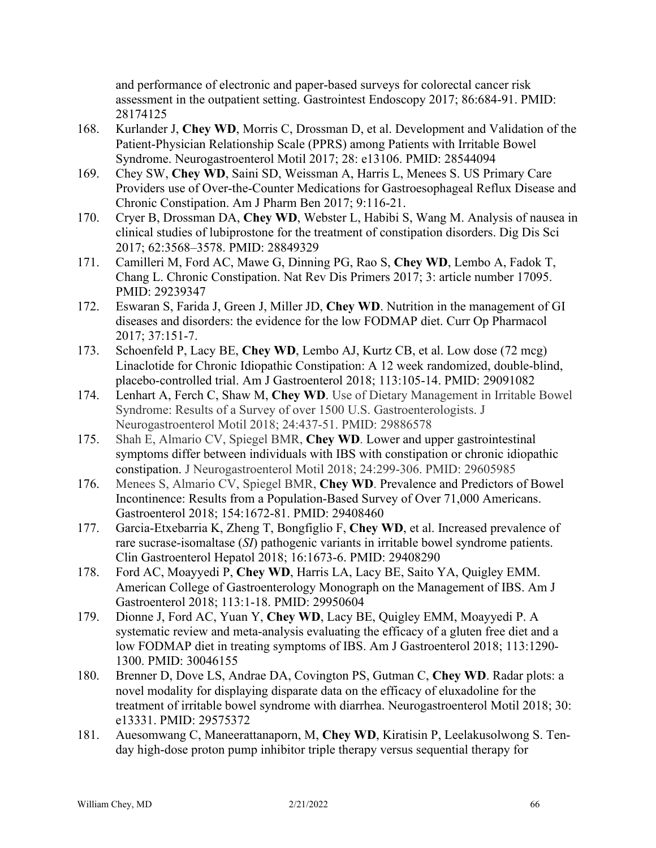and performance of electronic and paper-based surveys for colorectal cancer risk assessment in the outpatient setting. Gastrointest Endoscopy 2017; 86:684-91. PMID: 28174125

- 168. Kurlander J, **Chey WD**, Morris C, Drossman D, et al. Development and Validation of the Patient-Physician Relationship Scale (PPRS) among Patients with Irritable Bowel Syndrome. Neurogastroenterol Motil 2017; 28: e13106. PMID: 28544094
- 169. Chey SW, **Chey WD**, Saini SD, Weissman A, Harris L, Menees S. US Primary Care Providers use of Over-the-Counter Medications for Gastroesophageal Reflux Disease and Chronic Constipation. Am J Pharm Ben 2017; 9:116-21.
- 170. Cryer B, Drossman DA, **Chey WD**, Webster L, Habibi S, Wang M. Analysis of nausea in clinical studies of lubiprostone for the treatment of constipation disorders. Dig Dis Sci 2017; 62:3568–3578. PMID: 28849329
- 171. Camilleri M, Ford AC, Mawe G, Dinning PG, Rao S, **Chey WD**, Lembo A, Fadok T, Chang L. Chronic Constipation. Nat Rev Dis Primers 2017; 3: article number 17095. PMID: 29239347
- 172. Eswaran S, Farida J, Green J, Miller JD, **Chey WD**. Nutrition in the management of GI diseases and disorders: the evidence for the low FODMAP diet. Curr Op Pharmacol 2017; 37:151-7.
- 173. Schoenfeld P, Lacy BE, **Chey WD**, Lembo AJ, Kurtz CB, et al. Low dose (72 mcg) Linaclotide for Chronic Idiopathic Constipation: A 12 week randomized, double-blind, placebo-controlled trial. Am J Gastroenterol 2018; 113:105-14. PMID: 29091082
- 174. Lenhart A, Ferch C, Shaw M, **Chey WD**. Use of Dietary Management in Irritable Bowel Syndrome: Results of a Survey of over 1500 U.S. Gastroenterologists. J Neurogastroenterol Motil 2018; 24:437-51. PMID: 29886578
- 175. Shah E, Almario CV, Spiegel BMR, **Chey WD**. Lower and upper gastrointestinal symptoms differ between individuals with IBS with constipation or chronic idiopathic constipation. J Neurogastroenterol Motil 2018; 24:299-306. PMID: 29605985
- 176. Menees S, Almario CV, Spiegel BMR, **Chey WD**. Prevalence and Predictors of Bowel Incontinence: Results from a Population-Based Survey of Over 71,000 Americans. Gastroenterol 2018; 154:1672-81. PMID: 29408460
- 177. Garcia-Etxebarria K, Zheng T, Bongfiglio F, **Chey WD**, et al. Increased prevalence of rare sucrase-isomaltase (*SI*) pathogenic variants in irritable bowel syndrome patients. Clin Gastroenterol Hepatol 2018; 16:1673-6. PMID: 29408290
- 178. Ford AC, Moayyedi P, **Chey WD**, Harris LA, Lacy BE, Saito YA, Quigley EMM. American College of Gastroenterology Monograph on the Management of IBS. Am J Gastroenterol 2018; 113:1-18. PMID: 29950604
- 179. Dionne J, Ford AC, Yuan Y, **Chey WD**, Lacy BE, Quigley EMM, Moayyedi P. A systematic review and meta-analysis evaluating the efficacy of a gluten free diet and a low FODMAP diet in treating symptoms of IBS. Am J Gastroenterol 2018; 113:1290- 1300. PMID: 30046155
- 180. Brenner D, Dove LS, Andrae DA, Covington PS, Gutman C, **Chey WD**. Radar plots: a novel modality for displaying disparate data on the efficacy of eluxadoline for the treatment of irritable bowel syndrome with diarrhea. Neurogastroenterol Motil 2018; 30: e13331. PMID: 29575372
- 181. Auesomwang C, Maneerattanaporn, M, **Chey WD**, Kiratisin P, Leelakusolwong S. Tenday high-dose proton pump inhibitor triple therapy versus sequential therapy for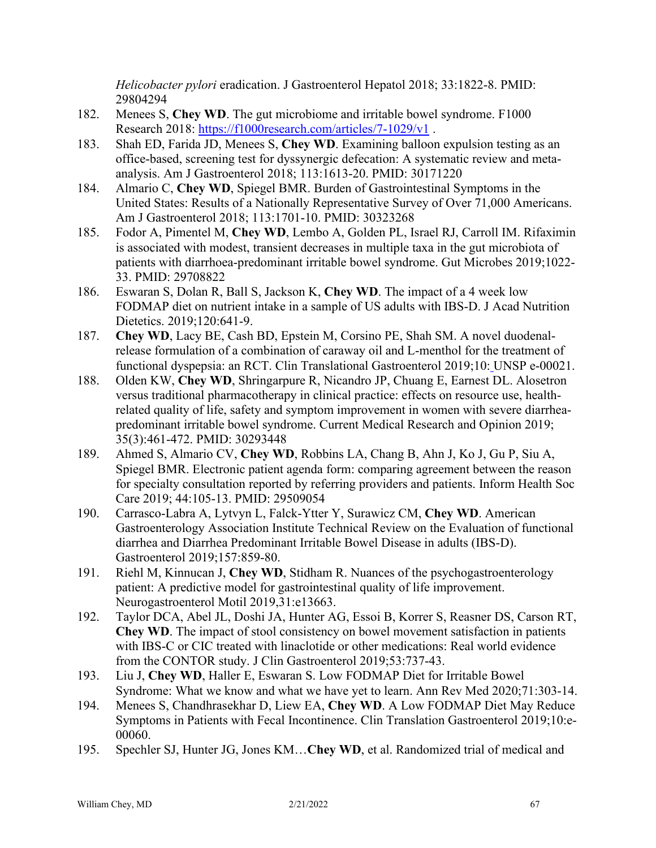*Helicobacter pylori* eradication. J Gastroenterol Hepatol 2018; 33:1822-8. PMID: 29804294

- 182. Menees S, **Chey WD**. The gut microbiome and irritable bowel syndrome. F1000 Research 2018:<https://f1000research.com/articles/7-1029/v1>.
- 183. Shah ED, Farida JD, Menees S, **Chey WD**. Examining balloon expulsion testing as an office-based, screening test for dyssynergic defecation: A systematic review and metaanalysis. Am J Gastroenterol 2018; 113:1613-20. PMID: 30171220
- 184. Almario C, **Chey WD**, Spiegel BMR. Burden of Gastrointestinal Symptoms in the United States: Results of a Nationally Representative Survey of Over 71,000 Americans. Am J Gastroenterol 2018; 113:1701-10. PMID: 30323268
- 185. Fodor A, Pimentel M, **Chey WD**, Lembo A, Golden PL, Israel RJ, Carroll IM. Rifaximin is associated with modest, transient decreases in multiple taxa in the gut microbiota of patients with diarrhoea-predominant irritable bowel syndrome. Gut Microbes 2019;1022- 33. PMID: 29708822
- 186. Eswaran S, Dolan R, Ball S, Jackson K, **Chey WD**. The impact of a 4 week low FODMAP diet on nutrient intake in a sample of US adults with IBS-D. J Acad Nutrition Dietetics. 2019;120:641-9.
- 187. **Chey WD**, Lacy BE, Cash BD, Epstein M, Corsino PE, Shah SM. A novel duodenalrelease formulation of a combination of caraway oil and L-menthol for the treatment of functional dyspepsia: an RCT. Clin Translational Gastroenterol 2019;10: UNSP e-00021.
- 188. Olden KW, **Chey WD**, Shringarpure R, Nicandro JP, Chuang E, Earnest DL. Alosetron versus traditional pharmacotherapy in clinical practice: effects on resource use, healthrelated quality of life, safety and symptom improvement in women with severe diarrheapredominant irritable bowel syndrome. Current Medical Research and Opinion 2019; 35(3):461-472. PMID: 30293448
- 189. Ahmed S, Almario CV, **Chey WD**, Robbins LA, Chang B, Ahn J, Ko J, Gu P, Siu A, Spiegel BMR. Electronic patient agenda form: comparing agreement between the reason for specialty consultation reported by referring providers and patients. Inform Health Soc Care 2019; 44:105-13. PMID: 29509054
- 190. Carrasco-Labra A, Lytvyn L, Falck-Ytter Y, Surawicz CM, **Chey WD**. American Gastroenterology Association Institute Technical Review on the Evaluation of functional diarrhea and Diarrhea Predominant Irritable Bowel Disease in adults (IBS-D). Gastroenterol 2019;157:859-80.
- 191. Riehl M, Kinnucan J, **Chey WD**, Stidham R. Nuances of the psychogastroenterology patient: A predictive model for gastrointestinal quality of life improvement. Neurogastroenterol Motil 2019,31:e13663.
- 192. Taylor DCA, Abel JL, Doshi JA, Hunter AG, Essoi B, Korrer S, Reasner DS, Carson RT, **Chey WD**. The impact of stool consistency on bowel movement satisfaction in patients with IBS-C or CIC treated with linaclotide or other medications: Real world evidence from the CONTOR study. J Clin Gastroenterol 2019;53:737-43.
- 193. Liu J, **Chey WD**, Haller E, Eswaran S. Low FODMAP Diet for Irritable Bowel Syndrome: What we know and what we have yet to learn. Ann Rev Med 2020;71:303-14.
- 194. Menees S, Chandhrasekhar D, Liew EA, **Chey WD**. A Low FODMAP Diet May Reduce Symptoms in Patients with Fecal Incontinence. Clin Translation Gastroenterol 2019;10:e-00060.
- 195. Spechler SJ, Hunter JG, Jones KM…**Chey WD**, et al. Randomized trial of medical and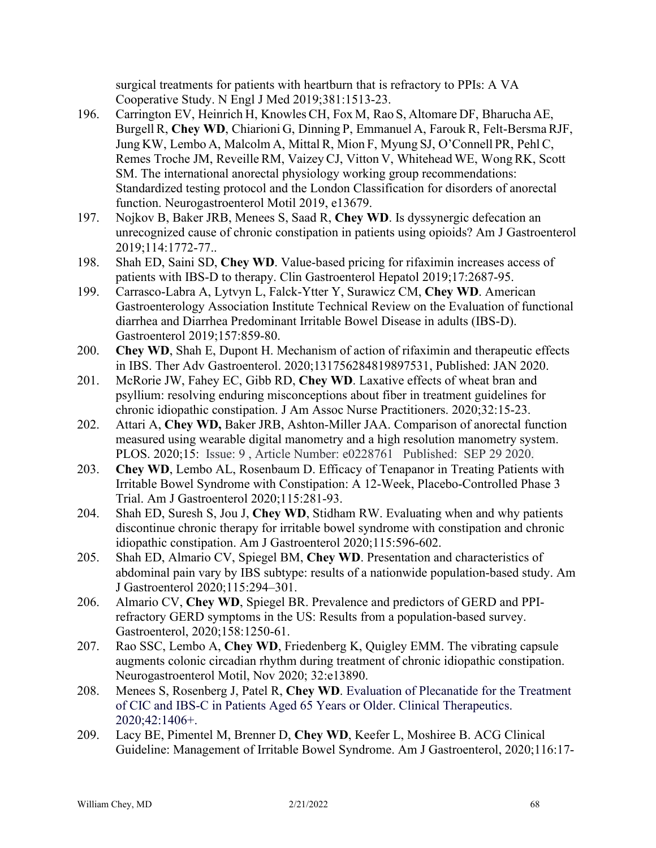surgical treatments for patients with heartburn that is refractory to PPIs: A VA Cooperative Study. N Engl J Med 2019;381:1513-23.

- 196. Carrington EV, Heinrich H, Knowles CH, Fox M, Rao S, Altomare DF, Bharucha AE, Burgell R, **Chey WD**, Chiarioni G, Dinning P, Emmanuel A, Farouk R, Felt-BersmaRJF, Jung KW, Lembo A, Malcolm A, Mittal R, Mion F, Myung SJ, O'Connell PR, Pehl C, Remes Troche JM, ReveilleRM, Vaizey CJ, Vitton V, Whitehead WE, Wong RK, Scott SM. The international anorectal physiology working group recommendations: Standardized testing protocol and the London Classification for disorders of anorectal function. Neurogastroenterol Motil 2019, e13679.
- 197. Nojkov B, Baker JRB, Menees S, Saad R, **Chey WD**. Is dyssynergic defecation an unrecognized cause of chronic constipation in patients using opioids? Am J Gastroenterol 2019;114:1772-77..
- 198. Shah ED, Saini SD, **Chey WD**. Value-based pricing for rifaximin increases access of patients with IBS-D to therapy. Clin Gastroenterol Hepatol 2019;17:2687-95.
- 199. Carrasco-Labra A, Lytvyn L, Falck-Ytter Y, Surawicz CM, **Chey WD**. American Gastroenterology Association Institute Technical Review on the Evaluation of functional diarrhea and Diarrhea Predominant Irritable Bowel Disease in adults (IBS-D). Gastroenterol 2019;157:859-80.
- 200. **Chey WD**, Shah E, Dupont H. Mechanism of action of rifaximin and therapeutic effects in IBS. Ther Adv Gastroenterol. 2020;131756284819897531, Published: JAN 2020.
- 201. McRorie JW, Fahey EC, Gibb RD, **Chey WD**. Laxative effects of wheat bran and psyllium: resolving enduring misconceptions about fiber in treatment guidelines for chronic idiopathic constipation. J Am Assoc Nurse Practitioners. 2020;32:15-23.
- 202. Attari A, **Chey WD,** Baker JRB, Ashton-Miller JAA. Comparison of anorectal function measured using wearable digital manometry and a high resolution manometry system. PLOS. 2020;15: Issue: 9 , Article Number: e0228761 Published: SEP 29 2020.
- 203. **Chey WD**, Lembo AL, Rosenbaum D. Efficacy of Tenapanor in Treating Patients with Irritable Bowel Syndrome with Constipation: A 12-Week, Placebo-Controlled Phase 3 Trial. Am J Gastroenterol 2020;115:281-93.
- 204. Shah ED, Suresh S, Jou J, **Chey WD**, Stidham RW. Evaluating when and why patients discontinue chronic therapy for irritable bowel syndrome with constipation and chronic idiopathic constipation. Am J Gastroenterol 2020;115:596-602.
- 205. Shah ED, Almario CV, Spiegel BM, **Chey WD**. Presentation and characteristics of abdominal pain vary by IBS subtype: results of a nationwide population-based study. Am J Gastroenterol 2020;115:294–301.
- 206. Almario CV, **Chey WD**, Spiegel BR. Prevalence and predictors of GERD and PPIrefractory GERD symptoms in the US: Results from a population-based survey. Gastroenterol, 2020;158:1250-61.
- 207. Rao SSC, Lembo A, **Chey WD**, Friedenberg K, Quigley EMM. The vibrating capsule augments colonic circadian rhythm during treatment of chronic idiopathic constipation. Neurogastroenterol Motil, Nov 2020; 32:e13890.
- 208. Menees S, Rosenberg J, Patel R, **Chey WD**. Evaluation of Plecanatide for the Treatment of CIC and IBS-C in Patients Aged 65 Years or Older. Clinical Therapeutics. 2020;42:1406+.
- 209. Lacy BE, Pimentel M, Brenner D, **Chey WD**, Keefer L, Moshiree B. ACG Clinical Guideline: Management of Irritable Bowel Syndrome. Am J Gastroenterol, 2020;116:17-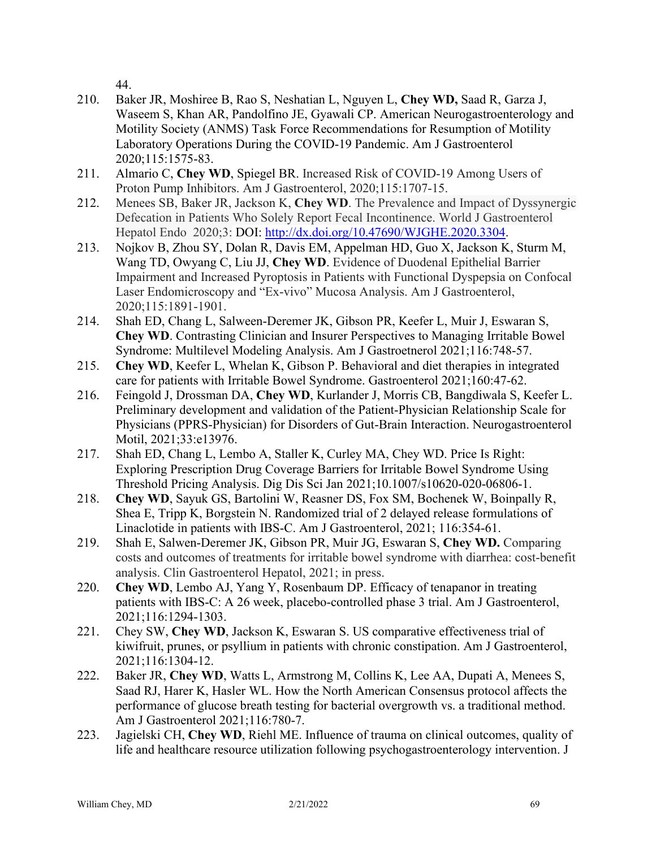44.

- 210. Baker JR, Moshiree B, Rao S, Neshatian L, Nguyen L, **Chey WD,** Saad R, Garza J, Waseem S, Khan AR, Pandolfino JE, Gyawali CP. American Neurogastroenterology and Motility Society (ANMS) Task Force Recommendations for Resumption of Motility Laboratory Operations During the COVID-19 Pandemic. Am J Gastroenterol 2020;115:1575-83.
- 211. Almario C, **Chey WD**, Spiegel BR. Increased Risk of COVID-19 Among Users of Proton Pump Inhibitors. Am J Gastroenterol, 2020;115:1707-15.
- 212. Menees SB, Baker JR, Jackson K, **Chey WD**. The Prevalence and Impact of Dyssynergic Defecation in Patients Who Solely Report Fecal Incontinence. World J Gastroenterol Hepatol Endo 2020;3: DOI: [http://dx.doi.org/10.47690/WJGHE.2020.3304.](http://dx.doi.org/10.47690/WJGHE.2020.3304)
- 213. Nojkov B, Zhou SY, Dolan R, Davis EM, Appelman HD, Guo X, Jackson K, Sturm M, Wang TD, Owyang C, Liu JJ, **Chey WD**. Evidence of Duodenal Epithelial Barrier Impairment and Increased Pyroptosis in Patients with Functional Dyspepsia on Confocal Laser Endomicroscopy and "Ex-vivo" Mucosa Analysis. Am J Gastroenterol, 2020;115:1891-1901.
- 214. Shah ED, Chang L, Salween-Deremer JK, Gibson PR, Keefer L, Muir J, Eswaran S, **Chey WD**. [Contrasting Clinician and Insurer Perspectives to Managing Irritable Bowel](https://www-webofscience-com.proxy.lib.umich.edu/wos/woscc/full-record/WOS:000656634400027)  [Syndrome: Multilevel Modeling Analysis.](https://www-webofscience-com.proxy.lib.umich.edu/wos/woscc/full-record/WOS:000656634400027) Am J Gastroetnerol 2021;116:748-57.
- 215. **Chey WD**, Keefer L, Whelan K, Gibson P. Behavioral and diet therapies in integrated care for patients with Irritable Bowel Syndrome. Gastroenterol 2021;160:47-62.
- 216. Feingold J, Drossman DA, **Chey WD**, Kurlander J, Morris CB, Bangdiwala S, Keefer L. Preliminary development and validation of the Patient-Physician Relationship Scale for Physicians (PPRS-Physician) for Disorders of Gut-Brain Interaction. Neurogastroenterol Motil, 2021;33:e13976.
- 217. Shah ED, Chang L, Lembo A, Staller K, Curley MA, Chey WD. Price Is Right: Exploring Prescription Drug Coverage Barriers for Irritable Bowel Syndrome Using Threshold Pricing Analysis. Dig Dis Sci Jan 2021;10.1007/s10620-020-06806-1.
- 218. **Chey WD**, Sayuk GS, Bartolini W, Reasner DS, Fox SM, Bochenek W, Boinpally R, Shea E, Tripp K, Borgstein N. Randomized trial of 2 delayed release formulations of Linaclotide in patients with IBS-C. Am J Gastroenterol, 2021; 116:354-61.
- 219. Shah E, Salwen-Deremer JK, Gibson PR, Muir JG, Eswaran S, **Chey WD.** Comparing costs and outcomes of treatments for irritable bowel syndrome with diarrhea: cost-benefit analysis. Clin Gastroenterol Hepatol, 2021; in press.
- 220. **Chey WD**, Lembo AJ, Yang Y, Rosenbaum DP. Efficacy of tenapanor in treating patients with IBS-C: A 26 week, placebo-controlled phase 3 trial. Am J Gastroenterol, 2021;116:1294-1303.
- 221. Chey SW, **Chey WD**, Jackson K, Eswaran S. US comparative effectiveness trial of kiwifruit, prunes, or psyllium in patients with chronic constipation. Am J Gastroenterol, 2021;116:1304-12.
- 222. Baker JR, **Chey WD**, Watts L, Armstrong M, Collins K, Lee AA, Dupati A, Menees S, Saad RJ, Harer K, Hasler WL. How the North American Consensus protocol affects the performance of glucose breath testing for bacterial overgrowth vs. a traditional method. Am J Gastroenterol 2021;116:780-7.
- 223. Jagielski CH, **Chey WD**, Riehl ME. Influence of trauma on clinical outcomes, quality of life and healthcare resource utilization following psychogastroenterology intervention. J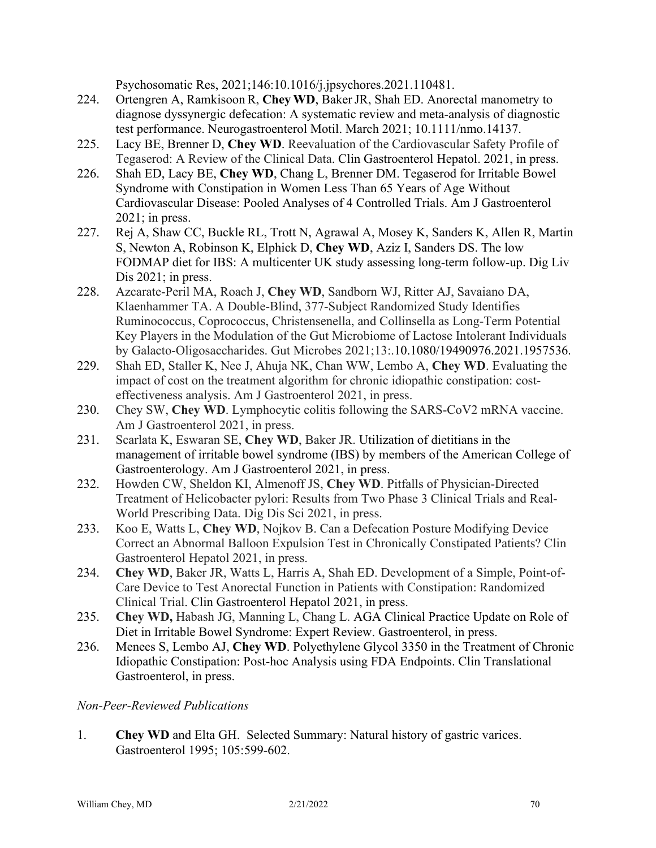Psychosomatic Res, 2021;146:10.1016/j.jpsychores.2021.110481.

- 224. Ortengren A, Ramkisoon R, **Chey WD**, BakerJR, Shah ED. Anorectal manometry to diagnose dyssynergic defecation: A systematic review and meta-analysis of diagnostic test performance. Neurogastroenterol Motil. March 2021; 10.1111/nmo.14137.
- 225. Lacy BE, Brenner D, **Chey WD**. Reevaluation of the Cardiovascular Safety Profile of Tegaserod: A Review of the Clinical Data. Clin Gastroenterol Hepatol. 2021, in press.
- 226. Shah ED, Lacy BE, **Chey WD**, Chang L, Brenner DM. Tegaserod for Irritable Bowel Syndrome with Constipation in Women Less Than 65 Years of Age Without Cardiovascular Disease: Pooled Analyses of 4 Controlled Trials. Am J Gastroenterol 2021; in press.
- 227. Rej A, Shaw CC, Buckle RL, Trott N, Agrawal A, Mosey K, Sanders K, Allen R, Martin S, Newton A, Robinson K, Elphick D, **Chey WD**, Aziz I, Sanders DS. The low FODMAP diet for IBS: A multicenter UK study assessing long-term follow-up. Dig Liv Dis 2021; in press.
- 228. Azcarate-Peril MA, Roach J, **Chey WD**, Sandborn WJ, Ritter AJ, Savaiano DA, Klaenhammer TA. A Double-Blind, 377-Subject Randomized Study Identifies Ruminococcus, Coprococcus, Christensenella, and Collinsella as Long-Term Potential Key Players in the Modulation of the Gut Microbiome of Lactose Intolerant Individuals by Galacto-Oligosaccharides. Gut Microbes 2021;13:.10.1080/19490976.2021.1957536.
- 229. Shah ED, Staller K, Nee J, Ahuja NK, Chan WW, Lembo A, **Chey WD**. Evaluating the impact of cost on the treatment algorithm for chronic idiopathic constipation: costeffectiveness analysis. Am J Gastroenterol 2021, in press.
- 230. Chey SW, **Chey WD**. Lymphocytic colitis following the SARS-CoV2 mRNA vaccine. Am J Gastroenterol 2021, in press.
- 231. Scarlata K, Eswaran SE, **Chey WD**, Baker JR. Utilization of dietitians in the management of irritable bowel syndrome (IBS) by members of the American College of Gastroenterology. Am J Gastroenterol 2021, in press.
- 232. Howden CW, Sheldon KI, Almenoff JS, **Chey WD**. Pitfalls of Physician-Directed Treatment of Helicobacter pylori: Results from Two Phase 3 Clinical Trials and Real-World Prescribing Data. Dig Dis Sci 2021, in press.
- 233. Koo E, Watts L, **Chey WD**, Nojkov B. Can a Defecation Posture Modifying Device Correct an Abnormal Balloon Expulsion Test in Chronically Constipated Patients? Clin Gastroenterol Hepatol 2021, in press.
- 234. **Chey WD**, Baker JR, Watts L, Harris A, Shah ED. Development of a Simple, Point-of-Care Device to Test Anorectal Function in Patients with Constipation: Randomized Clinical Trial. Clin Gastroenterol Hepatol 2021, in press.
- 235. **Chey WD,** Habash JG, Manning L, Chang L. AGA Clinical Practice Update on Role of Diet in Irritable Bowel Syndrome: Expert Review. Gastroenterol, in press.
- 236. Menees S, Lembo AJ, **Chey WD**. Polyethylene Glycol 3350 in the Treatment of Chronic Idiopathic Constipation: Post-hoc Analysis using FDA Endpoints. Clin Translational Gastroenterol, in press.

## *Non-Peer-Reviewed Publications*

1. **Chey WD** and Elta GH. Selected Summary: Natural history of gastric varices. Gastroenterol 1995; 105:599-602.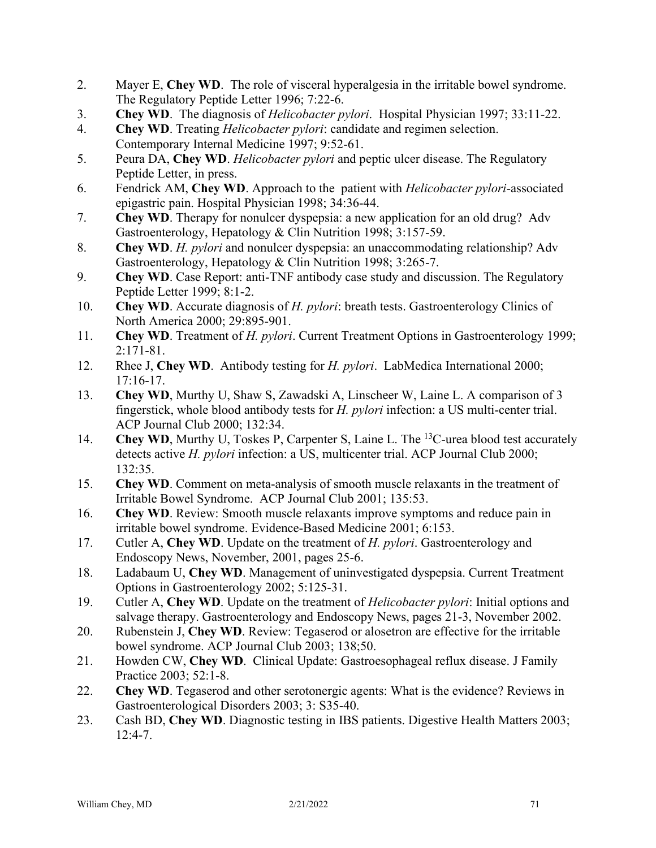- 2. Mayer E, **Chey WD**. The role of visceral hyperalgesia in the irritable bowel syndrome. The Regulatory Peptide Letter 1996; 7:22-6.
- 3. **Chey WD**. The diagnosis of *Helicobacter pylori*. Hospital Physician 1997; 33:11-22.
- 4. **Chey WD**. Treating *Helicobacter pylori*: candidate and regimen selection. Contemporary Internal Medicine 1997; 9:52-61.
- 5. Peura DA, **Chey WD**. *Helicobacter pylori* and peptic ulcer disease. The Regulatory Peptide Letter, in press.
- 6. Fendrick AM, **Chey WD**. Approach to the patient with *Helicobacter pylori*-associated epigastric pain. Hospital Physician 1998; 34:36-44.
- 7. **Chey WD**. Therapy for nonulcer dyspepsia: a new application for an old drug? Adv Gastroenterology, Hepatology & Clin Nutrition 1998; 3:157-59.
- 8. **Chey WD**. *H. pylori* and nonulcer dyspepsia: an unaccommodating relationship? Adv Gastroenterology, Hepatology & Clin Nutrition 1998; 3:265-7.
- 9. **Chey WD**. Case Report: anti-TNF antibody case study and discussion. The Regulatory Peptide Letter 1999; 8:1-2.
- 10. **Chey WD**. Accurate diagnosis of *H. pylori*: breath tests. Gastroenterology Clinics of North America 2000; 29:895-901.
- 11. **Chey WD**. Treatment of *H. pylori*. Current Treatment Options in Gastroenterology 1999; 2:171-81.
- 12. Rhee J, **Chey WD**. Antibody testing for *H. pylori*. LabMedica International 2000; 17:16-17.
- 13. **Chey WD**, Murthy U, Shaw S, Zawadski A, Linscheer W, Laine L. A comparison of 3 fingerstick, whole blood antibody tests for *H. pylori* infection: a US multi-center trial. ACP Journal Club 2000; 132:34.
- 14. **Chey WD**, Murthy U, Toskes P, Carpenter S, Laine L. The <sup>13</sup>C-urea blood test accurately detects active *H. pylori* infection: a US, multicenter trial. ACP Journal Club 2000; 132:35.
- 15. **Chey WD**. Comment on meta-analysis of smooth muscle relaxants in the treatment of Irritable Bowel Syndrome. ACP Journal Club 2001; 135:53.
- 16. **Chey WD**. Review: Smooth muscle relaxants improve symptoms and reduce pain in irritable bowel syndrome. Evidence-Based Medicine 2001; 6:153.
- 17. Cutler A, **Chey WD**. Update on the treatment of *H. pylori*. Gastroenterology and Endoscopy News, November, 2001, pages 25-6.
- 18. Ladabaum U, **Chey WD**. Management of uninvestigated dyspepsia. Current Treatment Options in Gastroenterology 2002; 5:125-31.
- 19. Cutler A, **Chey WD**. Update on the treatment of *Helicobacter pylori*: Initial options and salvage therapy. Gastroenterology and Endoscopy News, pages 21-3, November 2002.
- 20. Rubenstein J, **Chey WD**. Review: Tegaserod or alosetron are effective for the irritable bowel syndrome. ACP Journal Club 2003; 138;50.
- 21. Howden CW, **Chey WD**. Clinical Update: Gastroesophageal reflux disease. J Family Practice 2003; 52:1-8.
- 22. **Chey WD**. Tegaserod and other serotonergic agents: What is the evidence? Reviews in Gastroenterological Disorders 2003; 3: S35-40.
- 23. Cash BD, **Chey WD**. Diagnostic testing in IBS patients. Digestive Health Matters 2003;  $12:4-7.$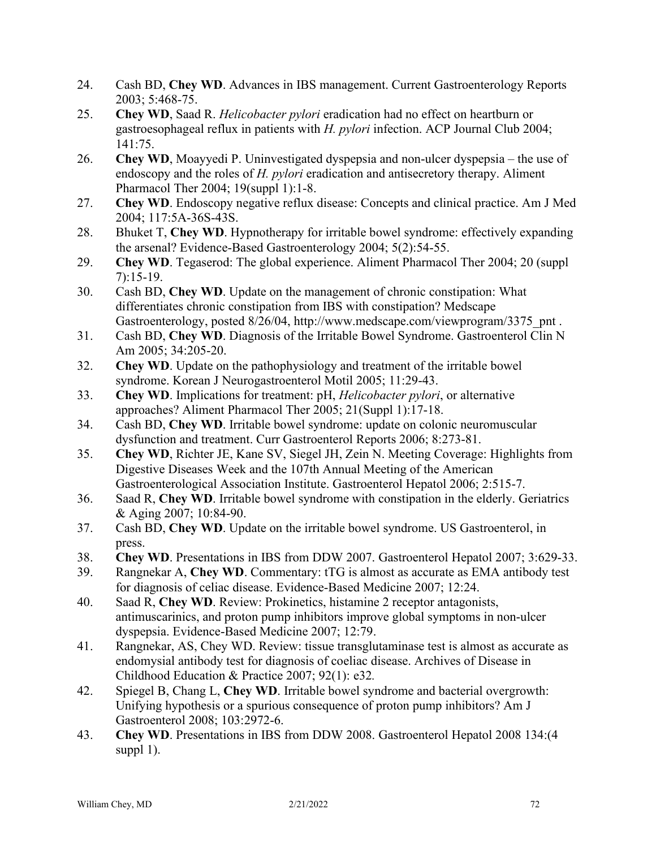- 24. Cash BD, **Chey WD**. Advances in IBS management. Current Gastroenterology Reports 2003; 5:468-75.
- 25. **Chey WD**, Saad R. *Helicobacter pylori* eradication had no effect on heartburn or gastroesophageal reflux in patients with *H. pylori* infection. ACP Journal Club 2004; 141:75.
- 26. **Chey WD**, Moayyedi P. Uninvestigated dyspepsia and non-ulcer dyspepsia the use of endoscopy and the roles of *H. pylori* eradication and antisecretory therapy. Aliment Pharmacol Ther 2004; 19(suppl 1):1-8.
- 27. **Chey WD**. Endoscopy negative reflux disease: Concepts and clinical practice. Am J Med 2004; 117:5A-36S-43S.
- 28. Bhuket T, **Chey WD**. Hypnotherapy for irritable bowel syndrome: effectively expanding the arsenal? Evidence-Based Gastroenterology 2004; 5(2):54-55.
- 29. **Chey WD**. Tegaserod: The global experience. Aliment Pharmacol Ther 2004; 20 (suppl 7):15-19.
- 30. Cash BD, **Chey WD**. Update on the management of chronic constipation: What differentiates chronic constipation from IBS with constipation? Medscape Gastroenterology, posted 8/26/04, http://www.medscape.com/viewprogram/3375\_pnt.
- 31. Cash BD, **Chey WD**. Diagnosis of the Irritable Bowel Syndrome. Gastroenterol Clin N Am 2005; 34:205-20.
- 32. **Chey WD**. Update on the pathophysiology and treatment of the irritable bowel syndrome. Korean J Neurogastroenterol Motil 2005; 11:29-43.
- 33. **Chey WD**. Implications for treatment: pH, *Helicobacter pylori*, or alternative approaches? Aliment Pharmacol Ther 2005; 21(Suppl 1):17-18.
- 34. Cash BD, **Chey WD**. Irritable bowel syndrome: update on colonic neuromuscular dysfunction and treatment. Curr Gastroenterol Reports 2006; 8:273-81.
- 35. **Chey WD**, Richter JE, Kane SV, Siegel JH, Zein N. Meeting Coverage: Highlights from Digestive Diseases Week and the 107th Annual Meeting of the American Gastroenterological Association Institute. Gastroenterol Hepatol 2006; 2:515-7.
- 36. Saad R, **Chey WD**. Irritable bowel syndrome with constipation in the elderly. Geriatrics & Aging 2007; 10:84-90.
- 37. Cash BD, **Chey WD**. Update on the irritable bowel syndrome. US Gastroenterol, in press.
- 38. **Chey WD**. Presentations in IBS from DDW 2007. Gastroenterol Hepatol 2007; 3:629-33.
- 39. Rangnekar A, **Chey WD**. Commentary: tTG is almost as accurate as EMA antibody test for diagnosis of celiac disease. Evidence-Based Medicine 2007; 12:24.
- 40. Saad R, **Chey WD**. Review: Prokinetics, histamine 2 receptor antagonists, antimuscarinics, and proton pump inhibitors improve global symptoms in non-ulcer dyspepsia. Evidence-Based Medicine 2007; 12:79.
- 41. Rangnekar, AS, Chey WD. Review: tissue transglutaminase test is almost as accurate as endomysial antibody test for diagnosis of coeliac disease. Archives of Disease in Childhood Education & Practice 2007; 92(1): e32*.*
- 42. Spiegel B, Chang L, **Chey WD**. Irritable bowel syndrome and bacterial overgrowth: Unifying hypothesis or a spurious consequence of proton pump inhibitors? Am J Gastroenterol 2008; 103:2972-6.
- 43. **Chey WD**. Presentations in IBS from DDW 2008. Gastroenterol Hepatol 2008 134:(4 suppl 1).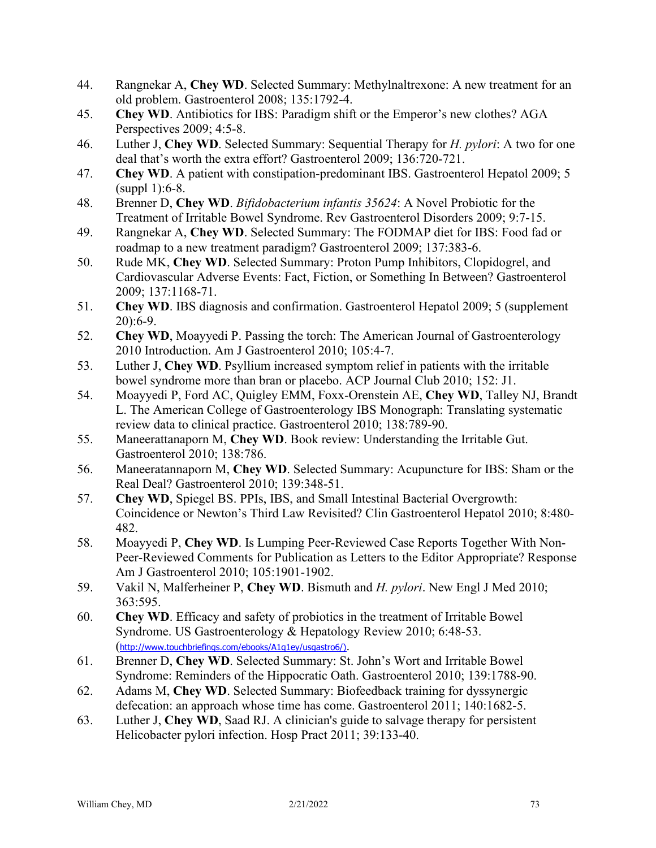- 44. Rangnekar A, **Chey WD**. Selected Summary: Methylnaltrexone: A new treatment for an old problem. Gastroenterol 2008; 135:1792-4.
- 45. **Chey WD**. Antibiotics for IBS: Paradigm shift or the Emperor's new clothes? AGA Perspectives 2009; 4:5-8.
- 46. Luther J, **Chey WD**. Selected Summary: Sequential Therapy for *H. pylori*: A two for one deal that's worth the extra effort? Gastroenterol 2009; 136:720-721.
- 47. **Chey WD**. A patient with constipation-predominant IBS. Gastroenterol Hepatol 2009; 5 (suppl 1):6-8.
- 48. Brenner D, **Chey WD**. *Bifidobacterium infantis 35624*: A Novel Probiotic for the Treatment of Irritable Bowel Syndrome. Rev Gastroenterol Disorders 2009; 9:7-15.
- 49. Rangnekar A, **Chey WD**. Selected Summary: The FODMAP diet for IBS: Food fad or roadmap to a new treatment paradigm? Gastroenterol 2009; 137:383-6.
- 50. Rude MK, **Chey WD**. Selected Summary: Proton Pump Inhibitors, Clopidogrel, and Cardiovascular Adverse Events: Fact, Fiction, or Something In Between? Gastroenterol 2009; 137:1168-71.
- 51. **Chey WD**. IBS diagnosis and confirmation. Gastroenterol Hepatol 2009; 5 (supplement 20):6-9.
- 52. **Chey WD**, Moayyedi P. Passing the torch: The American Journal of Gastroenterology 2010 Introduction. Am J Gastroenterol 2010; 105:4-7.
- 53. Luther J, **Chey WD**. Psyllium increased symptom relief in patients with the irritable bowel syndrome more than bran or placebo. ACP Journal Club 2010; 152: J1.
- 54. Moayyedi P, Ford AC, Quigley EMM, Foxx-Orenstein AE, **Chey WD**, Talley NJ, Brandt L. The American College of Gastroenterology IBS Monograph: Translating systematic review data to clinical practice. Gastroenterol 2010; 138:789-90.
- 55. Maneerattanaporn M, **Chey WD**. Book review: Understanding the Irritable Gut. Gastroenterol 2010; 138:786.
- 56. Maneeratannaporn M, **Chey WD**. Selected Summary: Acupuncture for IBS: Sham or the Real Deal? Gastroenterol 2010; 139:348-51.
- 57. **Chey WD**, Spiegel BS. PPIs, IBS, and Small Intestinal Bacterial Overgrowth: Coincidence or Newton's Third Law Revisited? Clin Gastroenterol Hepatol 2010; 8:480- 482.
- 58. Moayyedi P, **Chey WD**. [Is Lumping Peer-Reviewed Case Reports Together With Non-](http://apps.isiknowledge.com/full_record.do?product=UA&search_mode=GeneralSearch&qid=4&SID=4FIBc9Nbjl5BFPB1FfB&page=1&doc=4&colname=WOS&cacheurlFromRightClick=no)[Peer-Reviewed Comments for Publication as Letters to the Editor Appropriate? Response](http://apps.isiknowledge.com/full_record.do?product=UA&search_mode=GeneralSearch&qid=4&SID=4FIBc9Nbjl5BFPB1FfB&page=1&doc=4&colname=WOS&cacheurlFromRightClick=no) Am J Gastroenterol 2010; 105:1901-1902.
- 59. Vakil N, Malferheiner P, **Chey WD**. Bismuth and *H. pylori*. New Engl J Med 2010; 363:595.
- 60. **Chey WD**. Efficacy and safety of probiotics in the treatment of Irritable Bowel Syndrome. US Gastroenterology & Hepatology Review 2010; 6:48-53. (http://www.touchbriefings.com/ebooks/A1q1ey/usgastro6/).
- 61. Brenner D, **Chey WD**. Selected Summary: St. John's Wort and Irritable Bowel Syndrome: Reminders of the Hippocratic Oath. Gastroenterol 2010; 139:1788-90.
- 62. Adams M, **Chey WD**. Selected Summary: Biofeedback training for dyssynergic defecation: an approach whose time has come. Gastroenterol 2011; 140:1682-5.
- 63. Luther J, **Chey WD**, Saad RJ. A clinician's guide to salvage therapy for persistent Helicobacter pylori infection. Hosp Pract 2011; 39:133-40.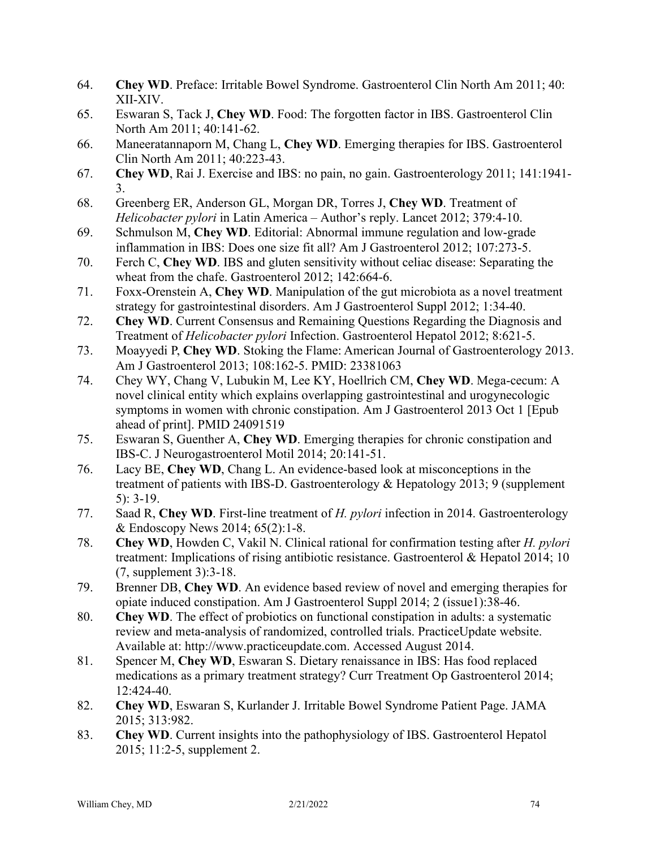- 64. **Chey WD**. Preface: Irritable Bowel Syndrome. Gastroenterol Clin North Am 2011; 40: XII-XIV.
- 65. Eswaran S, Tack J, **Chey WD**. Food: The forgotten factor in IBS. Gastroenterol Clin North Am 2011; 40:141-62.
- 66. Maneeratannaporn M, Chang L, **Chey WD**. Emerging therapies for IBS. Gastroenterol Clin North Am 2011; 40:223-43.
- 67. **Chey WD**, Rai J. Exercise and IBS: no pain, no gain. Gastroenterology 2011; 141:1941- 3.
- 68. Greenberg ER, Anderson GL, Morgan DR, Torres J, **Chey WD**. Treatment of *Helicobacter pylori* in Latin America – Author's reply. Lancet 2012; 379:4-10.
- 69. Schmulson M, **Chey WD**. Editorial: Abnormal immune regulation and low-grade inflammation in IBS: Does one size fit all? Am J Gastroenterol 2012; 107:273-5.
- 70. Ferch C, **Chey WD**. IBS and gluten sensitivity without celiac disease: Separating the wheat from the chafe. Gastroenterol 2012; 142:664-6.
- 71. Foxx-Orenstein A, **Chey WD**. Manipulation of the gut microbiota as a novel treatment strategy for gastrointestinal disorders. Am J Gastroenterol Suppl 2012; 1:34-40.
- 72. **Chey WD**. Current Consensus and Remaining Questions Regarding the Diagnosis and Treatment of *Helicobacter pylori* Infection. Gastroenterol Hepatol 2012; 8:621-5.
- 73. Moayyedi P, **Chey WD**. Stoking the Flame: American Journal of Gastroenterology 2013. Am J Gastroenterol 2013; 108:162-5. PMID: 23381063
- 74. Chey WY, Chang V, Lubukin M, Lee KY, Hoellrich CM, **Chey WD**. Mega-cecum: A novel clinical entity which explains overlapping gastrointestinal and urogynecologic symptoms in women with chronic constipation. Am J Gastroenterol 2013 Oct 1 [Epub ahead of print]. PMID 24091519
- 75. Eswaran S, Guenther A, **Chey WD**. Emerging therapies for chronic constipation and IBS-C. J Neurogastroenterol Motil 2014; 20:141-51.
- 76. Lacy BE, **Chey WD**, Chang L. An evidence-based look at misconceptions in the treatment of patients with IBS-D. Gastroenterology & Hepatology 2013; 9 (supplement 5): 3-19.
- 77. Saad R, **Chey WD**. First-line treatment of *H. pylori* infection in 2014. Gastroenterology & Endoscopy News 2014; 65(2):1-8.
- 78. **Chey WD**, Howden C, Vakil N. Clinical rational for confirmation testing after *H. pylori* treatment: Implications of rising antibiotic resistance. Gastroenterol & Hepatol 2014; 10 (7, supplement 3):3-18.
- 79. Brenner DB, **Chey WD**. An evidence based review of novel and emerging therapies for opiate induced constipation. Am J Gastroenterol Suppl 2014; 2 (issue1):38-46.
- 80. **Chey WD**. The effect of probiotics on functional constipation in adults: a systematic review and meta-analysis of randomized, controlled trials. PracticeUpdate website. Available at: http://www.practiceupdate.com. Accessed August 2014.
- 81. Spencer M, **Chey WD**, Eswaran S. Dietary renaissance in IBS: Has food replaced medications as a primary treatment strategy? Curr Treatment Op Gastroenterol 2014; 12:424-40.
- 82. **Chey WD**, Eswaran S, Kurlander J. Irritable Bowel Syndrome Patient Page. JAMA 2015; 313:982.
- 83. **Chey WD**. Current insights into the pathophysiology of IBS. Gastroenterol Hepatol 2015; 11:2-5, supplement 2.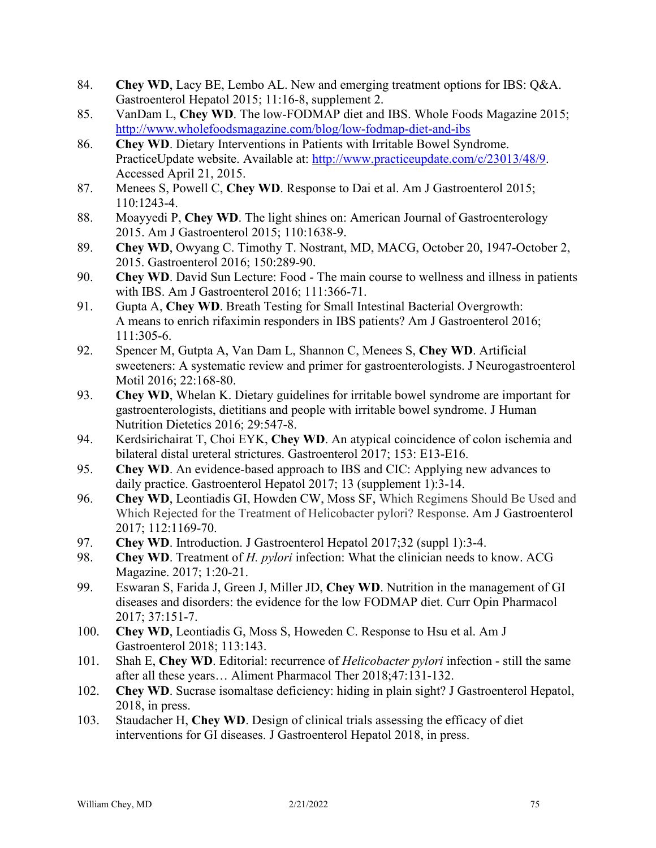- 84. **Chey WD**, Lacy BE, Lembo AL. New and emerging treatment options for IBS: Q&A. Gastroenterol Hepatol 2015; 11:16-8, supplement 2.
- 85. VanDam L, **Chey WD**. The low-FODMAP diet and IBS. Whole Foods Magazine 2015; <http://www.wholefoodsmagazine.com/blog/low-fodmap-diet-and-ibs>
- 86. **Chey WD**. Dietary Interventions in Patients with Irritable Bowel Syndrome. PracticeUpdate website. Available at: [http://www.practiceupdate.com/c/23013/48/9.](http://www.practiceupdate.com/c/23013/48/9) Accessed April 21, 2015.
- 87. Menees S, Powell C, **Chey WD**. Response to Dai et al. Am J Gastroenterol 2015; 110:1243-4.
- 88. Moayyedi P, **Chey WD**. The light shines on: American Journal of Gastroenterology 2015. Am J Gastroenterol 2015; 110:1638-9.
- 89. **Chey WD**, Owyang C. Timothy T. Nostrant, MD, MACG, October 20, 1947-October 2, 2015. Gastroenterol 2016; 150:289-90.
- 90. **Chey WD**. David Sun Lecture: Food The main course to wellness and illness in patients with IBS. Am J Gastroenterol 2016; 111:366-71.
- 91. Gupta A, **Chey WD**. Breath Testing for Small Intestinal Bacterial Overgrowth: A means to enrich rifaximin responders in IBS patients? Am J Gastroenterol 2016; 111:305-6.
- 92. Spencer M, Gutpta A, Van Dam L, Shannon C, Menees S, **Chey WD**. Artificial sweeteners: A systematic review and primer for gastroenterologists. J Neurogastroenterol Motil 2016; 22:168-80.
- 93. **Chey WD**, Whelan K. Dietary guidelines for irritable bowel syndrome are important for gastroenterologists, dietitians and people with irritable bowel syndrome. J Human Nutrition Dietetics 2016; 29:547-8.
- 94. Kerdsirichairat T, Choi EYK, **Chey WD**. An atypical coincidence of colon ischemia and bilateral distal ureteral strictures. Gastroenterol 2017; 153: E13-E16.
- 95. **Chey WD**. An evidence-based approach to IBS and CIC: Applying new advances to daily practice. Gastroenterol Hepatol 2017; 13 (supplement 1):3-14.
- 96. **Chey WD**, Leontiadis GI, Howden CW, Moss SF, Which Regimens Should Be Used and Which Rejected for the Treatment of Helicobacter pylori? Response. Am J Gastroenterol 2017; 112:1169-70.
- 97. **Chey WD**. Introduction. J Gastroenterol Hepatol 2017;32 (suppl 1):3-4.
- 98. **Chey WD**. Treatment of *H. pylori* infection: What the clinician needs to know. ACG Magazine. 2017; 1:20-21.
- 99. Eswaran S, Farida J, Green J, Miller JD, **Chey WD**. Nutrition in the management of GI diseases and disorders: the evidence for the low FODMAP diet. Curr Opin Pharmacol 2017; 37:151-7.
- 100. **Chey WD**, Leontiadis G, Moss S, Howeden C. Response to Hsu et al. Am J Gastroenterol 2018; 113:143.
- 101. Shah E, **Chey WD**. Editorial: recurrence of *Helicobacter pylori* infection still the same after all these years… Aliment Pharmacol Ther 2018;47:131-132.
- 102. **Chey WD**. Sucrase isomaltase deficiency: hiding in plain sight? J Gastroenterol Hepatol, 2018, in press.
- 103. Staudacher H, **Chey WD**. Design of clinical trials assessing the efficacy of diet interventions for GI diseases. J Gastroenterol Hepatol 2018, in press.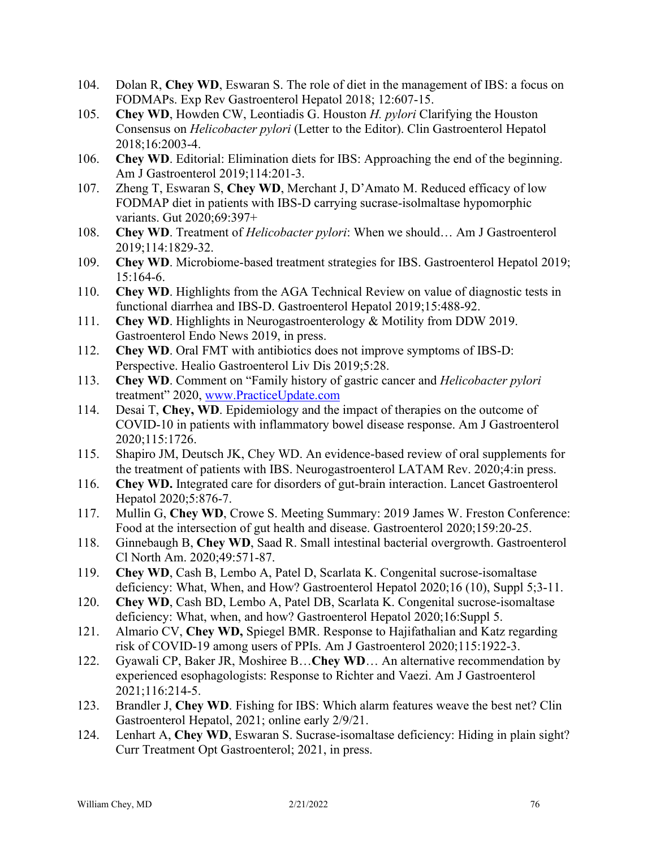- 104. Dolan R, **Chey WD**, Eswaran S. The role of diet in the management of IBS: a focus on FODMAPs. Exp Rev Gastroenterol Hepatol 2018; 12:607-15.
- 105. **Chey WD**, Howden CW, Leontiadis G. Houston *H. pylori* Clarifying the Houston Consensus on *Helicobacter pylori* (Letter to the Editor). Clin Gastroenterol Hepatol 2018;16:2003-4.
- 106. **Chey WD**. Editorial: Elimination diets for IBS: Approaching the end of the beginning. Am J Gastroenterol 2019;114:201-3.
- 107. Zheng T, Eswaran S, **Chey WD**, Merchant J, D'Amato M. Reduced efficacy of low FODMAP diet in patients with IBS-D carrying sucrase-isolmaltase hypomorphic variants. Gut 2020;69:397+
- 108. **Chey WD**. Treatment of *Helicobacter pylori*: When we should… Am J Gastroenterol 2019;114:1829-32.
- 109. **Chey WD**. Microbiome-based treatment strategies for IBS. Gastroenterol Hepatol 2019; 15:164-6.
- 110. **Chey WD**. Highlights from the AGA Technical Review on value of diagnostic tests in functional diarrhea and IBS-D. Gastroenterol Hepatol 2019;15:488-92.
- 111. **Chey WD**. Highlights in Neurogastroenterology & Motility from DDW 2019. Gastroenterol Endo News 2019, in press.
- 112. **Chey WD**. Oral FMT with antibiotics does not improve symptoms of IBS-D: Perspective. Healio Gastroenterol Liv Dis 2019;5:28.
- 113. **Chey WD**. Comment on "Family history of gastric cancer and *Helicobacter pylori* treatment" 2020, [www.PracticeUpdate.com](http://www.practiceupdate.com/)
- 114. Desai T, **Chey, WD**. Epidemiology and the impact of therapies on the outcome of COVID-10 in patients with inflammatory bowel disease response. Am J Gastroenterol 2020;115:1726.
- 115. Shapiro JM, Deutsch JK, Chey WD. An evidence-based review of oral supplements for the treatment of patients with IBS. Neurogastroenterol LATAM Rev. 2020;4:in press.
- 116. **Chey WD.** Integrated care for disorders of gut-brain interaction. Lancet Gastroenterol Hepatol 2020;5:876-7.
- 117. Mullin G, **Chey WD**, Crowe S. Meeting Summary: 2019 James W. Freston Conference: Food at the intersection of gut health and disease. Gastroenterol 2020;159:20-25.
- 118. Ginnebaugh B, **Chey WD**, Saad R. Small intestinal bacterial overgrowth. Gastroenterol Cl North Am. 2020;49:571-87.
- 119. **Chey WD**, Cash B, Lembo A, Patel D, Scarlata K. Congenital sucrose-isomaltase deficiency: What, When, and How? Gastroenterol Hepatol 2020;16 (10), Suppl 5;3-11.
- 120. **Chey WD**, Cash BD, Lembo A, Patel DB, Scarlata K. Congenital sucrose-isomaltase deficiency: What, when, and how? Gastroenterol Hepatol 2020;16:Suppl 5.
- 121. Almario CV, **Chey WD,** Spiegel BMR. Response to Hajifathalian and Katz regarding risk of COVID-19 among users of PPIs. Am J Gastroenterol 2020;115:1922-3.
- 122. Gyawali CP, Baker JR, Moshiree B…**Chey WD**… An alternative recommendation by experienced esophagologists: Response to Richter and Vaezi. Am J Gastroenterol 2021;116:214-5.
- 123. Brandler J, **Chey WD**. Fishing for IBS: Which alarm features weave the best net? Clin Gastroenterol Hepatol, 2021; online early 2/9/21.
- 124. Lenhart A, **Chey WD**, Eswaran S. Sucrase-isomaltase deficiency: Hiding in plain sight? Curr Treatment Opt Gastroenterol; 2021, in press.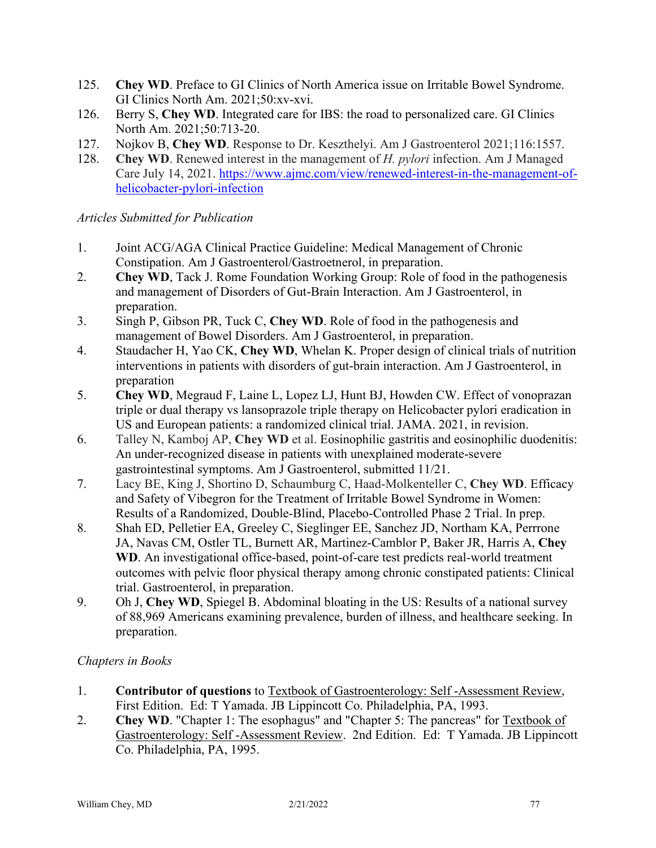- 125. **Chey WD**. Preface to GI Clinics of North America issue on Irritable Bowel Syndrome. GI Clinics North Am. 2021;50:xv-xvi.
- 126. Berry S, **Chey WD**. Integrated care for IBS: the road to personalized care. GI Clinics North Am. 2021;50:713-20.
- 127. Nojkov B, **Chey WD**. Response to Dr. Keszthelyi. Am J Gastroenterol 2021;116:1557.
- 128. **Chey WD**. Renewed interest in the management of *H. pylori* infection. Am J Managed Care July 14, 2021. [https://www.ajmc.com/view/renewed-interest-in-the-management-of](https://www.ajmc.com/view/renewed-interest-in-the-management-of-helicobacter-pylori-infection)[helicobacter-pylori-infection](https://www.ajmc.com/view/renewed-interest-in-the-management-of-helicobacter-pylori-infection)

# *Articles Submitted for Publication*

- 1. Joint ACG/AGA Clinical Practice Guideline: Medical Management of Chronic Constipation. Am J Gastroenterol/Gastroetnerol, in preparation.
- 2. **Chey WD**, Tack J. Rome Foundation Working Group: Role of food in the pathogenesis and management of Disorders of Gut-Brain Interaction. Am J Gastroenterol, in preparation.
- 3. Singh P, Gibson PR, Tuck C, **Chey WD**. Role of food in the pathogenesis and management of Bowel Disorders. Am J Gastroenterol, in preparation.
- 4. Staudacher H, Yao CK, **Chey WD**, Whelan K. Proper design of clinical trials of nutrition interventions in patients with disorders of gut-brain interaction. Am J Gastroenterol, in preparation
- 5. **Chey WD**, Megraud F, Laine L, Lopez LJ, Hunt BJ, Howden CW. Effect of vonoprazan triple or dual therapy vs lansoprazole triple therapy on Helicobacter pylori eradication in US and European patients: a randomized clinical trial. JAMA. 2021, in revision.
- 6. Talley N, Kamboj AP, **Chey WD** et al. Eosinophilic gastritis and eosinophilic duodenitis: An under-recognized disease in patients with unexplained moderate-severe gastrointestinal symptoms. Am J Gastroenterol, submitted 11/21.
- 7. Lacy BE, King J, Shortino D, Schaumburg C, Haad-Molkenteller C, **Chey WD**. Efficacy and Safety of Vibegron for the Treatment of Irritable Bowel Syndrome in Women: Results of a Randomized, Double-Blind, Placebo-Controlled Phase 2 Trial. In prep.
- 8. Shah ED, Pelletier EA, Greeley C, Sieglinger EE, Sanchez JD, Northam KA, Perrrone JA, Navas CM, Ostler TL, Burnett AR, Martinez-Camblor P, Baker JR, Harris A, **Chey WD**. An investigational office-based, point-of-care test predicts real-world treatment outcomes with pelvic floor physical therapy among chronic constipated patients: Clinical trial. Gastroenterol, in preparation.
- 9. Oh J, **Chey WD**, Spiegel B. Abdominal bloating in the US: Results of a national survey of 88,969 Americans examining prevalence, burden of illness, and healthcare seeking. In preparation.

# *Chapters in Books*

- 1. **Contributor of questions** to Textbook of Gastroenterology: Self -Assessment Review, First Edition. Ed: T Yamada. JB Lippincott Co. Philadelphia, PA, 1993.
- 2. **Chey WD**. "Chapter 1: The esophagus" and "Chapter 5: The pancreas" for Textbook of Gastroenterology: Self -Assessment Review. 2nd Edition. Ed: T Yamada. JB Lippincott Co. Philadelphia, PA, 1995.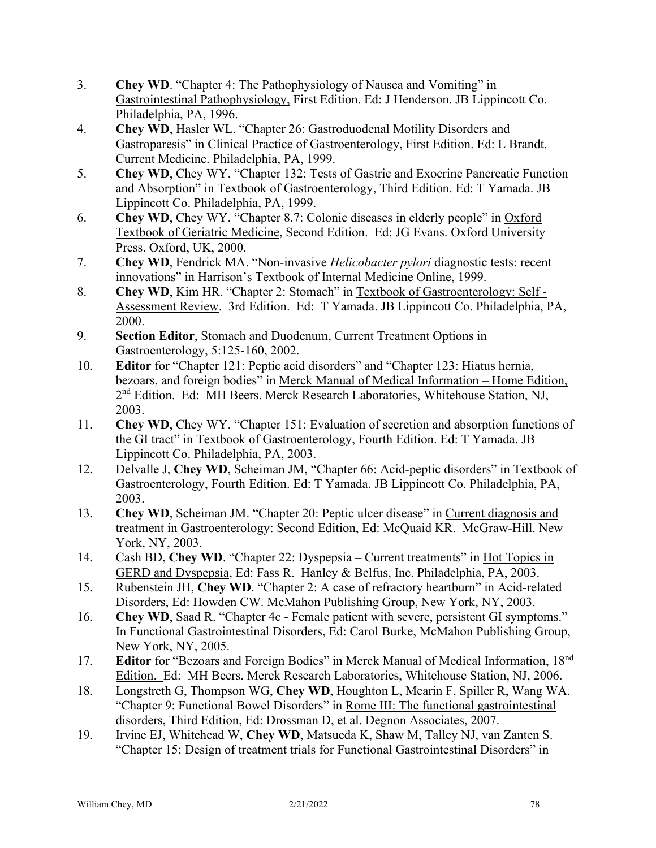- 3. **Chey WD**. "Chapter 4: The Pathophysiology of Nausea and Vomiting" in Gastrointestinal Pathophysiology, First Edition. Ed: J Henderson. JB Lippincott Co. Philadelphia, PA, 1996.
- 4. **Chey WD**, Hasler WL. "Chapter 26: Gastroduodenal Motility Disorders and Gastroparesis" in Clinical Practice of Gastroenterology, First Edition. Ed: L Brandt. Current Medicine. Philadelphia, PA, 1999.
- 5. **Chey WD**, Chey WY. "Chapter 132: Tests of Gastric and Exocrine Pancreatic Function and Absorption" in Textbook of Gastroenterology, Third Edition. Ed: T Yamada. JB Lippincott Co. Philadelphia, PA, 1999.
- 6. **Chey WD**, Chey WY. "Chapter 8.7: Colonic diseases in elderly people" in Oxford Textbook of Geriatric Medicine, Second Edition. Ed: JG Evans. Oxford University Press. Oxford, UK, 2000.
- 7. **Chey WD**, Fendrick MA. "Non-invasive *Helicobacter pylori* diagnostic tests: recent innovations" in Harrison's Textbook of Internal Medicine Online, 1999.
- 8. **Chey WD**, Kim HR. "Chapter 2: Stomach" in Textbook of Gastroenterology: Self Assessment Review. 3rd Edition. Ed: T Yamada. JB Lippincott Co. Philadelphia, PA, 2000.
- 9. **Section Editor**, Stomach and Duodenum, Current Treatment Options in Gastroenterology, 5:125-160, 2002.
- 10. **Editor** for "Chapter 121: Peptic acid disorders" and "Chapter 123: Hiatus hernia, bezoars, and foreign bodies" in Merck Manual of Medical Information – Home Edition, 2<sup>nd</sup> Edition. Ed: MH Beers. Merck Research Laboratories, Whitehouse Station, NJ, 2003.
- 11. **Chey WD**, Chey WY. "Chapter 151: Evaluation of secretion and absorption functions of the GI tract" in Textbook of Gastroenterology, Fourth Edition. Ed: T Yamada. JB Lippincott Co. Philadelphia, PA, 2003.
- 12. Delvalle J, **Chey WD**, Scheiman JM, "Chapter 66: Acid-peptic disorders" in Textbook of Gastroenterology, Fourth Edition. Ed: T Yamada. JB Lippincott Co. Philadelphia, PA, 2003.
- 13. **Chey WD**, Scheiman JM. "Chapter 20: Peptic ulcer disease" in Current diagnosis and treatment in Gastroenterology: Second Edition, Ed: McQuaid KR. McGraw-Hill. New York, NY, 2003.
- 14. Cash BD, **Chey WD**. "Chapter 22: Dyspepsia Current treatments" in Hot Topics in GERD and Dyspepsia, Ed: Fass R. Hanley & Belfus, Inc. Philadelphia, PA, 2003.
- 15. Rubenstein JH, **Chey WD**. "Chapter 2: A case of refractory heartburn" in Acid-related Disorders, Ed: Howden CW. McMahon Publishing Group, New York, NY, 2003.
- 16. **Chey WD**, Saad R. "Chapter 4c Female patient with severe, persistent GI symptoms." In Functional Gastrointestinal Disorders, Ed: Carol Burke, McMahon Publishing Group, New York, NY, 2005.
- 17. **Editor** for "Bezoars and Foreign Bodies" in Merck Manual of Medical Information, 18nd Edition. Ed: MH Beers. Merck Research Laboratories, Whitehouse Station, NJ, 2006.
- 18. Longstreth G, Thompson WG, **Chey WD**, Houghton L, Mearin F, Spiller R, Wang WA. "Chapter 9: Functional Bowel Disorders" in Rome III: The functional gastrointestinal disorders, Third Edition, Ed: Drossman D, et al. Degnon Associates, 2007.
- 19. Irvine EJ, Whitehead W, **Chey WD**, Matsueda K, Shaw M, Talley NJ, van Zanten S. "Chapter 15: Design of treatment trials for Functional Gastrointestinal Disorders" in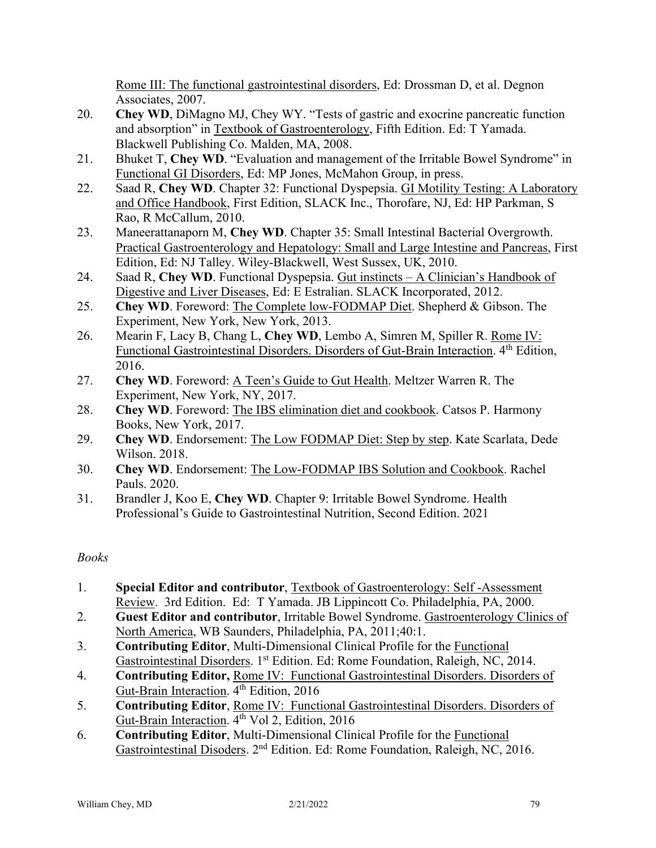Rome III: The functional gastrointestinal disorders, Ed: Drossman D, et al. Degnon Associates, 2007.

- 20. **Chey WD**, DiMagno MJ, Chey WY. "Tests of gastric and exocrine pancreatic function and absorption" in Textbook of Gastroenterology, Fifth Edition. Ed: T Yamada. Blackwell Publishing Co. Malden, MA, 2008.
- 21. Bhuket T, **Chey WD**. "Evaluation and management of the Irritable Bowel Syndrome" in Functional GI Disorders, Ed: MP Jones, McMahon Group, in press.
- 22. Saad R, **Chey WD**. Chapter 32: Functional Dyspepsia. GI Motility Testing: A Laboratory and Office Handbook, First Edition, SLACK Inc., Thorofare, NJ, Ed: HP Parkman, S Rao, R McCallum, 2010.
- 23. Maneerattanaporn M, **Chey WD**. Chapter 35: Small Intestinal Bacterial Overgrowth. Practical Gastroenterology and Hepatology: Small and Large Intestine and Pancreas, First Edition, Ed: NJ Talley. Wiley-Blackwell, West Sussex, UK, 2010.
- 24. Saad R, **Chey WD**. Functional Dyspepsia. Gut instincts A Clinician's Handbook of Digestive and Liver Diseases, Ed: E Estralian. SLACK Incorporated, 2012.
- 25. **Chey WD**. Foreword: The Complete low-FODMAP Diet. Shepherd & Gibson. The Experiment, New York, New York, 2013.
- 26. Mearin F, Lacy B, Chang L, **Chey WD**, Lembo A, Simren M, Spiller R. Rome IV: Functional Gastrointestinal Disorders. Disorders of Gut-Brain Interaction. 4<sup>th</sup> Edition, 2016.
- 27. **Chey WD**. Foreword: A Teen's Guide to Gut Health. Meltzer Warren R. The Experiment, New York, NY, 2017.
- 28. **Chey WD**. Foreword: The IBS elimination diet and cookbook. Catsos P. Harmony Books, New York, 2017.
- 29. **Chey WD**. Endorsement: The Low FODMAP Diet: Step by step. Kate Scarlata, Dede Wilson. 2018.
- 30. **Chey WD**. Endorsement: The Low-FODMAP IBS Solution and Cookbook. Rachel Pauls. 2020.
- 31. Brandler J, Koo E, **Chey WD**. Chapter 9: Irritable Bowel Syndrome. Health Professional's Guide to Gastrointestinal Nutrition, Second Edition. 2021

# *Books*

- 1. **Special Editor and contributor**, Textbook of Gastroenterology: Self -Assessment Review. 3rd Edition. Ed: T Yamada. JB Lippincott Co. Philadelphia, PA, 2000.
- 2. **Guest Editor and contributor**, Irritable Bowel Syndrome. Gastroenterology Clinics of North America, WB Saunders, Philadelphia, PA, 2011;40:1.
- 3. **Contributing Editor**, Multi-Dimensional Clinical Profile for the Functional Gastrointestinal Disorders. 1<sup>st</sup> Edition. Ed: Rome Foundation, Raleigh, NC, 2014.
- 4. **Contributing Editor,** Rome IV: Functional Gastrointestinal Disorders. Disorders of Gut-Brain Interaction. 4<sup>th</sup> Edition, 2016
- 5. **Contributing Editor**, Rome IV: Functional Gastrointestinal Disorders. Disorders of Gut-Brain Interaction. 4<sup>th</sup> Vol 2, Edition, 2016
- 6. **Contributing Editor**, Multi-Dimensional Clinical Profile for the Functional Gastrointestinal Disoders. 2nd Edition. Ed: Rome Foundation, Raleigh, NC, 2016.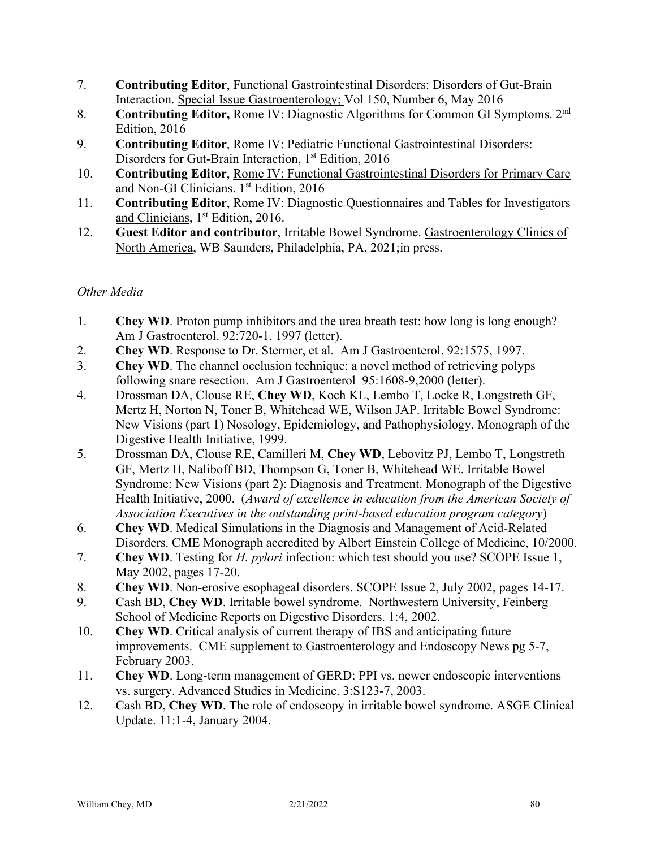- 7. **Contributing Editor**, Functional Gastrointestinal Disorders: Disorders of Gut-Brain Interaction. Special Issue Gastroenterology; Vol 150, Number 6, May 2016
- 8. **Contributing Editor,** Rome IV: Diagnostic Algorithms for Common GI Symptoms. 2nd Edition, 2016
- 9. **Contributing Editor**, Rome IV: Pediatric Functional Gastrointestinal Disorders: Disorders for Gut-Brain Interaction, 1<sup>st</sup> Edition, 2016
- 10. **Contributing Editor**, Rome IV: Functional Gastrointestinal Disorders for Primary Care and Non-GI Clinicians. 1<sup>st</sup> Edition, 2016
- 11. **Contributing Editor**, Rome IV: Diagnostic Questionnaires and Tables for Investigators and Clinicians, 1<sup>st</sup> Edition, 2016.
- 12. **Guest Editor and contributor**, Irritable Bowel Syndrome. Gastroenterology Clinics of North America, WB Saunders, Philadelphia, PA, 2021;in press.

# *Other Media*

- 1. **Chey WD**. Proton pump inhibitors and the urea breath test: how long is long enough? Am J Gastroenterol. 92:720-1, 1997 (letter).
- 2. **Chey WD**. Response to Dr. Stermer, et al. Am J Gastroenterol. 92:1575, 1997.
- 3. **Chey WD**. The channel occlusion technique: a novel method of retrieving polyps following snare resection. Am J Gastroenterol 95:1608-9,2000 (letter).
- 4. Drossman DA, Clouse RE, **Chey WD**, Koch KL, Lembo T, Locke R, Longstreth GF, Mertz H, Norton N, Toner B, Whitehead WE, Wilson JAP. Irritable Bowel Syndrome: New Visions (part 1) Nosology, Epidemiology, and Pathophysiology. Monograph of the Digestive Health Initiative, 1999.
- 5. Drossman DA, Clouse RE, Camilleri M, **Chey WD**, Lebovitz PJ, Lembo T, Longstreth GF, Mertz H, Naliboff BD, Thompson G, Toner B, Whitehead WE. Irritable Bowel Syndrome: New Visions (part 2): Diagnosis and Treatment. Monograph of the Digestive Health Initiative, 2000. (*Award of excellence in education from the American Society of Association Executives in the outstanding print-based education program category*)
- 6. **Chey WD**. Medical Simulations in the Diagnosis and Management of Acid-Related Disorders. CME Monograph accredited by Albert Einstein College of Medicine, 10/2000.
- 7. **Chey WD**. Testing for *H. pylori* infection: which test should you use? SCOPE Issue 1, May 2002, pages 17-20.
- 8. **Chey WD**. Non-erosive esophageal disorders. SCOPE Issue 2, July 2002, pages 14-17.
- 9. Cash BD, **Chey WD**. Irritable bowel syndrome. Northwestern University, Feinberg School of Medicine Reports on Digestive Disorders. 1:4, 2002.
- 10. **Chey WD**. Critical analysis of current therapy of IBS and anticipating future improvements. CME supplement to Gastroenterology and Endoscopy News pg 5-7, February 2003.
- 11. **Chey WD**. Long-term management of GERD: PPI vs. newer endoscopic interventions vs. surgery. Advanced Studies in Medicine. 3:S123-7, 2003.
- 12. Cash BD, **Chey WD**. The role of endoscopy in irritable bowel syndrome. ASGE Clinical Update. 11:1-4, January 2004.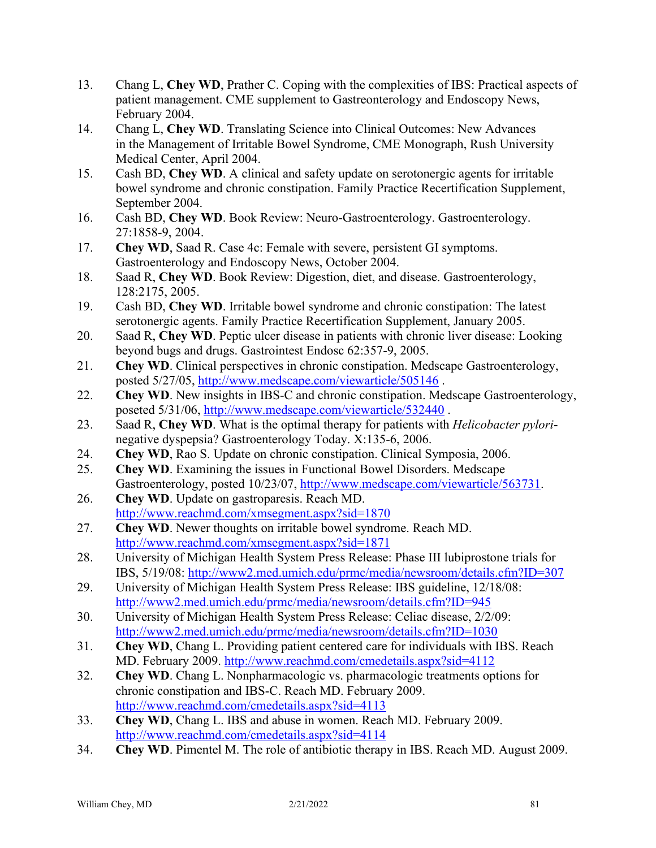- 13. Chang L, **Chey WD**, Prather C. Coping with the complexities of IBS: Practical aspects of patient management. CME supplement to Gastreonterology and Endoscopy News, February 2004.
- 14. Chang L, **Chey WD**. Translating Science into Clinical Outcomes: New Advances in the Management of Irritable Bowel Syndrome, CME Monograph, Rush University Medical Center, April 2004.
- 15. Cash BD, **Chey WD**. A clinical and safety update on serotonergic agents for irritable bowel syndrome and chronic constipation. Family Practice Recertification Supplement, September 2004.
- 16. Cash BD, **Chey WD**. Book Review: Neuro-Gastroenterology. Gastroenterology. 27:1858-9, 2004.
- 17. **Chey WD**, Saad R. Case 4c: Female with severe, persistent GI symptoms. Gastroenterology and Endoscopy News, October 2004.
- 18. Saad R, **Chey WD**. Book Review: Digestion, diet, and disease. Gastroenterology, 128:2175, 2005.
- 19. Cash BD, **Chey WD**. Irritable bowel syndrome and chronic constipation: The latest serotonergic agents. Family Practice Recertification Supplement, January 2005.
- 20. Saad R, **Chey WD**. Peptic ulcer disease in patients with chronic liver disease: Looking beyond bugs and drugs. Gastrointest Endosc 62:357-9, 2005.
- 21. **Chey WD**. Clinical perspectives in chronic constipation. Medscape Gastroenterology, posted 5/27/05,<http://www.medscape.com/viewarticle/505146> .
- 22. **Chey WD**. New insights in IBS-C and chronic constipation. Medscape Gastroenterology, poseted 5/31/06,<http://www.medscape.com/viewarticle/532440> .
- 23. Saad R, **Chey WD**. What is the optimal therapy for patients with *Helicobacter pylori*negative dyspepsia? Gastroenterology Today. X:135-6, 2006.
- 24. **Chey WD**, Rao S. Update on chronic constipation. Clinical Symposia, 2006.
- 25. **Chey WD**. Examining the issues in Functional Bowel Disorders. Medscape Gastroenterology, posted 10/23/07, [http://www.medscape.com/viewarticle/563731.](http://www.medscape.com/viewarticle/563731)
- 26. **Chey WD**. Update on gastroparesis. Reach MD. <http://www.reachmd.com/xmsegment.aspx?sid=1870>
- 27. **Chey WD**. Newer thoughts on irritable bowel syndrome. Reach MD. <http://www.reachmd.com/xmsegment.aspx?sid=1871>
- 28. University of Michigan Health System Press Release: Phase III lubiprostone trials for IBS, 5/19/08: <http://www2.med.umich.edu/prmc/media/newsroom/details.cfm?ID=307>
- 29. University of Michigan Health System Press Release: IBS guideline, 12/18/08: <http://www2.med.umich.edu/prmc/media/newsroom/details.cfm?ID=945>
- 30. University of Michigan Health System Press Release: Celiac disease, 2/2/09: <http://www2.med.umich.edu/prmc/media/newsroom/details.cfm?ID=1030>
- 31. **Chey WD**, Chang L. Providing patient centered care for individuals with IBS. Reach MD. February 2009.<http://www.reachmd.com/cmedetails.aspx?sid=4112>
- 32. **Chey WD**. Chang L. Nonpharmacologic vs. pharmacologic treatments options for chronic constipation and IBS-C. Reach MD. February 2009. <http://www.reachmd.com/cmedetails.aspx?sid=4113>
- 33. **Chey WD**, Chang L. IBS and abuse in women. Reach MD. February 2009. <http://www.reachmd.com/cmedetails.aspx?sid=4114>
- 34. **Chey WD**. Pimentel M. The role of antibiotic therapy in IBS. Reach MD. August 2009.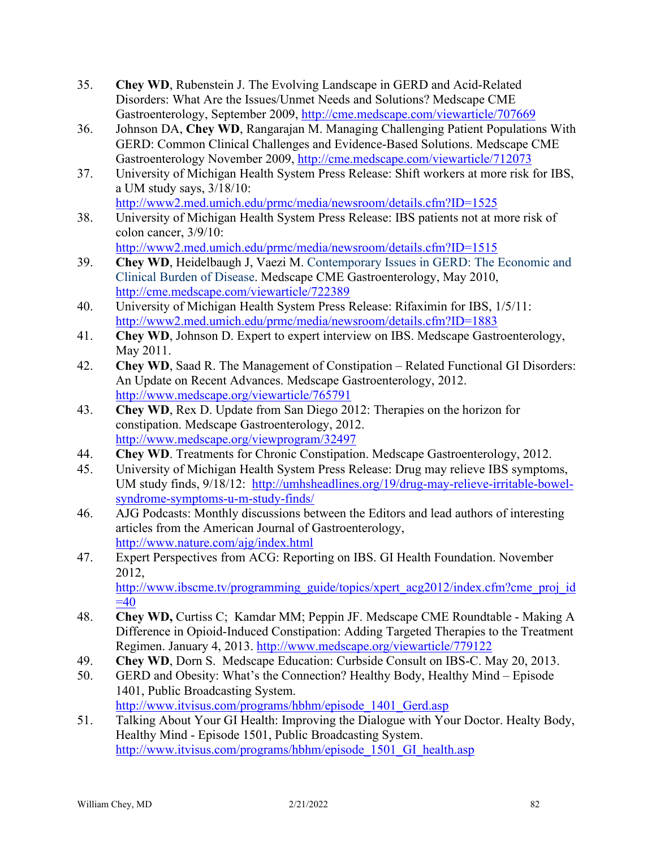- 35. **Chey WD**, Rubenstein J. The Evolving Landscape in GERD and Acid-Related Disorders: What Are the Issues/Unmet Needs and Solutions? Medscape CME Gastroenterology, September 2009,<http://cme.medscape.com/viewarticle/707669>
- 36. Johnson DA, **Chey WD**, Rangarajan M. Managing Challenging Patient Populations With GERD: Common Clinical Challenges and Evidence-Based Solutions. Medscape CME Gastroenterology November 2009,<http://cme.medscape.com/viewarticle/712073>
- 37. University of Michigan Health System Press Release: Shift workers at more risk for IBS, a UM study says, 3/18/10: <http://www2.med.umich.edu/prmc/media/newsroom/details.cfm?ID=1525>
- 38. University of Michigan Health System Press Release: IBS patients not at more risk of colon cancer, 3/9/10:

<http://www2.med.umich.edu/prmc/media/newsroom/details.cfm?ID=1515>

- 39. **Chey WD**, Heidelbaugh J, Vaezi M. Contemporary Issues in GERD: The Economic and Clinical Burden of Disease. Medscape CME Gastroenterology, May 2010, <http://cme.medscape.com/viewarticle/722389>
- 40. University of Michigan Health System Press Release: Rifaximin for IBS, 1/5/11: <http://www2.med.umich.edu/prmc/media/newsroom/details.cfm?ID=1883>
- 41. **Chey WD**, Johnson D. Expert to expert interview on IBS. Medscape Gastroenterology, May 2011.
- 42. **Chey WD**, Saad R. The Management of Constipation Related Functional GI Disorders: An Update on Recent Advances. Medscape Gastroenterology, 2012. <http://www.medscape.org/viewarticle/765791>
- 43. **Chey WD**, Rex D. Update from San Diego 2012: Therapies on the horizon for constipation. Medscape Gastroenterology, 2012. <http://www.medscape.org/viewprogram/32497>
- 44. **Chey WD**. Treatments for Chronic Constipation. Medscape Gastroenterology, 2012.
- 45. University of Michigan Health System Press Release: Drug may relieve IBS symptoms, UM study finds, 9/18/12: [http://umhsheadlines.org/19/drug-may-relieve-irritable-bowel](http://umhsheadlines.org/19/drug-may-relieve-irritable-bowel-syndrome-symptoms-u-m-study-finds/)[syndrome-symptoms-u-m-study-finds/](http://umhsheadlines.org/19/drug-may-relieve-irritable-bowel-syndrome-symptoms-u-m-study-finds/)
- 46. AJG Podcasts: Monthly discussions between the Editors and lead authors of interesting articles from the American Journal of Gastroenterology, <http://www.nature.com/ajg/index.html>
- 47. Expert Perspectives from ACG: Reporting on IBS. GI Health Foundation. November 2012, [http://www.ibscme.tv/programming\\_guide/topics/xpert\\_acg2012/index.cfm?cme\\_proj\\_id](http://www.ibscme.tv/programming_guide/topics/xpert_acg2012/index.cfm?cme_proj_id=40)  $=40$
- 48. **Chey WD,** Curtiss C; Kamdar MM; Peppin JF. Medscape CME Roundtable Making A Difference in Opioid-Induced Constipation: Adding Targeted Therapies to the Treatment Regimen. January 4, 2013. <http://www.medscape.org/viewarticle/779122>
- 49. **Chey WD**, Dorn S. Medscape Education: Curbside Consult on IBS-C. May 20, 2013.
- 50. GERD and Obesity: What's the Connection? Healthy Body, Healthy Mind Episode 1401, Public Broadcasting System.
	- [http://www.itvisus.com/programs/hbhm/episode\\_1401\\_Gerd.asp](http://www.itvisus.com/programs/hbhm/episode_1401_Gerd.asp)
- 51. Talking About Your GI Health: Improving the Dialogue with Your Doctor. Healty Body, Healthy Mind - Episode 1501, Public Broadcasting System. http://www.itvisus.com/programs/hbhm/episode 1501 GI health.asp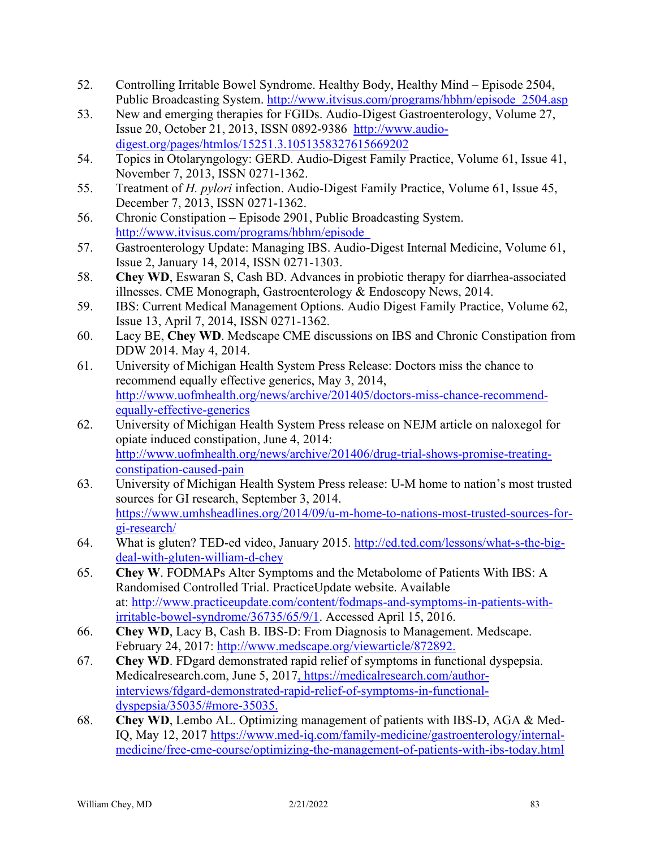- 52. Controlling Irritable Bowel Syndrome. Healthy Body, Healthy Mind Episode 2504, Public Broadcasting System. [http://www.itvisus.com/programs/hbhm/episode\\_2504.asp](http://www.itvisus.com/programs/hbhm/episode_2504.asp)
- 53. New and emerging therapies for FGIDs. Audio-Digest Gastroenterology, Volume 27, Issue 20, October 21, 2013, ISSN 0892-9386 [http://www.audio](http://www.audio-digest.org/pages/htmlos/15251.3.1051358327615669202)[digest.org/pages/htmlos/15251.3.1051358327615669202](http://www.audio-digest.org/pages/htmlos/15251.3.1051358327615669202)
- 54. Topics in Otolaryngology: GERD. Audio-Digest Family Practice, Volume 61, Issue 41, November 7, 2013, ISSN 0271-1362.
- 55. Treatment of *H. pylori* infection. Audio-Digest Family Practice, Volume 61, Issue 45, December 7, 2013, ISSN 0271-1362.
- 56. Chronic Constipation Episode 2901, Public Broadcasting System. [http://www.itvisus.com/programs/hbhm/episode\\_](http://www.itvisus.com/programs/hbhm/episode_2504.asp)
- 57. Gastroenterology Update: Managing IBS. Audio-Digest Internal Medicine, Volume 61, Issue 2, January 14, 2014, ISSN 0271-1303.
- 58. **Chey WD**, Eswaran S, Cash BD. Advances in probiotic therapy for diarrhea-associated illnesses. CME Monograph, Gastroenterology & Endoscopy News, 2014.
- 59. IBS: Current Medical Management Options. Audio Digest Family Practice, Volume 62, Issue 13, April 7, 2014, ISSN 0271-1362.
- 60. Lacy BE, **Chey WD**. Medscape CME discussions on IBS and Chronic Constipation from DDW 2014. May 4, 2014.
- 61. University of Michigan Health System Press Release: Doctors miss the chance to recommend equally effective generics, May 3, 2014, [http://www.uofmhealth.org/news/archive/201405/doctors-miss-chance-recommend](http://www.uofmhealth.org/news/archive/201405/doctors-miss-chance-recommend-equally-effective-generics)[equally-effective-generics](http://www.uofmhealth.org/news/archive/201405/doctors-miss-chance-recommend-equally-effective-generics)
- 62. University of Michigan Health System Press release on NEJM article on naloxegol for opiate induced constipation, June 4, 2014: [http://www.uofmhealth.org/news/archive/201406/drug-trial-shows-promise-treating](http://www.uofmhealth.org/news/archive/201406/drug-trial-shows-promise-treating-constipation-caused-pain)[constipation-caused-pain](http://www.uofmhealth.org/news/archive/201406/drug-trial-shows-promise-treating-constipation-caused-pain)
- 63. University of Michigan Health System Press release: U-M home to nation's most trusted sources for GI research, September 3, 2014. [https://www.umhsheadlines.org/2014/09/u-m-home-to-nations-most-trusted-sources-for](https://www.umhsheadlines.org/2014/09/u-m-home-to-nations-most-trusted-sources-for-gi-research/)[gi-research/](https://www.umhsheadlines.org/2014/09/u-m-home-to-nations-most-trusted-sources-for-gi-research/)
- 64. What is gluten? TED-ed video, January 2015. [http://ed.ted.com/lessons/what-s-the-big](http://ed.ted.com/lessons/what-s-the-big-deal-with-gluten-william-d-chey)[deal-with-gluten-william-d-chey](http://ed.ted.com/lessons/what-s-the-big-deal-with-gluten-william-d-chey)
- 65. **Chey W**. FODMAPs Alter Symptoms and the Metabolome of Patients With IBS: A Randomised Controlled Trial. PracticeUpdate website. Available at: [http://www.practiceupdate.com/content/fodmaps-and-symptoms-in-patients-with](http://www.practiceupdate.com/content/fodmaps-and-symptoms-in-patients-with-irritable-bowel-syndrome/36735/65/9/1)[irritable-bowel-syndrome/36735/65/9/1.](http://www.practiceupdate.com/content/fodmaps-and-symptoms-in-patients-with-irritable-bowel-syndrome/36735/65/9/1) Accessed April 15, 2016.
- 66. **Chey WD**, Lacy B, Cash B. IBS-D: From Diagnosis to Management. Medscape. February 24, 2017: [http://www.medscape.org/viewarticle/872892.](http://www.medscape.org/viewarticle/872892)
- 67. **Chey WD**. FDgard demonstrated rapid relief of symptoms in functional dyspepsia. Medicalresearch.com, June 5, 2017, [https://medicalresearch.com/author](https://medicalresearch.com/author-interviews/fdgard-demonstrated-rapid-relief-of-symptoms-in-functional-dyspepsia/35035/#more-35035)[interviews/fdgard-demonstrated-rapid-relief-of-symptoms-in-functional](https://medicalresearch.com/author-interviews/fdgard-demonstrated-rapid-relief-of-symptoms-in-functional-dyspepsia/35035/#more-35035)[dyspepsia/35035/#more-35035.](https://medicalresearch.com/author-interviews/fdgard-demonstrated-rapid-relief-of-symptoms-in-functional-dyspepsia/35035/#more-35035)
- 68. **Chey WD**, Lembo AL. Optimizing management of patients with IBS-D, AGA & Med-IQ, May 12, 2017 [https://www.med-iq.com/family-medicine/gastroenterology/internal](https://www.med-iq.com/family-medicine/gastroenterology/internal-medicine/free-cme-course/optimizing-the-management-of-patients-with-ibs-today.html)[medicine/free-cme-course/optimizing-the-management-of-patients-with-ibs-today.html](https://www.med-iq.com/family-medicine/gastroenterology/internal-medicine/free-cme-course/optimizing-the-management-of-patients-with-ibs-today.html)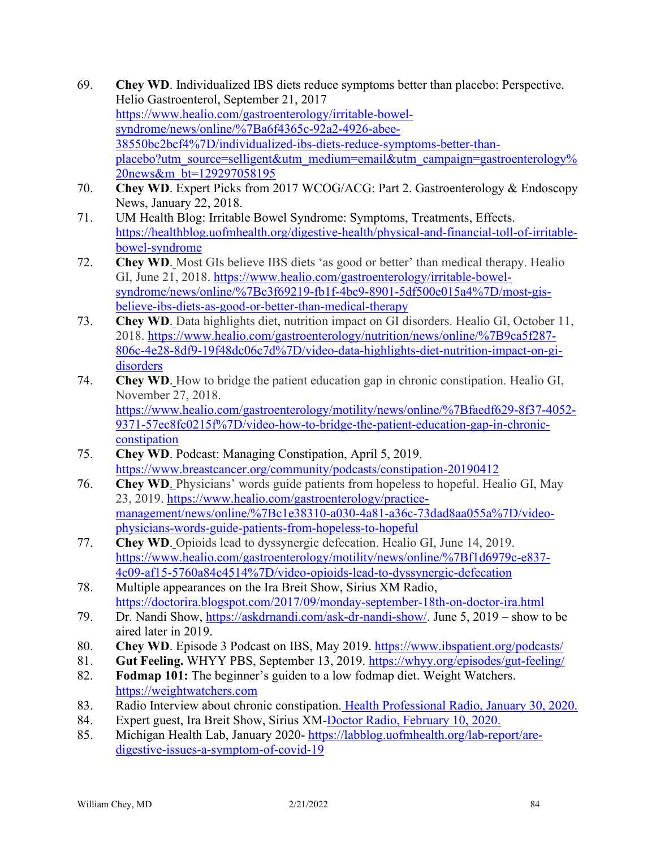- 69. **Chey WD**. Individualized IBS diets reduce symptoms better than placebo: Perspective. Helio Gastroenterol, September 21, 2017 [https://www.healio.com/gastroenterology/irritable-bowel](https://www.healio.com/gastroenterology/irritable-bowel-syndrome/news/online/%7Ba6f4365c-92a2-4926-abee-38550bc2bcf4%7D/individualized-ibs-diets-reduce-symptoms-better-than-placebo?utm_source=selligent&utm_medium=email&utm_campaign=gastroenterology%20news&m_bt=129297058195)[syndrome/news/online/%7Ba6f4365c-92a2-4926-abee-](https://www.healio.com/gastroenterology/irritable-bowel-syndrome/news/online/%7Ba6f4365c-92a2-4926-abee-38550bc2bcf4%7D/individualized-ibs-diets-reduce-symptoms-better-than-placebo?utm_source=selligent&utm_medium=email&utm_campaign=gastroenterology%20news&m_bt=129297058195)[38550bc2bcf4%7D/individualized-ibs-diets-reduce-symptoms-better-than](https://www.healio.com/gastroenterology/irritable-bowel-syndrome/news/online/%7Ba6f4365c-92a2-4926-abee-38550bc2bcf4%7D/individualized-ibs-diets-reduce-symptoms-better-than-placebo?utm_source=selligent&utm_medium=email&utm_campaign=gastroenterology%20news&m_bt=129297058195)[placebo?utm\\_source=selligent&utm\\_medium=email&utm\\_campaign=gastroenterology%](https://www.healio.com/gastroenterology/irritable-bowel-syndrome/news/online/%7Ba6f4365c-92a2-4926-abee-38550bc2bcf4%7D/individualized-ibs-diets-reduce-symptoms-better-than-placebo?utm_source=selligent&utm_medium=email&utm_campaign=gastroenterology%20news&m_bt=129297058195) [20news&m\\_bt=129297058195](https://www.healio.com/gastroenterology/irritable-bowel-syndrome/news/online/%7Ba6f4365c-92a2-4926-abee-38550bc2bcf4%7D/individualized-ibs-diets-reduce-symptoms-better-than-placebo?utm_source=selligent&utm_medium=email&utm_campaign=gastroenterology%20news&m_bt=129297058195)
- 70. **Chey WD**. Expert Picks from 2017 WCOG/ACG: Part 2. Gastroenterology & Endoscopy News, January 22, 2018.
- 71. UM Health Blog: Irritable Bowel Syndrome: Symptoms, Treatments, Effects. [https://healthblog.uofmhealth.org/digestive-health/physical-and-financial-toll-of-irritable](https://healthblog.uofmhealth.org/digestive-health/physical-and-financial-toll-of-irritable-bowel-syndrome)[bowel-syndrome](https://healthblog.uofmhealth.org/digestive-health/physical-and-financial-toll-of-irritable-bowel-syndrome)
- 72. **Chey WD**. Most GIs believe IBS diets 'as good or better' than medical therapy. Healio GI, June 21, 2018. [https://www.healio.com/gastroenterology/irritable-bowel](https://www.healio.com/gastroenterology/irritable-bowel-syndrome/news/online/%7Bc3f69219-fb1f-4bc9-8901-5df500e015a4%7D/most-gis-believe-ibs-diets-as-good-or-better-than-medical-therapy)[syndrome/news/online/%7Bc3f69219-fb1f-4bc9-8901-5df500e015a4%7D/most-gis](https://www.healio.com/gastroenterology/irritable-bowel-syndrome/news/online/%7Bc3f69219-fb1f-4bc9-8901-5df500e015a4%7D/most-gis-believe-ibs-diets-as-good-or-better-than-medical-therapy)[believe-ibs-diets-as-good-or-better-than-medical-therapy](https://www.healio.com/gastroenterology/irritable-bowel-syndrome/news/online/%7Bc3f69219-fb1f-4bc9-8901-5df500e015a4%7D/most-gis-believe-ibs-diets-as-good-or-better-than-medical-therapy)
- 73. **Chey WD**. Data highlights diet, nutrition impact on GI disorders. Healio GI, October 11, 2018. [https://www.healio.com/gastroenterology/nutrition/news/online/%7B9ca5f287-](https://www.healio.com/gastroenterology/nutrition/news/online/%7B9ca5f287-806c-4e28-8df9-19f48dc06c7d%7D/video-data-highlights-diet-nutrition-impact-on-gi-disorders) [806c-4e28-8df9-19f48dc06c7d%7D/video-data-highlights-diet-nutrition-impact-on-gi](https://www.healio.com/gastroenterology/nutrition/news/online/%7B9ca5f287-806c-4e28-8df9-19f48dc06c7d%7D/video-data-highlights-diet-nutrition-impact-on-gi-disorders)[disorders](https://www.healio.com/gastroenterology/nutrition/news/online/%7B9ca5f287-806c-4e28-8df9-19f48dc06c7d%7D/video-data-highlights-diet-nutrition-impact-on-gi-disorders)
- 74. **Chey WD**. How to bridge the patient education gap in chronic constipation. Healio GI, November 27, 2018. [https://www.healio.com/gastroenterology/motility/news/online/%7Bfaedf629-8f37-4052-](https://www.healio.com/gastroenterology/motility/news/online/%7Bfaedf629-8f37-4052-9371-57ec8fc0215f%7D/video-how-to-bridge-the-patient-education-gap-in-chronic-constipation) [9371-57ec8fc0215f%7D/video-how-to-bridge-the-patient-education-gap-in-chronic](https://www.healio.com/gastroenterology/motility/news/online/%7Bfaedf629-8f37-4052-9371-57ec8fc0215f%7D/video-how-to-bridge-the-patient-education-gap-in-chronic-constipation)[constipation](https://www.healio.com/gastroenterology/motility/news/online/%7Bfaedf629-8f37-4052-9371-57ec8fc0215f%7D/video-how-to-bridge-the-patient-education-gap-in-chronic-constipation)
- 75. **Chey WD**. Podcast: Managing Constipation, April 5, 2019. <https://www.breastcancer.org/community/podcasts/constipation-20190412>
- 76. **Chey WD**. Physicians' words guide patients from hopeless to hopeful. Healio GI, May 23, 2019. [https://www.healio.com/gastroenterology/practice](https://www.healio.com/gastroenterology/practice-management/news/online/%7Bc1e38310-a030-4a81-a36c-73dad8aa055a%7D/video-physicians-words-guide-patients-from-hopeless-to-hopeful)[management/news/online/%7Bc1e38310-a030-4a81-a36c-73dad8aa055a%7D/video](https://www.healio.com/gastroenterology/practice-management/news/online/%7Bc1e38310-a030-4a81-a36c-73dad8aa055a%7D/video-physicians-words-guide-patients-from-hopeless-to-hopeful)[physicians-words-guide-patients-from-hopeless-to-hopeful](https://www.healio.com/gastroenterology/practice-management/news/online/%7Bc1e38310-a030-4a81-a36c-73dad8aa055a%7D/video-physicians-words-guide-patients-from-hopeless-to-hopeful)
- 77. **Chey WD**. Opioids lead to dyssynergic defecation. Healio GI, June 14, 2019. [https://www.healio.com/gastroenterology/motility/news/online/%7Bf1d6979c-e837-](https://www.healio.com/gastroenterology/motility/news/online/%7Bf1d6979c-e837-4c09-af15-5760a84c4514%7D/video-opioids-lead-to-dyssynergic-defecation) [4c09-af15-5760a84c4514%7D/video-opioids-lead-to-dyssynergic-defecation](https://www.healio.com/gastroenterology/motility/news/online/%7Bf1d6979c-e837-4c09-af15-5760a84c4514%7D/video-opioids-lead-to-dyssynergic-defecation)
- 78. Multiple appearances on the Ira Breit Show, Sirius XM Radio, <https://doctorira.blogspot.com/2017/09/monday-september-18th-on-doctor-ira.html>
- 79. Dr. Nandi Show, [https://askdrnandi.com/ask-dr-nandi-show/.](https://askdrnandi.com/ask-dr-nandi-show/) June 5, 2019 show to be aired later in 2019.
- 80. **Chey WD**. Episode 3 Podcast on IBS, May 2019.<https://www.ibspatient.org/podcasts/>
- 81. **Gut Feeling.** WHYY PBS, September 13, 2019.<https://whyy.org/episodes/gut-feeling/>
- 82. **Fodmap 101:** The beginner's guiden to a low fodmap diet. Weight Watchers. https://weightwatchers.com
- 83. Radio Interview about chronic constipation. Health Professional Radio, January 30, 2020.
- 84. Expert guest, Ira Breit Show, Sirius XM-Doctor Radio, February 10, 2020.
- 85. Michigan Health Lab, January 2020- [https://labblog.uofmhealth.org/lab-report/are](https://labblog.uofmhealth.org/lab-report/are-digestive-issues-a-symptom-of-covid-19)[digestive-issues-a-symptom-of-covid-19](https://labblog.uofmhealth.org/lab-report/are-digestive-issues-a-symptom-of-covid-19)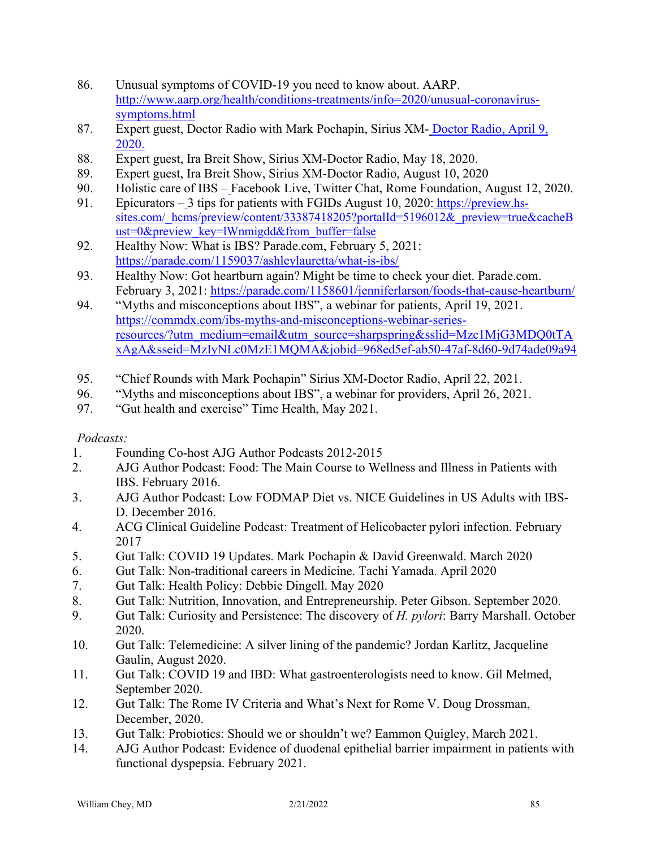- 86. Unusual symptoms of COVID-19 you need to know about. AARP. http://www.aarp.org/health/conditions-treatments/info=2020/unusual-coronavirussymptoms.html
- 87. Expert guest, Doctor Radio with Mark Pochapin, Sirius XM- Doctor Radio, April 9, 2020.
- 88. Expert guest, Ira Breit Show, Sirius XM-Doctor Radio, May 18, 2020.
- 89. Expert guest, Ira Breit Show, Sirius XM-Doctor Radio, August 10, 2020
- 90. Holistic care of IBS Facebook Live, Twitter Chat, Rome Foundation, August 12, 2020.
- 91. Epicurators 3 tips for patients with FGIDs August 10, 2020: [https://preview.hs](https://preview.hs-sites.com/_hcms/preview/content/33387418205?portalId=5196012&_preview=true&cacheBust=0&preview_key=lWnmigdd&from_buffer=false)[sites.com/\\_hcms/preview/content/33387418205?portalId=5196012&\\_preview=true&cacheB](https://preview.hs-sites.com/_hcms/preview/content/33387418205?portalId=5196012&_preview=true&cacheBust=0&preview_key=lWnmigdd&from_buffer=false) [ust=0&preview\\_key=lWnmigdd&from\\_buffer=false](https://preview.hs-sites.com/_hcms/preview/content/33387418205?portalId=5196012&_preview=true&cacheBust=0&preview_key=lWnmigdd&from_buffer=false)
- 92. Healthy Now: What is IBS? Parade.com, February 5, 2021: <https://parade.com/1159037/ashleylauretta/what-is-ibs/>
- 93. Healthy Now: Got heartburn again? Might be time to check your diet. Parade.com. February 3, 2021:<https://parade.com/1158601/jenniferlarson/foods-that-cause-heartburn/>
- 94. "Myths and misconceptions about IBS", a webinar for patients, April 19, 2021. [https://commdx.com/ibs-myths-and-misconceptions-webinar-series](https://commdx.com/ibs-myths-and-misconceptions-webinar-series-resources/?utm_medium=email&utm_source=sharpspring&sslid=Mzc1MjG3MDQ0tTAxAgA&sseid=MzIyNLc0MzE1MQMA&jobid=968ed5ef-ab50-47af-8d60-9d74ade09a94)[resources/?utm\\_medium=email&utm\\_source=sharpspring&sslid=Mzc1MjG3MDQ0tTA](https://commdx.com/ibs-myths-and-misconceptions-webinar-series-resources/?utm_medium=email&utm_source=sharpspring&sslid=Mzc1MjG3MDQ0tTAxAgA&sseid=MzIyNLc0MzE1MQMA&jobid=968ed5ef-ab50-47af-8d60-9d74ade09a94) [xAgA&sseid=MzIyNLc0MzE1MQMA&jobid=968ed5ef-ab50-47af-8d60-9d74ade09a94](https://commdx.com/ibs-myths-and-misconceptions-webinar-series-resources/?utm_medium=email&utm_source=sharpspring&sslid=Mzc1MjG3MDQ0tTAxAgA&sseid=MzIyNLc0MzE1MQMA&jobid=968ed5ef-ab50-47af-8d60-9d74ade09a94)
- 95. "Chief Rounds with Mark Pochapin" Sirius XM-Doctor Radio, April 22, 2021.
- 96. "Myths and misconceptions about IBS", a webinar for providers, April 26, 2021.
- 97. "Gut health and exercise" Time Health, May 2021.

# *Podcasts:*

- 1. Founding Co-host AJG Author Podcasts 2012-2015
- 2. AJG Author Podcast: Food: The Main Course to Wellness and Illness in Patients with IBS. February 2016.
- 3. AJG Author Podcast: Low FODMAP Diet vs. NICE Guidelines in US Adults with IBS-D. December 2016.
- 4. ACG Clinical Guideline Podcast: Treatment of Helicobacter pylori infection. February 2017
- 5. Gut Talk: COVID 19 Updates. Mark Pochapin & David Greenwald. March 2020
- 6. Gut Talk: Non-traditional careers in Medicine. Tachi Yamada. April 2020
- 7. Gut Talk: Health Policy: Debbie Dingell. May 2020
- 8. Gut Talk: Nutrition, Innovation, and Entrepreneurship. Peter Gibson. September 2020.
- 9. Gut Talk: Curiosity and Persistence: The discovery of *H. pylori*: Barry Marshall. October 2020.
- 10. Gut Talk: Telemedicine: A silver lining of the pandemic? Jordan Karlitz, Jacqueline Gaulin, August 2020.
- 11. Gut Talk: COVID 19 and IBD: What gastroenterologists need to know. Gil Melmed, September 2020.
- 12. Gut Talk: The Rome IV Criteria and What's Next for Rome V. Doug Drossman, December, 2020.
- 13. Gut Talk: Probiotics: Should we or shouldn't we? Eammon Quigley, March 2021.
- 14. AJG Author Podcast: Evidence of duodenal epithelial barrier impairment in patients with functional dyspepsia. February 2021.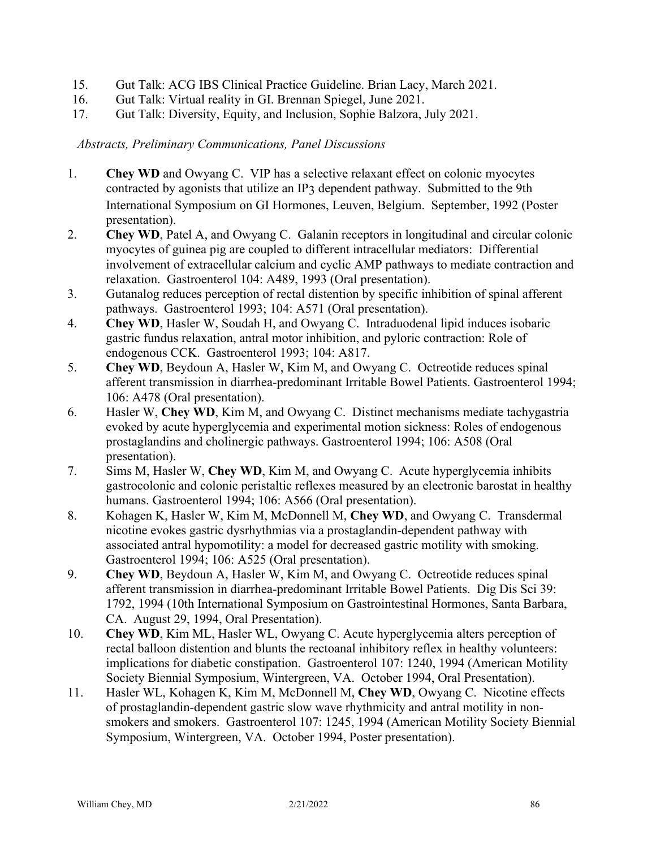- 15. Gut Talk: ACG IBS Clinical Practice Guideline. Brian Lacy, March 2021.
- 16. Gut Talk: Virtual reality in GI. Brennan Spiegel, June 2021.
- 17. Gut Talk: Diversity, Equity, and Inclusion, Sophie Balzora, July 2021.

# *Abstracts, Preliminary Communications, Panel Discussions*

- 1. **Chey WD** and Owyang C. VIP has a selective relaxant effect on colonic myocytes contracted by agonists that utilize an IP3 dependent pathway. Submitted to the 9th International Symposium on GI Hormones, Leuven, Belgium. September, 1992 (Poster presentation).
- 2. **Chey WD**, Patel A, and Owyang C. Galanin receptors in longitudinal and circular colonic myocytes of guinea pig are coupled to different intracellular mediators: Differential involvement of extracellular calcium and cyclic AMP pathways to mediate contraction and relaxation. Gastroenterol 104: A489, 1993 (Oral presentation).
- 3. Gutanalog reduces perception of rectal distention by specific inhibition of spinal afferent pathways. Gastroenterol 1993; 104: A571 (Oral presentation).
- 4. **Chey WD**, Hasler W, Soudah H, and Owyang C. Intraduodenal lipid induces isobaric gastric fundus relaxation, antral motor inhibition, and pyloric contraction: Role of endogenous CCK. Gastroenterol 1993; 104: A817.
- 5. **Chey WD**, Beydoun A, Hasler W, Kim M, and Owyang C. Octreotide reduces spinal afferent transmission in diarrhea-predominant Irritable Bowel Patients. Gastroenterol 1994; 106: A478 (Oral presentation).
- 6. Hasler W, **Chey WD**, Kim M, and Owyang C. Distinct mechanisms mediate tachygastria evoked by acute hyperglycemia and experimental motion sickness: Roles of endogenous prostaglandins and cholinergic pathways. Gastroenterol 1994; 106: A508 (Oral presentation).
- 7. Sims M, Hasler W, **Chey WD**, Kim M, and Owyang C. Acute hyperglycemia inhibits gastrocolonic and colonic peristaltic reflexes measured by an electronic barostat in healthy humans. Gastroenterol 1994; 106: A566 (Oral presentation).
- 8. Kohagen K, Hasler W, Kim M, McDonnell M, **Chey WD**, and Owyang C. Transdermal nicotine evokes gastric dysrhythmias via a prostaglandin-dependent pathway with associated antral hypomotility: a model for decreased gastric motility with smoking. Gastroenterol 1994; 106: A525 (Oral presentation).
- 9. **Chey WD**, Beydoun A, Hasler W, Kim M, and Owyang C. Octreotide reduces spinal afferent transmission in diarrhea-predominant Irritable Bowel Patients. Dig Dis Sci 39: 1792, 1994 (10th International Symposium on Gastrointestinal Hormones, Santa Barbara, CA. August 29, 1994, Oral Presentation).
- 10. **Chey WD**, Kim ML, Hasler WL, Owyang C. Acute hyperglycemia alters perception of rectal balloon distention and blunts the rectoanal inhibitory reflex in healthy volunteers: implications for diabetic constipation. Gastroenterol 107: 1240, 1994 (American Motility Society Biennial Symposium, Wintergreen, VA. October 1994, Oral Presentation).
- 11. Hasler WL, Kohagen K, Kim M, McDonnell M, **Chey WD**, Owyang C. Nicotine effects of prostaglandin-dependent gastric slow wave rhythmicity and antral motility in nonsmokers and smokers. Gastroenterol 107: 1245, 1994 (American Motility Society Biennial Symposium, Wintergreen, VA. October 1994, Poster presentation).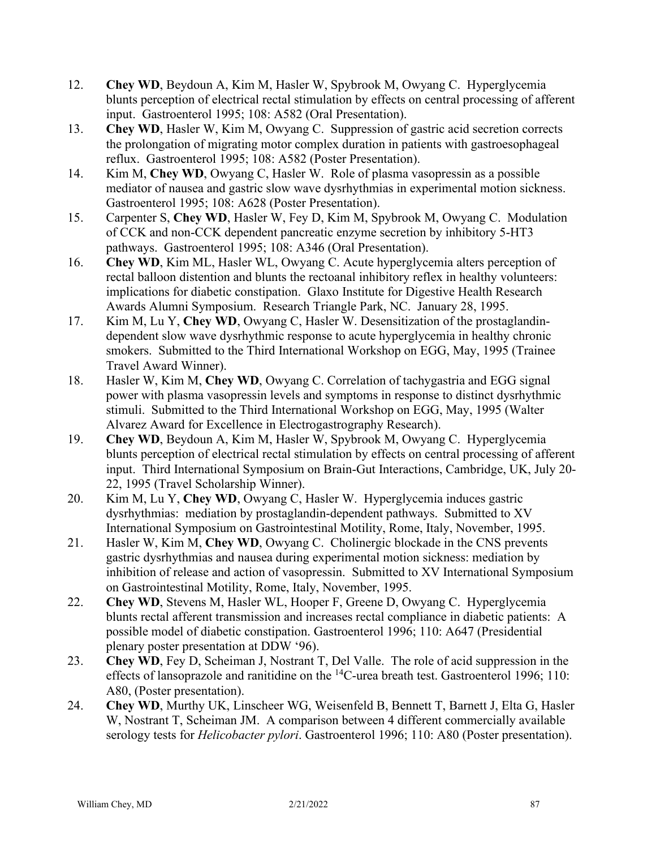- 12. **Chey WD**, Beydoun A, Kim M, Hasler W, Spybrook M, Owyang C. Hyperglycemia blunts perception of electrical rectal stimulation by effects on central processing of afferent input. Gastroenterol 1995; 108: A582 (Oral Presentation).
- 13. **Chey WD**, Hasler W, Kim M, Owyang C. Suppression of gastric acid secretion corrects the prolongation of migrating motor complex duration in patients with gastroesophageal reflux. Gastroenterol 1995; 108: A582 (Poster Presentation).
- 14. Kim M, **Chey WD**, Owyang C, Hasler W. Role of plasma vasopressin as a possible mediator of nausea and gastric slow wave dysrhythmias in experimental motion sickness. Gastroenterol 1995; 108: A628 (Poster Presentation).
- 15. Carpenter S, **Chey WD**, Hasler W, Fey D, Kim M, Spybrook M, Owyang C. Modulation of CCK and non-CCK dependent pancreatic enzyme secretion by inhibitory 5-HT3 pathways. Gastroenterol 1995; 108: A346 (Oral Presentation).
- 16. **Chey WD**, Kim ML, Hasler WL, Owyang C. Acute hyperglycemia alters perception of rectal balloon distention and blunts the rectoanal inhibitory reflex in healthy volunteers: implications for diabetic constipation. Glaxo Institute for Digestive Health Research Awards Alumni Symposium. Research Triangle Park, NC. January 28, 1995.
- 17. Kim M, Lu Y, **Chey WD**, Owyang C, Hasler W. Desensitization of the prostaglandindependent slow wave dysrhythmic response to acute hyperglycemia in healthy chronic smokers. Submitted to the Third International Workshop on EGG, May, 1995 (Trainee Travel Award Winner).
- 18. Hasler W, Kim M, **Chey WD**, Owyang C. Correlation of tachygastria and EGG signal power with plasma vasopressin levels and symptoms in response to distinct dysrhythmic stimuli. Submitted to the Third International Workshop on EGG, May, 1995 (Walter Alvarez Award for Excellence in Electrogastrography Research).
- 19. **Chey WD**, Beydoun A, Kim M, Hasler W, Spybrook M, Owyang C. Hyperglycemia blunts perception of electrical rectal stimulation by effects on central processing of afferent input. Third International Symposium on Brain-Gut Interactions, Cambridge, UK, July 20- 22, 1995 (Travel Scholarship Winner).
- 20. Kim M, Lu Y, **Chey WD**, Owyang C, Hasler W. Hyperglycemia induces gastric dysrhythmias: mediation by prostaglandin-dependent pathways. Submitted to XV International Symposium on Gastrointestinal Motility, Rome, Italy, November, 1995.
- 21. Hasler W, Kim M, **Chey WD**, Owyang C. Cholinergic blockade in the CNS prevents gastric dysrhythmias and nausea during experimental motion sickness: mediation by inhibition of release and action of vasopressin. Submitted to XV International Symposium on Gastrointestinal Motility, Rome, Italy, November, 1995.
- 22. **Chey WD**, Stevens M, Hasler WL, Hooper F, Greene D, Owyang C. Hyperglycemia blunts rectal afferent transmission and increases rectal compliance in diabetic patients: A possible model of diabetic constipation. Gastroenterol 1996; 110: A647 (Presidential plenary poster presentation at DDW '96).
- 23. **Chey WD**, Fey D, Scheiman J, Nostrant T, Del Valle. The role of acid suppression in the effects of lansoprazole and ranitidine on the  ${}^{14}$ C-urea breath test. Gastroenterol 1996; 110: A80, (Poster presentation).
- 24. **Chey WD**, Murthy UK, Linscheer WG, Weisenfeld B, Bennett T, Barnett J, Elta G, Hasler W, Nostrant T, Scheiman JM. A comparison between 4 different commercially available serology tests for *Helicobacter pylori*. Gastroenterol 1996; 110: A80 (Poster presentation).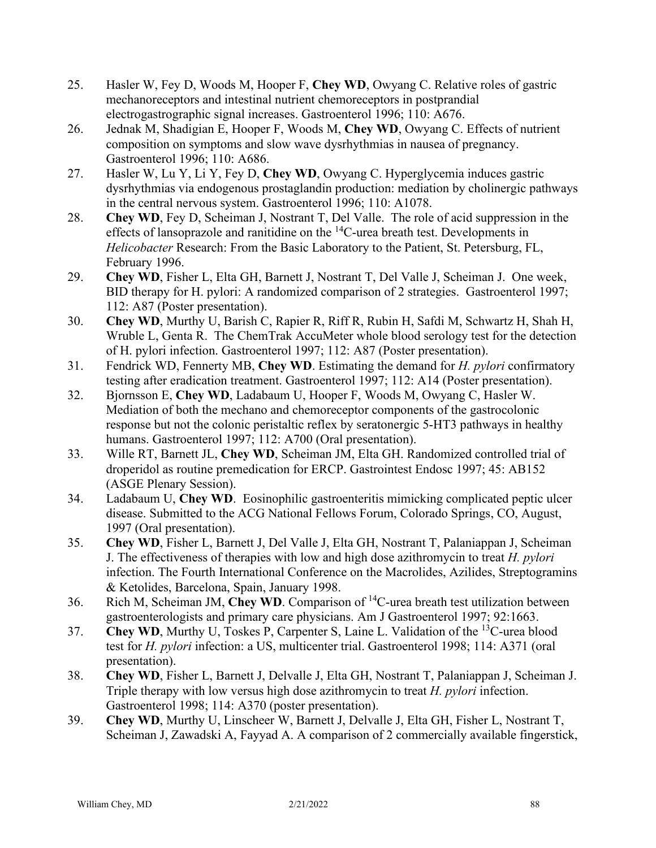- 25. Hasler W, Fey D, Woods M, Hooper F, **Chey WD**, Owyang C. Relative roles of gastric mechanoreceptors and intestinal nutrient chemoreceptors in postprandial electrogastrographic signal increases. Gastroenterol 1996; 110: A676.
- 26. Jednak M, Shadigian E, Hooper F, Woods M, **Chey WD**, Owyang C. Effects of nutrient composition on symptoms and slow wave dysrhythmias in nausea of pregnancy. Gastroenterol 1996; 110: A686.
- 27. Hasler W, Lu Y, Li Y, Fey D, **Chey WD**, Owyang C. Hyperglycemia induces gastric dysrhythmias via endogenous prostaglandin production: mediation by cholinergic pathways in the central nervous system. Gastroenterol 1996; 110: A1078.
- 28. **Chey WD**, Fey D, Scheiman J, Nostrant T, Del Valle. The role of acid suppression in the effects of lansoprazole and ranitidine on the  ${}^{14}$ C-urea breath test. Developments in *Helicobacter* Research: From the Basic Laboratory to the Patient, St. Petersburg, FL, February 1996.
- 29. **Chey WD**, Fisher L, Elta GH, Barnett J, Nostrant T, Del Valle J, Scheiman J. One week, BID therapy for H. pylori: A randomized comparison of 2 strategies. Gastroenterol 1997; 112: A87 (Poster presentation).
- 30. **Chey WD**, Murthy U, Barish C, Rapier R, Riff R, Rubin H, Safdi M, Schwartz H, Shah H, Wruble L, Genta R. The ChemTrak AccuMeter whole blood serology test for the detection of H. pylori infection. Gastroenterol 1997; 112: A87 (Poster presentation).
- 31. Fendrick WD, Fennerty MB, **Chey WD**. Estimating the demand for *H. pylori* confirmatory testing after eradication treatment. Gastroenterol 1997; 112: A14 (Poster presentation).
- 32. Bjornsson E, **Chey WD**, Ladabaum U, Hooper F, Woods M, Owyang C, Hasler W. Mediation of both the mechano and chemoreceptor components of the gastrocolonic response but not the colonic peristaltic reflex by seratonergic 5-HT3 pathways in healthy humans. Gastroenterol 1997; 112: A700 (Oral presentation).
- 33. Wille RT, Barnett JL, **Chey WD**, Scheiman JM, Elta GH. Randomized controlled trial of droperidol as routine premedication for ERCP. Gastrointest Endosc 1997; 45: AB152 (ASGE Plenary Session).
- 34. Ladabaum U, **Chey WD**. Eosinophilic gastroenteritis mimicking complicated peptic ulcer disease. Submitted to the ACG National Fellows Forum, Colorado Springs, CO, August, 1997 (Oral presentation).
- 35. **Chey WD**, Fisher L, Barnett J, Del Valle J, Elta GH, Nostrant T, Palaniappan J, Scheiman J. The effectiveness of therapies with low and high dose azithromycin to treat *H. pylori* infection. The Fourth International Conference on the Macrolides, Azilides, Streptogramins & Ketolides, Barcelona, Spain, January 1998.
- 36. Rich M, Scheiman JM, **Chey WD**. Comparison of 14C-urea breath test utilization between gastroenterologists and primary care physicians. Am J Gastroenterol 1997; 92:1663.
- 37. **Chey WD**, Murthy U, Toskes P, Carpenter S, Laine L. Validation of the 13C-urea blood test for *H. pylori* infection: a US, multicenter trial. Gastroenterol 1998; 114: A371 (oral presentation).
- 38. **Chey WD**, Fisher L, Barnett J, Delvalle J, Elta GH, Nostrant T, Palaniappan J, Scheiman J. Triple therapy with low versus high dose azithromycin to treat *H. pylori* infection. Gastroenterol 1998; 114: A370 (poster presentation).
- 39. **Chey WD**, Murthy U, Linscheer W, Barnett J, Delvalle J, Elta GH, Fisher L, Nostrant T, Scheiman J, Zawadski A, Fayyad A. A comparison of 2 commercially available fingerstick,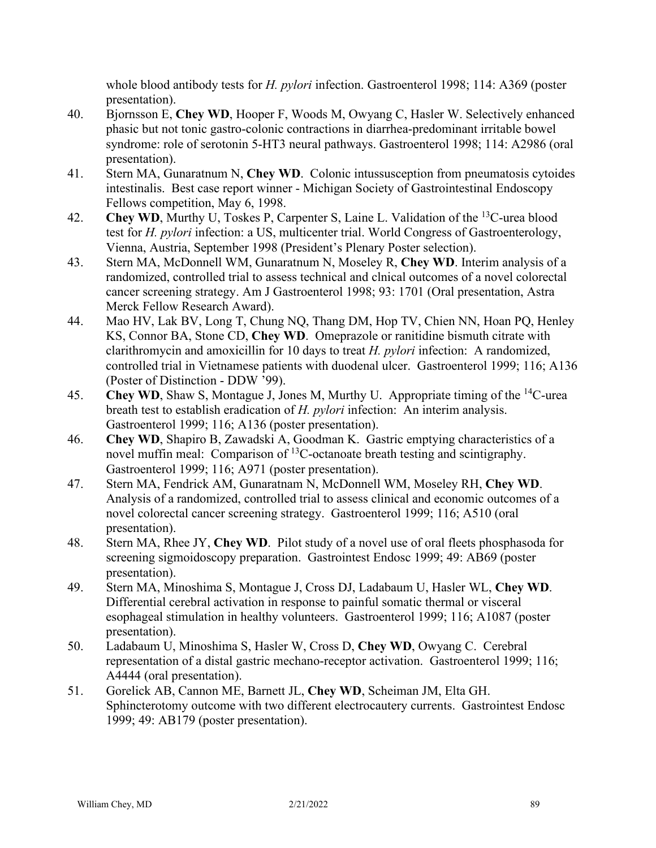whole blood antibody tests for *H. pylori* infection. Gastroenterol 1998; 114: A369 (poster presentation).

- 40. Bjornsson E, **Chey WD**, Hooper F, Woods M, Owyang C, Hasler W. Selectively enhanced phasic but not tonic gastro-colonic contractions in diarrhea-predominant irritable bowel syndrome: role of serotonin 5-HT3 neural pathways. Gastroenterol 1998; 114: A2986 (oral presentation).
- 41. Stern MA, Gunaratnum N, **Chey WD**. Colonic intussusception from pneumatosis cytoides intestinalis. Best case report winner - Michigan Society of Gastrointestinal Endoscopy Fellows competition, May 6, 1998.
- 42. **Chey WD**, Murthy U, Toskes P, Carpenter S, Laine L. Validation of the <sup>13</sup>C-urea blood test for *H. pylori* infection: a US, multicenter trial. World Congress of Gastroenterology, Vienna, Austria, September 1998 (President's Plenary Poster selection).
- 43. Stern MA, McDonnell WM, Gunaratnum N, Moseley R, **Chey WD**. Interim analysis of a randomized, controlled trial to assess technical and clnical outcomes of a novel colorectal cancer screening strategy. Am J Gastroenterol 1998; 93: 1701 (Oral presentation, Astra Merck Fellow Research Award).
- 44. Mao HV, Lak BV, Long T, Chung NQ, Thang DM, Hop TV, Chien NN, Hoan PQ, Henley KS, Connor BA, Stone CD, **Chey WD**. Omeprazole or ranitidine bismuth citrate with clarithromycin and amoxicillin for 10 days to treat *H. pylori* infection: A randomized, controlled trial in Vietnamese patients with duodenal ulcer. Gastroenterol 1999; 116; A136 (Poster of Distinction - DDW '99).
- 45. **Chey WD**, Shaw S, Montague J, Jones M, Murthy U. Appropriate timing of the <sup>14</sup>C-urea breath test to establish eradication of *H. pylori* infection: An interim analysis. Gastroenterol 1999; 116; A136 (poster presentation).
- 46. **Chey WD**, Shapiro B, Zawadski A, Goodman K. Gastric emptying characteristics of a novel muffin meal: Comparison of <sup>13</sup>C-octanoate breath testing and scintigraphy. Gastroenterol 1999; 116; A971 (poster presentation).
- 47. Stern MA, Fendrick AM, Gunaratnam N, McDonnell WM, Moseley RH, **Chey WD**. Analysis of a randomized, controlled trial to assess clinical and economic outcomes of a novel colorectal cancer screening strategy. Gastroenterol 1999; 116; A510 (oral presentation).
- 48. Stern MA, Rhee JY, **Chey WD**. Pilot study of a novel use of oral fleets phosphasoda for screening sigmoidoscopy preparation. Gastrointest Endosc 1999; 49: AB69 (poster presentation).
- 49. Stern MA, Minoshima S, Montague J, Cross DJ, Ladabaum U, Hasler WL, **Chey WD**. Differential cerebral activation in response to painful somatic thermal or visceral esophageal stimulation in healthy volunteers. Gastroenterol 1999; 116; A1087 (poster presentation).
- 50. Ladabaum U, Minoshima S, Hasler W, Cross D, **Chey WD**, Owyang C. Cerebral representation of a distal gastric mechano-receptor activation. Gastroenterol 1999; 116; A4444 (oral presentation).
- 51. Gorelick AB, Cannon ME, Barnett JL, **Chey WD**, Scheiman JM, Elta GH. Sphincterotomy outcome with two different electrocautery currents. Gastrointest Endosc 1999; 49: AB179 (poster presentation).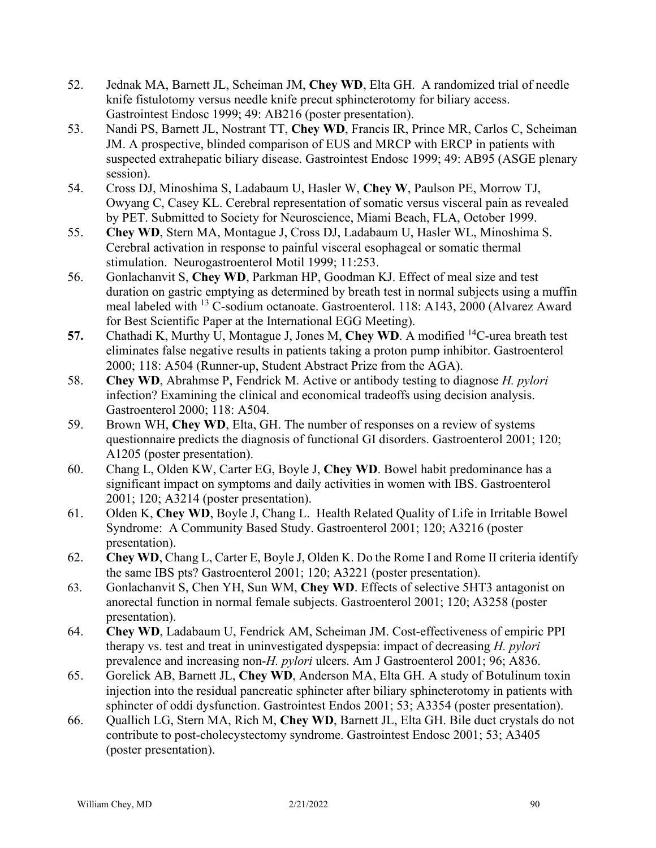- 52. Jednak MA, Barnett JL, Scheiman JM, **Chey WD**, Elta GH. A randomized trial of needle knife fistulotomy versus needle knife precut sphincterotomy for biliary access. Gastrointest Endosc 1999; 49: AB216 (poster presentation).
- 53. Nandi PS, Barnett JL, Nostrant TT, **Chey WD**, Francis IR, Prince MR, Carlos C, Scheiman JM. A prospective, blinded comparison of EUS and MRCP with ERCP in patients with suspected extrahepatic biliary disease. Gastrointest Endosc 1999; 49: AB95 (ASGE plenary session).
- 54. Cross DJ, Minoshima S, Ladabaum U, Hasler W, **Chey W**, Paulson PE, Morrow TJ, Owyang C, Casey KL. Cerebral representation of somatic versus visceral pain as revealed by PET. Submitted to Society for Neuroscience, Miami Beach, FLA, October 1999.
- 55. **Chey WD**, Stern MA, Montague J, Cross DJ, Ladabaum U, Hasler WL, Minoshima S. Cerebral activation in response to painful visceral esophageal or somatic thermal stimulation. Neurogastroenterol Motil 1999; 11:253.
- 56. Gonlachanvit S, **Chey WD**, Parkman HP, Goodman KJ. Effect of meal size and test duration on gastric emptying as determined by breath test in normal subjects using a muffin meal labeled with 13 C-sodium octanoate. Gastroenterol. 118: A143, 2000 (Alvarez Award for Best Scientific Paper at the International EGG Meeting).
- **57.** Chathadi K, Murthy U, Montague J, Jones M, **Chey WD**. A modified 14C-urea breath test eliminates false negative results in patients taking a proton pump inhibitor. Gastroenterol 2000; 118: A504 (Runner-up, Student Abstract Prize from the AGA).
- 58. **Chey WD**, Abrahmse P, Fendrick M. Active or antibody testing to diagnose *H. pylori*  infection? Examining the clinical and economical tradeoffs using decision analysis. Gastroenterol 2000; 118: A504.
- 59. Brown WH, **Chey WD**, Elta, GH. The number of responses on a review of systems questionnaire predicts the diagnosis of functional GI disorders. Gastroenterol 2001; 120; A1205 (poster presentation).
- 60. Chang L, Olden KW, Carter EG, Boyle J, **Chey WD**. Bowel habit predominance has a significant impact on symptoms and daily activities in women with IBS. Gastroenterol 2001; 120; A3214 (poster presentation).
- 61. Olden K, **Chey WD**, Boyle J, Chang L. Health Related Quality of Life in Irritable Bowel Syndrome: A Community Based Study. Gastroenterol 2001; 120; A3216 (poster presentation).
- 62. **Chey WD**, Chang L, Carter E, Boyle J, Olden K. Do the Rome I and Rome II criteria identify the same IBS pts? Gastroenterol 2001; 120; A3221 (poster presentation).
- 63. Gonlachanvit S, Chen YH, Sun WM, **Chey WD**. Effects of selective 5HT3 antagonist on anorectal function in normal female subjects. Gastroenterol 2001; 120; A3258 (poster presentation).
- 64. **Chey WD**, Ladabaum U, Fendrick AM, Scheiman JM. Cost-effectiveness of empiric PPI therapy vs. test and treat in uninvestigated dyspepsia: impact of decreasing *H. pylori*  prevalence and increasing non-*H. pylori* ulcers. Am J Gastroenterol 2001; 96; A836.
- 65. Gorelick AB, Barnett JL, **Chey WD**, Anderson MA, Elta GH. A study of Botulinum toxin injection into the residual pancreatic sphincter after biliary sphincterotomy in patients with sphincter of oddi dysfunction. Gastrointest Endos 2001; 53; A3354 (poster presentation).
- 66. Quallich LG, Stern MA, Rich M, **Chey WD**, Barnett JL, Elta GH. Bile duct crystals do not contribute to post-cholecystectomy syndrome. Gastrointest Endosc 2001; 53; A3405 (poster presentation).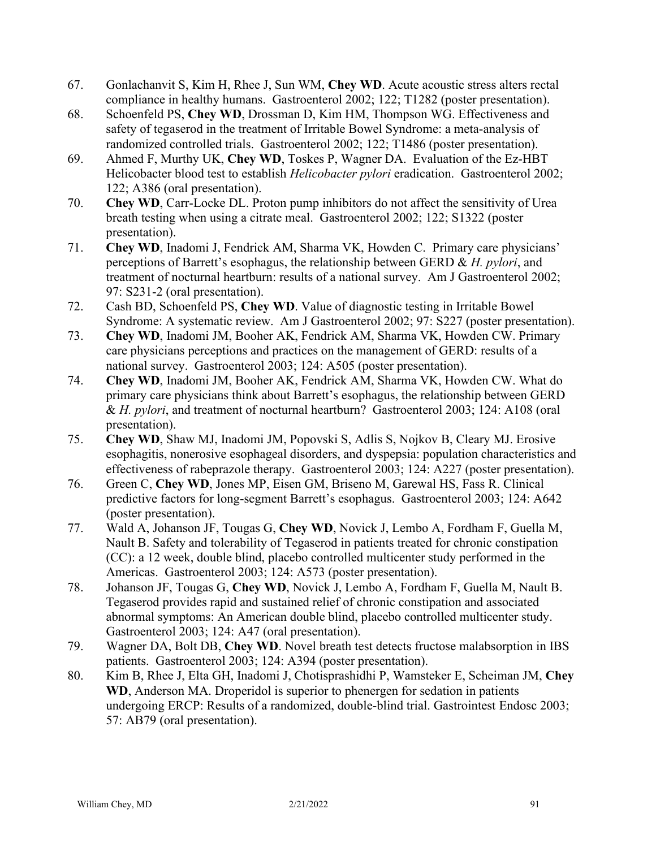- 67. Gonlachanvit S, Kim H, Rhee J, Sun WM, **Chey WD**. Acute acoustic stress alters rectal compliance in healthy humans. Gastroenterol 2002; 122; T1282 (poster presentation).
- 68. Schoenfeld PS, **Chey WD**, Drossman D, Kim HM, Thompson WG. Effectiveness and safety of tegaserod in the treatment of Irritable Bowel Syndrome: a meta-analysis of randomized controlled trials. Gastroenterol 2002; 122; T1486 (poster presentation).
- 69. Ahmed F, Murthy UK, **Chey WD**, Toskes P, Wagner DA. Evaluation of the Ez-HBT Helicobacter blood test to establish *Helicobacter pylori* eradication. Gastroenterol 2002; 122; A386 (oral presentation).
- 70. **Chey WD**, Carr-Locke DL. Proton pump inhibitors do not affect the sensitivity of Urea breath testing when using a citrate meal. Gastroenterol 2002; 122; S1322 (poster presentation).
- 71. **Chey WD**, Inadomi J, Fendrick AM, Sharma VK, Howden C. Primary care physicians' perceptions of Barrett's esophagus, the relationship between GERD & *H. pylori*, and treatment of nocturnal heartburn: results of a national survey. Am J Gastroenterol 2002; 97: S231-2 (oral presentation).
- 72. Cash BD, Schoenfeld PS, **Chey WD**. Value of diagnostic testing in Irritable Bowel Syndrome: A systematic review. Am J Gastroenterol 2002; 97: S227 (poster presentation).
- 73. **Chey WD**, Inadomi JM, Booher AK, Fendrick AM, Sharma VK, Howden CW. Primary care physicians perceptions and practices on the management of GERD: results of a national survey. Gastroenterol 2003; 124: A505 (poster presentation).
- 74. **Chey WD**, Inadomi JM, Booher AK, Fendrick AM, Sharma VK, Howden CW. What do primary care physicians think about Barrett's esophagus, the relationship between GERD & *H. pylori*, and treatment of nocturnal heartburn? Gastroenterol 2003; 124: A108 (oral presentation).
- 75. **Chey WD**, Shaw MJ, Inadomi JM, Popovski S, Adlis S, Nojkov B, Cleary MJ. Erosive esophagitis, nonerosive esophageal disorders, and dyspepsia: population characteristics and effectiveness of rabeprazole therapy. Gastroenterol 2003; 124: A227 (poster presentation).
- 76. Green C, **Chey WD**, Jones MP, Eisen GM, Briseno M, Garewal HS, Fass R. Clinical predictive factors for long-segment Barrett's esophagus. Gastroenterol 2003; 124: A642 (poster presentation).
- 77. Wald A, Johanson JF, Tougas G, **Chey WD**, Novick J, Lembo A, Fordham F, Guella M, Nault B. Safety and tolerability of Tegaserod in patients treated for chronic constipation (CC): a 12 week, double blind, placebo controlled multicenter study performed in the Americas. Gastroenterol 2003; 124: A573 (poster presentation).
- 78. Johanson JF, Tougas G, **Chey WD**, Novick J, Lembo A, Fordham F, Guella M, Nault B. Tegaserod provides rapid and sustained relief of chronic constipation and associated abnormal symptoms: An American double blind, placebo controlled multicenter study. Gastroenterol 2003; 124: A47 (oral presentation).
- 79. Wagner DA, Bolt DB, **Chey WD**. Novel breath test detects fructose malabsorption in IBS patients. Gastroenterol 2003; 124: A394 (poster presentation).
- 80. Kim B, Rhee J, Elta GH, Inadomi J, Chotisprashidhi P, Wamsteker E, Scheiman JM, **Chey WD**, Anderson MA. Droperidol is superior to phenergen for sedation in patients undergoing ERCP: Results of a randomized, double-blind trial. Gastrointest Endosc 2003; 57: AB79 (oral presentation).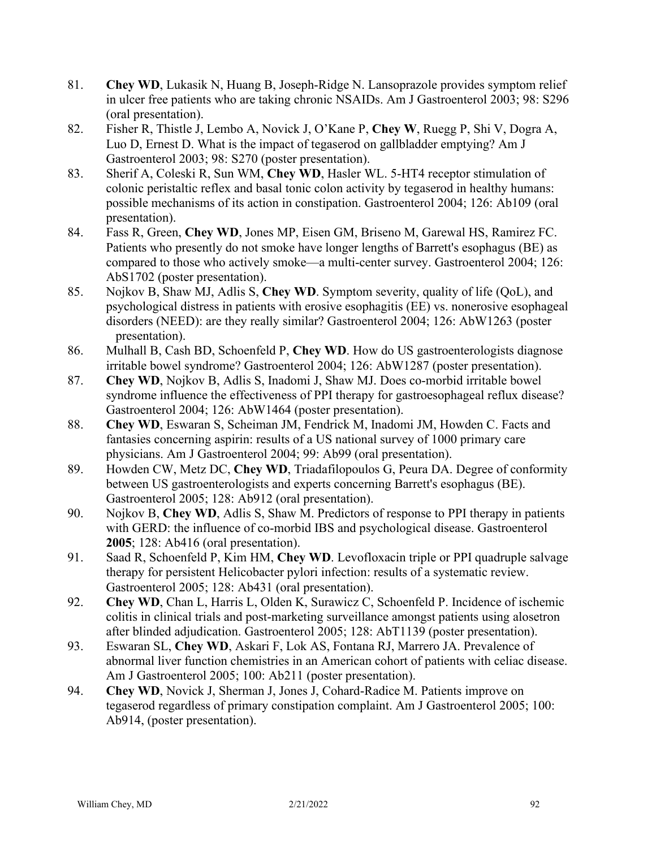- 81. **Chey WD**, Lukasik N, Huang B, Joseph-Ridge N. Lansoprazole provides symptom relief in ulcer free patients who are taking chronic NSAIDs. Am J Gastroenterol 2003; 98: S296 (oral presentation).
- 82. Fisher R, Thistle J, Lembo A, Novick J, O'Kane P, **Chey W**, Ruegg P, Shi V, Dogra A, Luo D, Ernest D. What is the impact of tegaserod on gallbladder emptying? Am J Gastroenterol 2003; 98: S270 (poster presentation).
- 83. Sherif A, Coleski R, Sun WM, **Chey WD**, Hasler WL. 5-HT4 receptor stimulation of colonic peristaltic reflex and basal tonic colon activity by tegaserod in healthy humans: possible mechanisms of its action in constipation. Gastroenterol 2004; 126: Ab109 (oral presentation).
- 84. Fass R, Green, **Chey WD**, Jones MP, Eisen GM, Briseno M, Garewal HS, Ramirez FC. Patients who presently do not smoke have longer lengths of Barrett's esophagus (BE) as compared to those who actively smoke—a multi-center survey. Gastroenterol 2004; 126: AbS1702 (poster presentation).
- 85. Nojkov B, Shaw MJ, Adlis S, **Chey WD**. Symptom severity, quality of life (QoL), and psychological distress in patients with erosive esophagitis (EE) vs. nonerosive esophageal disorders (NEED): are they really similar? Gastroenterol 2004; 126: AbW1263 (poster presentation).
- 86. Mulhall B, Cash BD, Schoenfeld P, **Chey WD**. How do US gastroenterologists diagnose irritable bowel syndrome? Gastroenterol 2004; 126: AbW1287 (poster presentation).
- 87. **Chey WD**, Nojkov B, Adlis S, Inadomi J, Shaw MJ. Does co-morbid irritable bowel syndrome influence the effectiveness of PPI therapy for gastroesophageal reflux disease? Gastroenterol 2004; 126: AbW1464 (poster presentation).
- 88. **Chey WD**, Eswaran S, Scheiman JM, Fendrick M, Inadomi JM, Howden C. Facts and fantasies concerning aspirin: results of a US national survey of 1000 primary care physicians. Am J Gastroenterol 2004; 99: Ab99 (oral presentation).
- 89. Howden CW, Metz DC, **Chey WD**, Triadafilopoulos G, Peura DA. Degree of conformity between US gastroenterologists and experts concerning Barrett's esophagus (BE). Gastroenterol 2005; 128: Ab912 (oral presentation).
- 90. Nojkov B, **Chey WD**, Adlis S, Shaw M. Predictors of response to PPI therapy in patients with GERD: the influence of co-morbid IBS and psychological disease. Gastroenterol **2005**; 128: Ab416 (oral presentation).
- 91. Saad R, Schoenfeld P, Kim HM, **Chey WD**. Levofloxacin triple or PPI quadruple salvage therapy for persistent Helicobacter pylori infection: results of a systematic review. Gastroenterol 2005; 128: Ab431 (oral presentation).
- 92. **Chey WD**, Chan L, Harris L, Olden K, Surawicz C, Schoenfeld P. Incidence of ischemic colitis in clinical trials and post-marketing surveillance amongst patients using alosetron after blinded adjudication. Gastroenterol 2005; 128: AbT1139 (poster presentation).
- 93. Eswaran SL, **Chey WD**, Askari F, Lok AS, Fontana RJ, Marrero JA. Prevalence of abnormal liver function chemistries in an American cohort of patients with celiac disease. Am J Gastroenterol 2005; 100: Ab211 (poster presentation).
- 94. **Chey WD**, Novick J, Sherman J, Jones J, Cohard-Radice M. Patients improve on tegaserod regardless of primary constipation complaint. Am J Gastroenterol 2005; 100: Ab914, (poster presentation).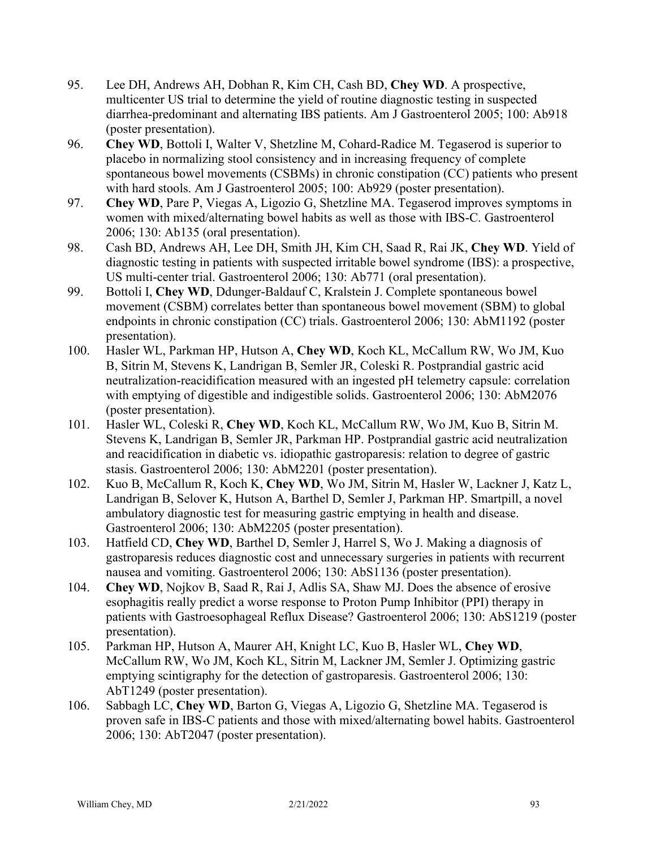- 95. Lee DH, Andrews AH, Dobhan R, Kim CH, Cash BD, **Chey WD**. A prospective, multicenter US trial to determine the yield of routine diagnostic testing in suspected diarrhea-predominant and alternating IBS patients. Am J Gastroenterol 2005; 100: Ab918 (poster presentation).
- 96. **Chey WD**, Bottoli I, Walter V, Shetzline M, Cohard-Radice M. Tegaserod is superior to placebo in normalizing stool consistency and in increasing frequency of complete spontaneous bowel movements (CSBMs) in chronic constipation (CC) patients who present with hard stools. Am J Gastroenterol 2005; 100: Ab929 (poster presentation).
- 97. **Chey WD**, Pare P, Viegas A, Ligozio G, Shetzline MA. Tegaserod improves symptoms in women with mixed/alternating bowel habits as well as those with IBS-C. Gastroenterol 2006; 130: Ab135 (oral presentation).
- 98. Cash BD, Andrews AH, Lee DH, Smith JH, Kim CH, Saad R, Rai JK, **Chey WD**. Yield of diagnostic testing in patients with suspected irritable bowel syndrome (IBS): a prospective, US multi-center trial. Gastroenterol 2006; 130: Ab771 (oral presentation).
- 99. Bottoli I, **Chey WD**, Ddunger-Baldauf C, Kralstein J. Complete spontaneous bowel movement (CSBM) correlates better than spontaneous bowel movement (SBM) to global endpoints in chronic constipation (CC) trials. Gastroenterol 2006; 130: AbM1192 (poster presentation).
- 100. Hasler WL, Parkman HP, Hutson A, **Chey WD**, Koch KL, McCallum RW, Wo JM, Kuo B, Sitrin M, Stevens K, Landrigan B, Semler JR, Coleski R. Postprandial gastric acid neutralization-reacidification measured with an ingested pH telemetry capsule: correlation with emptying of digestible and indigestible solids. Gastroenterol 2006; 130: AbM2076 (poster presentation).
- 101. Hasler WL, Coleski R, **Chey WD**, Koch KL, McCallum RW, Wo JM, Kuo B, Sitrin M. Stevens K, Landrigan B, Semler JR, Parkman HP. Postprandial gastric acid neutralization and reacidification in diabetic vs. idiopathic gastroparesis: relation to degree of gastric stasis. Gastroenterol 2006; 130: AbM2201 (poster presentation).
- 102. Kuo B, McCallum R, Koch K, **Chey WD**, Wo JM, Sitrin M, Hasler W, Lackner J, Katz L, Landrigan B, Selover K, Hutson A, Barthel D, Semler J, Parkman HP. Smartpill, a novel ambulatory diagnostic test for measuring gastric emptying in health and disease. Gastroenterol 2006; 130: AbM2205 (poster presentation).
- 103. Hatfield CD, **Chey WD**, Barthel D, Semler J, Harrel S, Wo J. Making a diagnosis of gastroparesis reduces diagnostic cost and unnecessary surgeries in patients with recurrent nausea and vomiting. Gastroenterol 2006; 130: AbS1136 (poster presentation).
- 104. **Chey WD**, Nojkov B, Saad R, Rai J, Adlis SA, Shaw MJ. Does the absence of erosive esophagitis really predict a worse response to Proton Pump Inhibitor (PPI) therapy in patients with Gastroesophageal Reflux Disease? Gastroenterol 2006; 130: AbS1219 (poster presentation).
- 105. Parkman HP, Hutson A, Maurer AH, Knight LC, Kuo B, Hasler WL, **Chey WD**, McCallum RW, Wo JM, Koch KL, Sitrin M, Lackner JM, Semler J. Optimizing gastric emptying scintigraphy for the detection of gastroparesis. Gastroenterol 2006; 130: AbT1249 (poster presentation).
- 106. Sabbagh LC, **Chey WD**, Barton G, Viegas A, Ligozio G, Shetzline MA. Tegaserod is proven safe in IBS-C patients and those with mixed/alternating bowel habits. Gastroenterol 2006; 130: AbT2047 (poster presentation).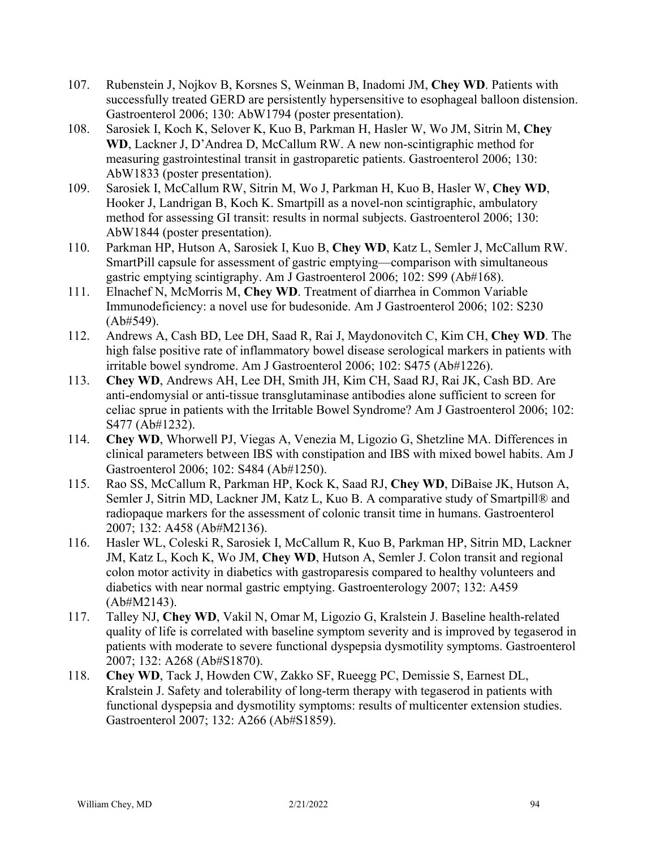- 107. Rubenstein J, Nojkov B, Korsnes S, Weinman B, Inadomi JM, **Chey WD**. Patients with successfully treated GERD are persistently hypersensitive to esophageal balloon distension. Gastroenterol 2006; 130: AbW1794 (poster presentation).
- 108. Sarosiek I, Koch K, Selover K, Kuo B, Parkman H, Hasler W, Wo JM, Sitrin M, **Chey WD**, Lackner J, D'Andrea D, McCallum RW. A new non-scintigraphic method for measuring gastrointestinal transit in gastroparetic patients. Gastroenterol 2006; 130: AbW1833 (poster presentation).
- 109. Sarosiek I, McCallum RW, Sitrin M, Wo J, Parkman H, Kuo B, Hasler W, **Chey WD**, Hooker J, Landrigan B, Koch K. Smartpill as a novel-non scintigraphic, ambulatory method for assessing GI transit: results in normal subjects. Gastroenterol 2006; 130: AbW1844 (poster presentation).
- 110. Parkman HP, Hutson A, Sarosiek I, Kuo B, **Chey WD**, Katz L, Semler J, McCallum RW. SmartPill capsule for assessment of gastric emptying—comparison with simultaneous gastric emptying scintigraphy. Am J Gastroenterol 2006; 102: S99 (Ab#168).
- 111. Elnachef N, McMorris M, **Chey WD**. Treatment of diarrhea in Common Variable Immunodeficiency: a novel use for budesonide. Am J Gastroenterol 2006; 102: S230 (Ab#549).
- 112. Andrews A, Cash BD, Lee DH, Saad R, Rai J, Maydonovitch C, Kim CH, **Chey WD**. The high false positive rate of inflammatory bowel disease serological markers in patients with irritable bowel syndrome. Am J Gastroenterol 2006; 102: S475 (Ab#1226).
- 113. **Chey WD**, Andrews AH, Lee DH, Smith JH, Kim CH, Saad RJ, Rai JK, Cash BD. Are anti-endomysial or anti-tissue transglutaminase antibodies alone sufficient to screen for celiac sprue in patients with the Irritable Bowel Syndrome? Am J Gastroenterol 2006; 102: S477 (Ab#1232).
- 114. **Chey WD**, Whorwell PJ, Viegas A, Venezia M, Ligozio G, Shetzline MA. Differences in clinical parameters between IBS with constipation and IBS with mixed bowel habits. Am J Gastroenterol 2006; 102: S484 (Ab#1250).
- 115. Rao SS, McCallum R, Parkman HP, Kock K, Saad RJ, **Chey WD**, DiBaise JK, Hutson A, Semler J, Sitrin MD, Lackner JM, Katz L, Kuo B. A comparative study of Smartpill® and radiopaque markers for the assessment of colonic transit time in humans. Gastroenterol 2007; 132: A458 (Ab#M2136).
- 116. Hasler WL, Coleski R, Sarosiek I, McCallum R, Kuo B, Parkman HP, Sitrin MD, Lackner JM, Katz L, Koch K, Wo JM, **Chey WD**, Hutson A, Semler J. Colon transit and regional colon motor activity in diabetics with gastroparesis compared to healthy volunteers and diabetics with near normal gastric emptying. Gastroenterology 2007; 132: A459 (Ab#M2143).
- 117. Talley NJ, **Chey WD**, Vakil N, Omar M, Ligozio G, Kralstein J. Baseline health-related quality of life is correlated with baseline symptom severity and is improved by tegaserod in patients with moderate to severe functional dyspepsia dysmotility symptoms. Gastroenterol 2007; 132: A268 (Ab#S1870).
- 118. **Chey WD**, Tack J, Howden CW, Zakko SF, Rueegg PC, Demissie S, Earnest DL, Kralstein J. Safety and tolerability of long-term therapy with tegaserod in patients with functional dyspepsia and dysmotility symptoms: results of multicenter extension studies. Gastroenterol 2007; 132: A266 (Ab#S1859).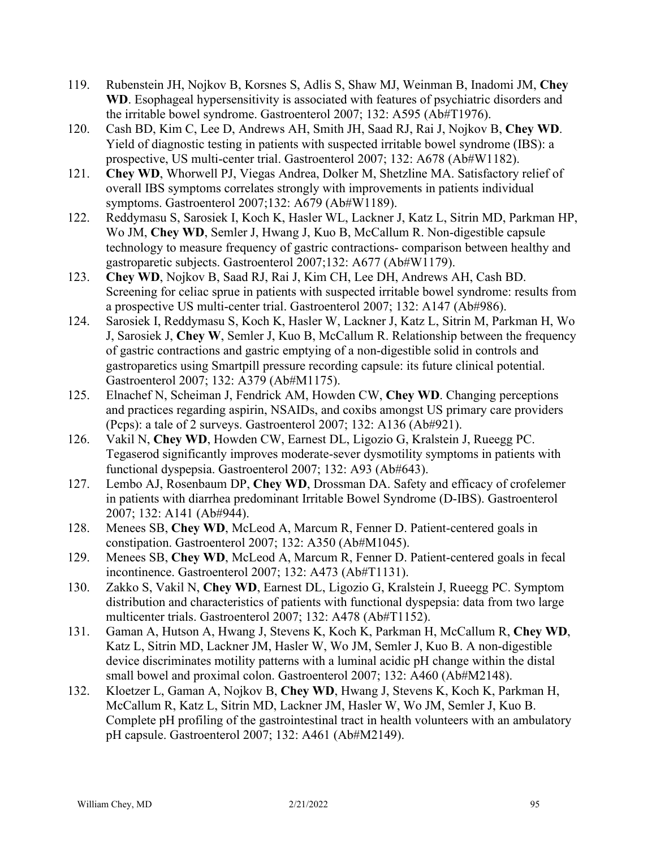- 119. Rubenstein JH, Nojkov B, Korsnes S, Adlis S, Shaw MJ, Weinman B, Inadomi JM, **Chey WD**. Esophageal hypersensitivity is associated with features of psychiatric disorders and the irritable bowel syndrome. Gastroenterol 2007; 132: A595 (Ab#T1976).
- 120. Cash BD, Kim C, Lee D, Andrews AH, Smith JH, Saad RJ, Rai J, Nojkov B, **Chey WD**. Yield of diagnostic testing in patients with suspected irritable bowel syndrome (IBS): a prospective, US multi-center trial. Gastroenterol 2007; 132: A678 (Ab#W1182).
- 121. **Chey WD**, Whorwell PJ, Viegas Andrea, Dolker M, Shetzline MA. Satisfactory relief of overall IBS symptoms correlates strongly with improvements in patients individual symptoms. Gastroenterol 2007;132: A679 (Ab#W1189).
- 122. Reddymasu S, Sarosiek I, Koch K, Hasler WL, Lackner J, Katz L, Sitrin MD, Parkman HP, Wo JM, **Chey WD**, Semler J, Hwang J, Kuo B, McCallum R. Non-digestible capsule technology to measure frequency of gastric contractions- comparison between healthy and gastroparetic subjects. Gastroenterol 2007;132: A677 (Ab#W1179).
- 123. **Chey WD**, Nojkov B, Saad RJ, Rai J, Kim CH, Lee DH, Andrews AH, Cash BD. Screening for celiac sprue in patients with suspected irritable bowel syndrome: results from a prospective US multi-center trial. Gastroenterol 2007; 132: A147 (Ab#986).
- 124. Sarosiek I, Reddymasu S, Koch K, Hasler W, Lackner J, Katz L, Sitrin M, Parkman H, Wo J, Sarosiek J, **Chey W**, Semler J, Kuo B, McCallum R. Relationship between the frequency of gastric contractions and gastric emptying of a non-digestible solid in controls and gastroparetics using Smartpill pressure recording capsule: its future clinical potential. Gastroenterol 2007; 132: A379 (Ab#M1175).
- 125. Elnachef N, Scheiman J, Fendrick AM, Howden CW, **Chey WD**. Changing perceptions and practices regarding aspirin, NSAIDs, and coxibs amongst US primary care providers (Pcps): a tale of 2 surveys. Gastroenterol 2007; 132: A136 (Ab#921).
- 126. Vakil N, **Chey WD**, Howden CW, Earnest DL, Ligozio G, Kralstein J, Rueegg PC. Tegaserod significantly improves moderate-sever dysmotility symptoms in patients with functional dyspepsia. Gastroenterol 2007; 132: A93 (Ab#643).
- 127. Lembo AJ, Rosenbaum DP, **Chey WD**, Drossman DA. Safety and efficacy of crofelemer in patients with diarrhea predominant Irritable Bowel Syndrome (D-IBS). Gastroenterol 2007; 132: A141 (Ab#944).
- 128. Menees SB, **Chey WD**, McLeod A, Marcum R, Fenner D. Patient-centered goals in constipation. Gastroenterol 2007; 132: A350 (Ab#M1045).
- 129. Menees SB, **Chey WD**, McLeod A, Marcum R, Fenner D. Patient-centered goals in fecal incontinence. Gastroenterol 2007; 132: A473 (Ab#T1131).
- 130. Zakko S, Vakil N, **Chey WD**, Earnest DL, Ligozio G, Kralstein J, Rueegg PC. Symptom distribution and characteristics of patients with functional dyspepsia: data from two large multicenter trials. Gastroenterol 2007; 132: A478 (Ab#T1152).
- 131. Gaman A, Hutson A, Hwang J, Stevens K, Koch K, Parkman H, McCallum R, **Chey WD**, Katz L, Sitrin MD, Lackner JM, Hasler W, Wo JM, Semler J, Kuo B. A non-digestible device discriminates motility patterns with a luminal acidic pH change within the distal small bowel and proximal colon. Gastroenterol 2007; 132: A460 (Ab#M2148).
- 132. Kloetzer L, Gaman A, Nojkov B, **Chey WD**, Hwang J, Stevens K, Koch K, Parkman H, McCallum R, Katz L, Sitrin MD, Lackner JM, Hasler W, Wo JM, Semler J, Kuo B. Complete pH profiling of the gastrointestinal tract in health volunteers with an ambulatory pH capsule. Gastroenterol 2007; 132: A461 (Ab#M2149).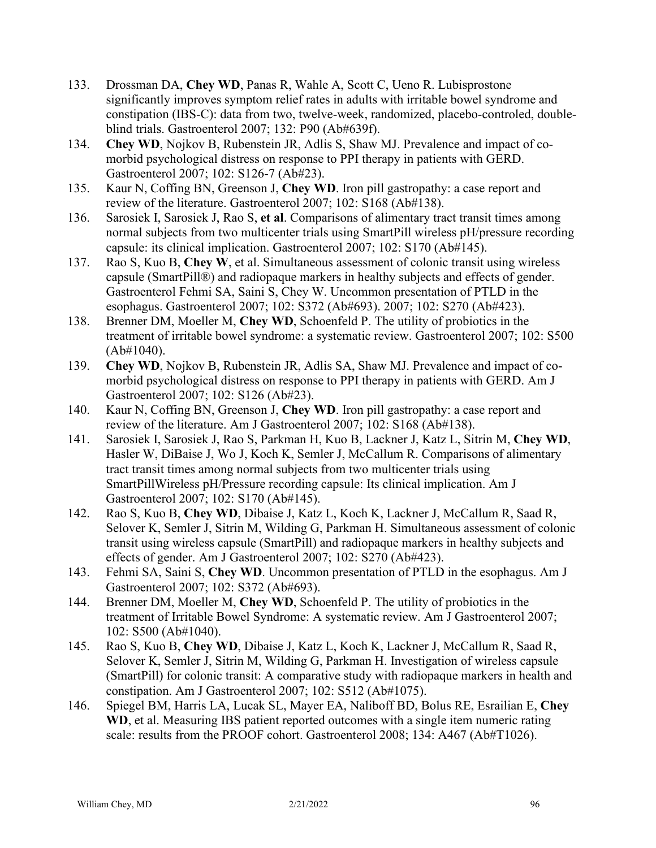- 133. Drossman DA, **Chey WD**, Panas R, Wahle A, Scott C, Ueno R. Lubisprostone significantly improves symptom relief rates in adults with irritable bowel syndrome and constipation (IBS-C): data from two, twelve-week, randomized, placebo-controled, doubleblind trials. Gastroenterol 2007; 132: P90 (Ab#639f).
- 134. **Chey WD**, Nojkov B, Rubenstein JR, Adlis S, Shaw MJ. Prevalence and impact of comorbid psychological distress on response to PPI therapy in patients with GERD. Gastroenterol 2007; 102: S126-7 (Ab#23).
- 135. Kaur N, Coffing BN, Greenson J, **Chey WD**. Iron pill gastropathy: a case report and review of the literature. Gastroenterol 2007; 102: S168 (Ab#138).
- 136. Sarosiek I, Sarosiek J, Rao S, **et al**. Comparisons of alimentary tract transit times among normal subjects from two multicenter trials using SmartPill wireless pH/pressure recording capsule: its clinical implication. Gastroenterol 2007; 102: S170 (Ab#145).
- 137. Rao S, Kuo B, **Chey W**, et al. Simultaneous assessment of colonic transit using wireless capsule (SmartPill®) and radiopaque markers in healthy subjects and effects of gender. Gastroenterol Fehmi SA, Saini S, Chey W. Uncommon presentation of PTLD in the esophagus. Gastroenterol 2007; 102: S372 (Ab#693). 2007; 102: S270 (Ab#423).
- 138. Brenner DM, Moeller M, **Chey WD**, Schoenfeld P. The utility of probiotics in the treatment of irritable bowel syndrome: a systematic review. Gastroenterol 2007; 102: S500 (Ab#1040).
- 139. **Chey WD**, Nojkov B, Rubenstein JR, Adlis SA, Shaw MJ. Prevalence and impact of comorbid psychological distress on response to PPI therapy in patients with GERD. Am J Gastroenterol 2007; 102: S126 (Ab#23).
- 140. Kaur N, Coffing BN, Greenson J, **Chey WD**. Iron pill gastropathy: a case report and review of the literature. Am J Gastroenterol 2007; 102: S168 (Ab#138).
- 141. Sarosiek I, Sarosiek J, Rao S, Parkman H, Kuo B, Lackner J, Katz L, Sitrin M, **Chey WD**, Hasler W, DiBaise J, Wo J, Koch K, Semler J, McCallum R. Comparisons of alimentary tract transit times among normal subjects from two multicenter trials using SmartPillWireless pH/Pressure recording capsule: Its clinical implication. Am J Gastroenterol 2007; 102: S170 (Ab#145).
- 142. Rao S, Kuo B, **Chey WD**, Dibaise J, Katz L, Koch K, Lackner J, McCallum R, Saad R, Selover K, Semler J, Sitrin M, Wilding G, Parkman H. Simultaneous assessment of colonic transit using wireless capsule (SmartPill) and radiopaque markers in healthy subjects and effects of gender. Am J Gastroenterol 2007; 102: S270 (Ab#423).
- 143. Fehmi SA, Saini S, **Chey WD**. Uncommon presentation of PTLD in the esophagus. Am J Gastroenterol 2007; 102: S372 (Ab#693).
- 144. Brenner DM, Moeller M, **Chey WD**, Schoenfeld P. The utility of probiotics in the treatment of Irritable Bowel Syndrome: A systematic review. Am J Gastroenterol 2007; 102: S500 (Ab#1040).
- 145. Rao S, Kuo B, **Chey WD**, Dibaise J, Katz L, Koch K, Lackner J, McCallum R, Saad R, Selover K, Semler J, Sitrin M, Wilding G, Parkman H. Investigation of wireless capsule (SmartPill) for colonic transit: A comparative study with radiopaque markers in health and constipation. Am J Gastroenterol 2007; 102: S512 (Ab#1075).
- 146. Spiegel BM, Harris LA, Lucak SL, Mayer EA, Naliboff BD, Bolus RE, Esrailian E, **Chey WD**, et al. Measuring IBS patient reported outcomes with a single item numeric rating scale: results from the PROOF cohort. Gastroenterol 2008; 134: A467 (Ab#T1026).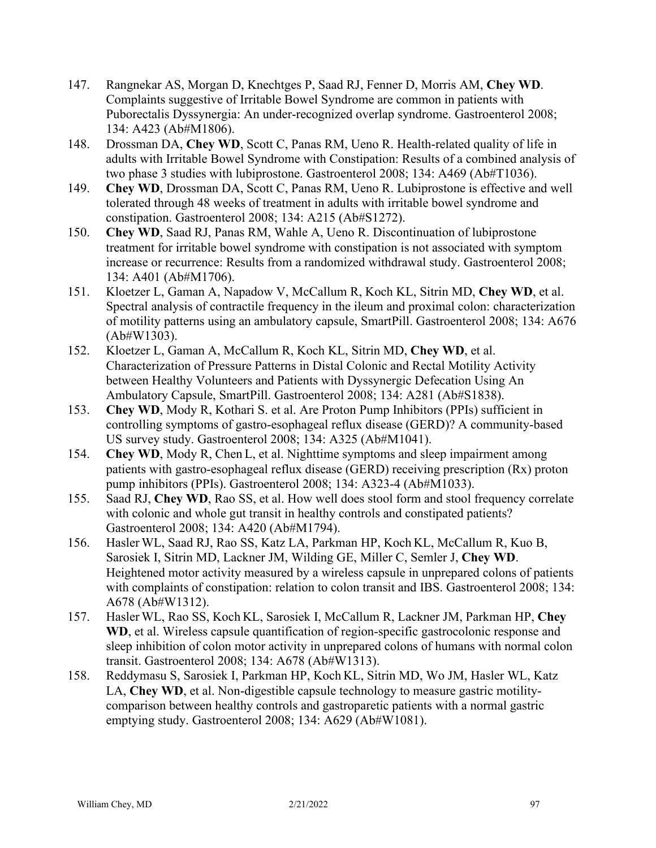- 147. Rangnekar AS, Morgan D, Knechtges P, Saad RJ, Fenner D, Morris AM, **Chey WD**. Complaints suggestive of Irritable Bowel Syndrome are common in patients with Puborectalis Dyssynergia: An under-recognized overlap syndrome. Gastroenterol 2008; 134: A423 (Ab#M1806).
- 148. Drossman DA, **Chey WD**, Scott C, Panas RM, Ueno R. Health-related quality of life in adults with Irritable Bowel Syndrome with Constipation: Results of a combined analysis of two phase 3 studies with lubiprostone. Gastroenterol 2008; 134: A469 (Ab#T1036).
- 149. **Chey WD**, Drossman DA, Scott C, Panas RM, Ueno R. Lubiprostone is effective and well tolerated through 48 weeks of treatment in adults with irritable bowel syndrome and constipation. Gastroenterol 2008; 134: A215 (Ab#S1272).
- 150. **Chey WD**, Saad RJ, Panas RM, Wahle A, Ueno R. Discontinuation of lubiprostone treatment for irritable bowel syndrome with constipation is not associated with symptom increase or recurrence: Results from a randomized withdrawal study. Gastroenterol 2008; 134: A401 (Ab#M1706).
- 151. Kloetzer L, Gaman A, Napadow V, McCallum R, Koch KL, Sitrin MD, **Chey WD**, et al. Spectral analysis of contractile frequency in the ileum and proximal colon: characterization of motility patterns using an ambulatory capsule, SmartPill. Gastroenterol 2008; 134: A676 (Ab#W1303).
- 152. Kloetzer L, Gaman A, McCallum R, Koch KL, Sitrin MD, **Chey WD**, et al. Characterization of Pressure Patterns in Distal Colonic and Rectal Motility Activity between Healthy Volunteers and Patients with Dyssynergic Defecation Using An Ambulatory Capsule, SmartPill. Gastroenterol 2008; 134: A281 (Ab#S1838).
- 153. **Chey WD**, Mody R, Kothari S. et al. Are Proton Pump Inhibitors (PPIs) sufficient in controlling symptoms of gastro-esophageal reflux disease (GERD)? A community-based US survey study. Gastroenterol 2008; 134: A325 (Ab#M1041).
- 154. **Chey WD**, Mody R, Chen L, et al. Nighttime symptoms and sleep impairment among patients with gastro-esophageal reflux disease (GERD) receiving prescription (Rx) proton pump inhibitors (PPIs). Gastroenterol 2008; 134: A323-4 (Ab#M1033).
- 155. Saad RJ, **Chey WD**, Rao SS, et al. How well does stool form and stool frequency correlate with colonic and whole gut transit in healthy controls and constipated patients? Gastroenterol 2008; 134: A420 (Ab#M1794).
- 156. Hasler WL, Saad RJ, Rao SS, Katz LA, Parkman HP, Koch KL, McCallum R, Kuo B, Sarosiek I, Sitrin MD, Lackner JM, Wilding GE, Miller C, Semler J, **Chey WD**. Heightened motor activity measured by a wireless capsule in unprepared colons of patients with complaints of constipation: relation to colon transit and IBS. Gastroenterol 2008; 134: A678 (Ab#W1312).
- 157. Hasler WL, Rao SS, Koch KL, Sarosiek I, McCallum R, Lackner JM, Parkman HP, **Chey WD**, et al. Wireless capsule quantification of region-specific gastrocolonic response and sleep inhibition of colon motor activity in unprepared colons of humans with normal colon transit. Gastroenterol 2008; 134: A678 (Ab#W1313).
- 158. Reddymasu S, Sarosiek I, Parkman HP, Koch KL, Sitrin MD, Wo JM, Hasler WL, Katz LA, **Chey WD**, et al. Non-digestible capsule technology to measure gastric motilitycomparison between healthy controls and gastroparetic patients with a normal gastric emptying study. Gastroenterol 2008; 134: A629 (Ab#W1081).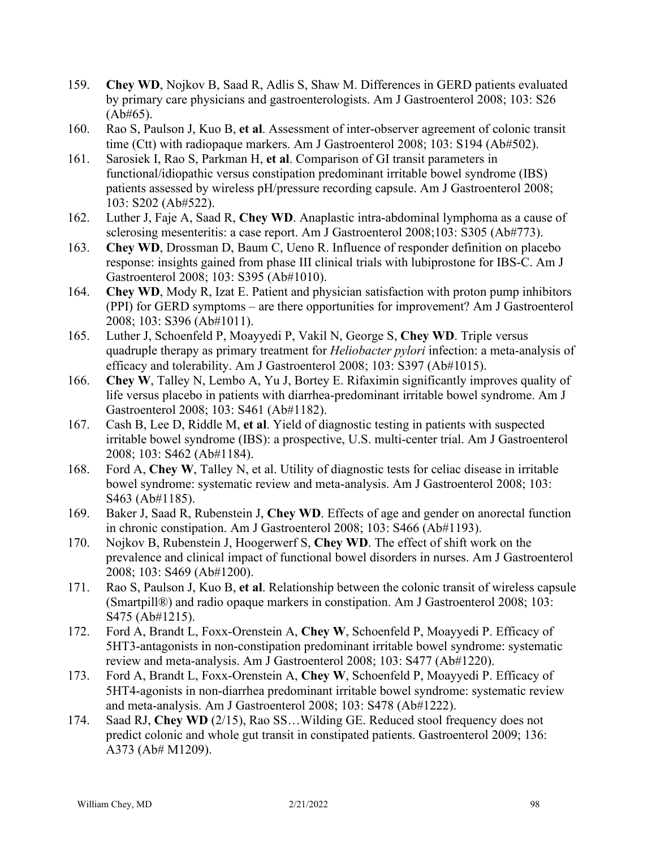- 159. **Chey WD**, Nojkov B, Saad R, Adlis S, Shaw M. Differences in GERD patients evaluated by primary care physicians and gastroenterologists. Am J Gastroenterol 2008; 103: S26  $(Ab#65)$ .
- 160. Rao S, Paulson J, Kuo B, **et al**. Assessment of inter-observer agreement of colonic transit time (Ctt) with radiopaque markers. Am J Gastroenterol 2008; 103: S194 (Ab#502).
- 161. Sarosiek I, Rao S, Parkman H, **et al**. Comparison of GI transit parameters in functional/idiopathic versus constipation predominant irritable bowel syndrome (IBS) patients assessed by wireless pH/pressure recording capsule. Am J Gastroenterol 2008; 103: S202 (Ab#522).
- 162. Luther J, Faje A, Saad R, **Chey WD**. Anaplastic intra-abdominal lymphoma as a cause of sclerosing mesenteritis: a case report. Am J Gastroenterol 2008;103: S305 (Ab#773).
- 163. **Chey WD**, Drossman D, Baum C, Ueno R. Influence of responder definition on placebo response: insights gained from phase III clinical trials with lubiprostone for IBS-C. Am J Gastroenterol 2008; 103: S395 (Ab#1010).
- 164. **Chey WD**, Mody R, Izat E. Patient and physician satisfaction with proton pump inhibitors (PPI) for GERD symptoms – are there opportunities for improvement? Am J Gastroenterol 2008; 103: S396 (Ab#1011).
- 165. Luther J, Schoenfeld P, Moayyedi P, Vakil N, George S, **Chey WD**. Triple versus quadruple therapy as primary treatment for *Heliobacter pylori* infection: a meta-analysis of efficacy and tolerability. Am J Gastroenterol 2008; 103: S397 (Ab#1015).
- 166. **Chey W**, Talley N, Lembo A, Yu J, Bortey E. Rifaximin significantly improves quality of life versus placebo in patients with diarrhea-predominant irritable bowel syndrome. Am J Gastroenterol 2008; 103: S461 (Ab#1182).
- 167. Cash B, Lee D, Riddle M, **et al**. Yield of diagnostic testing in patients with suspected irritable bowel syndrome (IBS): a prospective, U.S. multi-center trial. Am J Gastroenterol 2008; 103: S462 (Ab#1184).
- 168. Ford A, **Chey W**, Talley N, et al. Utility of diagnostic tests for celiac disease in irritable bowel syndrome: systematic review and meta-analysis. Am J Gastroenterol 2008; 103: S463 (Ab#1185).
- 169. Baker J, Saad R, Rubenstein J, **Chey WD**. Effects of age and gender on anorectal function in chronic constipation. Am J Gastroenterol 2008; 103: S466 (Ab#1193).
- 170. Nojkov B, Rubenstein J, Hoogerwerf S, **Chey WD**. The effect of shift work on the prevalence and clinical impact of functional bowel disorders in nurses. Am J Gastroenterol 2008; 103: S469 (Ab#1200).
- 171. Rao S, Paulson J, Kuo B, **et al**. Relationship between the colonic transit of wireless capsule (Smartpill®) and radio opaque markers in constipation. Am J Gastroenterol 2008; 103: S475 (Ab#1215).
- 172. Ford A, Brandt L, Foxx-Orenstein A, **Chey W**, Schoenfeld P, Moayyedi P. Efficacy of 5HT3-antagonists in non-constipation predominant irritable bowel syndrome: systematic review and meta-analysis. Am J Gastroenterol 2008; 103: S477 (Ab#1220).
- 173. Ford A, Brandt L, Foxx-Orenstein A, **Chey W**, Schoenfeld P, Moayyedi P. Efficacy of 5HT4-agonists in non-diarrhea predominant irritable bowel syndrome: systematic review and meta-analysis. Am J Gastroenterol 2008; 103: S478 (Ab#1222).
- 174. Saad RJ, **Chey WD** (2/15), Rao SS…Wilding GE. [Reduced stool frequency does not](http://www.sciencedirect.com/science?_ob=ArticleURL&_udi=B6WFX-4W92RV9-254&_user=99318&_coverDate=05%2F31%2F2009&_alid=1007354903&_rdoc=1&_fmt=high&_orig=search&_cdi=6806&_sort=r&_docanchor=&view=c&_ct=7&_acct=C000007678&_version=1&_urlVersion=0&_userid=99318&md5=bffd2f75a51bee5f6067314fbce7f9db)  [predict colonic and whole gut transit in constipated patients.](http://www.sciencedirect.com/science?_ob=ArticleURL&_udi=B6WFX-4W92RV9-254&_user=99318&_coverDate=05%2F31%2F2009&_alid=1007354903&_rdoc=1&_fmt=high&_orig=search&_cdi=6806&_sort=r&_docanchor=&view=c&_ct=7&_acct=C000007678&_version=1&_urlVersion=0&_userid=99318&md5=bffd2f75a51bee5f6067314fbce7f9db) Gastroenterol 2009; 136: A373 (Ab# M1209).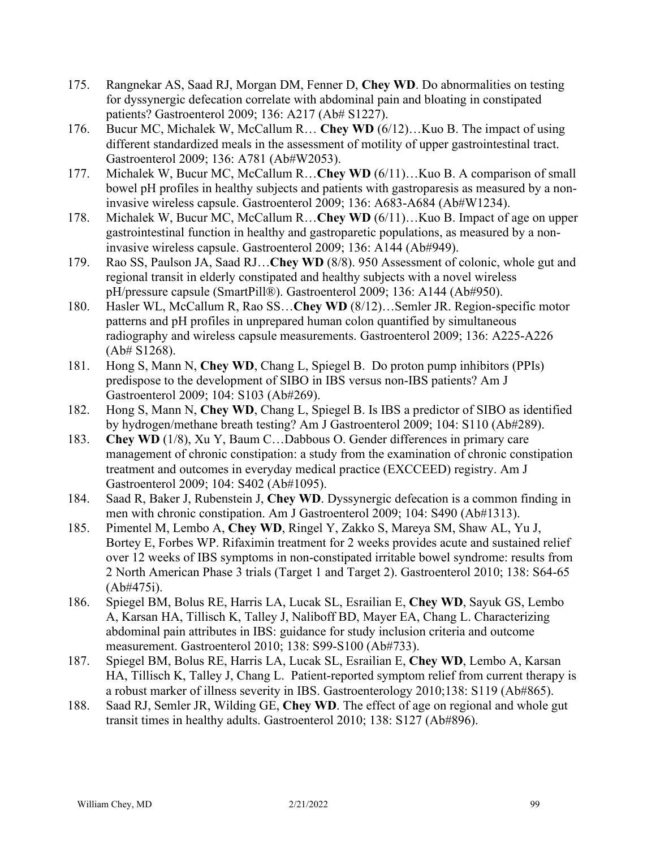- 175. Rangnekar AS, Saad RJ, Morgan DM, Fenner D, **Chey WD**. [Do abnormalities on testing](http://www.sciencedirect.com/science?_ob=ArticleURL&_udi=B6WFX-4W92RV9-16V&_user=99318&_coverDate=05%2F31%2F2009&_alid=1007354903&_rdoc=2&_fmt=high&_orig=search&_cdi=6806&_sort=r&_docanchor=&view=c&_ct=7&_acct=C000007678&_version=1&_urlVersion=0&_userid=99318&md5=df0ade719bcbe642d6415733bf2bcd32)  [for dyssynergic defecation correlate with abdominal pain and bloating in constipated](http://www.sciencedirect.com/science?_ob=ArticleURL&_udi=B6WFX-4W92RV9-16V&_user=99318&_coverDate=05%2F31%2F2009&_alid=1007354903&_rdoc=2&_fmt=high&_orig=search&_cdi=6806&_sort=r&_docanchor=&view=c&_ct=7&_acct=C000007678&_version=1&_urlVersion=0&_userid=99318&md5=df0ade719bcbe642d6415733bf2bcd32)  [patients?](http://www.sciencedirect.com/science?_ob=ArticleURL&_udi=B6WFX-4W92RV9-16V&_user=99318&_coverDate=05%2F31%2F2009&_alid=1007354903&_rdoc=2&_fmt=high&_orig=search&_cdi=6806&_sort=r&_docanchor=&view=c&_ct=7&_acct=C000007678&_version=1&_urlVersion=0&_userid=99318&md5=df0ade719bcbe642d6415733bf2bcd32) Gastroenterol 2009; 136: A217 (Ab# S1227).
- 176. Bucur MC, Michalek W, McCallum R… **Chey WD** (6/12)…Kuo B. [The impact of using](http://www.sciencedirect.com/science?_ob=ArticleURL&_udi=B6WFX-4W92RV9-4JX&_user=99318&_coverDate=05%2F31%2F2009&_alid=1007354903&_rdoc=3&_fmt=high&_orig=search&_cdi=6806&_sort=r&_docanchor=&view=c&_ct=7&_acct=C000007678&_version=1&_urlVersion=0&_userid=99318&md5=58a2b45f70d0c4bd7241c0ddc31a16da)  [different standardized meals in the assessment of motility of upper gastrointestinal tract.](http://www.sciencedirect.com/science?_ob=ArticleURL&_udi=B6WFX-4W92RV9-4JX&_user=99318&_coverDate=05%2F31%2F2009&_alid=1007354903&_rdoc=3&_fmt=high&_orig=search&_cdi=6806&_sort=r&_docanchor=&view=c&_ct=7&_acct=C000007678&_version=1&_urlVersion=0&_userid=99318&md5=58a2b45f70d0c4bd7241c0ddc31a16da) Gastroenterol 2009; 136: A781 (Ab#W2053).
- 177. Michalek W, Bucur MC, McCallum R…**Chey WD** (6/11)…Kuo B. [A comparison of small](http://www.sciencedirect.com/science?_ob=ArticleURL&_udi=B6WFX-4W92RV9-40C&_user=99318&_coverDate=05%2F31%2F2009&_alid=1007354903&_rdoc=4&_fmt=high&_orig=search&_cdi=6806&_sort=r&_docanchor=&view=c&_ct=7&_acct=C000007678&_version=1&_urlVersion=0&_userid=99318&md5=3b3794f0dbba3ff653f8d039db96510d)  [bowel pH profiles in healthy subjects and patients with gastroparesis as measured by a non](http://www.sciencedirect.com/science?_ob=ArticleURL&_udi=B6WFX-4W92RV9-40C&_user=99318&_coverDate=05%2F31%2F2009&_alid=1007354903&_rdoc=4&_fmt=high&_orig=search&_cdi=6806&_sort=r&_docanchor=&view=c&_ct=7&_acct=C000007678&_version=1&_urlVersion=0&_userid=99318&md5=3b3794f0dbba3ff653f8d039db96510d)[invasive wireless capsule.](http://www.sciencedirect.com/science?_ob=ArticleURL&_udi=B6WFX-4W92RV9-40C&_user=99318&_coverDate=05%2F31%2F2009&_alid=1007354903&_rdoc=4&_fmt=high&_orig=search&_cdi=6806&_sort=r&_docanchor=&view=c&_ct=7&_acct=C000007678&_version=1&_urlVersion=0&_userid=99318&md5=3b3794f0dbba3ff653f8d039db96510d) Gastroenterol 2009; 136: A683-A684 (Ab#W1234).
- 178. Michalek W, Bucur MC, McCallum R…**Chey WD** (6/11)…Kuo B. [Impact of age on upper](http://www.sciencedirect.com/science?_ob=ArticleURL&_udi=B6WFX-4W92RV9-T3&_user=99318&_coverDate=05%2F31%2F2009&_alid=1007354903&_rdoc=5&_fmt=high&_orig=search&_cdi=6806&_sort=r&_docanchor=&view=c&_ct=7&_acct=C000007678&_version=1&_urlVersion=0&_userid=99318&md5=49753bda690f25109c6b983786480302)  [gastrointestinal function in healthy and gastroparetic populations, as measured by a non](http://www.sciencedirect.com/science?_ob=ArticleURL&_udi=B6WFX-4W92RV9-T3&_user=99318&_coverDate=05%2F31%2F2009&_alid=1007354903&_rdoc=5&_fmt=high&_orig=search&_cdi=6806&_sort=r&_docanchor=&view=c&_ct=7&_acct=C000007678&_version=1&_urlVersion=0&_userid=99318&md5=49753bda690f25109c6b983786480302)[invasive wireless capsule.](http://www.sciencedirect.com/science?_ob=ArticleURL&_udi=B6WFX-4W92RV9-T3&_user=99318&_coverDate=05%2F31%2F2009&_alid=1007354903&_rdoc=5&_fmt=high&_orig=search&_cdi=6806&_sort=r&_docanchor=&view=c&_ct=7&_acct=C000007678&_version=1&_urlVersion=0&_userid=99318&md5=49753bda690f25109c6b983786480302) Gastroenterol 2009; 136: A144 (Ab#949).
- 179. Rao SS, Paulson JA, Saad RJ…**Chey WD** (8/8). [950 Assessment of colonic, whole gut and](http://www.sciencedirect.com/science?_ob=ArticleURL&_udi=B6WFX-4W92RV9-T4&_user=99318&_coverDate=05%2F31%2F2009&_alid=1007354903&_rdoc=6&_fmt=high&_orig=search&_cdi=6806&_sort=r&_docanchor=&view=c&_ct=7&_acct=C000007678&_version=1&_urlVersion=0&_userid=99318&md5=b4912b57cb185cc3fe1f52bfec568ad2)  [regional transit in elderly constipated and healthy subjects with a novel wireless](http://www.sciencedirect.com/science?_ob=ArticleURL&_udi=B6WFX-4W92RV9-T4&_user=99318&_coverDate=05%2F31%2F2009&_alid=1007354903&_rdoc=6&_fmt=high&_orig=search&_cdi=6806&_sort=r&_docanchor=&view=c&_ct=7&_acct=C000007678&_version=1&_urlVersion=0&_userid=99318&md5=b4912b57cb185cc3fe1f52bfec568ad2)  [pH/pressure capsule \(SmartPill®\).](http://www.sciencedirect.com/science?_ob=ArticleURL&_udi=B6WFX-4W92RV9-T4&_user=99318&_coverDate=05%2F31%2F2009&_alid=1007354903&_rdoc=6&_fmt=high&_orig=search&_cdi=6806&_sort=r&_docanchor=&view=c&_ct=7&_acct=C000007678&_version=1&_urlVersion=0&_userid=99318&md5=b4912b57cb185cc3fe1f52bfec568ad2) Gastroenterol 2009; 136: A144 (Ab#950).
- 180. Hasler WL, McCallum R, Rao SS…**Chey WD** (8/12)…Semler JR. [Region-specific motor](http://www.sciencedirect.com/science?_ob=ArticleURL&_udi=B6WFX-4W92RV9-189&_user=99318&_coverDate=05%2F31%2F2009&_alid=1007354903&_rdoc=7&_fmt=high&_orig=search&_cdi=6806&_sort=r&_docanchor=&view=c&_ct=7&_acct=C000007678&_version=1&_urlVersion=0&_userid=99318&md5=39adb119bd5ab99e84f2f0e4a8f138ca)  [patterns and pH profiles in unprepared human colon quantified by simultaneous](http://www.sciencedirect.com/science?_ob=ArticleURL&_udi=B6WFX-4W92RV9-189&_user=99318&_coverDate=05%2F31%2F2009&_alid=1007354903&_rdoc=7&_fmt=high&_orig=search&_cdi=6806&_sort=r&_docanchor=&view=c&_ct=7&_acct=C000007678&_version=1&_urlVersion=0&_userid=99318&md5=39adb119bd5ab99e84f2f0e4a8f138ca)  [radiography and wireless capsule measurements.](http://www.sciencedirect.com/science?_ob=ArticleURL&_udi=B6WFX-4W92RV9-189&_user=99318&_coverDate=05%2F31%2F2009&_alid=1007354903&_rdoc=7&_fmt=high&_orig=search&_cdi=6806&_sort=r&_docanchor=&view=c&_ct=7&_acct=C000007678&_version=1&_urlVersion=0&_userid=99318&md5=39adb119bd5ab99e84f2f0e4a8f138ca) Gastroenterol 2009; 136: A225-A226 (Ab# S1268).
- 181. Hong S, Mann N, **Chey WD**, Chang L, Spiegel B. Do proton pump inhibitors (PPIs) predispose to the development of SIBO in IBS versus non-IBS patients? Am J Gastroenterol 2009; 104: S103 (Ab#269).
- 182. Hong S, Mann N, **Chey WD**, Chang L, Spiegel B. Is IBS a predictor of SIBO as identified by hydrogen/methane breath testing? Am J Gastroenterol 2009; 104: S110 (Ab#289).
- 183. **Chey WD** (1/8), Xu Y, Baum C…Dabbous O. Gender differences in primary care management of chronic constipation: a study from the examination of chronic constipation treatment and outcomes in everyday medical practice (EXCCEED) registry. Am J Gastroenterol 2009; 104: S402 (Ab#1095).
- 184. Saad R, Baker J, Rubenstein J, **Chey WD**. Dyssynergic defecation is a common finding in men with chronic constipation. Am J Gastroenterol 2009; 104: S490 (Ab#1313).
- 185. Pimentel M, Lembo A, **Chey WD**, Ringel Y, Zakko S, Mareya SM, Shaw AL, Yu J, Bortey E, Forbes WP. Rifaximin treatment for 2 weeks provides acute and sustained relief over 12 weeks of IBS symptoms in non-constipated irritable bowel syndrome: results from 2 North American Phase 3 trials (Target 1 and Target 2). Gastroenterol 2010; 138: S64-65 (Ab#475i).
- 186. Spiegel BM, Bolus RE, Harris LA, Lucak SL, Esrailian E, **Chey WD**, Sayuk GS, Lembo A, Karsan HA, Tillisch K, Talley J, Naliboff BD, Mayer EA, Chang L. Characterizing abdominal pain attributes in IBS: guidance for study inclusion criteria and outcome measurement. Gastroenterol 2010; 138: S99-S100 (Ab#733).
- 187. Spiegel BM, Bolus RE, Harris LA, Lucak SL, Esrailian E, **Chey WD**, Lembo A, Karsan HA, Tillisch K, Talley J, Chang L. Patient-reported symptom relief from current therapy is a robust marker of illness severity in IBS. Gastroenterology 2010;138: S119 (Ab#865).
- 188. Saad RJ, Semler JR, Wilding GE, **Chey WD**. The effect of age on regional and whole gut transit times in healthy adults. Gastroenterol 2010; 138: S127 (Ab#896).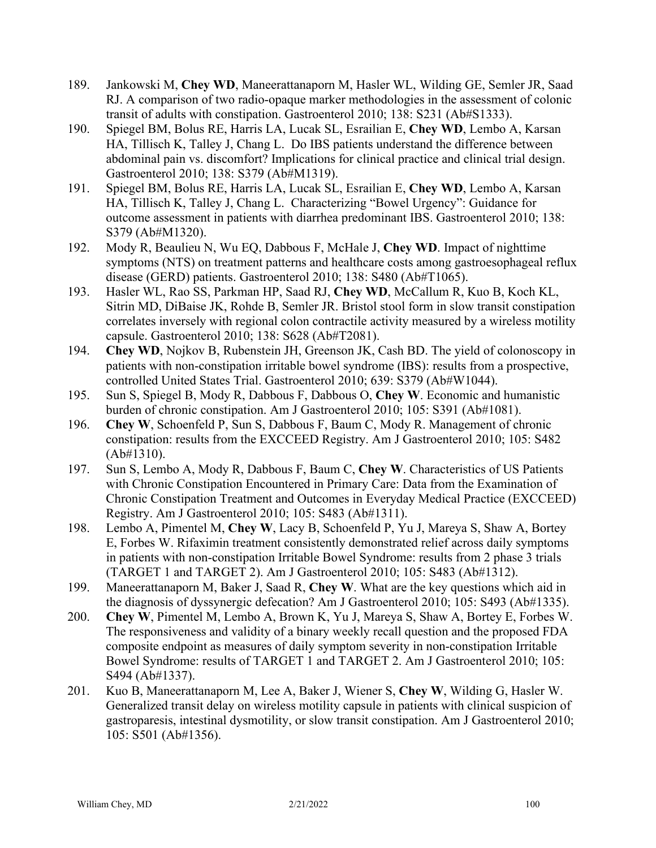- 189. Jankowski M, **Chey WD**, Maneerattanaporn M, Hasler WL, Wilding GE, Semler JR, Saad RJ. A comparison of two radio-opaque marker methodologies in the assessment of colonic transit of adults with constipation. Gastroenterol 2010; 138: S231 (Ab#S1333).
- 190. Spiegel BM, Bolus RE, Harris LA, Lucak SL, Esrailian E, **Chey WD**, Lembo A, Karsan HA, Tillisch K, Talley J, Chang L. Do IBS patients understand the difference between abdominal pain vs. discomfort? Implications for clinical practice and clinical trial design. Gastroenterol 2010; 138: S379 (Ab#M1319).
- 191. Spiegel BM, Bolus RE, Harris LA, Lucak SL, Esrailian E, **Chey WD**, Lembo A, Karsan HA, Tillisch K, Talley J, Chang L. Characterizing "Bowel Urgency": Guidance for outcome assessment in patients with diarrhea predominant IBS. Gastroenterol 2010; 138: S379 (Ab#M1320).
- 192. Mody R, Beaulieu N, Wu EQ, Dabbous F, McHale J, **Chey WD**. Impact of nighttime symptoms (NTS) on treatment patterns and healthcare costs among gastroesophageal reflux disease (GERD) patients. Gastroenterol 2010; 138: S480 (Ab#T1065).
- 193. Hasler WL, Rao SS, Parkman HP, Saad RJ, **Chey WD**, McCallum R, Kuo B, Koch KL, Sitrin MD, DiBaise JK, Rohde B, Semler JR. Bristol stool form in slow transit constipation correlates inversely with regional colon contractile activity measured by a wireless motility capsule. Gastroenterol 2010; 138: S628 (Ab#T2081).
- 194. **Chey WD**, Nojkov B, Rubenstein JH, Greenson JK, Cash BD. The yield of colonoscopy in patients with non-constipation irritable bowel syndrome (IBS): results from a prospective, controlled United States Trial. Gastroenterol 2010; 639: S379 (Ab#W1044).
- 195. Sun S, Spiegel B, Mody R, Dabbous F, Dabbous O, **Chey W**. Economic and humanistic burden of chronic constipation. Am J Gastroenterol 2010; 105: S391 (Ab#1081).
- 196. **Chey W**, Schoenfeld P, Sun S, Dabbous F, Baum C, Mody R. Management of chronic constipation: results from the EXCCEED Registry. Am J Gastroenterol 2010; 105: S482 (Ab#1310).
- 197. Sun S, Lembo A, Mody R, Dabbous F, Baum C, **Chey W**. Characteristics of US Patients with Chronic Constipation Encountered in Primary Care: Data from the Examination of Chronic Constipation Treatment and Outcomes in Everyday Medical Practice (EXCCEED) Registry. Am J Gastroenterol 2010; 105: S483 (Ab#1311).
- 198. Lembo A, Pimentel M, **Chey W**, Lacy B, Schoenfeld P, Yu J, Mareya S, Shaw A, Bortey E, Forbes W. Rifaximin treatment consistently demonstrated relief across daily symptoms in patients with non-constipation Irritable Bowel Syndrome: results from 2 phase 3 trials (TARGET 1 and TARGET 2). Am J Gastroenterol 2010; 105: S483 (Ab#1312).
- 199. Maneerattanaporn M, Baker J, Saad R, **Chey W**. What are the key questions which aid in the diagnosis of dyssynergic defecation? Am J Gastroenterol 2010; 105: S493 (Ab#1335).
- 200. **Chey W**, Pimentel M, Lembo A, Brown K, Yu J, Mareya S, Shaw A, Bortey E, Forbes W. The responsiveness and validity of a binary weekly recall question and the proposed FDA composite endpoint as measures of daily symptom severity in non-constipation Irritable Bowel Syndrome: results of TARGET 1 and TARGET 2. Am J Gastroenterol 2010; 105: S494 (Ab#1337).
- 201. Kuo B, Maneerattanaporn M, Lee A, Baker J, Wiener S, **Chey W**, Wilding G, Hasler W. Generalized transit delay on wireless motility capsule in patients with clinical suspicion of gastroparesis, intestinal dysmotility, or slow transit constipation. Am J Gastroenterol 2010; 105: S501 (Ab#1356).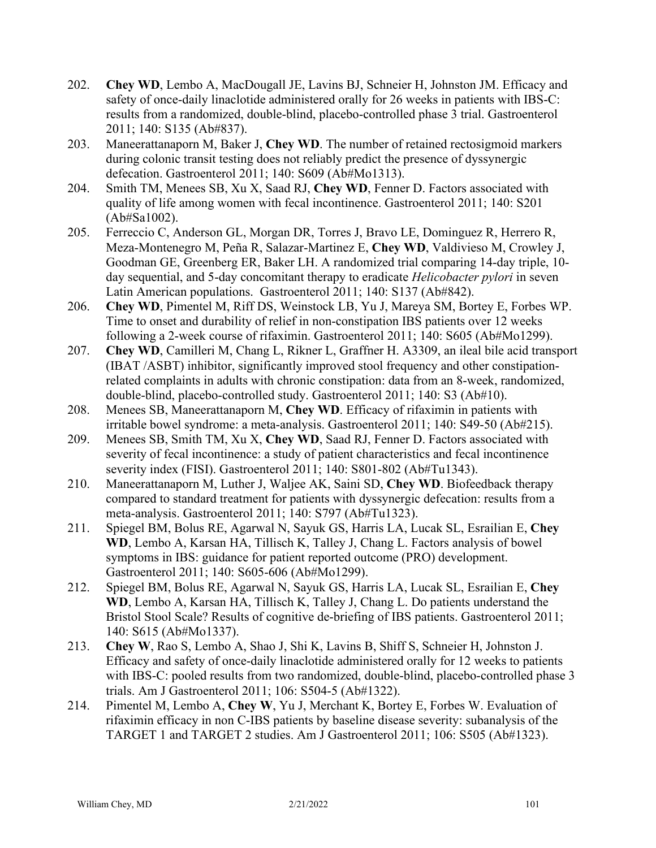- 202. **Chey WD**, Lembo A, MacDougall JE, Lavins BJ, Schneier H, Johnston JM. Efficacy and safety of once-daily linaclotide administered orally for 26 weeks in patients with IBS-C: results from a randomized, double-blind, placebo-controlled phase 3 trial. Gastroenterol 2011; 140: S135 (Ab#837).
- 203. Maneerattanaporn M, Baker J, **Chey WD**. The number of retained rectosigmoid markers during colonic transit testing does not reliably predict the presence of dyssynergic defecation. Gastroenterol 2011; 140: S609 (Ab#Mo1313).
- 204. Smith TM, Menees SB, Xu X, Saad RJ, **Chey WD**, Fenner D. Factors associated with quality of life among women with fecal incontinence. Gastroenterol 2011; 140: S201 (Ab#Sa1002).
- 205. Ferreccio C, Anderson GL, Morgan DR, Torres J, Bravo LE, Dominguez R, Herrero R, Meza-Montenegro M, Peña R, Salazar-Martinez E, **Chey WD**, Valdivieso M, Crowley J, Goodman GE, Greenberg ER, Baker LH. A randomized trial comparing 14-day triple, 10 day sequential, and 5-day concomitant therapy to eradicate *Helicobacter pylori* in seven Latin American populations. Gastroenterol 2011; 140: S137 (Ab#842).
- 206. **Chey WD**, Pimentel M, Riff DS, Weinstock LB, Yu J, Mareya SM, Bortey E, Forbes WP. Time to onset and durability of relief in non-constipation IBS patients over 12 weeks following a 2-week course of rifaximin. Gastroenterol 2011; 140: S605 (Ab#Mo1299).
- 207. **Chey WD**, Camilleri M, Chang L, Rikner L, Graffner H. A3309, an ileal bile acid transport (IBAT /ASBT) inhibitor, significantly improved stool frequency and other constipationrelated complaints in adults with chronic constipation: data from an 8-week, randomized, double-blind, placebo-controlled study. Gastroenterol 2011; 140: S3 (Ab#10).
- 208. Menees SB, Maneerattanaporn M, **Chey WD**. Efficacy of rifaximin in patients with irritable bowel syndrome: a meta-analysis. Gastroenterol 2011; 140: S49-50 (Ab#215).
- 209. Menees SB, Smith TM, Xu X, **Chey WD**, Saad RJ, Fenner D. Factors associated with severity of fecal incontinence: a study of patient characteristics and fecal incontinence severity index (FISI). Gastroenterol 2011; 140: S801-802 (Ab#Tu1343).
- 210. Maneerattanaporn M, Luther J, Waljee AK, Saini SD, **Chey WD**. Biofeedback therapy compared to standard treatment for patients with dyssynergic defecation: results from a meta-analysis. Gastroenterol 2011; 140: S797 (Ab#Tu1323).
- 211. Spiegel BM, Bolus RE, Agarwal N, Sayuk GS, Harris LA, Lucak SL, Esrailian E, **Chey WD**, Lembo A, Karsan HA, Tillisch K, Talley J, Chang L. Factors analysis of bowel symptoms in IBS: guidance for patient reported outcome (PRO) development. Gastroenterol 2011; 140: S605-606 (Ab#Mo1299).
- 212. Spiegel BM, Bolus RE, Agarwal N, Sayuk GS, Harris LA, Lucak SL, Esrailian E, **Chey WD**, Lembo A, Karsan HA, Tillisch K, Talley J, Chang L. Do patients understand the Bristol Stool Scale? Results of cognitive de-briefing of IBS patients. Gastroenterol 2011; 140: S615 (Ab#Mo1337).
- 213. **Chey W**, Rao S, Lembo A, Shao J, Shi K, Lavins B, Shiff S, Schneier H, Johnston J. Efficacy and safety of once-daily linaclotide administered orally for 12 weeks to patients with IBS-C: pooled results from two randomized, double-blind, placebo-controlled phase 3 trials. Am J Gastroenterol 2011; 106: S504-5 (Ab#1322).
- 214. Pimentel M, Lembo A, **Chey W**, Yu J, Merchant K, Bortey E, Forbes W. Evaluation of rifaximin efficacy in non C-IBS patients by baseline disease severity: subanalysis of the TARGET 1 and TARGET 2 studies. Am J Gastroenterol 2011; 106: S505 (Ab#1323).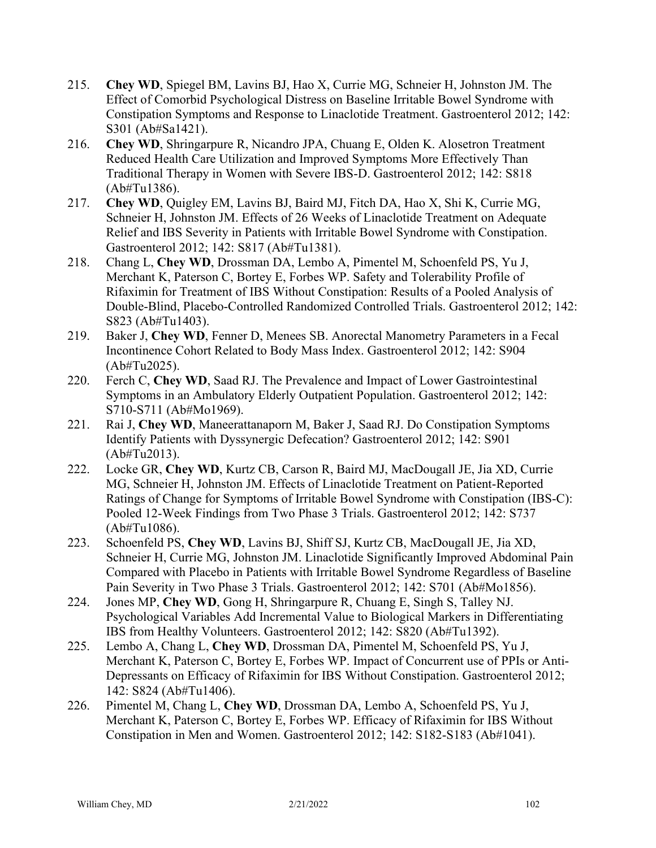- 215. **Chey WD**, Spiegel BM, Lavins BJ, Hao X, Currie MG, Schneier H, Johnston JM. The Effect of Comorbid Psychological Distress on Baseline Irritable Bowel Syndrome with Constipation Symptoms and Response to Linaclotide Treatment. Gastroenterol 2012; 142: S301 (Ab#Sa1421).
- 216. **Chey WD**, Shringarpure R, Nicandro JPA, Chuang E, Olden K. Alosetron Treatment Reduced Health Care Utilization and Improved Symptoms More Effectively Than Traditional Therapy in Women with Severe IBS-D. Gastroenterol 2012; 142: S818 (Ab#Tu1386).
- 217. **Chey WD**, Quigley EM, Lavins BJ, Baird MJ, Fitch DA, Hao X, Shi K, Currie MG, Schneier H, Johnston JM. Effects of 26 Weeks of Linaclotide Treatment on Adequate Relief and IBS Severity in Patients with Irritable Bowel Syndrome with Constipation. Gastroenterol 2012; 142: S817 (Ab#Tu1381).
- 218. Chang L, **Chey WD**, Drossman DA, Lembo A, Pimentel M, Schoenfeld PS, Yu J, Merchant K, Paterson C, Bortey E, Forbes WP. Safety and Tolerability Profile of Rifaximin for Treatment of IBS Without Constipation: Results of a Pooled Analysis of Double-Blind, Placebo-Controlled Randomized Controlled Trials. Gastroenterol 2012; 142: S823 (Ab#Tu1403).
- 219. Baker J, **Chey WD**, Fenner D, Menees SB. Anorectal Manometry Parameters in a Fecal Incontinence Cohort Related to Body Mass Index. Gastroenterol 2012; 142: S904 (Ab#Tu2025).
- 220. Ferch C, **Chey WD**, Saad RJ. The Prevalence and Impact of Lower Gastrointestinal Symptoms in an Ambulatory Elderly Outpatient Population. Gastroenterol 2012; 142: S710-S711 (Ab#Mo1969).
- 221. Rai J, **Chey WD**, Maneerattanaporn M, Baker J, Saad RJ. Do Constipation Symptoms Identify Patients with Dyssynergic Defecation? Gastroenterol 2012; 142: S901 (Ab#Tu2013).
- 222. Locke GR, **Chey WD**, Kurtz CB, Carson R, Baird MJ, MacDougall JE, Jia XD, Currie MG, Schneier H, Johnston JM. Effects of Linaclotide Treatment on Patient-Reported Ratings of Change for Symptoms of Irritable Bowel Syndrome with Constipation (IBS-C): Pooled 12-Week Findings from Two Phase 3 Trials. Gastroenterol 2012; 142: S737 (Ab#Tu1086).
- 223. Schoenfeld PS, **Chey WD**, Lavins BJ, Shiff SJ, Kurtz CB, MacDougall JE, Jia XD, Schneier H, Currie MG, Johnston JM. Linaclotide Significantly Improved Abdominal Pain Compared with Placebo in Patients with Irritable Bowel Syndrome Regardless of Baseline Pain Severity in Two Phase 3 Trials. Gastroenterol 2012; 142: S701 (Ab#Mo1856).
- 224. Jones MP, **Chey WD**, Gong H, Shringarpure R, Chuang E, Singh S, Talley NJ. Psychological Variables Add Incremental Value to Biological Markers in Differentiating IBS from Healthy Volunteers. Gastroenterol 2012; 142: S820 (Ab#Tu1392).
- 225. Lembo A, Chang L, **Chey WD**, Drossman DA, Pimentel M, Schoenfeld PS, Yu J, Merchant K, Paterson C, Bortey E, Forbes WP. Impact of Concurrent use of PPIs or Anti-Depressants on Efficacy of Rifaximin for IBS Without Constipation. Gastroenterol 2012; 142: S824 (Ab#Tu1406).
- 226. Pimentel M, Chang L, **Chey WD**, Drossman DA, Lembo A, Schoenfeld PS, Yu J, Merchant K, Paterson C, Bortey E, Forbes WP. Efficacy of Rifaximin for IBS Without Constipation in Men and Women. Gastroenterol 2012; 142: S182-S183 (Ab#1041).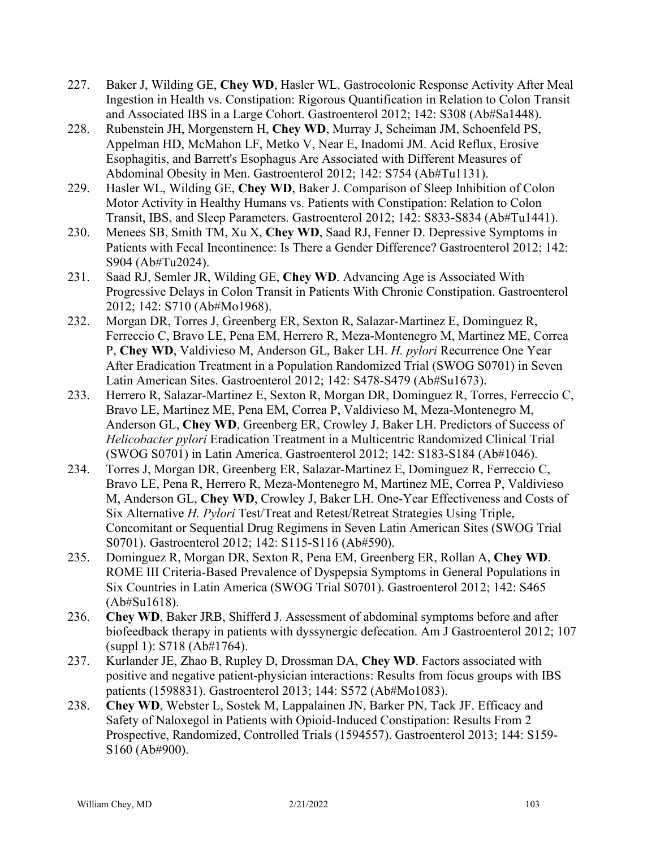- 227. Baker J, Wilding GE, **Chey WD**, Hasler WL. Gastrocolonic Response Activity After Meal Ingestion in Health vs. Constipation: Rigorous Quantification in Relation to Colon Transit and Associated IBS in a Large Cohort. Gastroenterol 2012; 142: S308 (Ab#Sa1448).
- 228. Rubenstein JH, Morgenstern H, **Chey WD**, Murray J, Scheiman JM, Schoenfeld PS, Appelman HD, McMahon LF, Metko V, Near E, Inadomi JM. Acid Reflux, Erosive Esophagitis, and Barrett's Esophagus Are Associated with Different Measures of Abdominal Obesity in Men. Gastroenterol 2012; 142: S754 (Ab#Tu1131).
- 229. Hasler WL, Wilding GE, **Chey WD**, Baker J. Comparison of Sleep Inhibition of Colon Motor Activity in Healthy Humans vs. Patients with Constipation: Relation to Colon Transit, IBS, and Sleep Parameters. Gastroenterol 2012; 142: S833-S834 (Ab#Tu1441).
- 230. Menees SB, Smith TM, Xu X, **Chey WD**, Saad RJ, Fenner D. Depressive Symptoms in Patients with Fecal Incontinence: Is There a Gender Difference? Gastroenterol 2012; 142: S904 (Ab#Tu2024).
- 231. Saad RJ, Semler JR, Wilding GE, **Chey WD**. Advancing Age is Associated With Progressive Delays in Colon Transit in Patients With Chronic Constipation. Gastroenterol 2012; 142: S710 (Ab#Mo1968).
- 232. Morgan DR, Torres J, Greenberg ER, Sexton R, Salazar-Martinez E, Dominguez R, Ferreccio C, Bravo LE, Pena EM, Herrero R, Meza-Montenegro M, Martinez ME, Correa P, **Chey WD**, Valdivieso M, Anderson GL, Baker LH. *H. pylori* Recurrence One Year After Eradication Treatment in a Population Randomized Trial (SWOG S0701) in Seven Latin American Sites. Gastroenterol 2012; 142: S478-S479 (Ab#Su1673).
- 233. Herrero R, Salazar-Martinez E, Sexton R, Morgan DR, Dominguez R, Torres, Ferreccio C, Bravo LE, Martinez ME, Pena EM, Correa P, Valdivieso M, Meza-Montenegro M, Anderson GL, **Chey WD**, Greenberg ER, Crowley J, Baker LH. [Predictors of Success of](http://www.sciencedirect.com/science/article/pii/S001650851260688X)  *Helicobacter pylori* [Eradication Treatment in a Multicentric Randomized Clinical Trial](http://www.sciencedirect.com/science/article/pii/S001650851260688X)  [\(SWOG S0701\) in Latin America.](http://www.sciencedirect.com/science/article/pii/S001650851260688X) Gastroenterol 2012; 142: S183-S184 (Ab#1046).
- 234. Torres J, Morgan DR, Greenberg ER, Salazar-Martinez E, Dominguez R, Ferreccio C, Bravo LE, Pena R, Herrero R, Meza-Montenegro M, Martinez ME, Correa P, Valdivieso M, Anderson GL, **Chey WD**, Crowley J, Baker LH. One-Year Effectiveness and Costs of Six Alternative *H. Pylori* Test/Treat and Retest/Retreat Strategies Using Triple, Concomitant or Sequential Drug Regimens in Seven Latin American Sites (SWOG Trial S0701). Gastroenterol 2012; 142: S115-S116 (Ab#590).
- 235. Dominguez R, Morgan DR, Sexton R, Pena EM, Greenberg ER, Rollan A, **Chey WD**. ROME III Criteria-Based Prevalence of Dyspepsia Symptoms in General Populations in Six Countries in Latin America (SWOG Trial S0701). Gastroenterol 2012; 142: S465 (Ab#Su1618).
- 236. **Chey WD**, Baker JRB, Shifferd J. Assessment of abdominal symptoms before and after biofeedback therapy in patients with dyssynergic defecation. Am J Gastroenterol 2012; 107 (suppl 1): S718 (Ab#1764).
- 237. Kurlander JE, Zhao B, Rupley D, Drossman DA, **Chey WD**. Factors associated with positive and negative patient-physician interactions: Results from focus groups with IBS patients (1598831). Gastroenterol 2013; 144: S572 (Ab#Mo1083).
- 238. **Chey WD**, Webster L, Sostek M, Lappalainen JN, Barker PN, Tack JF. Efficacy and Safety of Naloxegol in Patients with Opioid-Induced Constipation: Results From 2 Prospective, Randomized, Controlled Trials (1594557). Gastroenterol 2013; 144: S159- S160 (Ab#900).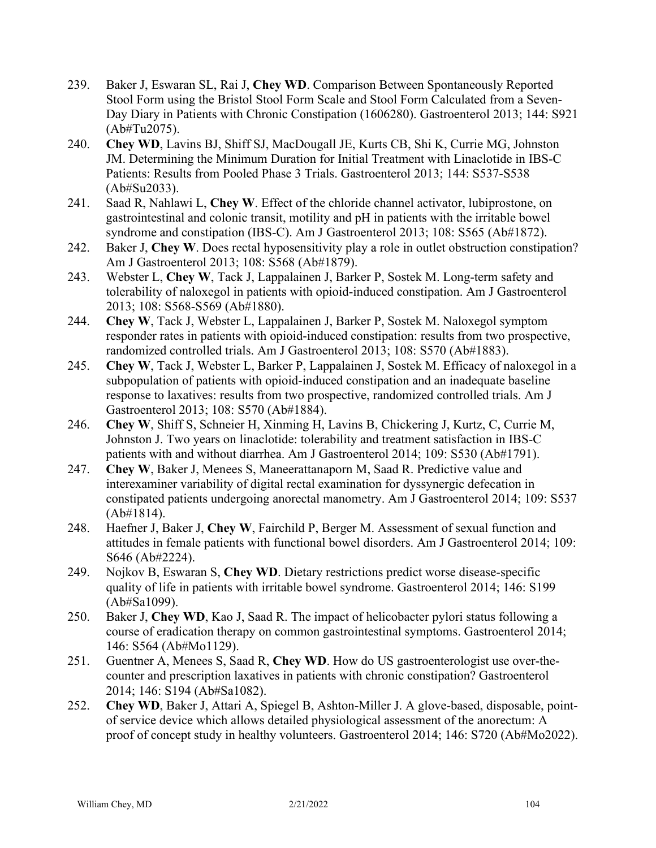- 239. Baker J, Eswaran SL, Rai J, **Chey WD**. Comparison Between Spontaneously Reported Stool Form using the Bristol Stool Form Scale and Stool Form Calculated from a Seven-Day Diary in Patients with Chronic Constipation (1606280). Gastroenterol 2013; 144: S921 (Ab#Tu2075).
- 240. **Chey WD**, Lavins BJ, Shiff SJ, MacDougall JE, Kurts CB, Shi K, Currie MG, Johnston JM. Determining the Minimum Duration for Initial Treatment with Linaclotide in IBS-C Patients: Results from Pooled Phase 3 Trials. Gastroenterol 2013; 144: S537-S538 (Ab#Su2033).
- 241. Saad R, Nahlawi L, **Chey W**. Effect of the chloride channel activator, lubiprostone, on gastrointestinal and colonic transit, motility and pH in patients with the irritable bowel syndrome and constipation (IBS-C). Am J Gastroenterol 2013; 108: S565 (Ab#1872).
- 242. Baker J, **Chey W**. Does rectal hyposensitivity play a role in outlet obstruction constipation? Am J Gastroenterol 2013; 108: S568 (Ab#1879).
- 243. Webster L, **Chey W**, Tack J, Lappalainen J, Barker P, Sostek M. Long-term safety and tolerability of naloxegol in patients with opioid-induced constipation. Am J Gastroenterol 2013; 108: S568-S569 (Ab#1880).
- 244. **Chey W**, Tack J, Webster L, Lappalainen J, Barker P, Sostek M. Naloxegol symptom responder rates in patients with opioid-induced constipation: results from two prospective, randomized controlled trials. Am J Gastroenterol 2013; 108: S570 (Ab#1883).
- 245. **Chey W**, Tack J, Webster L, Barker P, Lappalainen J, Sostek M. Efficacy of naloxegol in a subpopulation of patients with opioid-induced constipation and an inadequate baseline response to laxatives: results from two prospective, randomized controlled trials. Am J Gastroenterol 2013; 108: S570 (Ab#1884).
- 246. **Chey W**, Shiff S, Schneier H, Xinming H, Lavins B, Chickering J, Kurtz, C, Currie M, Johnston J. Two years on linaclotide: tolerability and treatment satisfaction in IBS-C patients with and without diarrhea. Am J Gastroenterol 2014; 109: S530 (Ab#1791).
- 247. **Chey W**, Baker J, Menees S, Maneerattanaporn M, Saad R. Predictive value and interexaminer variability of digital rectal examination for dyssynergic defecation in constipated patients undergoing anorectal manometry. Am J Gastroenterol 2014; 109: S537 (Ab#1814).
- 248. Haefner J, Baker J, **Chey W**, Fairchild P, Berger M. Assessment of sexual function and attitudes in female patients with functional bowel disorders. Am J Gastroenterol 2014; 109: S646 (Ab#2224).
- 249. Nojkov B, Eswaran S, **Chey WD**. Dietary restrictions predict worse disease-specific quality of life in patients with irritable bowel syndrome. Gastroenterol 2014; 146: S199 (Ab#Sa1099).
- 250. Baker J, **Chey WD**, Kao J, Saad R. The impact of helicobacter pylori status following a course of eradication therapy on common gastrointestinal symptoms. Gastroenterol 2014; 146: S564 (Ab#Mo1129).
- 251. Guentner A, Menees S, Saad R, **Chey WD**. How do US gastroenterologist use over-thecounter and prescription laxatives in patients with chronic constipation? Gastroenterol 2014; 146: S194 (Ab#Sa1082).
- 252. **Chey WD**, Baker J, Attari A, Spiegel B, Ashton-Miller J. A glove-based, disposable, pointof service device which allows detailed physiological assessment of the anorectum: A proof of concept study in healthy volunteers. Gastroenterol 2014; 146: S720 (Ab#Mo2022).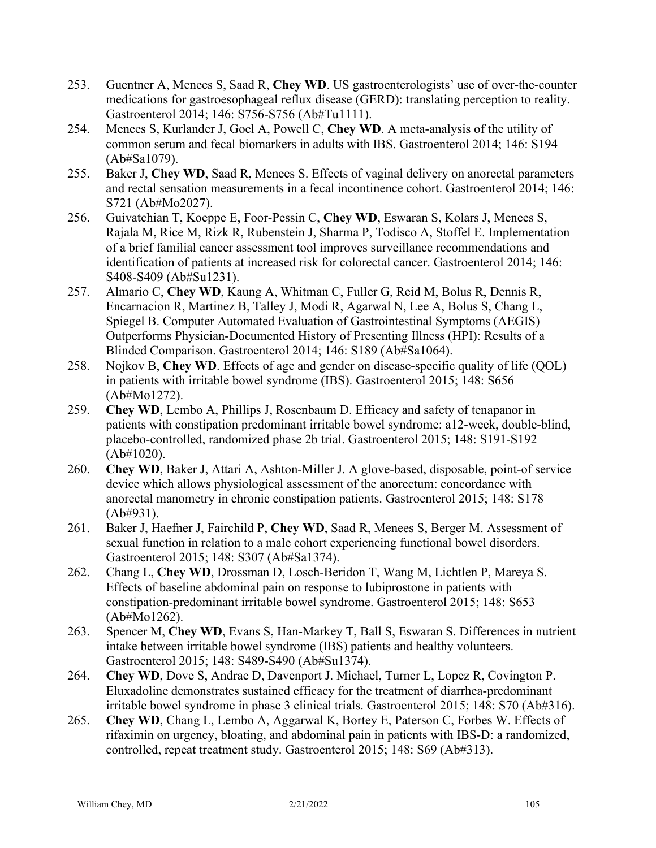- 253. Guentner A, Menees S, Saad R, **Chey WD**. US gastroenterologists' use of over-the-counter medications for gastroesophageal reflux disease (GERD): translating perception to reality. Gastroenterol 2014; 146: S756-S756 (Ab#Tu1111).
- 254. Menees S, Kurlander J, Goel A, Powell C, **Chey WD**. A meta-analysis of the utility of common serum and fecal biomarkers in adults with IBS. Gastroenterol 2014; 146: S194 (Ab#Sa1079).
- 255. Baker J, **Chey WD**, Saad R, Menees S. Effects of vaginal delivery on anorectal parameters and rectal sensation measurements in a fecal incontinence cohort. Gastroenterol 2014; 146: S721 (Ab#Mo2027).
- 256. Guivatchian T, Koeppe E, Foor-Pessin C, **Chey WD**, Eswaran S, Kolars J, Menees S, Rajala M, Rice M, Rizk R, Rubenstein J, Sharma P, Todisco A, Stoffel E. Implementation of a brief familial cancer assessment tool improves surveillance recommendations and identification of patients at increased risk for colorectal cancer. Gastroenterol 2014; 146: S408-S409 (Ab#Su1231).
- 257. Almario C, **Chey WD**, Kaung A, Whitman C, Fuller G, Reid M, Bolus R, Dennis R, Encarnacion R, Martinez B, Talley J, Modi R, Agarwal N, Lee A, Bolus S, Chang L, Spiegel B. Computer Automated Evaluation of Gastrointestinal Symptoms (AEGIS) Outperforms Physician-Documented History of Presenting Illness (HPI): Results of a Blinded Comparison. Gastroenterol 2014; 146: S189 (Ab#Sa1064).
- 258. Nojkov B, **Chey WD**. Effects of age and gender on disease-specific quality of life (QOL) in patients with irritable bowel syndrome (IBS). Gastroenterol 2015; 148: S656 (Ab#Mo1272).
- 259. **Chey WD**, Lembo A, Phillips J, Rosenbaum D. Efficacy and safety of tenapanor in patients with constipation predominant irritable bowel syndrome: a12-week, double-blind, placebo-controlled, randomized phase 2b trial. Gastroenterol 2015; 148: S191-S192 (Ab#1020).
- 260. **Chey WD**, Baker J, Attari A, Ashton-Miller J. A glove-based, disposable, point-of service device which allows physiological assessment of the anorectum: concordance with anorectal manometry in chronic constipation patients. Gastroenterol 2015; 148: S178 (Ab#931).
- 261. Baker J, Haefner J, Fairchild P, **Chey WD**, Saad R, Menees S, Berger M. Assessment of sexual function in relation to a male cohort experiencing functional bowel disorders. Gastroenterol 2015; 148: S307 (Ab#Sa1374).
- 262. Chang L, **Chey WD**, Drossman D, Losch-Beridon T, Wang M, Lichtlen P, Mareya S. Effects of baseline abdominal pain on response to lubiprostone in patients with constipation-predominant irritable bowel syndrome. Gastroenterol 2015; 148: S653 (Ab#Mo1262).
- 263. Spencer M, **Chey WD**, Evans S, Han-Markey T, Ball S, Eswaran S. Differences in nutrient intake between irritable bowel syndrome (IBS) patients and healthy volunteers. Gastroenterol 2015; 148: S489-S490 (Ab#Su1374).
- 264. **Chey WD**, Dove S, Andrae D, Davenport J. Michael, Turner L, Lopez R, Covington P. Eluxadoline demonstrates sustained efficacy for the treatment of diarrhea-predominant irritable bowel syndrome in phase 3 clinical trials. Gastroenterol 2015; 148: S70 (Ab#316).
- 265. **Chey WD**, Chang L, Lembo A, Aggarwal K, Bortey E, Paterson C, Forbes W. Effects of rifaximin on urgency, bloating, and abdominal pain in patients with IBS-D: a randomized, controlled, repeat treatment study. Gastroenterol 2015; 148: S69 (Ab#313).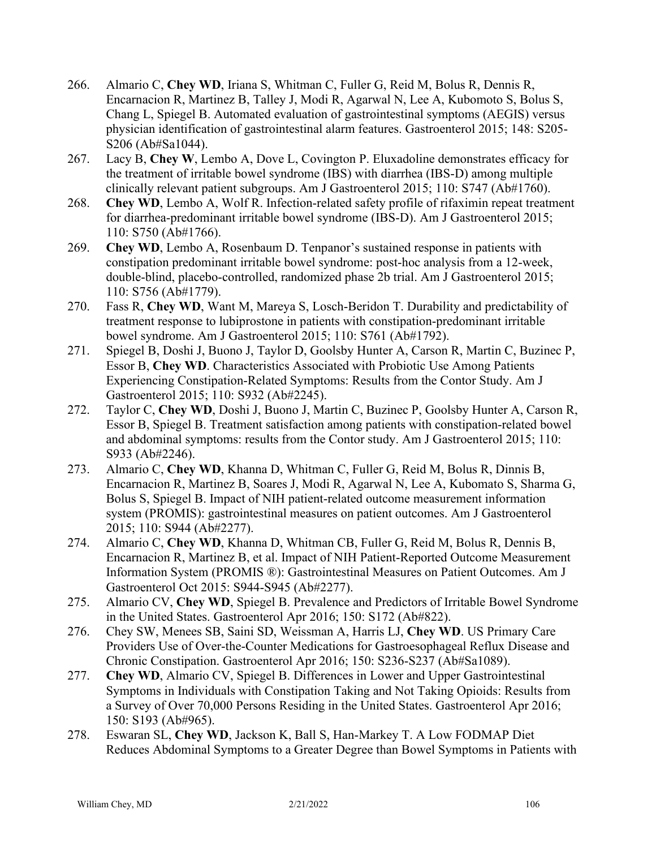- 266. Almario C, **Chey WD**, Iriana S, Whitman C, Fuller G, Reid M, Bolus R, Dennis R, Encarnacion R, Martinez B, Talley J, Modi R, Agarwal N, Lee A, Kubomoto S, Bolus S, Chang L, Spiegel B. Automated evaluation of gastrointestinal symptoms (AEGIS) versus physician identification of gastrointestinal alarm features. Gastroenterol 2015; 148: S205- S206 (Ab#Sa1044).
- 267. Lacy B, **Chey W**, Lembo A, Dove L, Covington P. Eluxadoline demonstrates efficacy for the treatment of irritable bowel syndrome (IBS) with diarrhea (IBS-D) among multiple clinically relevant patient subgroups. Am J Gastroenterol 2015; 110: S747 (Ab#1760).
- 268. **Chey WD**, Lembo A, Wolf R. Infection-related safety profile of rifaximin repeat treatment for diarrhea-predominant irritable bowel syndrome (IBS-D). Am J Gastroenterol 2015; 110: S750 (Ab#1766).
- 269. **Chey WD**, Lembo A, Rosenbaum D. Tenpanor's sustained response in patients with constipation predominant irritable bowel syndrome: post-hoc analysis from a 12-week, double-blind, placebo-controlled, randomized phase 2b trial. Am J Gastroenterol 2015; 110: S756 (Ab#1779).
- 270. Fass R, **Chey WD**, Want M, Mareya S, Losch-Beridon T. Durability and predictability of treatment response to lubiprostone in patients with constipation-predominant irritable bowel syndrome. Am J Gastroenterol 2015; 110: S761 (Ab#1792).
- 271. Spiegel B, Doshi J, Buono J, Taylor D, Goolsby Hunter A, Carson R, Martin C, Buzinec P, Essor B, **Chey WD**. Characteristics Associated with Probiotic Use Among Patients Experiencing Constipation-Related Symptoms: Results from the Contor Study. Am J Gastroenterol 2015; 110: S932 (Ab#2245).
- 272. Taylor C, **Chey WD**, Doshi J, Buono J, Martin C, Buzinec P, Goolsby Hunter A, Carson R, Essor B, Spiegel B. Treatment satisfaction among patients with constipation-related bowel and abdominal symptoms: results from the Contor study. Am J Gastroenterol 2015; 110: S933 (Ab#2246).
- 273. Almario C, **Chey WD**, Khanna D, Whitman C, Fuller G, Reid M, Bolus R, Dinnis B, Encarnacion R, Martinez B, Soares J, Modi R, Agarwal N, Lee A, Kubomato S, Sharma G, Bolus S, Spiegel B. Impact of NIH patient-related outcome measurement information system (PROMIS): gastrointestinal measures on patient outcomes. Am J Gastroenterol 2015; 110: S944 (Ab#2277).
- 274. Almario C, **Chey WD**, Khanna D, Whitman CB, Fuller G, Reid M, Bolus R, Dennis B, Encarnacion R, Martinez B, et al. Impact of NIH Patient-Reported Outcome Measurement Information System (PROMIS ®): Gastrointestinal Measures on Patient Outcomes. Am J Gastroenterol Oct 2015: S944-S945 (Ab#2277).
- 275. Almario CV, **Chey WD**, Spiegel B. Prevalence and Predictors of Irritable Bowel Syndrome in the United States. Gastroenterol Apr 2016; 150: S172 (Ab#822).
- 276. Chey SW, Menees SB, Saini SD, Weissman A, Harris LJ, **Chey WD**. US Primary Care Providers Use of Over-the-Counter Medications for Gastroesophageal Reflux Disease and Chronic Constipation. Gastroenterol Apr 2016; 150: S236-S237 (Ab#Sa1089).
- 277. **Chey WD**, Almario CV, Spiegel B. Differences in Lower and Upper Gastrointestinal Symptoms in Individuals with Constipation Taking and Not Taking Opioids: Results from a Survey of Over 70,000 Persons Residing in the United States. Gastroenterol Apr 2016; 150: S193 (Ab#965).
- 278. Eswaran SL, **Chey WD**, Jackson K, Ball S, Han-Markey T. A Low FODMAP Diet Reduces Abdominal Symptoms to a Greater Degree than Bowel Symptoms in Patients with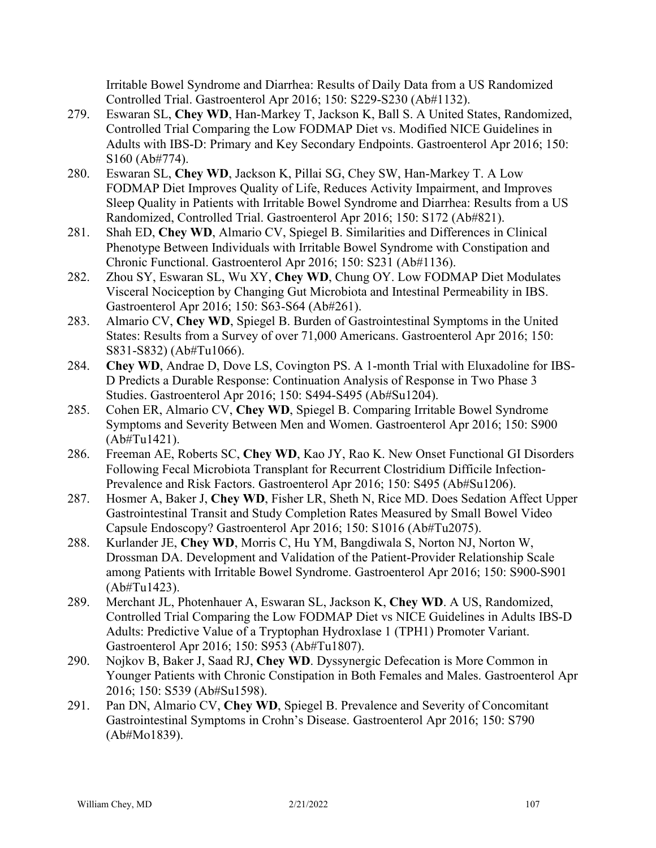Irritable Bowel Syndrome and Diarrhea: Results of Daily Data from a US Randomized Controlled Trial. Gastroenterol Apr 2016; 150: S229-S230 (Ab#1132).

- 279. Eswaran SL, **Chey WD**, Han-Markey T, Jackson K, Ball S. A United States, Randomized, Controlled Trial Comparing the Low FODMAP Diet vs. Modified NICE Guidelines in Adults with IBS-D: Primary and Key Secondary Endpoints. Gastroenterol Apr 2016; 150: S160 (Ab#774).
- 280. Eswaran SL, **Chey WD**, Jackson K, Pillai SG, Chey SW, Han-Markey T. A Low FODMAP Diet Improves Quality of Life, Reduces Activity Impairment, and Improves Sleep Quality in Patients with Irritable Bowel Syndrome and Diarrhea: Results from a US Randomized, Controlled Trial. Gastroenterol Apr 2016; 150: S172 (Ab#821).
- 281. Shah ED, **Chey WD**, Almario CV, Spiegel B. Similarities and Differences in Clinical Phenotype Between Individuals with Irritable Bowel Syndrome with Constipation and Chronic Functional. Gastroenterol Apr 2016; 150: S231 (Ab#1136).
- 282. Zhou SY, Eswaran SL, Wu XY, **Chey WD**, Chung OY. Low FODMAP Diet Modulates Visceral Nociception by Changing Gut Microbiota and Intestinal Permeability in IBS. Gastroenterol Apr 2016; 150: S63-S64 (Ab#261).
- 283. Almario CV, **Chey WD**, Spiegel B. Burden of Gastrointestinal Symptoms in the United States: Results from a Survey of over 71,000 Americans. Gastroenterol Apr 2016; 150: S831-S832) (Ab#Tu1066).
- 284. **Chey WD**, Andrae D, Dove LS, Covington PS. A 1-month Trial with Eluxadoline for IBS-D Predicts a Durable Response: Continuation Analysis of Response in Two Phase 3 Studies. Gastroenterol Apr 2016; 150: S494-S495 (Ab#Su1204).
- 285. Cohen ER, Almario CV, **Chey WD**, Spiegel B. Comparing Irritable Bowel Syndrome Symptoms and Severity Between Men and Women. Gastroenterol Apr 2016; 150: S900 (Ab#Tu1421).
- 286. Freeman AE, Roberts SC, **Chey WD**, Kao JY, Rao K. New Onset Functional GI Disorders Following Fecal Microbiota Transplant for Recurrent Clostridium Difficile Infection-Prevalence and Risk Factors. Gastroenterol Apr 2016; 150: S495 (Ab#Su1206).
- 287. Hosmer A, Baker J, **Chey WD**, Fisher LR, Sheth N, Rice MD. Does Sedation Affect Upper Gastrointestinal Transit and Study Completion Rates Measured by Small Bowel Video Capsule Endoscopy? Gastroenterol Apr 2016; 150: S1016 (Ab#Tu2075).
- 288. Kurlander JE, **Chey WD**, Morris C, Hu YM, Bangdiwala S, Norton NJ, Norton W, Drossman DA. Development and Validation of the Patient-Provider Relationship Scale among Patients with Irritable Bowel Syndrome. Gastroenterol Apr 2016; 150: S900-S901 (Ab#Tu1423).
- 289. Merchant JL, Photenhauer A, Eswaran SL, Jackson K, **Chey WD**. A US, Randomized, Controlled Trial Comparing the Low FODMAP Diet vs NICE Guidelines in Adults IBS-D Adults: Predictive Value of a Tryptophan Hydroxlase 1 (TPH1) Promoter Variant. Gastroenterol Apr 2016; 150: S953 (Ab#Tu1807).
- 290. Nojkov B, Baker J, Saad RJ, **Chey WD**. Dyssynergic Defecation is More Common in Younger Patients with Chronic Constipation in Both Females and Males. Gastroenterol Apr 2016; 150: S539 (Ab#Su1598).
- 291. Pan DN, Almario CV, **Chey WD**, Spiegel B. Prevalence and Severity of Concomitant Gastrointestinal Symptoms in Crohn's Disease. Gastroenterol Apr 2016; 150: S790 (Ab#Mo1839).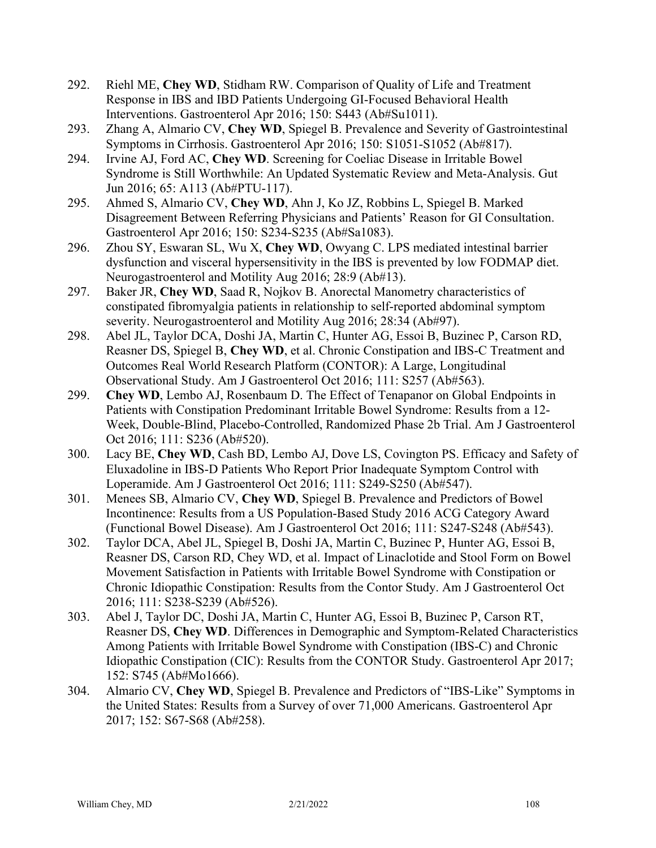- 292. Riehl ME, **Chey WD**, Stidham RW. Comparison of Quality of Life and Treatment Response in IBS and IBD Patients Undergoing GI-Focused Behavioral Health Interventions. Gastroenterol Apr 2016; 150: S443 (Ab#Su1011).
- 293. Zhang A, Almario CV, **Chey WD**, Spiegel B. Prevalence and Severity of Gastrointestinal Symptoms in Cirrhosis. Gastroenterol Apr 2016; 150: S1051-S1052 (Ab#817).
- 294. Irvine AJ, Ford AC, **Chey WD**. Screening for Coeliac Disease in Irritable Bowel Syndrome is Still Worthwhile: An Updated Systematic Review and Meta-Analysis. Gut Jun 2016; 65: A113 (Ab#PTU-117).
- 295. Ahmed S, Almario CV, **Chey WD**, Ahn J, Ko JZ, Robbins L, Spiegel B. Marked Disagreement Between Referring Physicians and Patients' Reason for GI Consultation. Gastroenterol Apr 2016; 150: S234-S235 (Ab#Sa1083).
- 296. Zhou SY, Eswaran SL, Wu X, **Chey WD**, Owyang C. LPS mediated intestinal barrier dysfunction and visceral hypersensitivity in the IBS is prevented by low FODMAP diet. Neurogastroenterol and Motility Aug 2016; 28:9 (Ab#13).
- 297. Baker JR, **Chey WD**, Saad R, Nojkov B. Anorectal Manometry characteristics of constipated fibromyalgia patients in relationship to self-reported abdominal symptom severity. Neurogastroenterol and Motility Aug 2016; 28:34 (Ab#97).
- 298. Abel JL, Taylor DCA, Doshi JA, Martin C, Hunter AG, Essoi B, Buzinec P, Carson RD, Reasner DS, Spiegel B, **Chey WD**, et al. Chronic Constipation and IBS-C Treatment and Outcomes Real World Research Platform (CONTOR): A Large, Longitudinal Observational Study. Am J Gastroenterol Oct 2016; 111: S257 (Ab#563).
- 299. **Chey WD**, Lembo AJ, Rosenbaum D. The Effect of Tenapanor on Global Endpoints in Patients with Constipation Predominant Irritable Bowel Syndrome: Results from a 12- Week, Double-Blind, Placebo-Controlled, Randomized Phase 2b Trial. Am J Gastroenterol Oct 2016; 111: S236 (Ab#520).
- 300. Lacy BE, **Chey WD**, Cash BD, Lembo AJ, Dove LS, Covington PS. Efficacy and Safety of Eluxadoline in IBS-D Patients Who Report Prior Inadequate Symptom Control with Loperamide. Am J Gastroenterol Oct 2016; 111: S249-S250 (Ab#547).
- 301. Menees SB, Almario CV, **Chey WD**, Spiegel B. Prevalence and Predictors of Bowel Incontinence: Results from a US Population-Based Study 2016 ACG Category Award (Functional Bowel Disease). Am J Gastroenterol Oct 2016; 111: S247-S248 (Ab#543).
- 302. Taylor DCA, Abel JL, Spiegel B, Doshi JA, Martin C, Buzinec P, Hunter AG, Essoi B, Reasner DS, Carson RD, Chey WD, et al. Impact of Linaclotide and Stool Form on Bowel Movement Satisfaction in Patients with Irritable Bowel Syndrome with Constipation or Chronic Idiopathic Constipation: Results from the Contor Study. Am J Gastroenterol Oct 2016; 111: S238-S239 (Ab#526).
- 303. Abel J, Taylor DC, Doshi JA, Martin C, Hunter AG, Essoi B, Buzinec P, Carson RT, Reasner DS, **Chey WD**. Differences in Demographic and Symptom-Related Characteristics Among Patients with Irritable Bowel Syndrome with Constipation (IBS-C) and Chronic Idiopathic Constipation (CIC): Results from the CONTOR Study. Gastroenterol Apr 2017; 152: S745 (Ab#Mo1666).
- 304. Almario CV, **Chey WD**, Spiegel B. Prevalence and Predictors of "IBS-Like" Symptoms in the United States: Results from a Survey of over 71,000 Americans. Gastroenterol Apr 2017; 152: S67-S68 (Ab#258).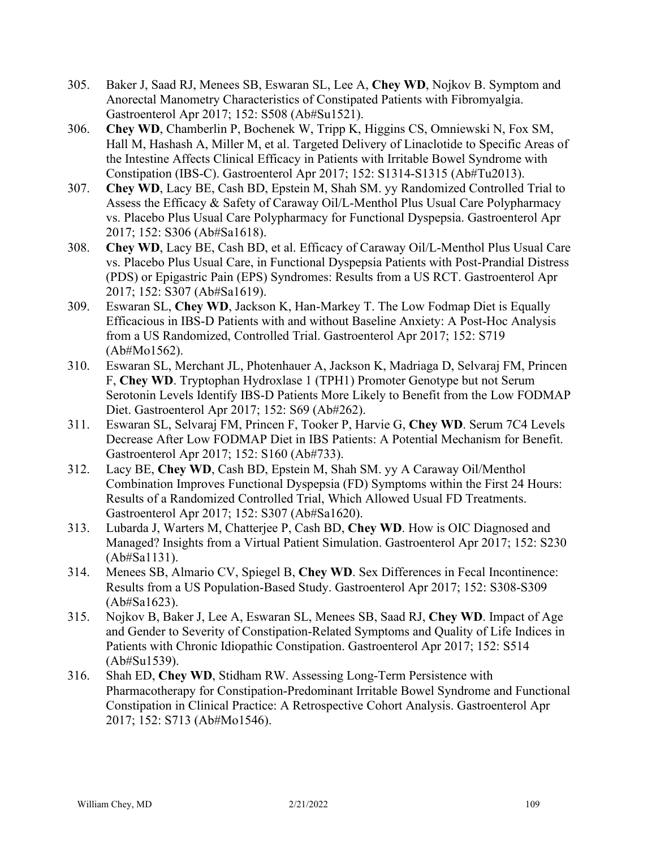- 305. Baker J, Saad RJ, Menees SB, Eswaran SL, Lee A, **Chey WD**, Nojkov B. Symptom and Anorectal Manometry Characteristics of Constipated Patients with Fibromyalgia. Gastroenterol Apr 2017; 152: S508 (Ab#Su1521).
- 306. **Chey WD**, Chamberlin P, Bochenek W, Tripp K, Higgins CS, Omniewski N, Fox SM, Hall M, Hashash A, Miller M, et al. Targeted Delivery of Linaclotide to Specific Areas of the Intestine Affects Clinical Efficacy in Patients with Irritable Bowel Syndrome with Constipation (IBS-C). Gastroenterol Apr 2017; 152: S1314-S1315 (Ab#Tu2013).
- 307. **Chey WD**, Lacy BE, Cash BD, Epstein M, Shah SM. yy Randomized Controlled Trial to Assess the Efficacy & Safety of Caraway Oil/L-Menthol Plus Usual Care Polypharmacy vs. Placebo Plus Usual Care Polypharmacy for Functional Dyspepsia. Gastroenterol Apr 2017; 152: S306 (Ab#Sa1618).
- 308. **Chey WD**, Lacy BE, Cash BD, et al. Efficacy of Caraway Oil/L-Menthol Plus Usual Care vs. Placebo Plus Usual Care, in Functional Dyspepsia Patients with Post-Prandial Distress (PDS) or Epigastric Pain (EPS) Syndromes: Results from a US RCT. Gastroenterol Apr 2017; 152: S307 (Ab#Sa1619).
- 309. Eswaran SL, **Chey WD**, Jackson K, Han-Markey T. The Low Fodmap Diet is Equally Efficacious in IBS-D Patients with and without Baseline Anxiety: A Post-Hoc Analysis from a US Randomized, Controlled Trial. Gastroenterol Apr 2017; 152: S719 (Ab#Mo1562).
- 310. Eswaran SL, Merchant JL, Photenhauer A, Jackson K, Madriaga D, Selvaraj FM, Princen F, **Chey WD**. Tryptophan Hydroxlase 1 (TPH1) Promoter Genotype but not Serum Serotonin Levels Identify IBS-D Patients More Likely to Benefit from the Low FODMAP Diet. Gastroenterol Apr 2017; 152: S69 (Ab#262).
- 311. Eswaran SL, Selvaraj FM, Princen F, Tooker P, Harvie G, **Chey WD**. Serum 7C4 Levels Decrease After Low FODMAP Diet in IBS Patients: A Potential Mechanism for Benefit. Gastroenterol Apr 2017; 152: S160 (Ab#733).
- 312. Lacy BE, **Chey WD**, Cash BD, Epstein M, Shah SM. yy A Caraway Oil/Menthol Combination Improves Functional Dyspepsia (FD) Symptoms within the First 24 Hours: Results of a Randomized Controlled Trial, Which Allowed Usual FD Treatments. Gastroenterol Apr 2017; 152: S307 (Ab#Sa1620).
- 313. Lubarda J, Warters M, Chatterjee P, Cash BD, **Chey WD**. How is OIC Diagnosed and Managed? Insights from a Virtual Patient Simulation. Gastroenterol Apr 2017; 152: S230 (Ab#Sa1131).
- 314. Menees SB, Almario CV, Spiegel B, **Chey WD**. Sex Differences in Fecal Incontinence: Results from a US Population-Based Study. Gastroenterol Apr 2017; 152: S308-S309 (Ab#Sa1623).
- 315. Nojkov B, Baker J, Lee A, Eswaran SL, Menees SB, Saad RJ, **Chey WD**. Impact of Age and Gender to Severity of Constipation-Related Symptoms and Quality of Life Indices in Patients with Chronic Idiopathic Constipation. Gastroenterol Apr 2017; 152: S514 (Ab#Su1539).
- 316. Shah ED, **Chey WD**, Stidham RW. Assessing Long-Term Persistence with Pharmacotherapy for Constipation-Predominant Irritable Bowel Syndrome and Functional Constipation in Clinical Practice: A Retrospective Cohort Analysis. Gastroenterol Apr 2017; 152: S713 (Ab#Mo1546).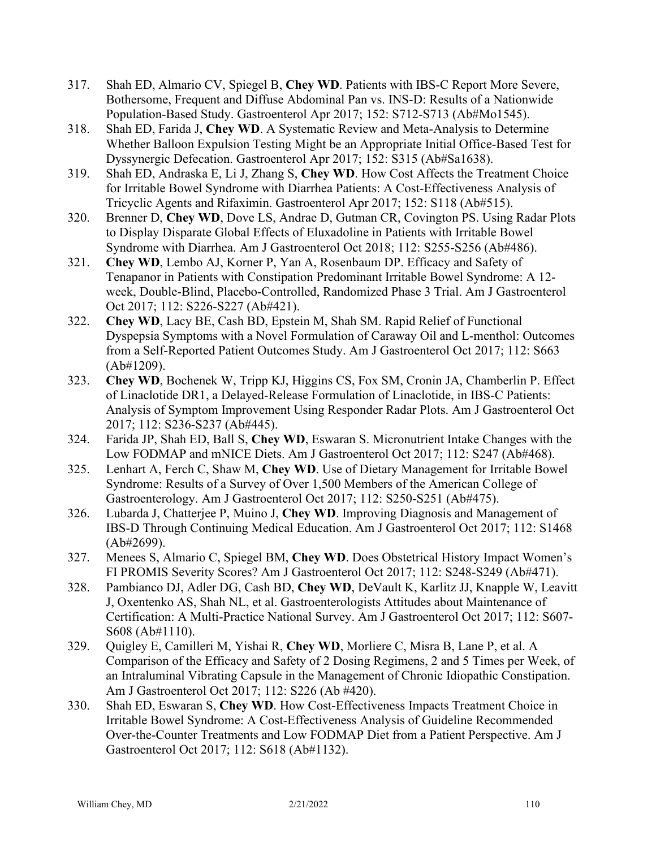- 317. Shah ED, Almario CV, Spiegel B, **Chey WD**. Patients with IBS-C Report More Severe, Bothersome, Frequent and Diffuse Abdominal Pan vs. INS-D: Results of a Nationwide Population-Based Study. Gastroenterol Apr 2017; 152: S712-S713 (Ab#Mo1545).
- 318. Shah ED, Farida J, **Chey WD**. A Systematic Review and Meta-Analysis to Determine Whether Balloon Expulsion Testing Might be an Appropriate Initial Office-Based Test for Dyssynergic Defecation. Gastroenterol Apr 2017; 152: S315 (Ab#Sa1638).
- 319. Shah ED, Andraska E, Li J, Zhang S, **Chey WD**. How Cost Affects the Treatment Choice for Irritable Bowel Syndrome with Diarrhea Patients: A Cost-Effectiveness Analysis of Tricyclic Agents and Rifaximin. Gastroenterol Apr 2017; 152: S118 (Ab#515).
- 320. Brenner D, **Chey WD**, Dove LS, Andrae D, Gutman CR, Covington PS. Using Radar Plots to Display Disparate Global Effects of Eluxadoline in Patients with Irritable Bowel Syndrome with Diarrhea. Am J Gastroenterol Oct 2018; 112: S255-S256 (Ab#486).
- 321. **Chey WD**, Lembo AJ, Korner P, Yan A, Rosenbaum DP. Efficacy and Safety of Tenapanor in Patients with Constipation Predominant Irritable Bowel Syndrome: A 12 week, Double-Blind, Placebo-Controlled, Randomized Phase 3 Trial. Am J Gastroenterol Oct 2017; 112: S226-S227 (Ab#421).
- 322. **Chey WD**, Lacy BE, Cash BD, Epstein M, Shah SM. Rapid Relief of Functional Dyspepsia Symptoms with a Novel Formulation of Caraway Oil and L-menthol: Outcomes from a Self-Reported Patient Outcomes Study. Am J Gastroenterol Oct 2017; 112: S663 (Ab#1209).
- 323. **Chey WD**, Bochenek W, Tripp KJ, Higgins CS, Fox SM, Cronin JA, Chamberlin P. Effect of Linaclotide DR1, a Delayed-Release Formulation of Linaclotide, in IBS-C Patients: Analysis of Symptom Improvement Using Responder Radar Plots. Am J Gastroenterol Oct 2017; 112: S236-S237 (Ab#445).
- 324. Farida JP, Shah ED, Ball S, **Chey WD**, Eswaran S. Micronutrient Intake Changes with the Low FODMAP and mNICE Diets. Am J Gastroenterol Oct 2017; 112: S247 (Ab#468).
- 325. Lenhart A, Ferch C, Shaw M, **Chey WD**. Use of Dietary Management for Irritable Bowel Syndrome: Results of a Survey of Over 1,500 Members of the American College of Gastroenterology. Am J Gastroenterol Oct 2017; 112: S250-S251 (Ab#475).
- 326. Lubarda J, Chatterjee P, Muino J, **Chey WD**. Improving Diagnosis and Management of IBS-D Through Continuing Medical Education. Am J Gastroenterol Oct 2017; 112: S1468 (Ab#2699).
- 327. Menees S, Almario C, Spiegel BM, **Chey WD**. Does Obstetrical History Impact Women's FI PROMIS Severity Scores? Am J Gastroenterol Oct 2017; 112: S248-S249 (Ab#471).
- 328. Pambianco DJ, Adler DG, Cash BD, **Chey WD**, DeVault K, Karlitz JJ, Knapple W, Leavitt J, Oxentenko AS, Shah NL, et al. Gastroenterologists Attitudes about Maintenance of Certification: A Multi-Practice National Survey. Am J Gastroenterol Oct 2017; 112: S607- S608 (Ab#1110).
- 329. Quigley E, Camilleri M, Yishai R, **Chey WD**, Morliere C, Misra B, Lane P, et al. A Comparison of the Efficacy and Safety of 2 Dosing Regimens, 2 and 5 Times per Week, of an Intraluminal Vibrating Capsule in the Management of Chronic Idiopathic Constipation. Am J Gastroenterol Oct 2017; 112: S226 (Ab #420).
- 330. Shah ED, Eswaran S, **Chey WD**. How Cost-Effectiveness Impacts Treatment Choice in Irritable Bowel Syndrome: A Cost-Effectiveness Analysis of Guideline Recommended Over-the-Counter Treatments and Low FODMAP Diet from a Patient Perspective. Am J Gastroenterol Oct 2017; 112: S618 (Ab#1132).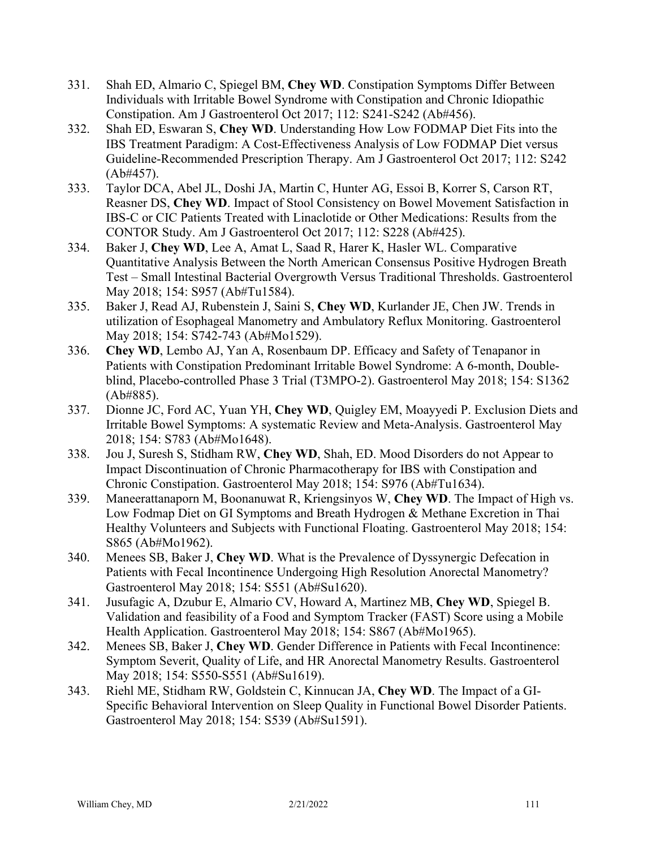- 331. Shah ED, Almario C, Spiegel BM, **Chey WD**. Constipation Symptoms Differ Between Individuals with Irritable Bowel Syndrome with Constipation and Chronic Idiopathic Constipation. Am J Gastroenterol Oct 2017; 112: S241-S242 (Ab#456).
- 332. Shah ED, Eswaran S, **Chey WD**. Understanding How Low FODMAP Diet Fits into the IBS Treatment Paradigm: A Cost-Effectiveness Analysis of Low FODMAP Diet versus Guideline-Recommended Prescription Therapy. Am J Gastroenterol Oct 2017; 112: S242 (Ab#457).
- 333. Taylor DCA, Abel JL, Doshi JA, Martin C, Hunter AG, Essoi B, Korrer S, Carson RT, Reasner DS, **Chey WD**. Impact of Stool Consistency on Bowel Movement Satisfaction in IBS-C or CIC Patients Treated with Linaclotide or Other Medications: Results from the CONTOR Study. Am J Gastroenterol Oct 2017; 112: S228 (Ab#425).
- 334. Baker J, **Chey WD**, Lee A, Amat L, Saad R, Harer K, Hasler WL. Comparative Quantitative Analysis Between the North American Consensus Positive Hydrogen Breath Test – Small Intestinal Bacterial Overgrowth Versus Traditional Thresholds. Gastroenterol May 2018; 154: S957 (Ab#Tu1584).
- 335. Baker J, Read AJ, Rubenstein J, Saini S, **Chey WD**, Kurlander JE, Chen JW. Trends in utilization of Esophageal Manometry and Ambulatory Reflux Monitoring. Gastroenterol May 2018; 154: S742-743 (Ab#Mo1529).
- 336. **Chey WD**, Lembo AJ, Yan A, Rosenbaum DP. Efficacy and Safety of Tenapanor in Patients with Constipation Predominant Irritable Bowel Syndrome: A 6-month, Doubleblind, Placebo-controlled Phase 3 Trial (T3MPO-2). Gastroenterol May 2018; 154: S1362 (Ab#885).
- 337. Dionne JC, Ford AC, Yuan YH, **Chey WD**, Quigley EM, Moayyedi P. Exclusion Diets and Irritable Bowel Symptoms: A systematic Review and Meta-Analysis. Gastroenterol May 2018; 154: S783 (Ab#Mo1648).
- 338. Jou J, Suresh S, Stidham RW, **Chey WD**, Shah, ED. Mood Disorders do not Appear to Impact Discontinuation of Chronic Pharmacotherapy for IBS with Constipation and Chronic Constipation. Gastroenterol May 2018; 154: S976 (Ab#Tu1634).
- 339. Maneerattanaporn M, Boonanuwat R, Kriengsinyos W, **Chey WD**. The Impact of High vs. Low Fodmap Diet on GI Symptoms and Breath Hydrogen & Methane Excretion in Thai Healthy Volunteers and Subjects with Functional Floating. Gastroenterol May 2018; 154: S865 (Ab#Mo1962).
- 340. Menees SB, Baker J, **Chey WD**. What is the Prevalence of Dyssynergic Defecation in Patients with Fecal Incontinence Undergoing High Resolution Anorectal Manometry? Gastroenterol May 2018; 154: S551 (Ab#Su1620).
- 341. Jusufagic A, Dzubur E, Almario CV, Howard A, Martinez MB, **Chey WD**, Spiegel B. Validation and feasibility of a Food and Symptom Tracker (FAST) Score using a Mobile Health Application. Gastroenterol May 2018; 154: S867 (Ab#Mo1965).
- 342. Menees SB, Baker J, **Chey WD**. Gender Difference in Patients with Fecal Incontinence: Symptom Severit, Quality of Life, and HR Anorectal Manometry Results. Gastroenterol May 2018; 154: S550-S551 (Ab#Su1619).
- 343. Riehl ME, Stidham RW, Goldstein C, Kinnucan JA, **Chey WD**. The Impact of a GI-Specific Behavioral Intervention on Sleep Quality in Functional Bowel Disorder Patients. Gastroenterol May 2018; 154: S539 (Ab#Su1591).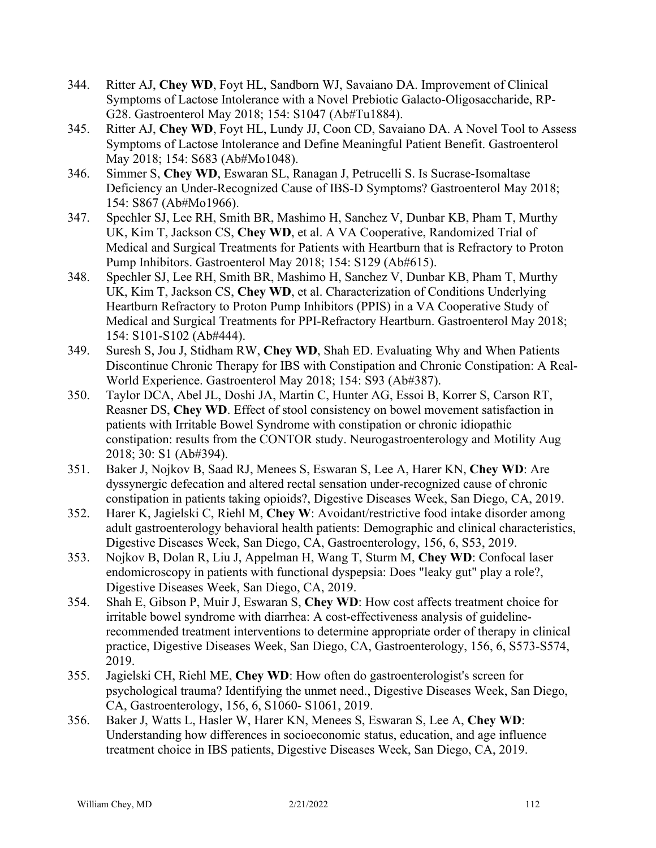- 344. Ritter AJ, **Chey WD**, Foyt HL, Sandborn WJ, Savaiano DA. Improvement of Clinical Symptoms of Lactose Intolerance with a Novel Prebiotic Galacto-Oligosaccharide, RP-G28. Gastroenterol May 2018; 154: S1047 (Ab#Tu1884).
- 345. Ritter AJ, **Chey WD**, Foyt HL, Lundy JJ, Coon CD, Savaiano DA. A Novel Tool to Assess Symptoms of Lactose Intolerance and Define Meaningful Patient Benefit. Gastroenterol May 2018; 154: S683 (Ab#Mo1048).
- 346. Simmer S, **Chey WD**, Eswaran SL, Ranagan J, Petrucelli S. Is Sucrase-Isomaltase Deficiency an Under-Recognized Cause of IBS-D Symptoms? Gastroenterol May 2018; 154: S867 (Ab#Mo1966).
- 347. Spechler SJ, Lee RH, Smith BR, Mashimo H, Sanchez V, Dunbar KB, Pham T, Murthy UK, Kim T, Jackson CS, **Chey WD**, et al. A VA Cooperative, Randomized Trial of Medical and Surgical Treatments for Patients with Heartburn that is Refractory to Proton Pump Inhibitors. Gastroenterol May 2018; 154: S129 (Ab#615).
- 348. Spechler SJ, Lee RH, Smith BR, Mashimo H, Sanchez V, Dunbar KB, Pham T, Murthy UK, Kim T, Jackson CS, **Chey WD**, et al. Characterization of Conditions Underlying Heartburn Refractory to Proton Pump Inhibitors (PPIS) in a VA Cooperative Study of Medical and Surgical Treatments for PPI-Refractory Heartburn. Gastroenterol May 2018; 154: S101-S102 (Ab#444).
- 349. Suresh S, Jou J, Stidham RW, **Chey WD**, Shah ED. Evaluating Why and When Patients Discontinue Chronic Therapy for IBS with Constipation and Chronic Constipation: A Real-World Experience. Gastroenterol May 2018; 154: S93 (Ab#387).
- 350. Taylor DCA, Abel JL, Doshi JA, Martin C, Hunter AG, Essoi B, Korrer S, Carson RT, Reasner DS, **Chey WD**. Effect of stool consistency on bowel movement satisfaction in patients with Irritable Bowel Syndrome with constipation or chronic idiopathic constipation: results from the CONTOR study. Neurogastroenterology and Motility Aug 2018; 30: S1 (Ab#394).
- 351. Baker J, Nojkov B, Saad RJ, Menees S, Eswaran S, Lee A, Harer KN, **Chey WD**: Are dyssynergic defecation and altered rectal sensation under-recognized cause of chronic constipation in patients taking opioids?, Digestive Diseases Week, San Diego, CA, 2019.
- 352. Harer K, Jagielski C, Riehl M, **Chey W**: Avoidant/restrictive food intake disorder among adult gastroenterology behavioral health patients: Demographic and clinical characteristics, Digestive Diseases Week, San Diego, CA, Gastroenterology, 156, 6, S53, 2019.
- 353. Nojkov B, Dolan R, Liu J, Appelman H, Wang T, Sturm M, **Chey WD**: Confocal laser endomicroscopy in patients with functional dyspepsia: Does "leaky gut" play a role?, Digestive Diseases Week, San Diego, CA, 2019.
- 354. Shah E, Gibson P, Muir J, Eswaran S, **Chey WD**: How cost affects treatment choice for irritable bowel syndrome with diarrhea: A cost-effectiveness analysis of guidelinerecommended treatment interventions to determine appropriate order of therapy in clinical practice, Digestive Diseases Week, San Diego, CA, Gastroenterology, 156, 6, S573-S574, 2019.
- 355. Jagielski CH, Riehl ME, **Chey WD**: How often do gastroenterologist's screen for psychological trauma? Identifying the unmet need., Digestive Diseases Week, San Diego, CA, Gastroenterology, 156, 6, S1060- S1061, 2019.
- 356. Baker J, Watts L, Hasler W, Harer KN, Menees S, Eswaran S, Lee A, **Chey WD**: Understanding how differences in socioeconomic status, education, and age influence treatment choice in IBS patients, Digestive Diseases Week, San Diego, CA, 2019.